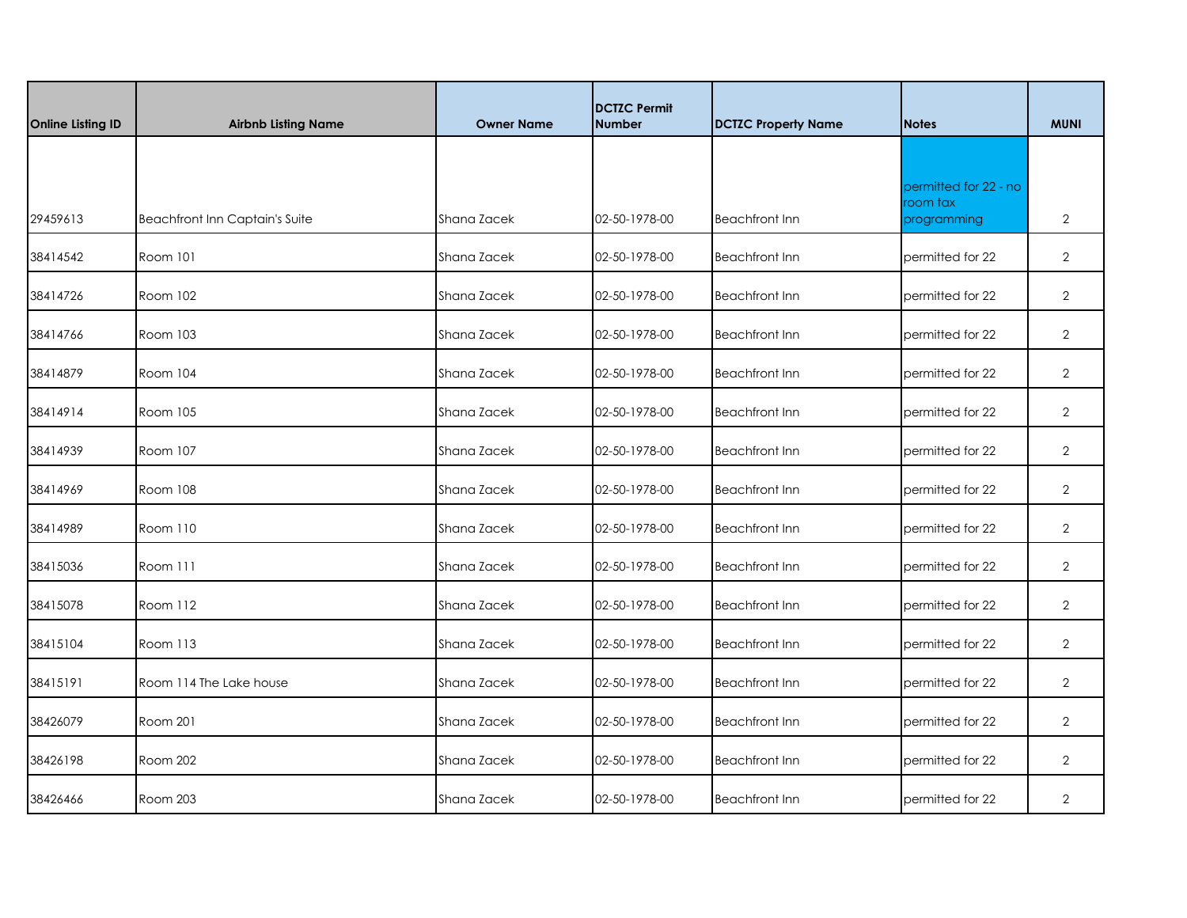|                          |                                       |                   | <b>DCTZC Permit</b> |                            |                                   |                |
|--------------------------|---------------------------------------|-------------------|---------------------|----------------------------|-----------------------------------|----------------|
| <b>Online Listing ID</b> | <b>Airbnb Listing Name</b>            | <b>Owner Name</b> | <b>Number</b>       | <b>DCTZC Property Name</b> | <b>Notes</b>                      | <b>MUNI</b>    |
|                          |                                       |                   |                     |                            |                                   |                |
|                          |                                       |                   |                     |                            | permitted for 22 - no<br>room tax |                |
| 29459613                 | <b>Beachfront Inn Captain's Suite</b> | Shana Zacek       | 02-50-1978-00       | <b>Beachfront Inn</b>      | programming                       | $\overline{2}$ |
| 38414542                 | Room 101                              | Shana Zacek       | 02-50-1978-00       | <b>Beachfront Inn</b>      | permitted for 22                  | $\overline{2}$ |
| 38414726                 | Room 102                              | Shana Zacek       | 02-50-1978-00       | <b>Beachfront Inn</b>      | permitted for 22                  | $\overline{2}$ |
| 38414766                 | Room 103                              | Shana Zacek       | 02-50-1978-00       | <b>Beachfront Inn</b>      | permitted for 22                  | $\overline{2}$ |
| 38414879                 | Room 104                              | Shana Zacek       | 02-50-1978-00       | <b>Beachfront Inn</b>      | permitted for 22                  | $\overline{2}$ |
| 38414914                 | Room 105                              | Shana Zacek       | 02-50-1978-00       | <b>Beachfront Inn</b>      | permitted for 22                  | $\overline{2}$ |
| 38414939                 | Room 107                              | Shana Zacek       | 02-50-1978-00       | <b>Beachfront Inn</b>      | permitted for 22                  | $\overline{2}$ |
| 38414969                 | Room 108                              | Shana Zacek       | 02-50-1978-00       | <b>Beachfront Inn</b>      | permitted for 22                  | $\overline{2}$ |
| 38414989                 | Room 110                              | Shana Zacek       | 02-50-1978-00       | <b>Beachfront Inn</b>      | permitted for 22                  | $\overline{2}$ |
| 38415036                 | Room 111                              | Shana Zacek       | 02-50-1978-00       | <b>Beachfront Inn</b>      | permitted for 22                  | $\overline{2}$ |
| 38415078                 | Room 112                              | Shana Zacek       | 02-50-1978-00       | <b>Beachfront Inn</b>      | permitted for 22                  | $\overline{2}$ |
| 38415104                 | Room 113                              | Shana Zacek       | 02-50-1978-00       | <b>Beachfront Inn</b>      | permitted for 22                  | $\overline{2}$ |
| 38415191                 | Room 114 The Lake house               | Shana Zacek       | 02-50-1978-00       | <b>Beachfront Inn</b>      | permitted for 22                  | $\overline{2}$ |
| 38426079                 | Room 201                              | Shana Zacek       | 02-50-1978-00       | <b>Beachfront Inn</b>      | permitted for 22                  | $\overline{2}$ |
| 38426198                 | Room 202                              | Shana Zacek       | 02-50-1978-00       | <b>Beachfront Inn</b>      | permitted for 22                  | $\overline{2}$ |
| 38426466                 | Room 203                              | Shana Zacek       | 02-50-1978-00       | <b>Beachfront Inn</b>      | permitted for 22                  | $\overline{2}$ |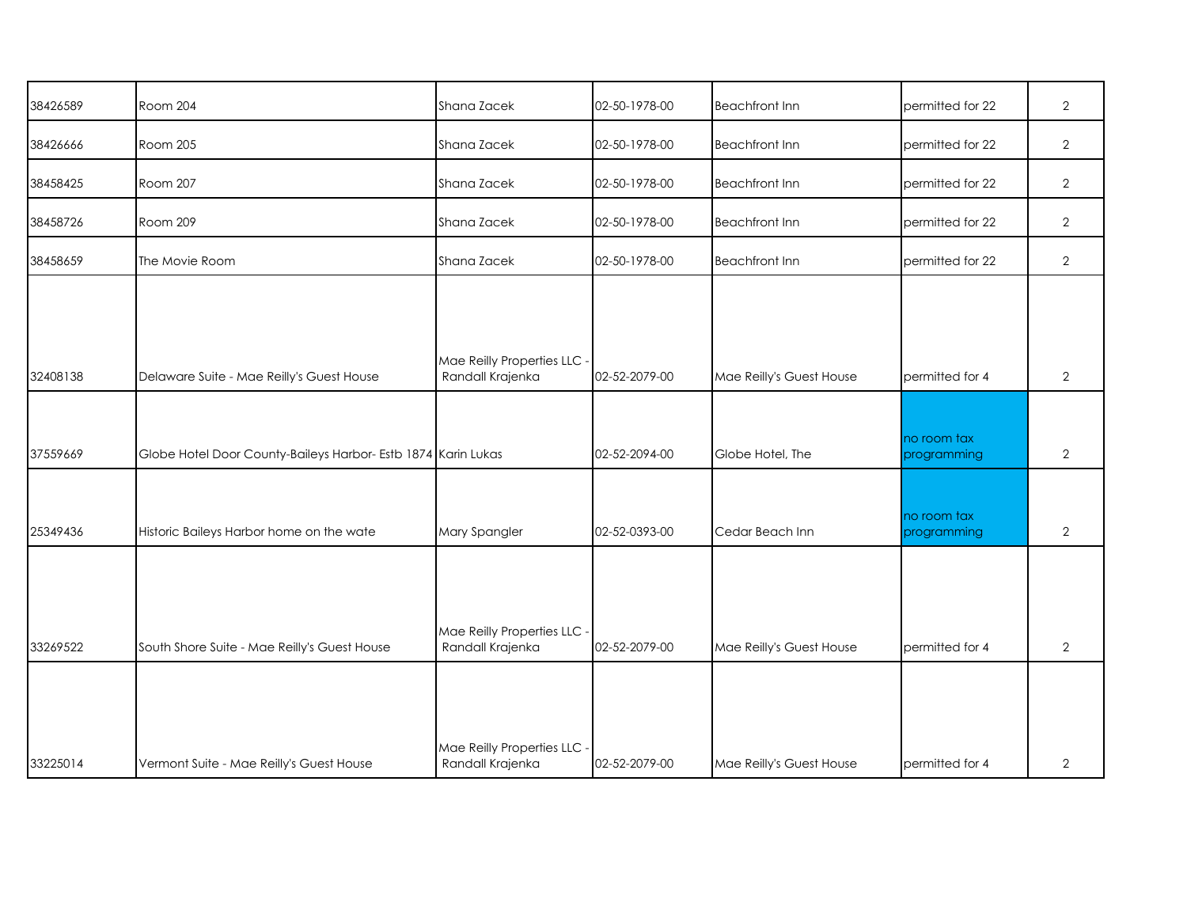| 38426589 | Room 204                                                      | Shana Zacek                                     | 02-50-1978-00 | <b>Beachfront Inn</b>    | permitted for 22           | $\overline{2}$ |
|----------|---------------------------------------------------------------|-------------------------------------------------|---------------|--------------------------|----------------------------|----------------|
| 38426666 | Room 205                                                      | Shana Zacek                                     | 02-50-1978-00 | <b>Beachfront Inn</b>    | permitted for 22           | $\overline{2}$ |
| 38458425 | Room 207                                                      | Shana Zacek                                     | 02-50-1978-00 | <b>Beachfront Inn</b>    | permitted for 22           | $\overline{2}$ |
| 38458726 | Room 209                                                      | Shana Zacek                                     | 02-50-1978-00 | <b>Beachfront Inn</b>    | permitted for 22           | $\overline{2}$ |
| 38458659 | The Movie Room                                                | Shana Zacek                                     | 02-50-1978-00 | <b>Beachfront Inn</b>    | permitted for 22           | $\overline{2}$ |
|          |                                                               |                                                 |               |                          |                            |                |
| 32408138 | Delaware Suite - Mae Reilly's Guest House                     | Mae Reilly Properties LLC -<br>Randall Krajenka | 02-52-2079-00 | Mae Reilly's Guest House | permitted for 4            | $\overline{2}$ |
| 37559669 | Globe Hotel Door County-Baileys Harbor- Estb 1874 Karin Lukas |                                                 | 02-52-2094-00 | Globe Hotel, The         | no room tax<br>programming | $\overline{2}$ |
| 25349436 | Historic Baileys Harbor home on the wate                      | Mary Spangler                                   | 02-52-0393-00 | Cedar Beach Inn          | no room tax<br>programming | $\overline{2}$ |
|          |                                                               | Mae Reilly Properties LLC -                     |               |                          |                            |                |
| 33269522 | South Shore Suite - Mae Reilly's Guest House                  | Randall Krajenka                                | 02-52-2079-00 | Mae Reilly's Guest House | permitted for 4            | $\overline{2}$ |
| 33225014 | Vermont Suite - Mae Reilly's Guest House                      | Mae Reilly Properties LLC -<br>Randall Krajenka | 02-52-2079-00 | Mae Reilly's Guest House | permitted for 4            | $\mathbf{2}$   |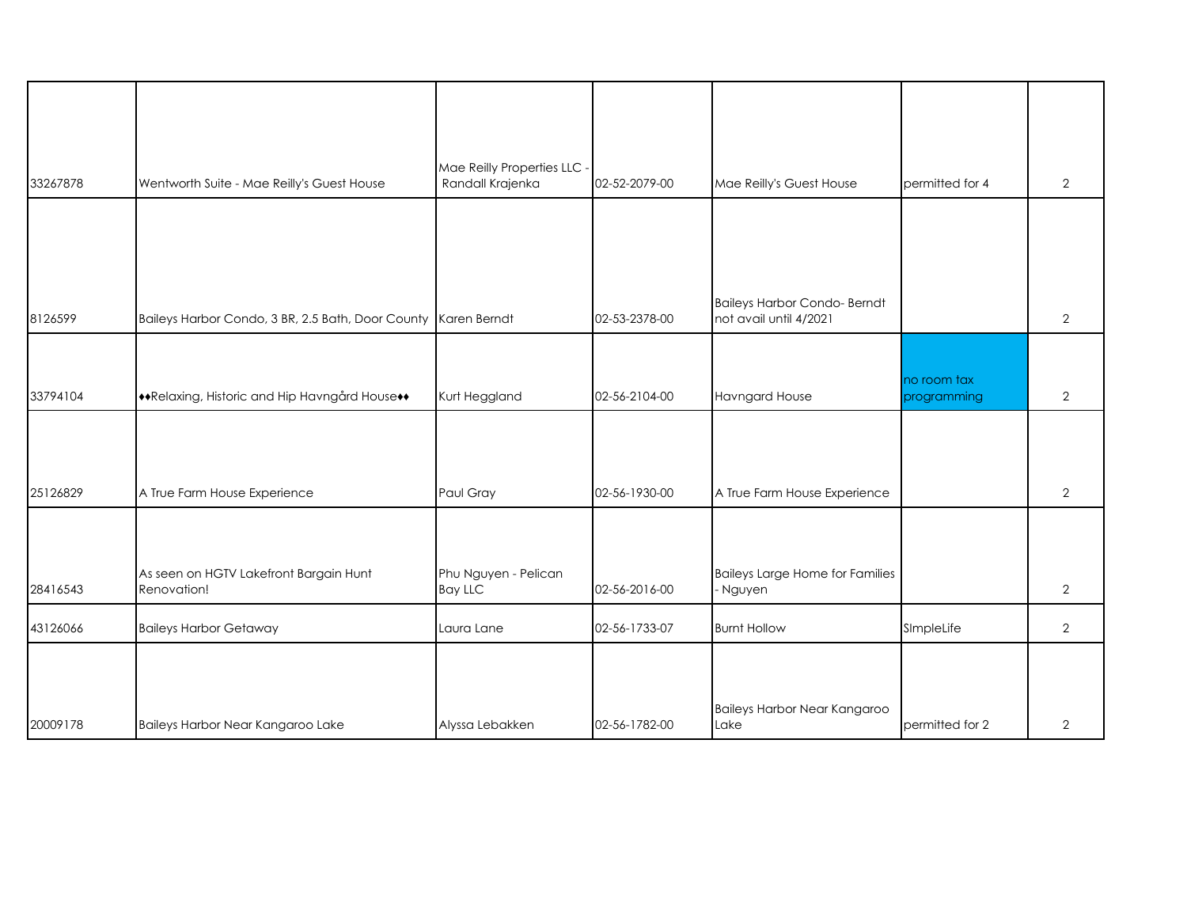|          |                                                                | Mae Reilly Properties LLC -            |               |                                                    |                 |                |
|----------|----------------------------------------------------------------|----------------------------------------|---------------|----------------------------------------------------|-----------------|----------------|
| 33267878 | Wentworth Suite - Mae Reilly's Guest House                     | Randall Krajenka                       | 02-52-2079-00 | Mae Reilly's Guest House                           | permitted for 4 | $\overline{2}$ |
|          |                                                                |                                        |               |                                                    |                 |                |
|          |                                                                |                                        |               |                                                    |                 |                |
|          |                                                                |                                        |               |                                                    |                 |                |
|          |                                                                |                                        |               | <b>Baileys Harbor Condo-Berndt</b>                 |                 |                |
| 8126599  | Baileys Harbor Condo, 3 BR, 2.5 Bath, Door County Karen Berndt |                                        | 02-53-2378-00 | not avail until 4/2021                             |                 | 2              |
|          |                                                                |                                        |               |                                                    |                 |                |
|          |                                                                |                                        |               |                                                    | no room tax     |                |
| 33794104 | **Relaxing, Historic and Hip Havngård House**                  | Kurt Heggland                          | 02-56-2104-00 | <b>Havngard House</b>                              | programming     | $\overline{2}$ |
|          |                                                                |                                        |               |                                                    |                 |                |
|          |                                                                |                                        |               |                                                    |                 |                |
|          |                                                                |                                        |               |                                                    |                 |                |
| 25126829 | A True Farm House Experience                                   | Paul Gray                              | 02-56-1930-00 | A True Farm House Experience                       |                 | $\overline{2}$ |
|          |                                                                |                                        |               |                                                    |                 |                |
|          |                                                                |                                        |               |                                                    |                 |                |
| 28416543 | As seen on HGTV Lakefront Bargain Hunt<br>Renovation!          | Phu Nguyen - Pelican<br><b>Bay LLC</b> | 02-56-2016-00 | <b>Baileys Large Home for Families</b><br>- Nguyen |                 | $\overline{2}$ |
|          |                                                                |                                        |               |                                                    |                 |                |
| 43126066 | <b>Baileys Harbor Getaway</b>                                  | Laura Lane                             | 02-56-1733-07 | <b>Burnt Hollow</b>                                | SImpleLife      | $\overline{2}$ |
|          |                                                                |                                        |               |                                                    |                 |                |
|          |                                                                |                                        |               |                                                    |                 |                |
|          |                                                                |                                        |               | Baileys Harbor Near Kangaroo                       |                 |                |
| 20009178 | Baileys Harbor Near Kangaroo Lake                              | Alyssa Lebakken                        | 02-56-1782-00 | Lake                                               | permitted for 2 | $\overline{2}$ |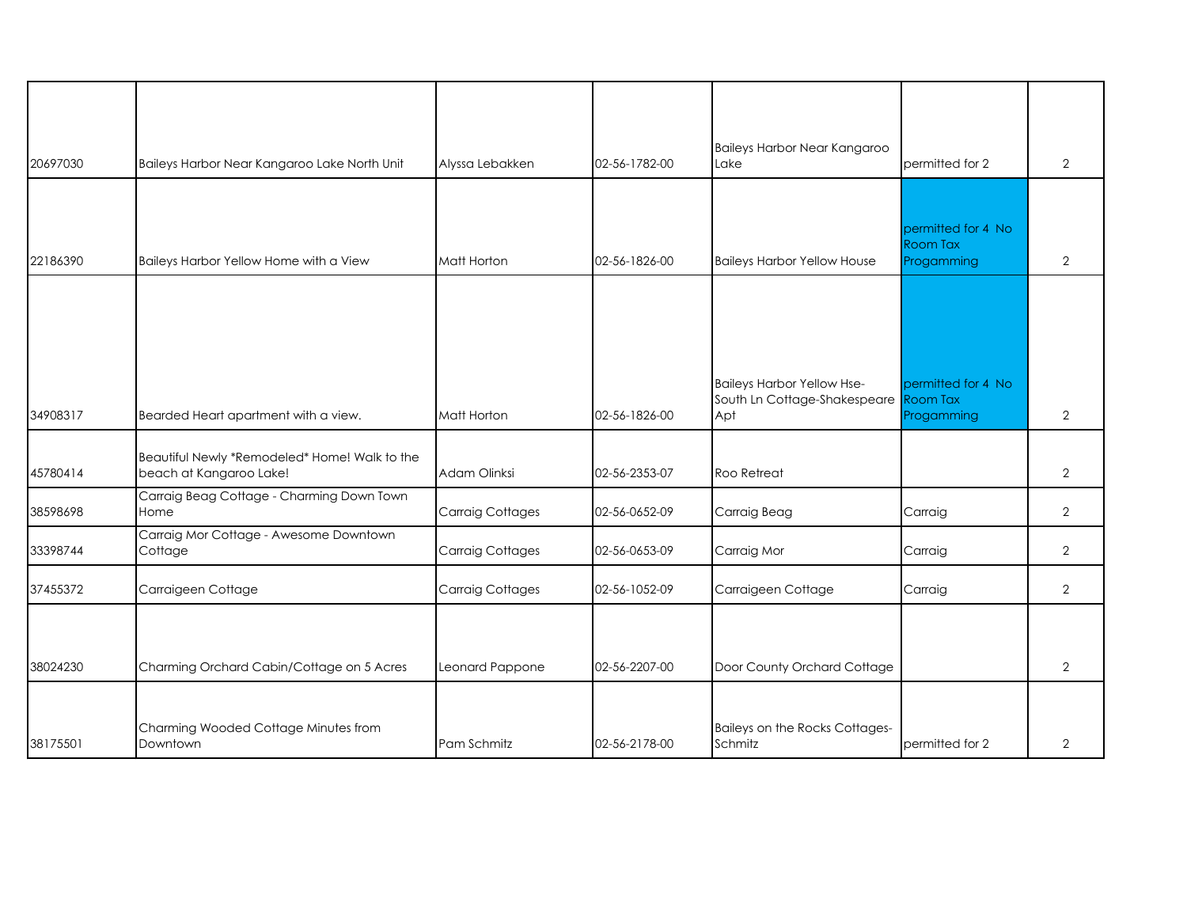| 20697030 | Baileys Harbor Near Kangaroo Lake North Unit                             | Alyssa Lebakken         | 02-56-1782-00 | Baileys Harbor Near Kangaroo<br>Lake                                              | permitted for 2                              | $\overline{2}$ |
|----------|--------------------------------------------------------------------------|-------------------------|---------------|-----------------------------------------------------------------------------------|----------------------------------------------|----------------|
|          |                                                                          |                         |               |                                                                                   |                                              |                |
| 22186390 | Baileys Harbor Yellow Home with a View                                   | Matt Horton             | 02-56-1826-00 | <b>Baileys Harbor Yellow House</b>                                                | permitted for 4 No<br>Room Tax<br>Progamming | $\overline{2}$ |
|          |                                                                          |                         |               |                                                                                   |                                              |                |
| 34908317 | Bearded Heart apartment with a view.                                     | Matt Horton             | 02-56-1826-00 | <b>Baileys Harbor Yellow Hse-</b><br>South Ln Cottage-Shakespeare Room Tax<br>Apt | permitted for 4 No<br>Progamming             | $\overline{2}$ |
| 45780414 | Beautiful Newly *Remodeled* Home! Walk to the<br>beach at Kangaroo Lake! | Adam Olinksi            | 02-56-2353-07 | Roo Retreat                                                                       |                                              | $\overline{2}$ |
| 38598698 | Carraig Beag Cottage - Charming Down Town<br>Home                        | <b>Carraig Cottages</b> | 02-56-0652-09 | Carraig Beag                                                                      | Carraig                                      | $\overline{2}$ |
| 33398744 | Carraig Mor Cottage - Awesome Downtown<br>Cottage                        | <b>Carraig Cottages</b> | 02-56-0653-09 | Carraig Mor                                                                       | Carraig                                      | $\overline{2}$ |
| 37455372 | Carraigeen Cottage                                                       | <b>Carraig Cottages</b> | 02-56-1052-09 | Carraigeen Cottage                                                                | Carraig                                      | $\overline{2}$ |
| 38024230 | Charming Orchard Cabin/Cottage on 5 Acres                                | Leonard Pappone         | 02-56-2207-00 | Door County Orchard Cottage                                                       |                                              | $\overline{2}$ |
| 38175501 | Charming Wooded Cottage Minutes from<br>Downtown                         | Pam Schmitz             | 02-56-2178-00 | Baileys on the Rocks Cottages-<br>Schmitz                                         | permitted for 2                              | $\overline{2}$ |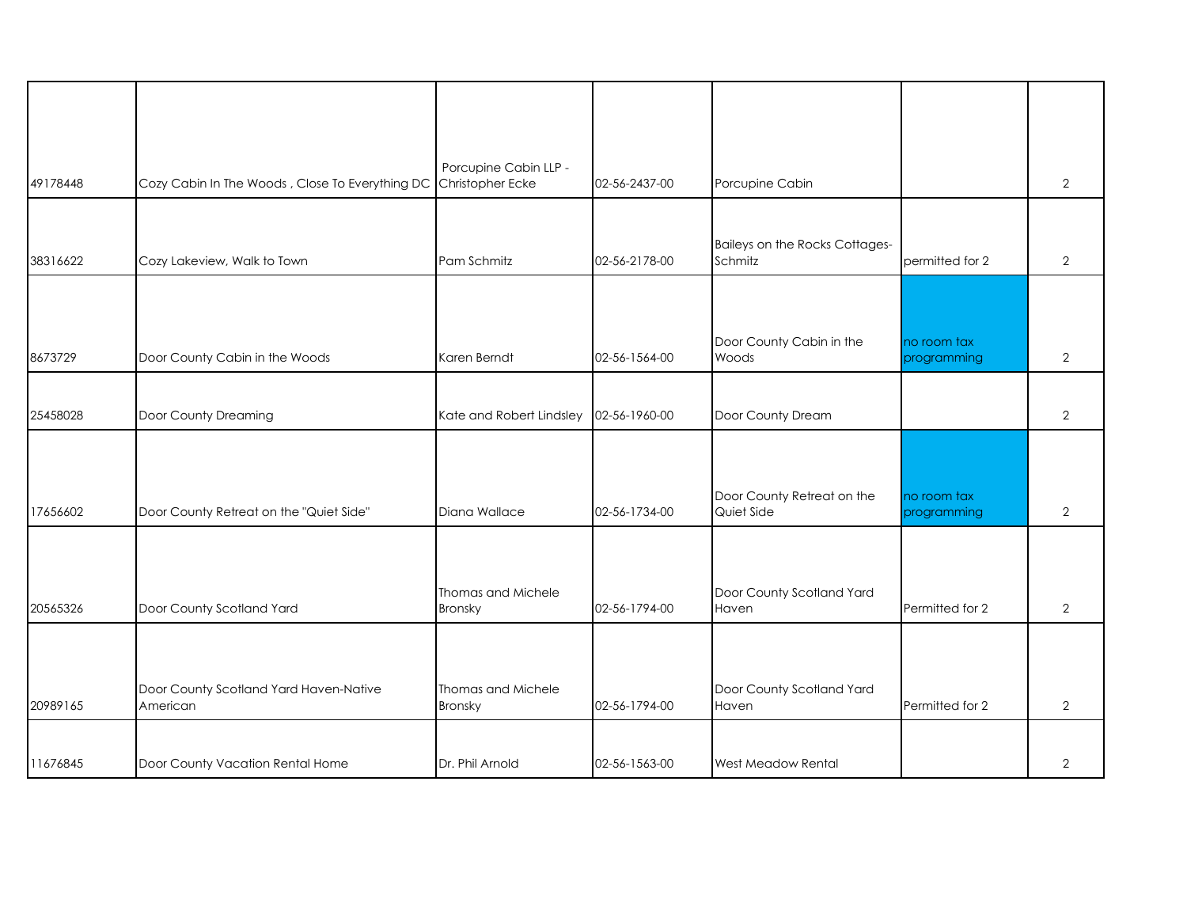| 49178448 | Cozy Cabin In The Woods, Close To Everything DC    | Porcupine Cabin LLP -<br>Christopher Ecke | 02-56-2437-00 | Porcupine Cabin                           |                            | $\overline{2}$ |
|----------|----------------------------------------------------|-------------------------------------------|---------------|-------------------------------------------|----------------------------|----------------|
| 38316622 | Cozy Lakeview, Walk to Town                        | Pam Schmitz                               | 02-56-2178-00 | Baileys on the Rocks Cottages-<br>Schmitz | permitted for 2            | $\overline{2}$ |
|          |                                                    |                                           |               |                                           |                            |                |
| 8673729  | Door County Cabin in the Woods                     | Karen Berndt                              | 02-56-1564-00 | Door County Cabin in the<br>Woods         | no room tax<br>programming | $\overline{2}$ |
| 25458028 | Door County Dreaming                               | Kate and Robert Lindsley                  | 02-56-1960-00 | Door County Dream                         |                            | $\overline{2}$ |
| 17656602 | Door County Retreat on the "Quiet Side"            | Diana Wallace                             | 02-56-1734-00 | Door County Retreat on the<br>Quiet Side  | no room tax<br>programming | $\overline{2}$ |
| 20565326 | Door County Scotland Yard                          | Thomas and Michele<br>Bronsky             | 02-56-1794-00 | Door County Scotland Yard<br>Haven        | Permitted for 2            | $\overline{2}$ |
|          |                                                    |                                           |               |                                           |                            |                |
| 20989165 | Door County Scotland Yard Haven-Native<br>American | Thomas and Michele<br>Bronsky             | 02-56-1794-00 | Door County Scotland Yard<br>Haven        | Permitted for 2            | 2              |
| 11676845 | Door County Vacation Rental Home                   | Dr. Phil Arnold                           | 02-56-1563-00 | West Meadow Rental                        |                            | 2              |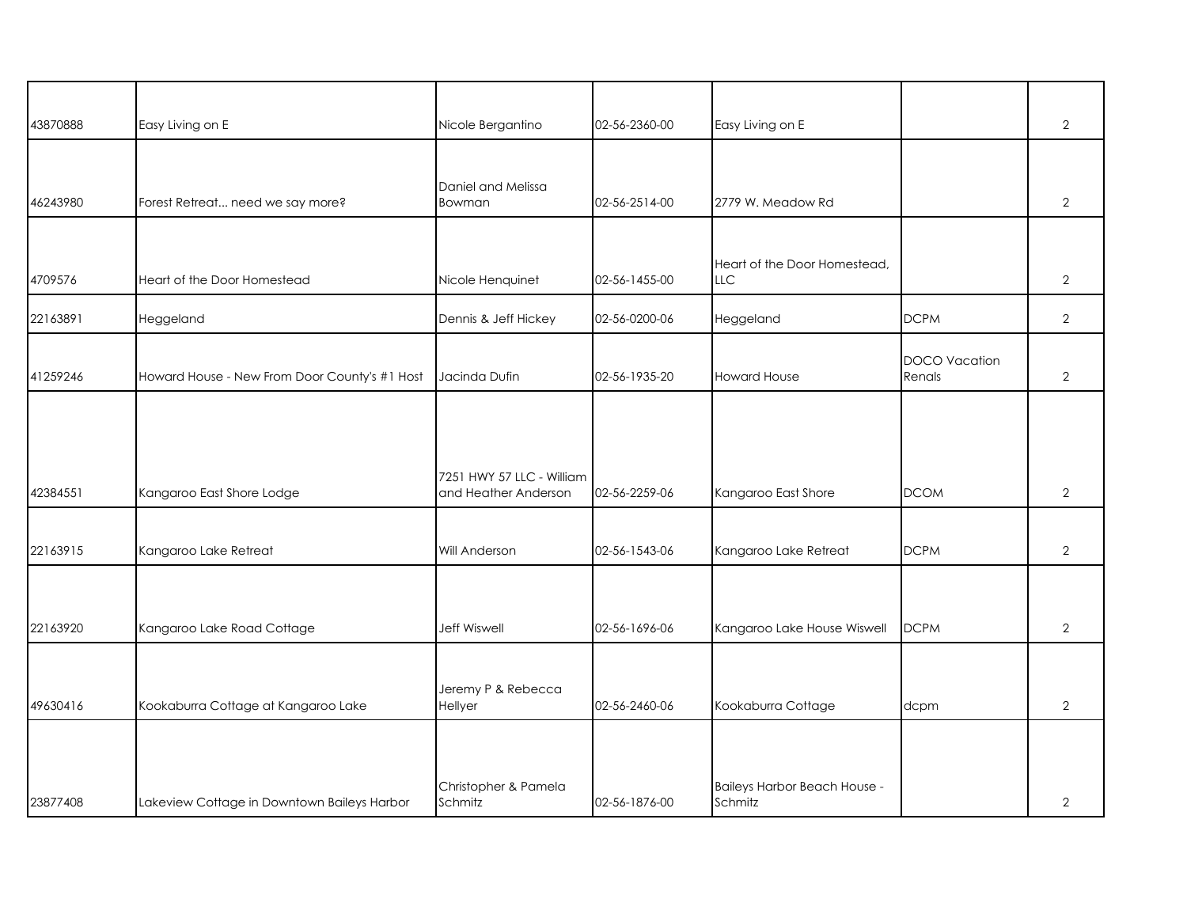| 43870888 | Easy Living on E                              | Nicole Bergantino                                 | 02-56-2360-00 | Easy Living on E                           |                                | $\overline{2}$ |
|----------|-----------------------------------------------|---------------------------------------------------|---------------|--------------------------------------------|--------------------------------|----------------|
| 46243980 | Forest Retreat need we say more?              | Daniel and Melissa<br>Bowman                      | 02-56-2514-00 | 2779 W. Meadow Rd                          |                                | $\overline{2}$ |
| 4709576  | Heart of the Door Homestead                   | Nicole Henquinet                                  | 02-56-1455-00 | Heart of the Door Homestead,<br><b>LLC</b> |                                | $\overline{2}$ |
| 22163891 | Heggeland                                     | Dennis & Jeff Hickey                              | 02-56-0200-06 | Heggeland                                  | <b>DCPM</b>                    | $\overline{2}$ |
| 41259246 | Howard House - New From Door County's #1 Host | Jacinda Dufin                                     | 02-56-1935-20 | <b>Howard House</b>                        | <b>DOCO</b> Vacation<br>Renals | $\overline{2}$ |
| 42384551 | Kangaroo East Shore Lodge                     | 7251 HWY 57 LLC - William<br>and Heather Anderson | 02-56-2259-06 | Kangaroo East Shore                        | <b>DCOM</b>                    | $\overline{2}$ |
| 22163915 | Kangaroo Lake Retreat                         | Will Anderson                                     | 02-56-1543-06 | Kangaroo Lake Retreat                      | <b>DCPM</b>                    | $\overline{2}$ |
| 22163920 | Kangaroo Lake Road Cottage                    | <b>Jeff Wiswell</b>                               | 02-56-1696-06 | Kangaroo Lake House Wiswell                | <b>DCPM</b>                    | $\overline{2}$ |
| 49630416 | Kookaburra Cottage at Kangaroo Lake           | Jeremy P & Rebecca<br>Hellyer                     | 02-56-2460-06 | Kookaburra Cottage                         | dcpm                           | $\overline{2}$ |
| 23877408 | Lakeview Cottage in Downtown Baileys Harbor   | Christopher & Pamela<br>Schmitz                   | 02-56-1876-00 | Baileys Harbor Beach House -<br>Schmitz    |                                | $\overline{2}$ |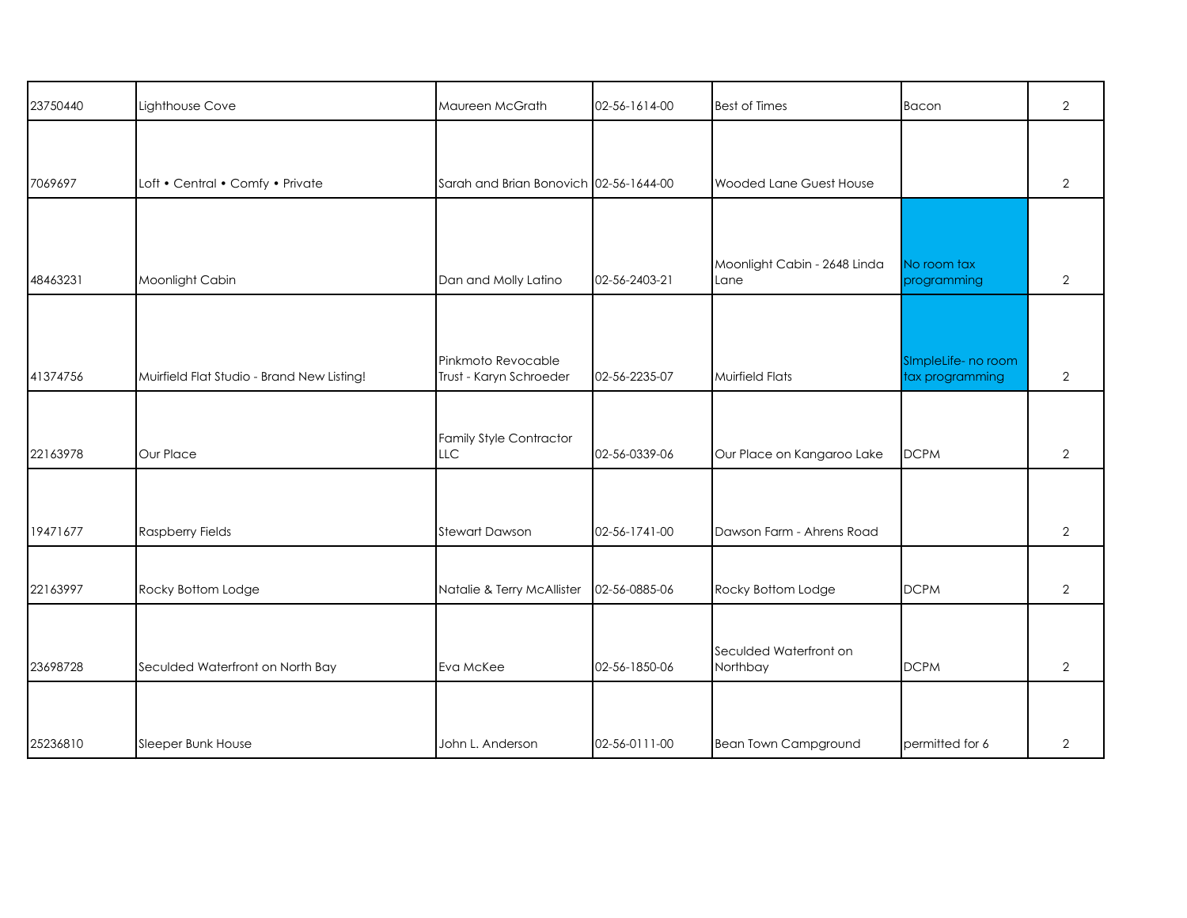| 23750440 | Lighthouse Cove                            | Maureen McGrath                               | 02-56-1614-00 | <b>Best of Times</b>                 | Bacon                                  | $\overline{2}$ |
|----------|--------------------------------------------|-----------------------------------------------|---------------|--------------------------------------|----------------------------------------|----------------|
|          |                                            |                                               |               |                                      |                                        |                |
| 7069697  | Loft • Central • Comfy • Private           | Sarah and Brian Bonovich 02-56-1644-00        |               | Wooded Lane Guest House              |                                        | $\overline{2}$ |
|          |                                            |                                               |               |                                      |                                        |                |
| 48463231 | Moonlight Cabin                            | Dan and Molly Latino                          | 02-56-2403-21 | Moonlight Cabin - 2648 Linda<br>Lane | No room tax<br>programming             | $\overline{2}$ |
|          |                                            |                                               |               |                                      |                                        |                |
| 41374756 | Muirfield Flat Studio - Brand New Listing! | Pinkmoto Revocable<br>Trust - Karyn Schroeder | 02-56-2235-07 | <b>Muirfield Flats</b>               | SImpleLife- no room<br>tax programming | 2              |
|          |                                            |                                               |               |                                      |                                        |                |
| 22163978 | Our Place                                  | <b>Family Style Contractor</b><br><b>LLC</b>  | 02-56-0339-06 | Our Place on Kangaroo Lake           | <b>DCPM</b>                            | $\overline{2}$ |
|          |                                            |                                               |               |                                      |                                        |                |
| 19471677 | <b>Raspberry Fields</b>                    | <b>Stewart Dawson</b>                         | 02-56-1741-00 | Dawson Farm - Ahrens Road            |                                        | $\overline{2}$ |
| 22163997 | Rocky Bottom Lodge                         | Natalie & Terry McAllister                    | 02-56-0885-06 | Rocky Bottom Lodge                   | <b>DCPM</b>                            | $\overline{2}$ |
|          |                                            |                                               |               |                                      |                                        |                |
| 23698728 | Seculded Waterfront on North Bay           | Eva McKee                                     | 02-56-1850-06 | Seculded Waterfront on<br>Northbay   | <b>DCPM</b>                            | $\overline{2}$ |
|          |                                            |                                               |               |                                      |                                        |                |
| 25236810 | Sleeper Bunk House                         | John L. Anderson                              | 02-56-0111-00 | <b>Bean Town Campground</b>          | permitted for 6                        | $\overline{2}$ |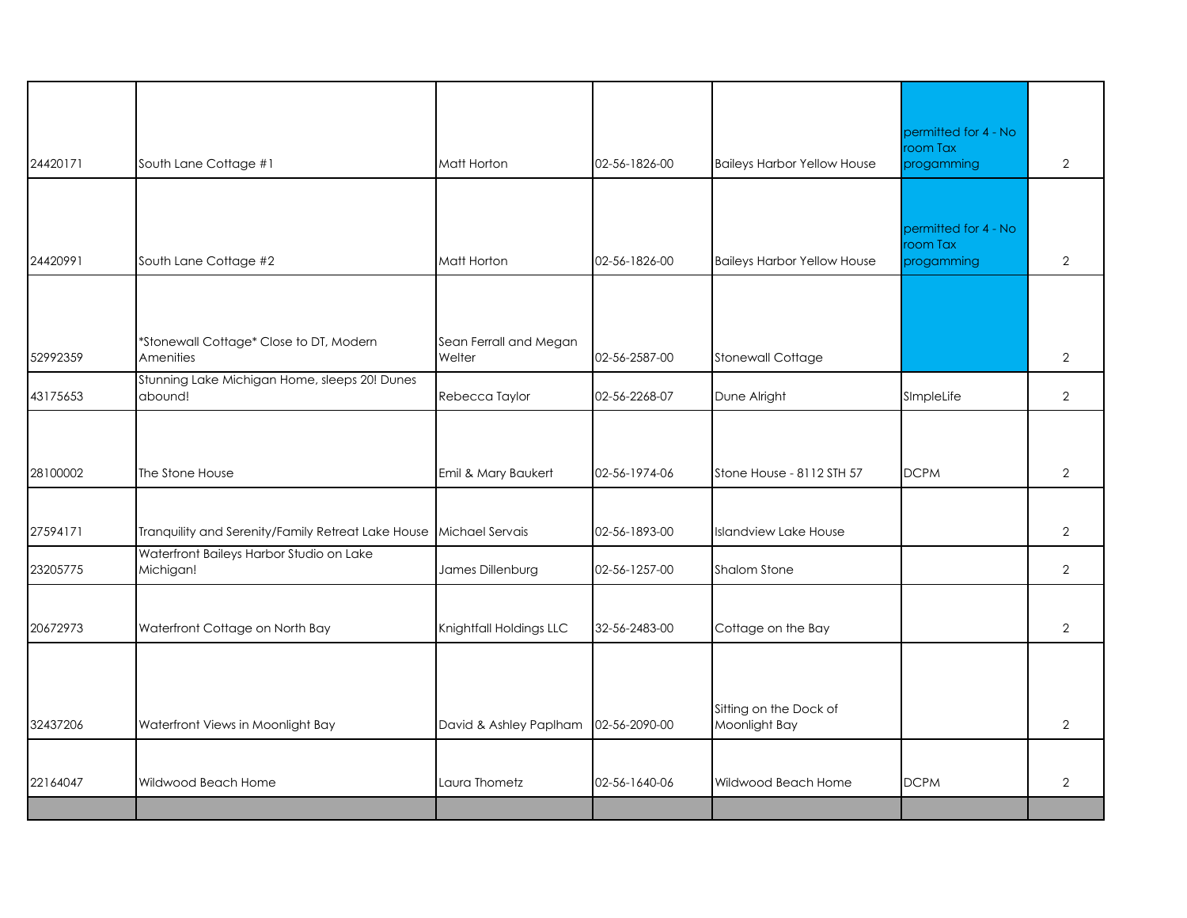|          |                                                                    |                                  |               |                                         | permitted for 4 - No<br>room Tax               |                |
|----------|--------------------------------------------------------------------|----------------------------------|---------------|-----------------------------------------|------------------------------------------------|----------------|
| 24420171 | South Lane Cottage #1                                              | Matt Horton                      | 02-56-1826-00 | <b>Baileys Harbor Yellow House</b>      | progamming                                     | $\overline{2}$ |
| 24420991 | South Lane Cottage #2                                              | Matt Horton                      | 02-56-1826-00 | <b>Baileys Harbor Yellow House</b>      | permitted for 4 - No<br>room Tax<br>progamming | $\overline{2}$ |
| 52992359 | *Stonewall Cottage* Close to DT, Modern<br>Amenities               | Sean Ferrall and Megan<br>Welter | 02-56-2587-00 | <b>Stonewall Cottage</b>                |                                                | $\overline{2}$ |
| 43175653 | Stunning Lake Michigan Home, sleeps 20! Dunes<br>abound!           | Rebecca Taylor                   | 02-56-2268-07 | Dune Alright                            | SImpleLife                                     | $\overline{2}$ |
| 28100002 | The Stone House                                                    | Emil & Mary Baukert              | 02-56-1974-06 | Stone House - 8112 STH 57               | <b>DCPM</b>                                    | 2              |
| 27594171 | Tranquility and Serenity/Family Retreat Lake House Michael Servais |                                  | 02-56-1893-00 | <b>Islandview Lake House</b>            |                                                | $\overline{2}$ |
| 23205775 | Waterfront Baileys Harbor Studio on Lake<br>Michigan!              | James Dillenburg                 | 02-56-1257-00 | <b>Shalom Stone</b>                     |                                                | $\overline{2}$ |
| 20672973 | Waterfront Cottage on North Bay                                    | Knightfall Holdings LLC          | 32-56-2483-00 | Cottage on the Bay                      |                                                | $\overline{2}$ |
| 32437206 | Waterfront Views in Moonlight Bay                                  | David & Ashley Paplham           | 02-56-2090-00 | Sitting on the Dock of<br>Moonlight Bay |                                                | $\overline{2}$ |
| 22164047 | Wildwood Beach Home                                                | Laura Thometz                    | 02-56-1640-06 | Wildwood Beach Home                     | <b>DCPM</b>                                    | $\overline{2}$ |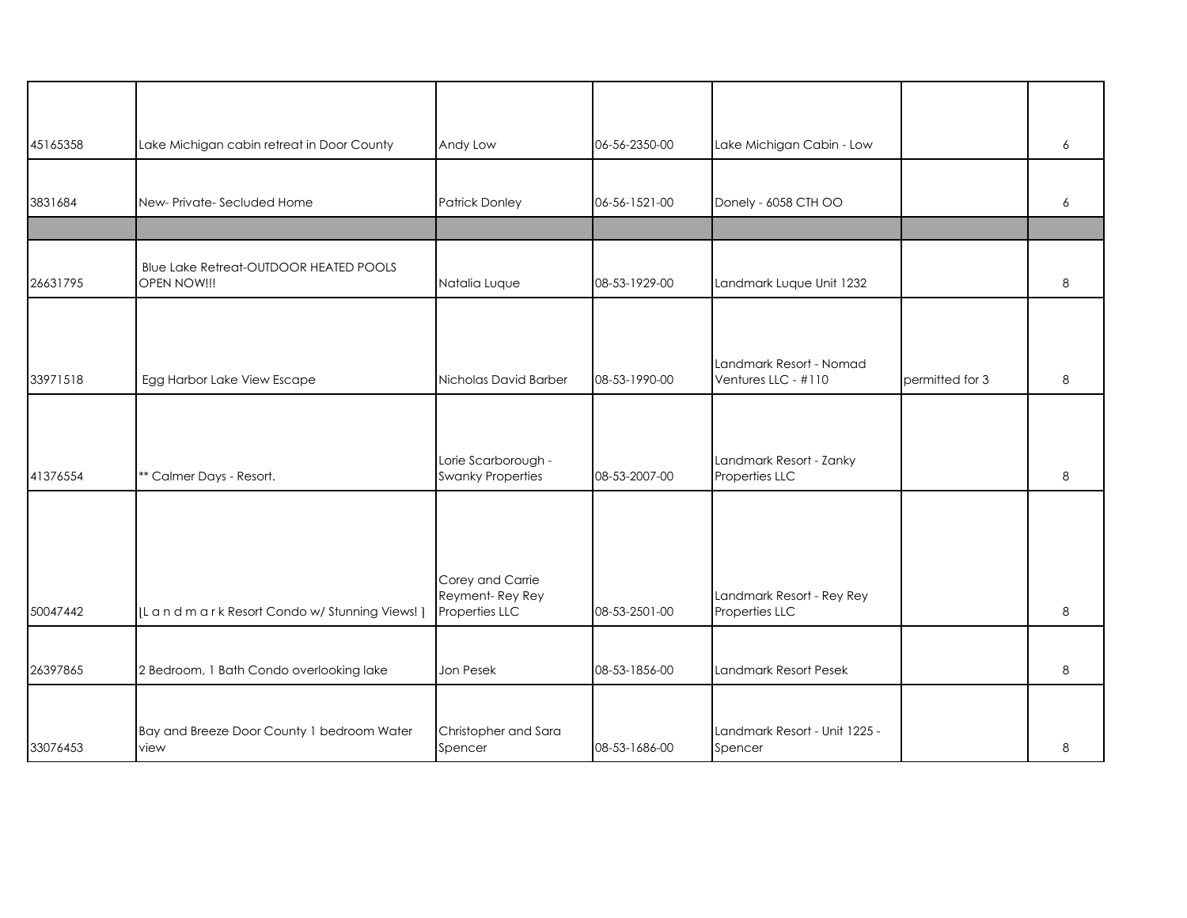| 45165358 | Lake Michigan cabin retreat in Door County             | Andy Low                                              | 06-56-2350-00 | Lake Michigan Cabin - Low                      |                 | 6 |
|----------|--------------------------------------------------------|-------------------------------------------------------|---------------|------------------------------------------------|-----------------|---|
|          |                                                        |                                                       |               |                                                |                 |   |
| 3831684  | New-Private-Secluded Home                              | Patrick Donley                                        | 06-56-1521-00 | Donely - 6058 CTH OO                           |                 | 6 |
|          |                                                        |                                                       |               |                                                |                 |   |
| 26631795 | Blue Lake Retreat-OUTDOOR HEATED POOLS<br>OPEN NOW !!! | Natalia Luque                                         | 08-53-1929-00 | Landmark Luque Unit 1232                       |                 | 8 |
|          |                                                        |                                                       |               |                                                |                 |   |
| 33971518 | Egg Harbor Lake View Escape                            | Nicholas David Barber                                 | 08-53-1990-00 | Landmark Resort - Nomad<br>Ventures LLC - #110 | permitted for 3 | 8 |
|          |                                                        |                                                       |               |                                                |                 |   |
| 41376554 | ** Calmer Days - Resort.                               | Lorie Scarborough -<br><b>Swanky Properties</b>       | 08-53-2007-00 | Landmark Resort - Zanky<br>Properties LLC      |                 | 8 |
|          |                                                        |                                                       |               |                                                |                 |   |
|          |                                                        |                                                       |               |                                                |                 |   |
| 50047442 | [L a n d m a r k Resort Condo w/ Stunning Views!]      | Corey and Carrie<br>Reyment-Rey Rey<br>Properties LLC | 08-53-2501-00 | Landmark Resort - Rey Rey<br>Properties LLC    |                 | 8 |
|          |                                                        |                                                       |               |                                                |                 |   |
| 26397865 | 2 Bedroom, 1 Bath Condo overlooking lake               | Jon Pesek                                             | 08-53-1856-00 | Landmark Resort Pesek                          |                 | 8 |
| 33076453 | Bay and Breeze Door County 1 bedroom Water<br>view     | Christopher and Sara<br>Spencer                       | 08-53-1686-00 | Landmark Resort - Unit 1225 -<br>Spencer       |                 | 8 |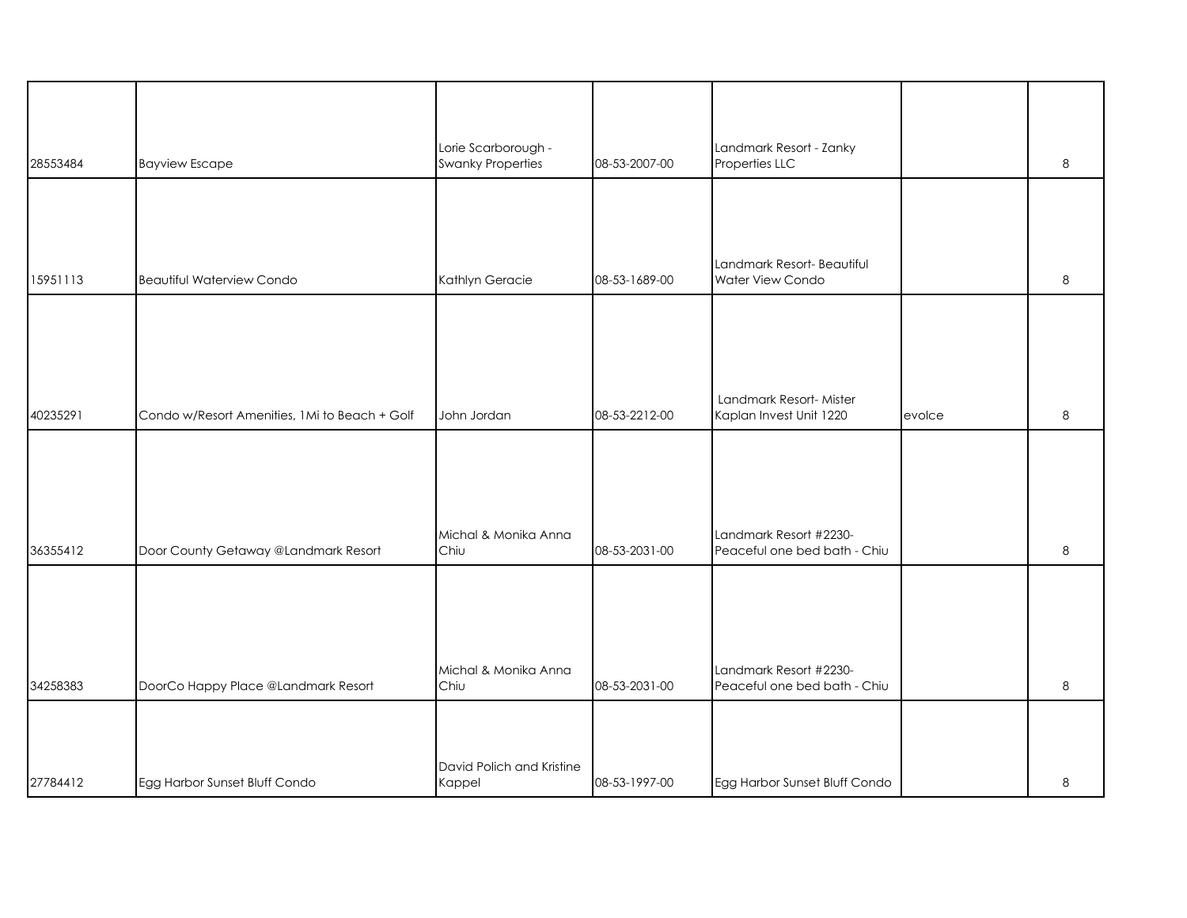| 28553484 | <b>Bayview Escape</b>                         | Lorie Scarborough -<br><b>Swanky Properties</b> | 08-53-2007-00 | Landmark Resort - Zanky<br>Properties LLC              |        | 8 |
|----------|-----------------------------------------------|-------------------------------------------------|---------------|--------------------------------------------------------|--------|---|
|          |                                               |                                                 |               |                                                        |        |   |
| 15951113 | <b>Beautiful Waterview Condo</b>              | Kathlyn Geracie                                 | 08-53-1689-00 | Landmark Resort- Beautiful<br>Water View Condo         |        | 8 |
|          |                                               |                                                 |               |                                                        |        |   |
| 40235291 | Condo w/Resort Amenities, 1Mi to Beach + Golf | John Jordan                                     | 08-53-2212-00 | Landmark Resort-Mister<br>Kaplan Invest Unit 1220      | evolce | 8 |
|          |                                               |                                                 |               |                                                        |        |   |
| 36355412 | Door County Getaway @Landmark Resort          | Michal & Monika Anna<br>Chiu                    | 08-53-2031-00 | Landmark Resort #2230-<br>Peaceful one bed bath - Chiu |        | 8 |
|          |                                               |                                                 |               |                                                        |        |   |
| 34258383 | DoorCo Happy Place @Landmark Resort           | Michal & Monika Anna<br>Chiu                    | 08-53-2031-00 | Landmark Resort #2230-<br>Peaceful one bed bath - Chiu |        | 8 |
|          |                                               |                                                 |               |                                                        |        |   |
| 27784412 | Egg Harbor Sunset Bluff Condo                 | David Polich and Kristine<br>Kappel             | 08-53-1997-00 | Egg Harbor Sunset Bluff Condo                          |        | 8 |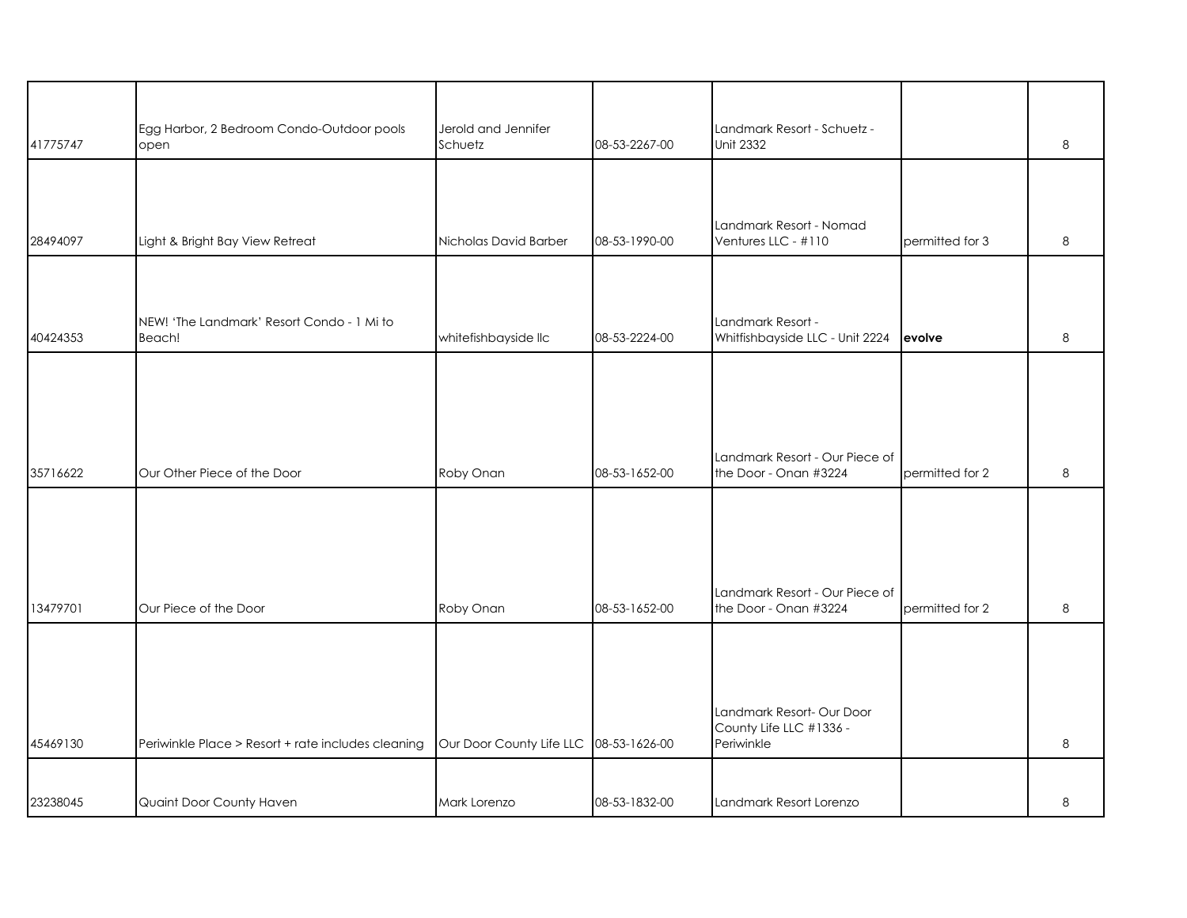| 41775747 | Egg Harbor, 2 Bedroom Condo-Outdoor pools<br>open  | Jerold and Jennifer<br>Schuetz | 08-53-2267-00 | Landmark Resort - Schuetz -<br><b>Unit 2332</b>         |                 | 8 |
|----------|----------------------------------------------------|--------------------------------|---------------|---------------------------------------------------------|-----------------|---|
|          |                                                    |                                |               |                                                         |                 |   |
|          |                                                    |                                |               |                                                         |                 |   |
|          |                                                    |                                |               | Landmark Resort - Nomad                                 |                 |   |
| 28494097 | Light & Bright Bay View Retreat                    | Nicholas David Barber          | 08-53-1990-00 | Ventures LLC - #110                                     | permitted for 3 | 8 |
|          |                                                    |                                |               |                                                         |                 |   |
|          | NEW! 'The Landmark' Resort Condo - 1 Mi to         |                                |               | Landmark Resort -                                       |                 |   |
| 40424353 | Beach!                                             | whitefishbayside llc           | 08-53-2224-00 | Whitfishbayside LLC - Unit 2224                         | evolve          | 8 |
|          |                                                    |                                |               |                                                         |                 |   |
|          |                                                    |                                |               |                                                         |                 |   |
|          |                                                    |                                |               |                                                         |                 |   |
|          |                                                    |                                |               | Landmark Resort - Our Piece of                          |                 |   |
| 35716622 | Our Other Piece of the Door                        | Roby Onan                      | 08-53-1652-00 | the Door - Onan #3224                                   | permitted for 2 | 8 |
|          |                                                    |                                |               |                                                         |                 |   |
|          |                                                    |                                |               |                                                         |                 |   |
|          |                                                    |                                |               |                                                         |                 |   |
| 13479701 | Our Piece of the Door                              | Roby Onan                      | 08-53-1652-00 | Landmark Resort - Our Piece of<br>the Door - Onan #3224 | permitted for 2 | 8 |
|          |                                                    |                                |               |                                                         |                 |   |
|          |                                                    |                                |               |                                                         |                 |   |
|          |                                                    |                                |               |                                                         |                 |   |
|          |                                                    |                                |               | Landmark Resort- Our Door<br>County Life LLC #1336 -    |                 |   |
| 45469130 | Periwinkle Place > Resort + rate includes cleaning | Our Door County Life LLC       | 08-53-1626-00 | Periwinkle                                              |                 | 8 |
|          |                                                    |                                |               |                                                         |                 |   |
| 23238045 | Quaint Door County Haven                           | Mark Lorenzo                   | 08-53-1832-00 | Landmark Resort Lorenzo                                 |                 | 8 |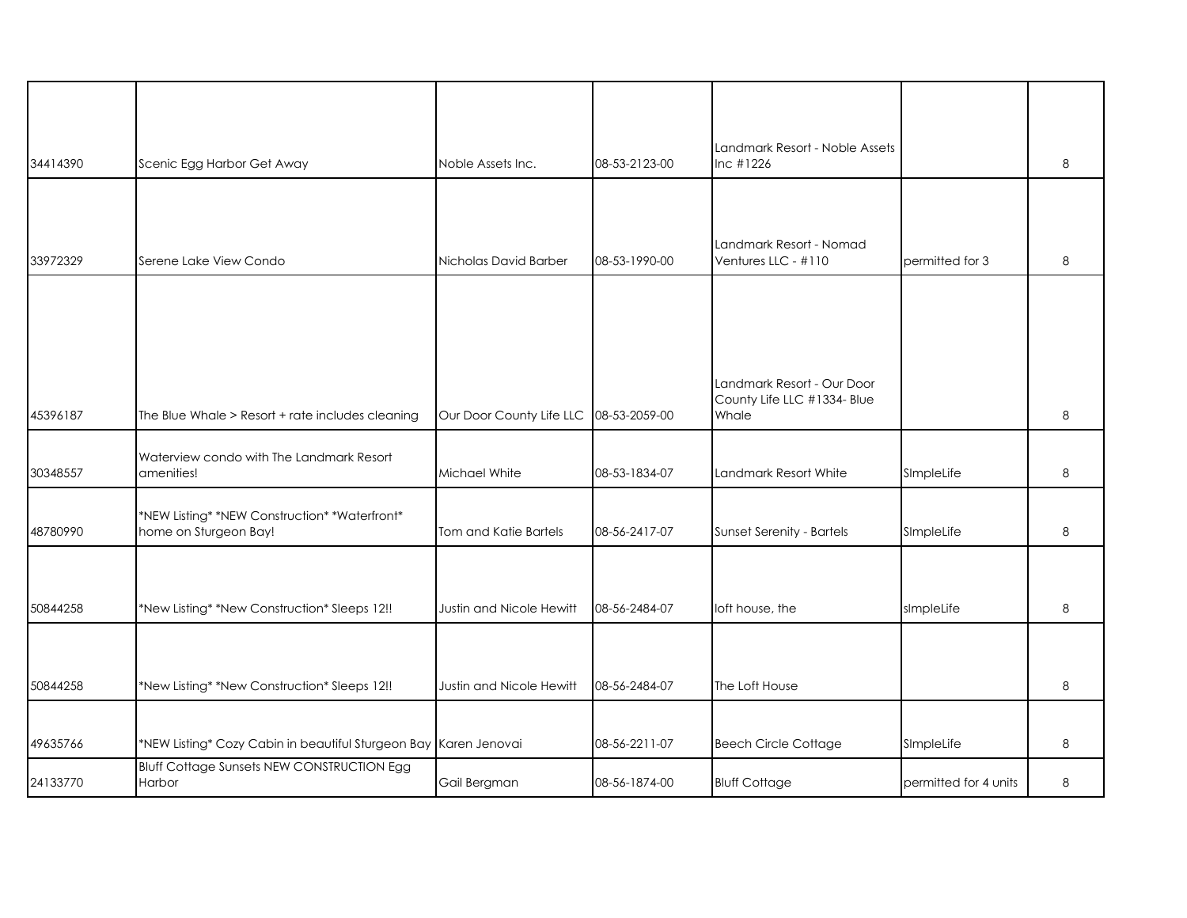| 34414390 | Scenic Egg Harbor Get Away                                             | Noble Assets Inc.        | 08-53-2123-00 | Landmark Resort - Noble Assets<br>$Inc$ #1226                      |                       | 8 |
|----------|------------------------------------------------------------------------|--------------------------|---------------|--------------------------------------------------------------------|-----------------------|---|
|          |                                                                        |                          |               | Landmark Resort - Nomad                                            |                       |   |
| 33972329 | Serene Lake View Condo                                                 | Nicholas David Barber    | 08-53-1990-00 | Ventures LLC - #110                                                | permitted for 3       | 8 |
| 45396187 | The Blue Whale > Resort + rate includes cleaning                       | Our Door County Life LLC | 08-53-2059-00 | Landmark Resort - Our Door<br>County Life LLC #1334- Blue<br>Whale |                       | 8 |
| 30348557 | Waterview condo with The Landmark Resort<br>amenities!                 | Michael White            | 08-53-1834-07 | Landmark Resort White                                              | SImpleLife            | 8 |
| 48780990 | *NEW Listing* *NEW Construction* *Waterfront*<br>home on Sturgeon Bay! | Tom and Katie Bartels    | 08-56-2417-07 | Sunset Serenity - Bartels                                          | SImpleLife            | 8 |
| 50844258 | *New Listing* *New Construction* Sleeps 12!!                           | Justin and Nicole Hewitt | 08-56-2484-07 | loft house, the                                                    | simpleLife            | 8 |
|          |                                                                        |                          |               |                                                                    |                       |   |
| 50844258 | *New Listing* *New Construction* Sleeps 12!!                           | Justin and Nicole Hewitt | 08-56-2484-07 | The Loft House                                                     |                       | 8 |
|          |                                                                        |                          |               |                                                                    |                       |   |
| 49635766 | *NEW Listing* Cozy Cabin in beautiful Sturgeon Bay Karen Jenovai       |                          | 08-56-2211-07 | <b>Beech Circle Cottage</b>                                        | SImpleLife            | 8 |
| 24133770 | <b>Bluff Cottage Sunsets NEW CONSTRUCTION Egg</b><br>Harbor            | Gail Bergman             | 08-56-1874-00 | <b>Bluff Cottage</b>                                               | permitted for 4 units | 8 |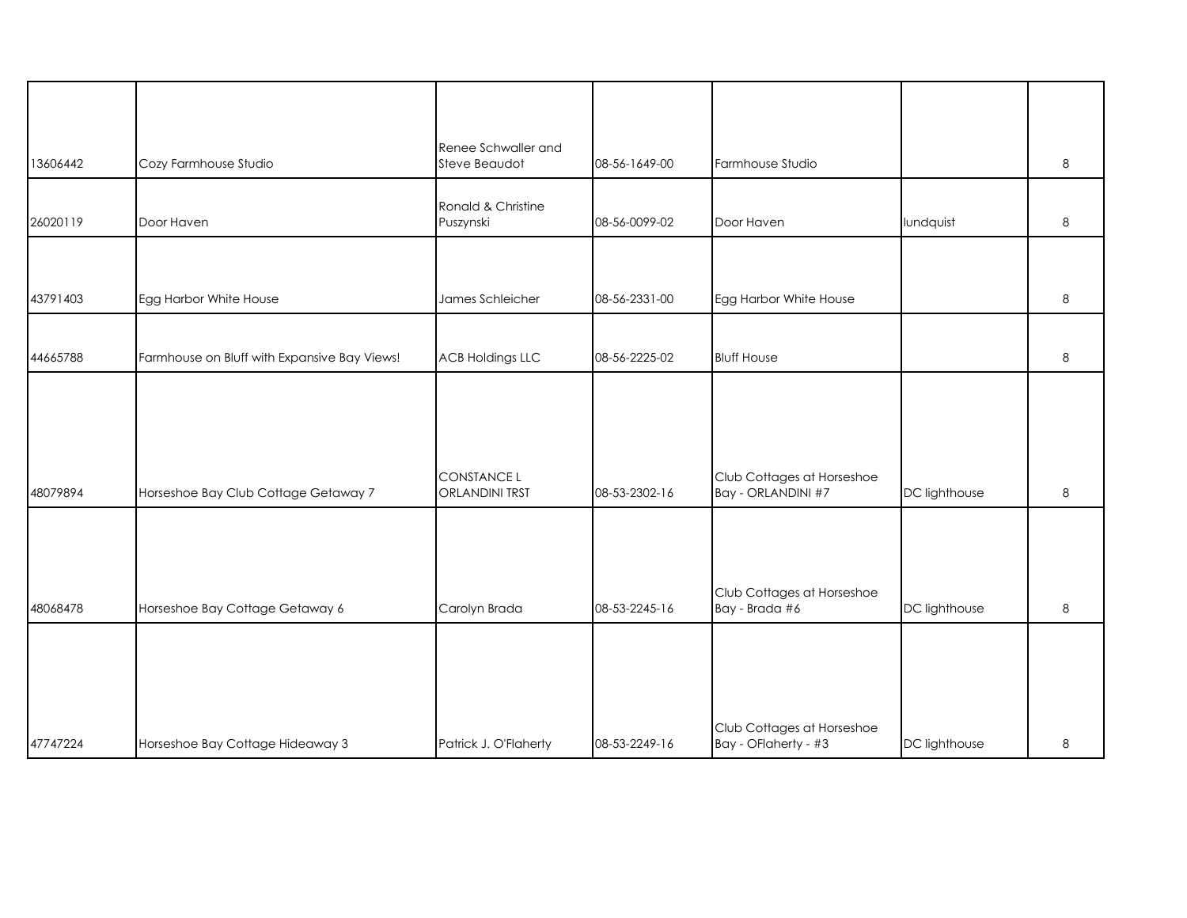|          |                                              | Renee Schwaller and                         |               |                                                    |               |         |
|----------|----------------------------------------------|---------------------------------------------|---------------|----------------------------------------------------|---------------|---------|
| 13606442 | Cozy Farmhouse Studio                        | Steve Beaudot                               | 08-56-1649-00 | Farmhouse Studio                                   |               | 8       |
| 26020119 | Door Haven                                   | Ronald & Christine<br>Puszynski             | 08-56-0099-02 | Door Haven                                         | lundquist     | $\,8\,$ |
|          |                                              |                                             |               |                                                    |               |         |
| 43791403 | Egg Harbor White House                       | James Schleicher                            | 08-56-2331-00 | Egg Harbor White House                             |               | 8       |
| 44665788 | Farmhouse on Bluff with Expansive Bay Views! | <b>ACB Holdings LLC</b>                     | 08-56-2225-02 | <b>Bluff House</b>                                 |               | 8       |
|          |                                              |                                             |               |                                                    |               |         |
|          |                                              |                                             |               |                                                    |               |         |
| 48079894 | Horseshoe Bay Club Cottage Getaway 7         | <b>CONSTANCE L</b><br><b>ORLANDINI TRST</b> | 08-53-2302-16 | Club Cottages at Horseshoe<br>Bay - ORLANDINI #7   | DC lighthouse | 8       |
|          |                                              |                                             |               |                                                    |               |         |
|          |                                              |                                             |               | Club Cottages at Horseshoe                         |               |         |
| 48068478 | Horseshoe Bay Cottage Getaway 6              | Carolyn Brada                               | 08-53-2245-16 | Bay - Brada #6                                     | DC lighthouse | 8       |
|          |                                              |                                             |               |                                                    |               |         |
|          |                                              |                                             |               |                                                    |               |         |
| 47747224 | Horseshoe Bay Cottage Hideaway 3             | Patrick J. O'Flaherty                       | 08-53-2249-16 | Club Cottages at Horseshoe<br>Bay - OFlaherty - #3 | DC lighthouse | 8       |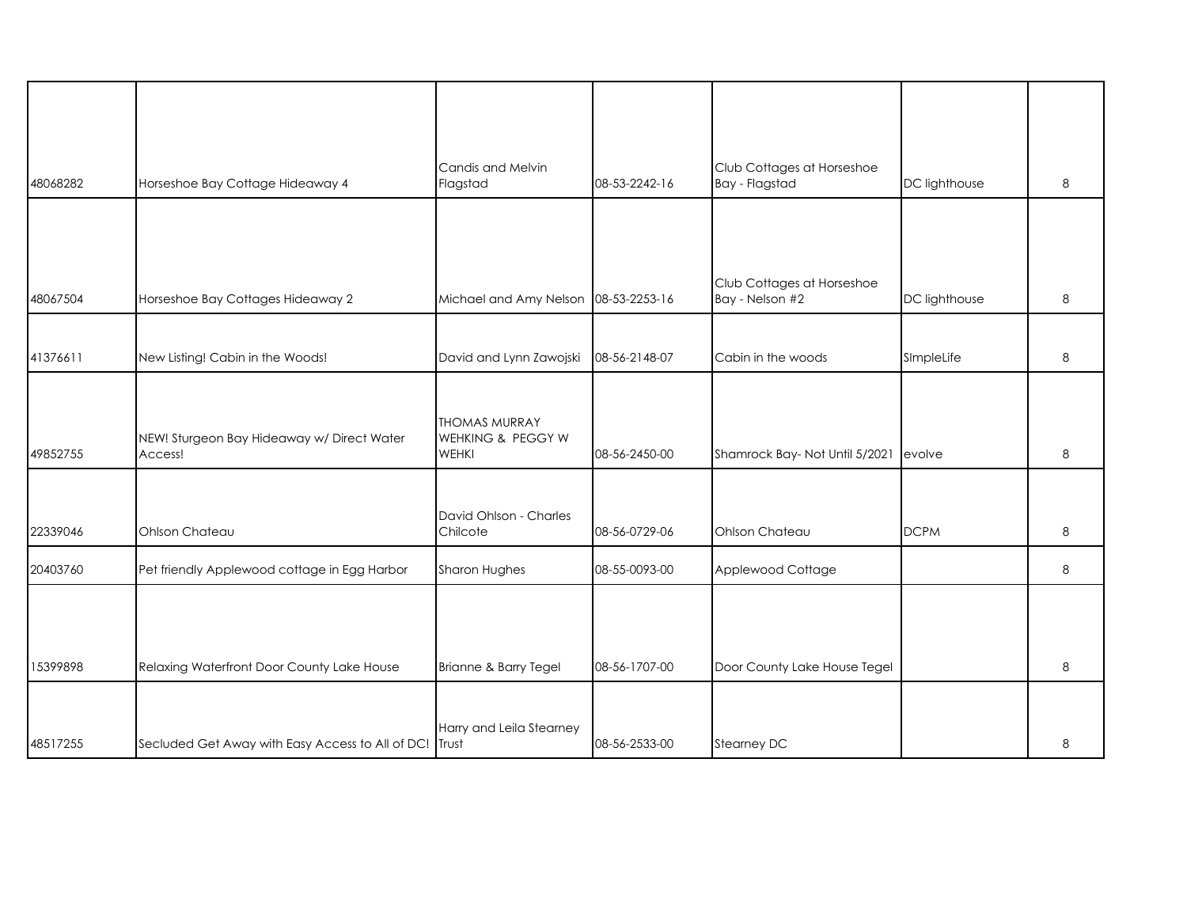| 48068282 | Horseshoe Bay Cottage Hideaway 4                       | Candis and Melvin<br>Flagstad                             | 08-53-2242-16 | Club Cottages at Horseshoe<br>Bay - Flagstad  | DC lighthouse | 8 |
|----------|--------------------------------------------------------|-----------------------------------------------------------|---------------|-----------------------------------------------|---------------|---|
|          |                                                        |                                                           |               |                                               |               |   |
|          |                                                        |                                                           |               |                                               |               |   |
| 48067504 | Horseshoe Bay Cottages Hideaway 2                      | Michael and Amy Nelson                                    | 08-53-2253-16 | Club Cottages at Horseshoe<br>Bay - Nelson #2 | DC lighthouse | 8 |
|          |                                                        |                                                           |               |                                               |               |   |
| 41376611 | New Listing! Cabin in the Woods!                       | David and Lynn Zawojski                                   | 08-56-2148-07 | Cabin in the woods                            | SImpleLife    | 8 |
| 49852755 | NEW! Sturgeon Bay Hideaway w/ Direct Water<br>Access!  | <b>THOMAS MURRAY</b><br>WEHKING & PEGGY W<br><b>WEHKI</b> | 08-56-2450-00 | Shamrock Bay- Not Until 5/2021                | evolve        | 8 |
|          |                                                        |                                                           |               |                                               |               |   |
| 22339046 | Ohlson Chateau                                         | David Ohlson - Charles<br>Chilcote                        | 08-56-0729-06 | Ohlson Chateau                                | <b>DCPM</b>   | 8 |
| 20403760 | Pet friendly Applewood cottage in Egg Harbor           | Sharon Hughes                                             | 08-55-0093-00 | Applewood Cottage                             |               | 8 |
|          |                                                        |                                                           |               |                                               |               |   |
| 15399898 | Relaxing Waterfront Door County Lake House             | Brianne & Barry Tegel                                     | 08-56-1707-00 | Door County Lake House Tegel                  |               | 8 |
|          |                                                        |                                                           |               |                                               |               |   |
| 48517255 | Secluded Get Away with Easy Access to All of DC! Trust | Harry and Leila Stearney                                  | 08-56-2533-00 | Stearney DC                                   |               | 8 |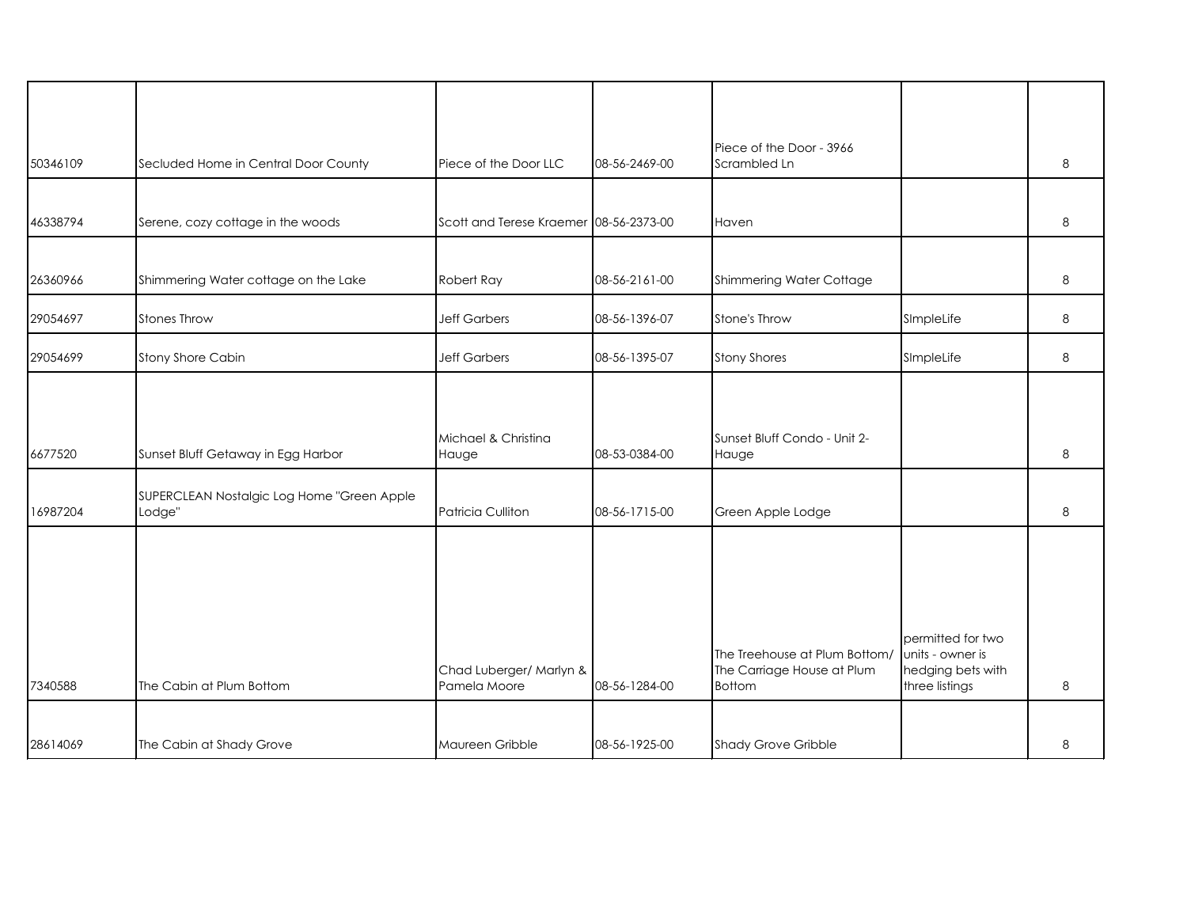| 50346109 | Secluded Home in Central Door County                 | Piece of the Door LLC                   | 08-56-2469-00 | Piece of the Door - 3966<br>Scrambled Ln                                     |                                                                              | 8 |
|----------|------------------------------------------------------|-----------------------------------------|---------------|------------------------------------------------------------------------------|------------------------------------------------------------------------------|---|
|          |                                                      |                                         |               |                                                                              |                                                                              |   |
| 46338794 | Serene, cozy cottage in the woods                    | Scott and Terese Kraemer 08-56-2373-00  |               | Haven                                                                        |                                                                              | 8 |
|          |                                                      |                                         |               |                                                                              |                                                                              |   |
| 26360966 | Shimmering Water cottage on the Lake                 | Robert Ray                              | 08-56-2161-00 | Shimmering Water Cottage                                                     |                                                                              | 8 |
| 29054697 | Stones Throw                                         | <b>Jeff Garbers</b>                     | 08-56-1396-07 | Stone's Throw                                                                | SImpleLife                                                                   | 8 |
| 29054699 | Stony Shore Cabin                                    | <b>Jeff Garbers</b>                     | 08-56-1395-07 | <b>Stony Shores</b>                                                          | SImpleLife                                                                   | 8 |
| 6677520  | Sunset Bluff Getaway in Egg Harbor                   | Michael & Christina<br>Hauge            | 08-53-0384-00 | Sunset Bluff Condo - Unit 2-<br>Hauge                                        |                                                                              | 8 |
| 16987204 | SUPERCLEAN Nostalgic Log Home "Green Apple<br>Lodge" | Patricia Culliton                       | 08-56-1715-00 | Green Apple Lodge                                                            |                                                                              | 8 |
| 7340588  | The Cabin at Plum Bottom                             | Chad Luberger/ Marlyn &<br>Pamela Moore | 08-56-1284-00 | The Treehouse at Plum Bottom/<br>The Carriage House at Plum<br><b>Bottom</b> | permitted for two<br>units - owner is<br>hedging bets with<br>three listings | 8 |
|          |                                                      |                                         |               |                                                                              |                                                                              |   |
| 28614069 | The Cabin at Shady Grove                             | Maureen Gribble                         | 08-56-1925-00 | <b>Shady Grove Gribble</b>                                                   |                                                                              | 8 |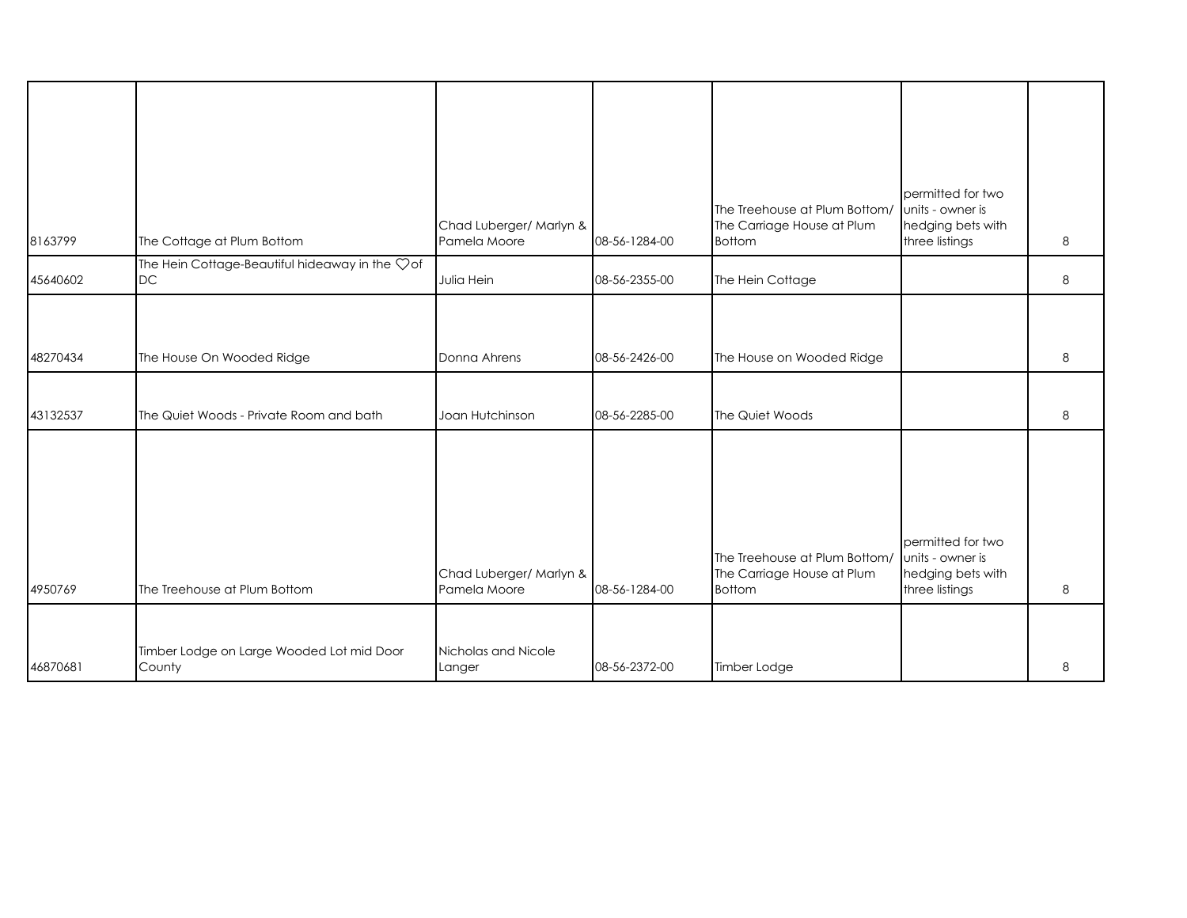| 8163799  | The Cottage at Plum Bottom                                       | Chad Luberger/ Marlyn &<br>Pamela Moore | 08-56-1284-00 | The Treehouse at Plum Bottom/<br>The Carriage House at Plum<br><b>Bottom</b> | permitted for two<br>units - owner is<br>hedging bets with<br>three listings | 8 |
|----------|------------------------------------------------------------------|-----------------------------------------|---------------|------------------------------------------------------------------------------|------------------------------------------------------------------------------|---|
| 45640602 | The Hein Cottage-Beautiful hideaway in the $\heartsuit$ of<br>DC | Julia Hein                              | 08-56-2355-00 | The Hein Cottage                                                             |                                                                              | 8 |
| 48270434 | The House On Wooded Ridge                                        | Donna Ahrens                            | 08-56-2426-00 | The House on Wooded Ridge                                                    |                                                                              | 8 |
| 43132537 | The Quiet Woods - Private Room and bath                          | Joan Hutchinson                         | 08-56-2285-00 | The Quiet Woods                                                              |                                                                              | 8 |
| 4950769  | The Treehouse at Plum Bottom                                     | Chad Luberger/ Marlyn &<br>Pamela Moore | 08-56-1284-00 | The Treehouse at Plum Bottom/<br>The Carriage House at Plum<br><b>Bottom</b> | permitted for two<br>units - owner is<br>hedging bets with<br>three listings | 8 |
| 46870681 | Timber Lodge on Large Wooded Lot mid Door<br>County              | Nicholas and Nicole<br>Langer           | 08-56-2372-00 | Timber Lodge                                                                 |                                                                              | 8 |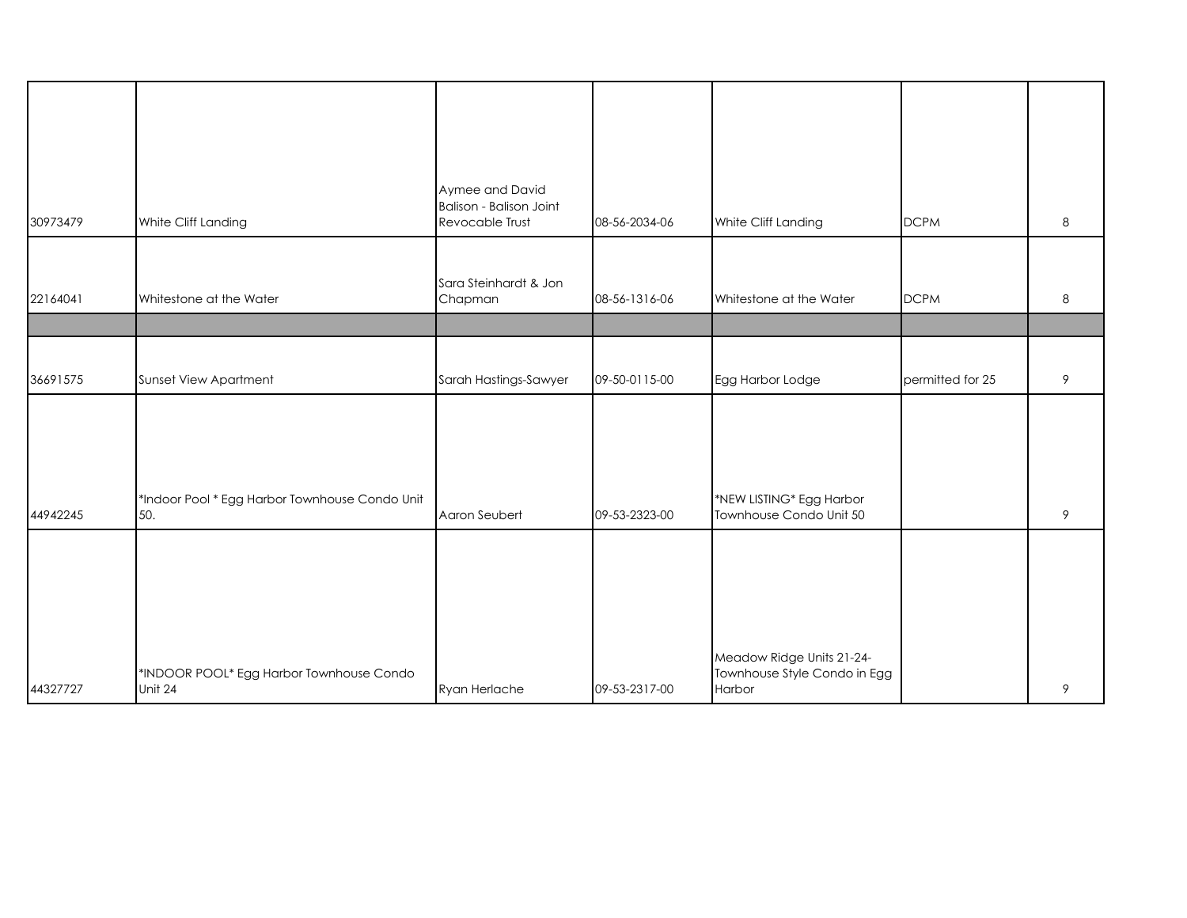|          |                                                | Aymee and David                |               |                              |                  |   |
|----------|------------------------------------------------|--------------------------------|---------------|------------------------------|------------------|---|
|          |                                                | <b>Balison - Balison Joint</b> |               |                              |                  |   |
| 30973479 | White Cliff Landing                            | Revocable Trust                | 08-56-2034-06 | White Cliff Landing          | <b>DCPM</b>      | 8 |
|          |                                                |                                |               |                              |                  |   |
|          |                                                |                                |               |                              |                  |   |
|          |                                                | Sara Steinhardt & Jon          |               |                              |                  |   |
| 22164041 | Whitestone at the Water                        | Chapman                        | 08-56-1316-06 | Whitestone at the Water      | <b>DCPM</b>      | 8 |
|          |                                                |                                |               |                              |                  |   |
|          |                                                |                                |               |                              |                  |   |
| 36691575 | Sunset View Apartment                          | Sarah Hastings-Sawyer          | 09-50-0115-00 | Egg Harbor Lodge             | permitted for 25 | 9 |
|          |                                                |                                |               |                              |                  |   |
|          |                                                |                                |               |                              |                  |   |
|          |                                                |                                |               |                              |                  |   |
|          |                                                |                                |               |                              |                  |   |
|          |                                                |                                |               |                              |                  |   |
|          | *Indoor Pool * Egg Harbor Townhouse Condo Unit |                                |               | *NEW LISTING* Egg Harbor     |                  |   |
| 44942245 | 50.                                            | Aaron Seubert                  | 09-53-2323-00 | Townhouse Condo Unit 50      |                  | 9 |
|          |                                                |                                |               |                              |                  |   |
|          |                                                |                                |               |                              |                  |   |
|          |                                                |                                |               |                              |                  |   |
|          |                                                |                                |               |                              |                  |   |
|          |                                                |                                |               |                              |                  |   |
|          |                                                |                                |               |                              |                  |   |
|          |                                                |                                |               | Meadow Ridge Units 21-24-    |                  |   |
|          | *INDOOR POOL* Egg Harbor Townhouse Condo       |                                |               | Townhouse Style Condo in Egg |                  |   |
| 44327727 | Unit 24                                        | Ryan Herlache                  | 09-53-2317-00 | Harbor                       |                  | 9 |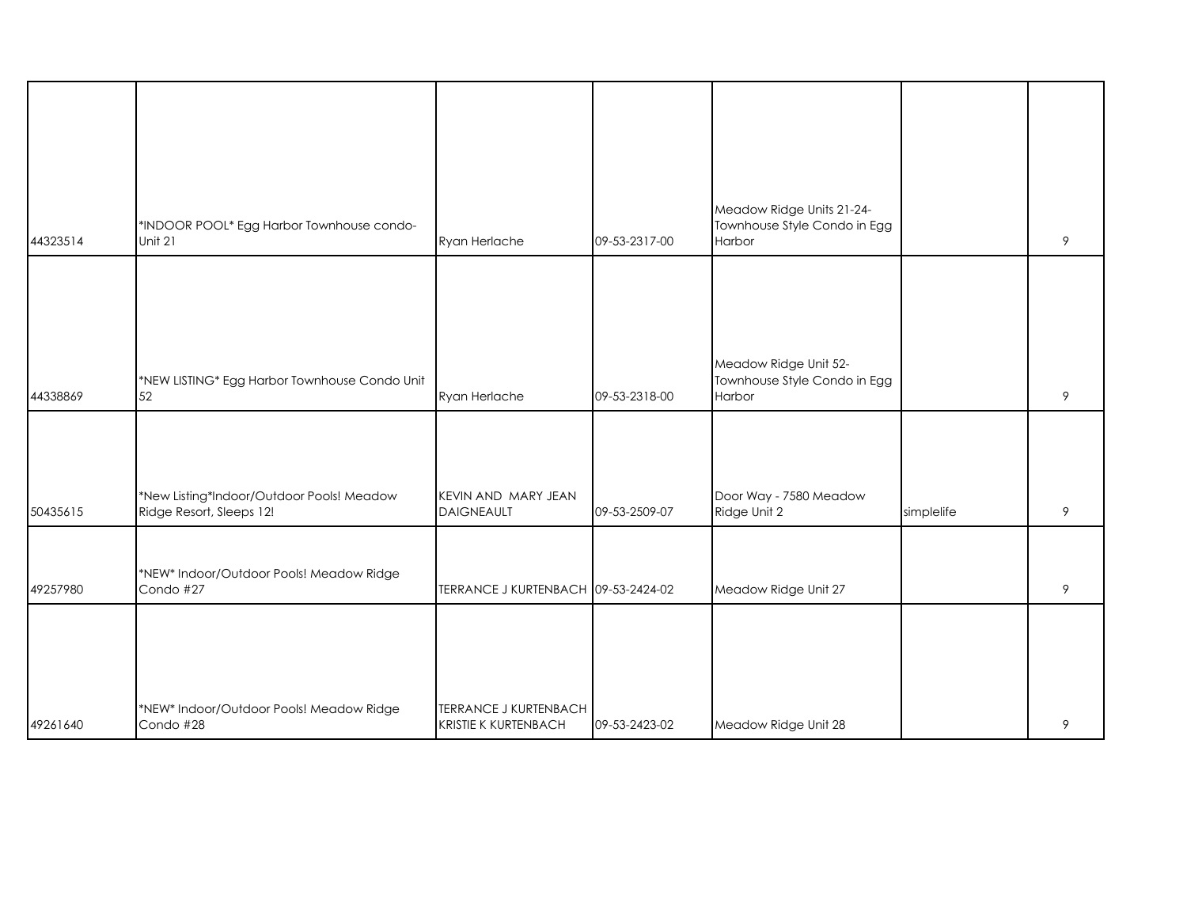|          | *INDOOR POOL* Egg Harbor Townhouse condo-                             |                                                             |               | Meadow Ridge Units 21-24-<br>Townhouse Style Condo in Egg |            |   |
|----------|-----------------------------------------------------------------------|-------------------------------------------------------------|---------------|-----------------------------------------------------------|------------|---|
| 44323514 | Unit 21                                                               | Ryan Herlache                                               | 09-53-2317-00 | Harbor                                                    |            | 9 |
|          |                                                                       |                                                             |               | Meadow Ridge Unit 52-                                     |            |   |
| 44338869 | *NEW LISTING* Egg Harbor Townhouse Condo Unit<br>52                   | Ryan Herlache                                               | 09-53-2318-00 | Townhouse Style Condo in Egg<br>Harbor                    |            | 9 |
| 50435615 | *New Listing*Indoor/Outdoor Pools! Meadow<br>Ridge Resort, Sleeps 12! | KEVIN AND MARY JEAN<br><b>DAIGNEAULT</b>                    | 09-53-2509-07 | Door Way - 7580 Meadow<br>Ridge Unit 2                    | simplelife | 9 |
| 49257980 | *NEW* Indoor/Outdoor Pools! Meadow Ridge<br>Condo #27                 | TERRANCE J KURTENBACH 09-53-2424-02                         |               | Meadow Ridge Unit 27                                      |            | 9 |
|          |                                                                       |                                                             |               |                                                           |            |   |
| 49261640 | *NEW* Indoor/Outdoor Pools! Meadow Ridge<br>Condo #28                 | <b>TERRANCE J KURTENBACH</b><br><b>KRISTIE K KURTENBACH</b> | 09-53-2423-02 | Meadow Ridge Unit 28                                      |            | 9 |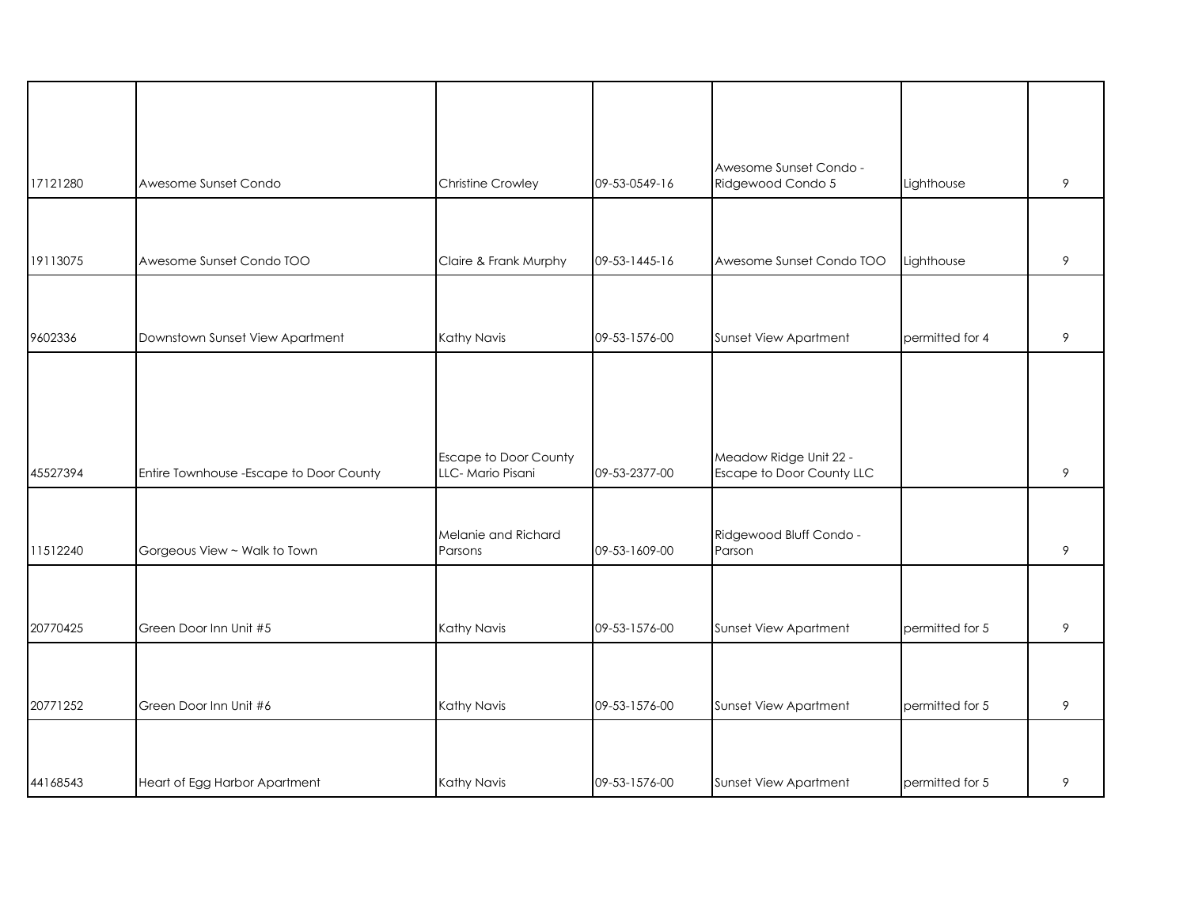| 17121280 | Awesome Sunset Condo                     | <b>Christine Crowley</b>                         | 09-53-0549-16 | Awesome Sunset Condo -<br>Ridgewood Condo 5         | Lighthouse      | 9       |
|----------|------------------------------------------|--------------------------------------------------|---------------|-----------------------------------------------------|-----------------|---------|
|          |                                          |                                                  |               |                                                     |                 |         |
| 19113075 | Awesome Sunset Condo TOO                 | Claire & Frank Murphy                            | 09-53-1445-16 | Awesome Sunset Condo TOO                            | Lighthouse      | $\,9\,$ |
|          |                                          |                                                  |               |                                                     |                 |         |
| 9602336  | Downstown Sunset View Apartment          | Kathy Navis                                      | 09-53-1576-00 | Sunset View Apartment                               | permitted for 4 | 9       |
|          |                                          |                                                  |               |                                                     |                 |         |
|          |                                          |                                                  |               |                                                     |                 |         |
| 45527394 | Entire Townhouse - Escape to Door County | <b>Escape to Door County</b><br>LLC-Mario Pisani | 09-53-2377-00 | Meadow Ridge Unit 22 -<br>Escape to Door County LLC |                 | 9       |
|          |                                          |                                                  |               |                                                     |                 |         |
| 11512240 | Gorgeous View ~ Walk to Town             | Melanie and Richard<br>Parsons                   | 09-53-1609-00 | Ridgewood Bluff Condo -<br>Parson                   |                 | 9       |
|          |                                          |                                                  |               |                                                     |                 |         |
| 20770425 | Green Door Inn Unit #5                   | Kathy Navis                                      | 09-53-1576-00 | Sunset View Apartment                               | permitted for 5 | 9       |
|          |                                          |                                                  |               |                                                     |                 |         |
| 20771252 | Green Door Inn Unit #6                   | Kathy Navis                                      | 09-53-1576-00 | Sunset View Apartment                               | permitted for 5 | $\,9\,$ |
|          |                                          |                                                  |               |                                                     |                 |         |
|          |                                          |                                                  |               |                                                     |                 |         |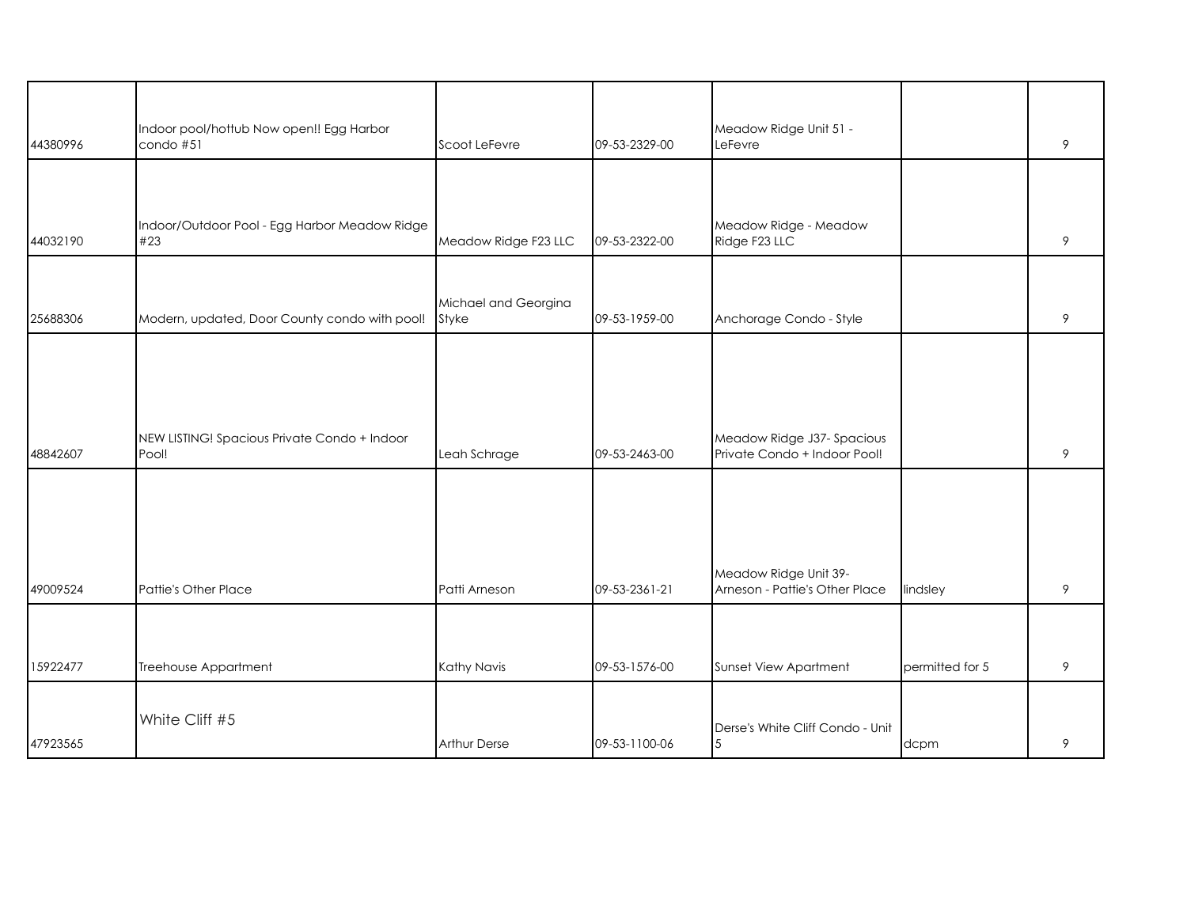| 44380996 | Indoor pool/hottub Now open!! Egg Harbor<br>condo #51 | Scoot LeFevre        | 09-53-2329-00 | Meadow Ridge Unit 51 -<br>LeFevre                          |                 | 9 |
|----------|-------------------------------------------------------|----------------------|---------------|------------------------------------------------------------|-----------------|---|
|          |                                                       |                      |               |                                                            |                 |   |
| 44032190 | Indoor/Outdoor Pool - Egg Harbor Meadow Ridge<br>#23  | Meadow Ridge F23 LLC | 09-53-2322-00 | Meadow Ridge - Meadow<br>Ridge F23 LLC                     |                 | 9 |
|          |                                                       | Michael and Georgina |               |                                                            |                 |   |
| 25688306 | Modern, updated, Door County condo with pool!         | Styke                | 09-53-1959-00 | Anchorage Condo - Style                                    |                 | 9 |
| 48842607 | NEW LISTING! Spacious Private Condo + Indoor<br>Pool! | Leah Schrage         | 09-53-2463-00 | Meadow Ridge J37- Spacious<br>Private Condo + Indoor Pool! |                 | 9 |
| 49009524 | Pattie's Other Place                                  | Patti Arneson        | 09-53-2361-21 | Meadow Ridge Unit 39-<br>Arneson - Pattie's Other Place    | lindsley        | 9 |
|          |                                                       |                      |               |                                                            |                 |   |
| 15922477 | Treehouse Appartment                                  | Kathy Navis          | 09-53-1576-00 | Sunset View Apartment                                      | permitted for 5 | 9 |
| 47923565 | White Cliff #5                                        | <b>Arthur Derse</b>  | 09-53-1100-06 | Derse's White Cliff Condo - Unit<br>5                      | dcpm            | 9 |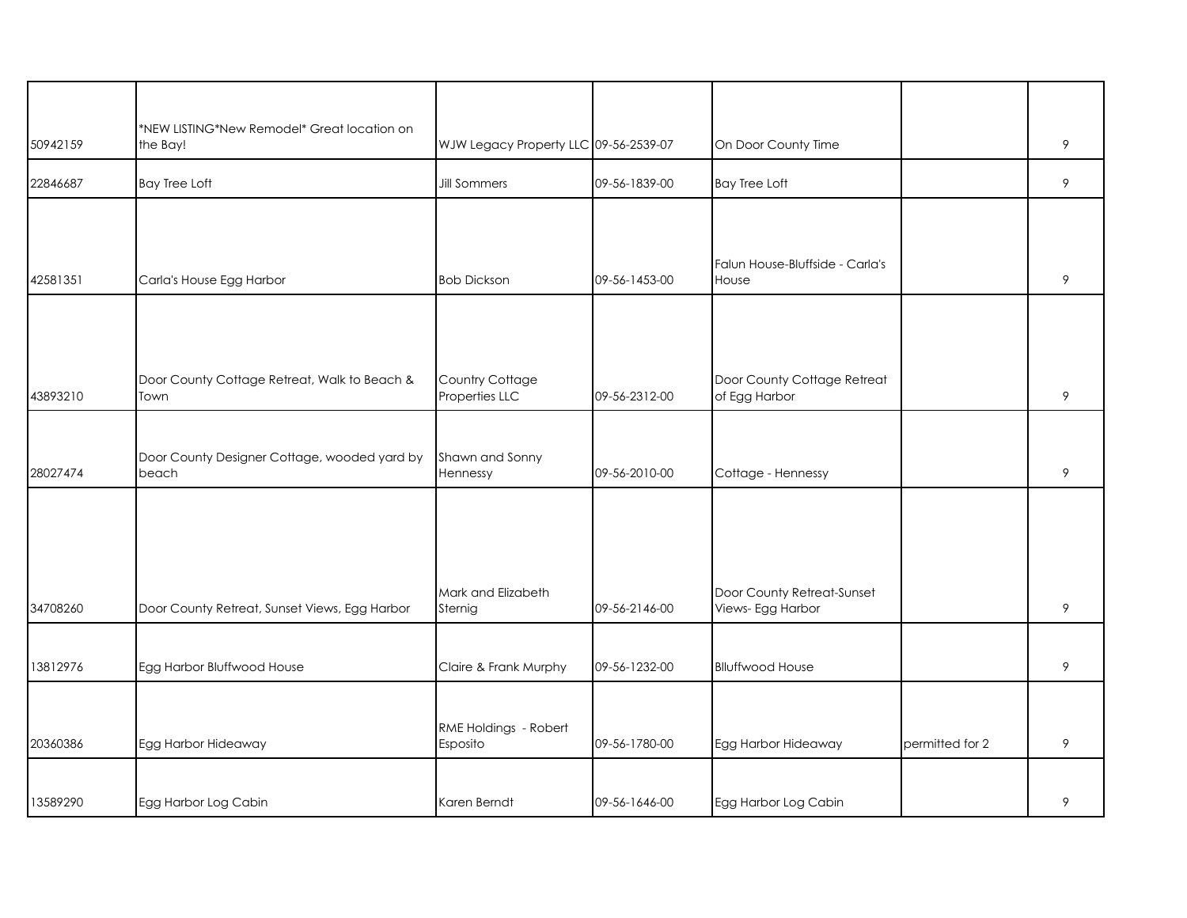| 50942159 | *NEW LISTING*New Remodel* Great location on<br>the Bay! | WJW Legacy Property LLC 09-56-2539-07 |               | On Door County Time                             |                 | 9 |
|----------|---------------------------------------------------------|---------------------------------------|---------------|-------------------------------------------------|-----------------|---|
| 22846687 | <b>Bay Tree Loft</b>                                    | <b>Jill Sommers</b>                   | 09-56-1839-00 | <b>Bay Tree Loft</b>                            |                 | 9 |
|          |                                                         |                                       |               |                                                 |                 |   |
| 42581351 | Carla's House Egg Harbor                                | <b>Bob Dickson</b>                    | 09-56-1453-00 | Falun House-Bluffside - Carla's<br>House        |                 | 9 |
|          |                                                         |                                       |               |                                                 |                 |   |
| 43893210 | Door County Cottage Retreat, Walk to Beach &<br>Town    | Country Cottage<br>Properties LLC     | 09-56-2312-00 | Door County Cottage Retreat<br>of Egg Harbor    |                 | 9 |
|          |                                                         |                                       |               |                                                 |                 |   |
| 28027474 | Door County Designer Cottage, wooded yard by<br>beach   | Shawn and Sonny<br>Hennessy           | 09-56-2010-00 | Cottage - Hennessy                              |                 | 9 |
|          |                                                         |                                       |               |                                                 |                 |   |
|          |                                                         |                                       |               |                                                 |                 |   |
| 34708260 | Door County Retreat, Sunset Views, Egg Harbor           | Mark and Elizabeth<br>Sternig         | 09-56-2146-00 | Door County Retreat-Sunset<br>Views- Egg Harbor |                 | 9 |
|          |                                                         |                                       |               |                                                 |                 |   |
| 13812976 | Egg Harbor Bluffwood House                              | Claire & Frank Murphy                 | 09-56-1232-00 | <b>Blluffwood House</b>                         |                 | 9 |
| 20360386 | Egg Harbor Hideaway                                     | RME Holdings - Robert<br>Esposito     | 09-56-1780-00 | Egg Harbor Hideaway                             | permitted for 2 | 9 |
|          |                                                         |                                       |               |                                                 |                 |   |
| 13589290 | Egg Harbor Log Cabin                                    | Karen Berndt                          | 09-56-1646-00 | Egg Harbor Log Cabin                            |                 | 9 |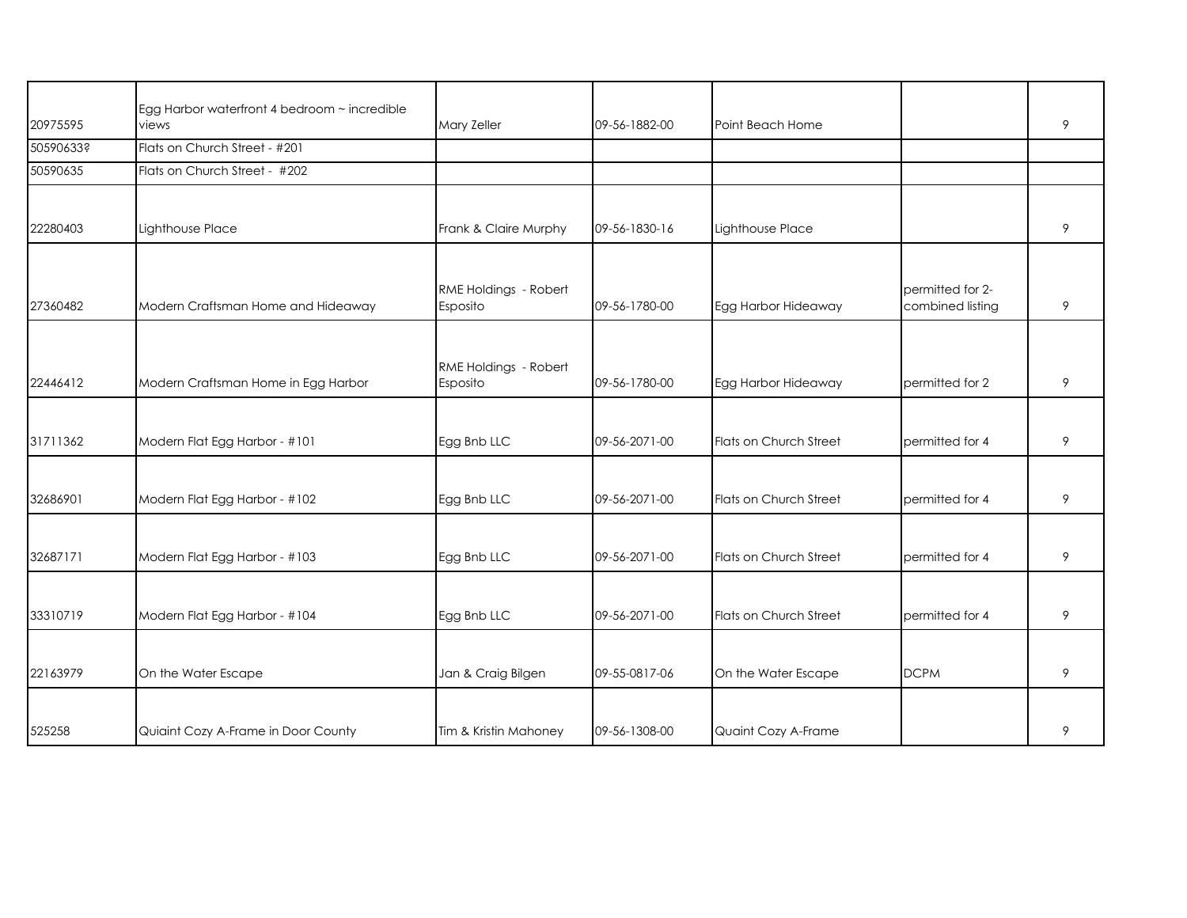| 20975595  | Egg Harbor waterfront 4 bedroom ~ incredible<br>views | Mary Zeller                       | 09-56-1882-00 | Point Beach Home       |                                      | 9 |
|-----------|-------------------------------------------------------|-----------------------------------|---------------|------------------------|--------------------------------------|---|
| 50590633? | Flats on Church Street - #201                         |                                   |               |                        |                                      |   |
| 50590635  | Flats on Church Street - #202                         |                                   |               |                        |                                      |   |
|           |                                                       |                                   |               |                        |                                      |   |
| 22280403  | Lighthouse Place                                      | Frank & Claire Murphy             | 09-56-1830-16 | Lighthouse Place       |                                      | 9 |
| 27360482  | Modern Craftsman Home and Hideaway                    | RME Holdings - Robert<br>Esposito | 09-56-1780-00 | Egg Harbor Hideaway    | permitted for 2-<br>combined listing | 9 |
| 22446412  | Modern Craftsman Home in Egg Harbor                   | RME Holdings - Robert<br>Esposito | 09-56-1780-00 | Egg Harbor Hideaway    | permitted for 2                      | 9 |
|           |                                                       |                                   |               |                        |                                      |   |
| 31711362  | Modern Flat Egg Harbor - #101                         | Egg Bnb LLC                       | 09-56-2071-00 | Flats on Church Street | permitted for 4                      | 9 |
| 32686901  | Modern Flat Egg Harbor - #102                         | Egg Bnb LLC                       | 09-56-2071-00 | Flats on Church Street | permitted for 4                      | 9 |
| 32687171  | Modern Flat Egg Harbor - #103                         | Egg Bnb LLC                       | 09-56-2071-00 | Flats on Church Street | permitted for 4                      | 9 |
|           |                                                       |                                   |               |                        |                                      |   |
| 33310719  | Modern Flat Egg Harbor - #104                         | Egg Bnb LLC                       | 09-56-2071-00 | Flats on Church Street | permitted for 4                      | 9 |
|           |                                                       |                                   |               |                        |                                      |   |
| 22163979  | On the Water Escape                                   | Jan & Craig Bilgen                | 09-55-0817-06 | On the Water Escape    | <b>DCPM</b>                          | 9 |
| 525258    | Quiaint Cozy A-Frame in Door County                   | Tim & Kristin Mahoney             | 09-56-1308-00 | Quaint Cozy A-Frame    |                                      | 9 |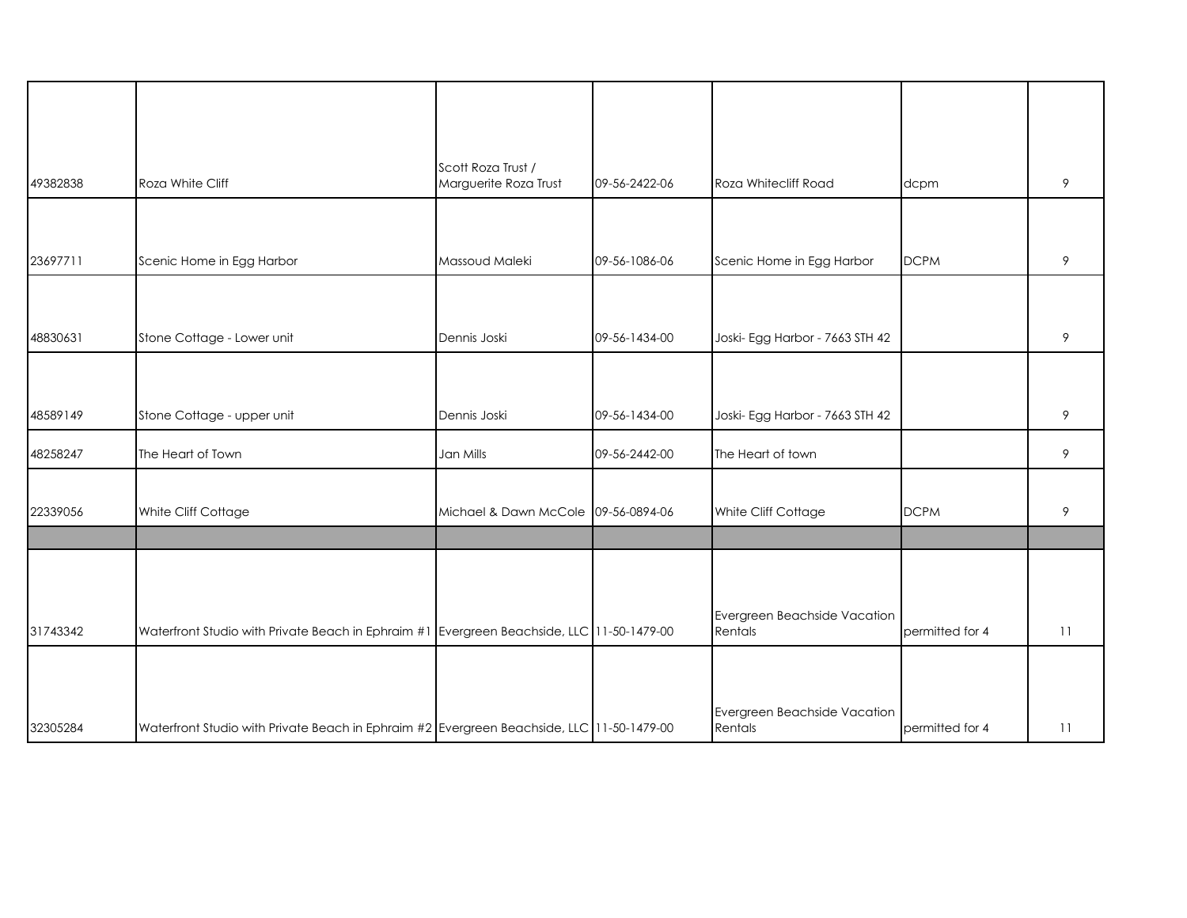| 49382838 | Roza White Cliff                                                                          | Scott Roza Trust /<br>Marguerite Roza Trust | 09-56-2422-06 | Roza Whitecliff Road                    |                 | 9               |
|----------|-------------------------------------------------------------------------------------------|---------------------------------------------|---------------|-----------------------------------------|-----------------|-----------------|
|          |                                                                                           |                                             |               |                                         | dcpm            |                 |
| 23697711 | Scenic Home in Egg Harbor                                                                 | Massoud Maleki                              | 09-56-1086-06 | Scenic Home in Egg Harbor               | <b>DCPM</b>     | 9               |
|          |                                                                                           |                                             |               |                                         |                 |                 |
|          |                                                                                           |                                             |               |                                         |                 |                 |
| 48830631 | Stone Cottage - Lower unit                                                                | Dennis Joski                                | 09-56-1434-00 | Joski- Egg Harbor - 7663 STH 42         |                 | 9               |
|          |                                                                                           |                                             |               |                                         |                 |                 |
| 48589149 | Stone Cottage - upper unit                                                                | Dennis Joski                                | 09-56-1434-00 | Joski- Egg Harbor - 7663 STH 42         |                 | 9               |
| 48258247 | The Heart of Town                                                                         | Jan Mills                                   | 09-56-2442-00 | The Heart of town                       |                 | 9               |
| 22339056 | White Cliff Cottage                                                                       | Michael & Dawn McCole 09-56-0894-06         |               | White Cliff Cottage                     | <b>DCPM</b>     | 9               |
|          |                                                                                           |                                             |               |                                         |                 |                 |
| 31743342 | Waterfront Studio with Private Beach in Ephraim #1 Evergreen Beachside, LLC 11-50-1479-00 |                                             |               | Evergreen Beachside Vacation<br>Rentals | permitted for 4 | 11              |
| 32305284 | Waterfront Studio with Private Beach in Ephraim #2 Evergreen Beachside, LLC 11-50-1479-00 |                                             |               | Evergreen Beachside Vacation<br>Rentals | permitted for 4 | $\overline{11}$ |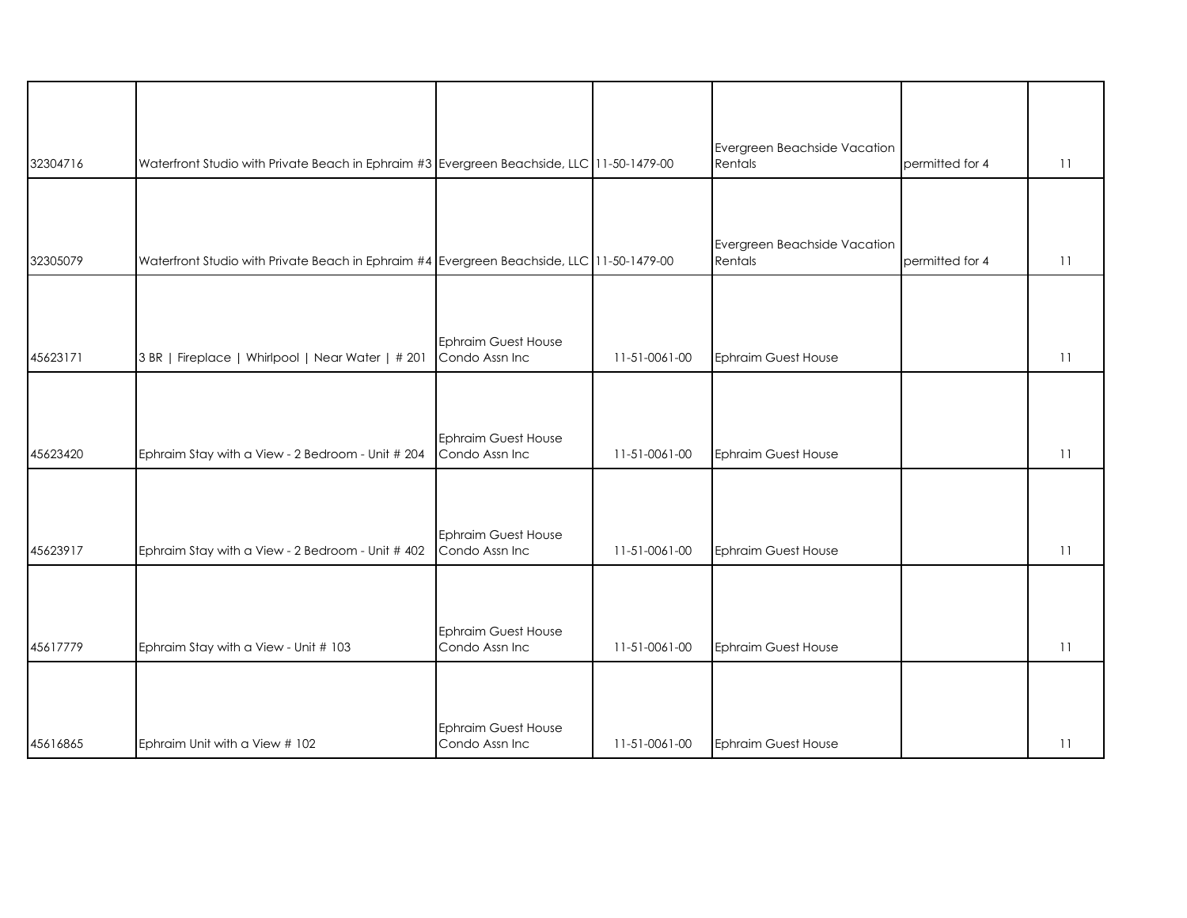| 32304716 | Waterfront Studio with Private Beach in Ephraim #3 Evergreen Beachside, LLC 11-50-1479-00 |                                              |               | Evergreen Beachside Vacation<br>Rentals | permitted for 4 | 11 |
|----------|-------------------------------------------------------------------------------------------|----------------------------------------------|---------------|-----------------------------------------|-----------------|----|
|          |                                                                                           |                                              |               |                                         |                 |    |
| 32305079 | Waterfront Studio with Private Beach in Ephraim #4 Evergreen Beachside, LLC 11-50-1479-00 |                                              |               | Evergreen Beachside Vacation<br>Rentals | permitted for 4 | 11 |
|          |                                                                                           |                                              |               |                                         |                 |    |
| 45623171 | 3 BR   Fireplace   Whirlpool   Near Water   # 201                                         | Ephraim Guest House<br>Condo Assn Inc        | 11-51-0061-00 | <b>Ephraim Guest House</b>              |                 | 11 |
|          |                                                                                           |                                              |               |                                         |                 |    |
| 45623420 | Ephraim Stay with a View - 2 Bedroom - Unit # 204                                         | Ephraim Guest House<br>Condo Assn Inc        | 11-51-0061-00 | <b>Ephraim Guest House</b>              |                 | 11 |
|          |                                                                                           |                                              |               |                                         |                 |    |
| 45623917 | Ephraim Stay with a View - 2 Bedroom - Unit # 402                                         | Ephraim Guest House<br>Condo Assn Inc        | 11-51-0061-00 | <b>Ephraim Guest House</b>              |                 | 11 |
|          |                                                                                           |                                              |               |                                         |                 |    |
| 45617779 | Ephraim Stay with a View - Unit # 103                                                     | <b>Ephraim Guest House</b><br>Condo Assn Inc | 11-51-0061-00 | <b>Ephraim Guest House</b>              |                 | 11 |
|          |                                                                                           |                                              |               |                                         |                 |    |
| 45616865 | Ephraim Unit with a View # 102                                                            | Ephraim Guest House<br>Condo Assn Inc        | 11-51-0061-00 | <b>Ephraim Guest House</b>              |                 | 11 |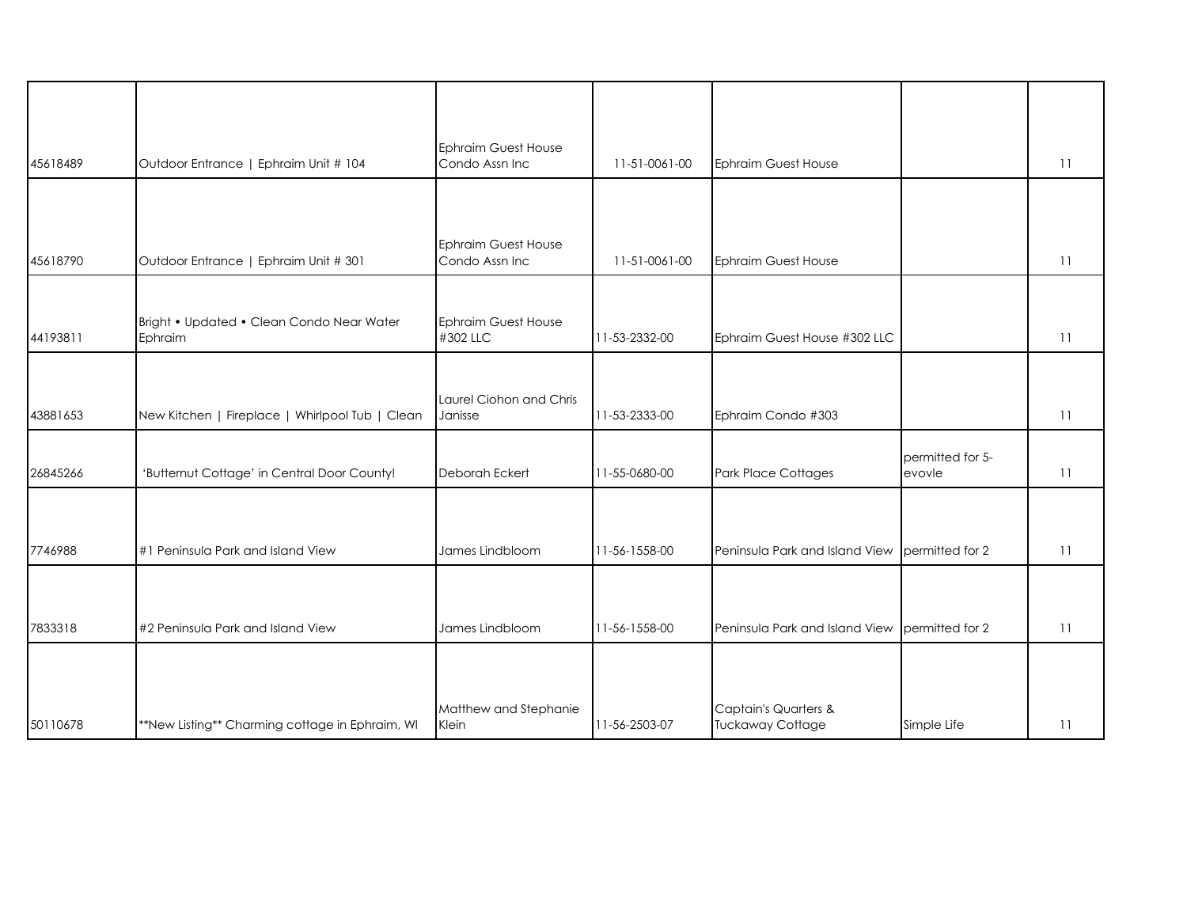| 45618489 | Outdoor Entrance   Ephraim Unit # 104                | <b>Ephraim Guest House</b><br>Condo Assn Inc | 11-51-0061-00 | <b>Ephraim Guest House</b>                                 |                            | 11 |
|----------|------------------------------------------------------|----------------------------------------------|---------------|------------------------------------------------------------|----------------------------|----|
|          |                                                      |                                              |               |                                                            |                            |    |
| 45618790 | Outdoor Entrance   Ephraim Unit # 301                | <b>Ephraim Guest House</b><br>Condo Assn Inc | 11-51-0061-00 | <b>Ephraim Guest House</b>                                 |                            | 11 |
| 44193811 | Bright • Updated • Clean Condo Near Water<br>Ephraim | <b>Ephraim Guest House</b><br>#302 LLC       | 11-53-2332-00 | Ephraim Guest House #302 LLC                               |                            | 11 |
| 43881653 | New Kitchen   Fireplace   Whirlpool Tub   Clean      | Laurel Ciohon and Chris<br>Janisse           | 11-53-2333-00 | Ephraim Condo #303                                         |                            | 11 |
| 26845266 | 'Butternut Cottage' in Central Door County!          | Deborah Eckert                               | 11-55-0680-00 | Park Place Cottages                                        | permitted for 5-<br>evovle | 11 |
|          |                                                      |                                              |               |                                                            |                            |    |
| 7746988  | #1 Peninsula Park and Island View                    | James Lindbloom                              | 11-56-1558-00 | Peninsula Park and Island View                             | permitted for 2            | 11 |
|          |                                                      |                                              |               |                                                            |                            |    |
| 7833318  | #2 Peninsula Park and Island View                    | James Lindbloom                              | 11-56-1558-00 | Peninsula Park and Island View                             | permitted for 2            | 11 |
|          |                                                      |                                              |               |                                                            |                            |    |
| 50110678 | **New Listing** Charming cottage in Ephraim, WI      | Matthew and Stephanie<br>Klein               | 11-56-2503-07 | <b>Captain's Quarters &amp;</b><br><b>Tuckaway Cottage</b> | Simple Life                | 11 |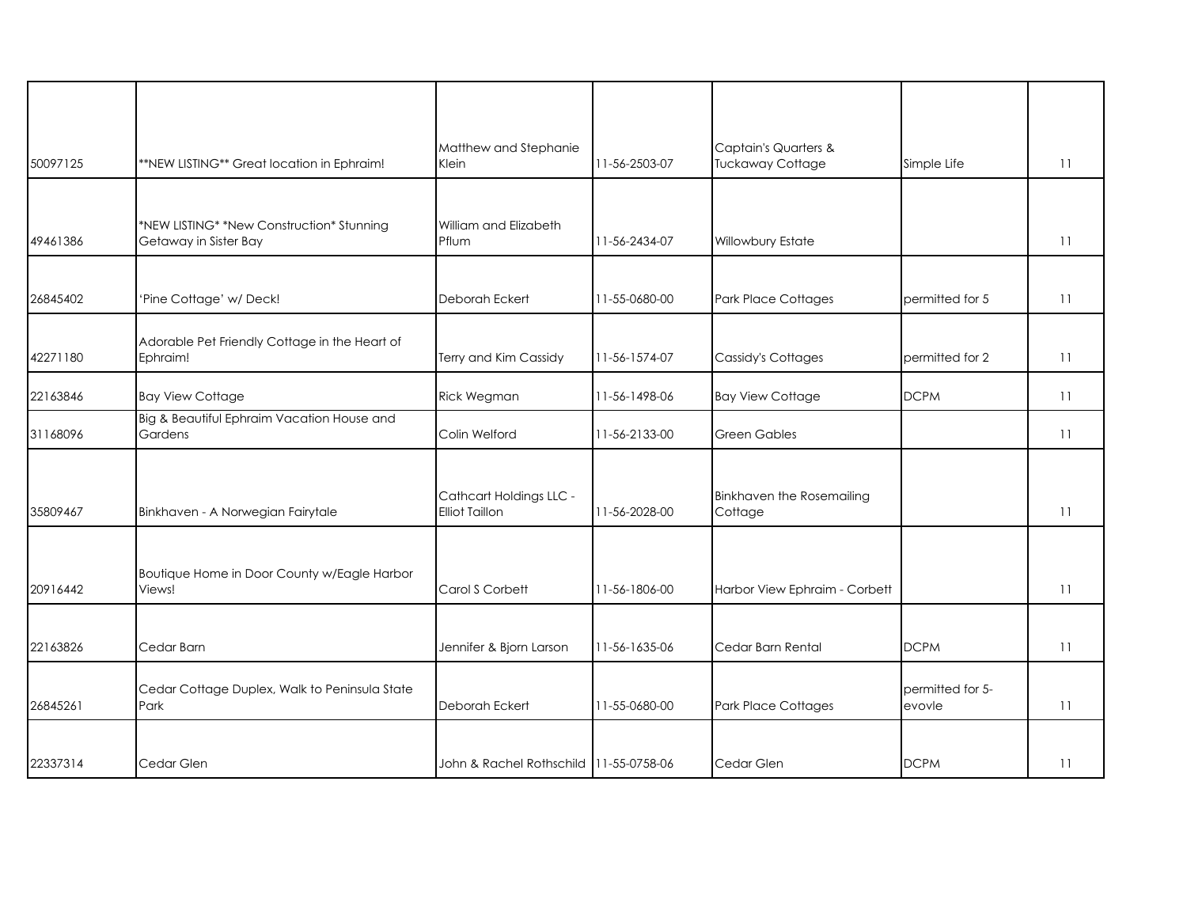| 50097125 | **NEW LISTING** Great location in Ephraim!                         | Matthew and Stephanie<br>Klein                   | 11-56-2503-07 | Captain's Quarters &<br><b>Tuckaway Cottage</b> | Simple Life                | 11 |
|----------|--------------------------------------------------------------------|--------------------------------------------------|---------------|-------------------------------------------------|----------------------------|----|
|          |                                                                    |                                                  |               |                                                 |                            |    |
| 49461386 | *NEW LISTING* *New Construction* Stunning<br>Getaway in Sister Bay | William and Elizabeth<br>Pflum                   | 11-56-2434-07 | Willowbury Estate                               |                            | 11 |
|          |                                                                    |                                                  |               |                                                 |                            |    |
| 26845402 | 'Pine Cottage' w/ Deck!                                            | Deborah Eckert                                   | 11-55-0680-00 | Park Place Cottages                             | permitted for 5            | 11 |
|          |                                                                    |                                                  |               |                                                 |                            |    |
| 42271180 | Adorable Pet Friendly Cottage in the Heart of<br>Ephraim!          | Terry and Kim Cassidy                            | 11-56-1574-07 | Cassidy's Cottages                              | permitted for 2            | 11 |
| 22163846 | <b>Bay View Cottage</b>                                            | Rick Wegman                                      | 11-56-1498-06 | <b>Bay View Cottage</b>                         | <b>DCPM</b>                | 11 |
| 31168096 | Big & Beautiful Ephraim Vacation House and<br>Gardens              | Colin Welford                                    | 11-56-2133-00 | <b>Green Gables</b>                             |                            | 11 |
|          |                                                                    |                                                  |               |                                                 |                            |    |
| 35809467 | Binkhaven - A Norwegian Fairytale                                  | Cathcart Holdings LLC -<br><b>Elliot Taillon</b> | 11-56-2028-00 | Binkhaven the Rosemailing<br>Cottage            |                            | 11 |
|          |                                                                    |                                                  |               |                                                 |                            |    |
| 20916442 | Boutique Home in Door County w/Eagle Harbor<br>Views!              | Carol S Corbett                                  | 11-56-1806-00 | Harbor View Ephraim - Corbett                   |                            | 11 |
|          |                                                                    |                                                  |               |                                                 |                            |    |
| 22163826 | Cedar Barn                                                         | Jennifer & Bjorn Larson                          | 11-56-1635-06 | Cedar Barn Rental                               | <b>DCPM</b>                | 11 |
| 26845261 | Cedar Cottage Duplex, Walk to Peninsula State<br>Park              | Deborah Eckert                                   | 11-55-0680-00 | <b>Park Place Cottages</b>                      | permitted for 5-<br>evovle | 11 |
|          |                                                                    |                                                  |               |                                                 |                            |    |
| 22337314 | Cedar Glen                                                         | John & Rachel Rothschild 11-55-0758-06           |               | Cedar Glen                                      | <b>DCPM</b>                | 11 |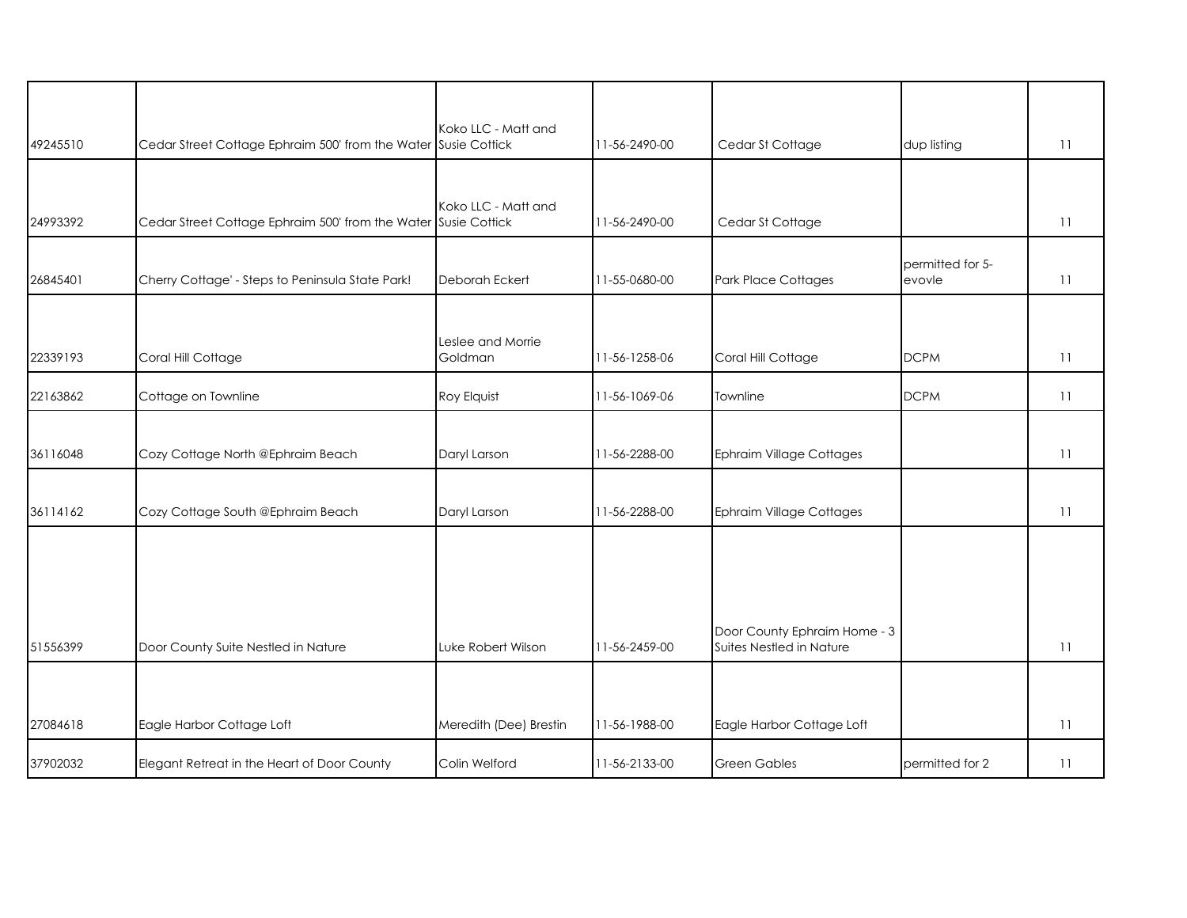|          |                                                                | Koko LLC - Matt and          |               |                                                          |                            |    |
|----------|----------------------------------------------------------------|------------------------------|---------------|----------------------------------------------------------|----------------------------|----|
| 49245510 | Cedar Street Cottage Ephraim 500' from the Water Susie Cottick |                              | 11-56-2490-00 | Cedar St Cottage                                         | dup listing                | 11 |
|          |                                                                |                              |               |                                                          |                            |    |
| 24993392 | Cedar Street Cottage Ephraim 500' from the Water Susie Cottick | Koko LLC - Matt and          | 11-56-2490-00 | Cedar St Cottage                                         |                            | 11 |
| 26845401 | Cherry Cottage' - Steps to Peninsula State Park!               | Deborah Eckert               | 11-55-0680-00 | <b>Park Place Cottages</b>                               | permitted for 5-<br>evovle | 11 |
| 22339193 | Coral Hill Cottage                                             | Leslee and Morrie<br>Goldman | 11-56-1258-06 | Coral Hill Cottage                                       | <b>DCPM</b>                | 11 |
| 22163862 | Cottage on Townline                                            | Roy Elquist                  | 11-56-1069-06 | Townline                                                 | <b>DCPM</b>                | 11 |
|          |                                                                |                              |               |                                                          |                            |    |
| 36116048 | Cozy Cottage North @Ephraim Beach                              | Daryl Larson                 | 11-56-2288-00 | <b>Ephraim Village Cottages</b>                          |                            | 11 |
| 36114162 | Cozy Cottage South @Ephraim Beach                              | Daryl Larson                 | 11-56-2288-00 | <b>Ephraim Village Cottages</b>                          |                            | 11 |
|          |                                                                |                              |               |                                                          |                            |    |
|          |                                                                |                              |               |                                                          |                            |    |
| 51556399 | Door County Suite Nestled in Nature                            | Luke Robert Wilson           | 11-56-2459-00 | Door County Ephraim Home - 3<br>Suites Nestled in Nature |                            | 11 |
|          |                                                                |                              |               |                                                          |                            |    |
| 27084618 | Eagle Harbor Cottage Loft                                      | Meredith (Dee) Brestin       | 11-56-1988-00 | Eagle Harbor Cottage Loft                                |                            | 11 |
| 37902032 | Elegant Retreat in the Heart of Door County                    | Colin Welford                | 11-56-2133-00 | <b>Green Gables</b>                                      | permitted for 2            | 11 |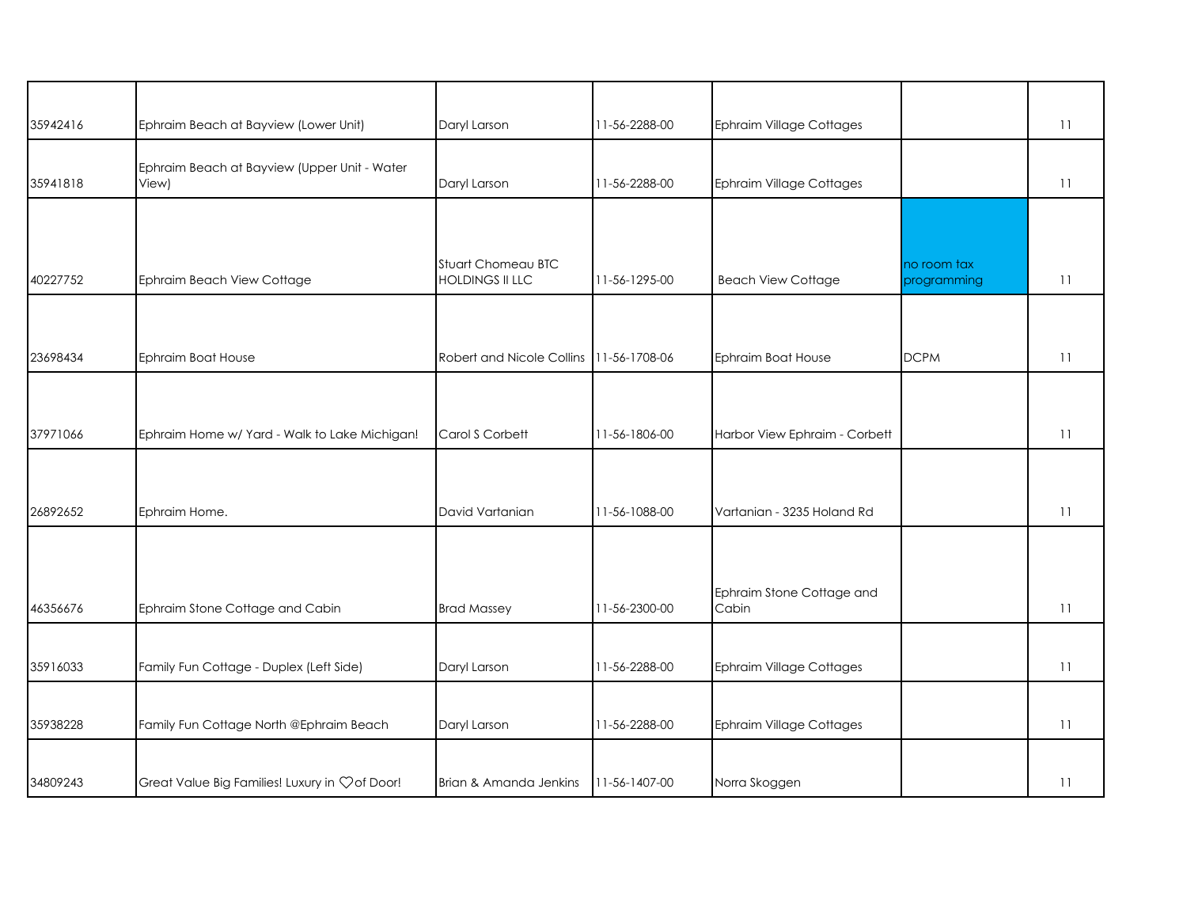| 35942416 | Ephraim Beach at Bayview (Lower Unit)                 | Daryl Larson                                 | 11-56-2288-00 | Ephraim Village Cottages        |                            | 11 |
|----------|-------------------------------------------------------|----------------------------------------------|---------------|---------------------------------|----------------------------|----|
|          |                                                       |                                              |               |                                 |                            |    |
| 35941818 | Ephraim Beach at Bayview (Upper Unit - Water<br>View) | Daryl Larson                                 | 11-56-2288-00 | <b>Ephraim Village Cottages</b> |                            | 11 |
|          |                                                       |                                              |               |                                 |                            |    |
| 40227752 | Ephraim Beach View Cottage                            | Stuart Chomeau BTC<br><b>HOLDINGS II LLC</b> | 11-56-1295-00 | <b>Beach View Cottage</b>       | no room tax<br>programming | 11 |
|          |                                                       |                                              |               |                                 |                            |    |
| 23698434 | Ephraim Boat House                                    | Robert and Nicole Collins 11-56-1708-06      |               | Ephraim Boat House              | <b>DCPM</b>                | 11 |
|          |                                                       |                                              |               |                                 |                            |    |
| 37971066 | Ephraim Home w/ Yard - Walk to Lake Michigan!         | Carol S Corbett                              | 11-56-1806-00 | Harbor View Ephraim - Corbett   |                            | 11 |
|          |                                                       |                                              |               |                                 |                            |    |
| 26892652 | Ephraim Home.                                         | David Vartanian                              | 11-56-1088-00 | Vartanian - 3235 Holand Rd      |                            | 11 |
|          |                                                       |                                              |               |                                 |                            |    |
|          |                                                       |                                              |               | Ephraim Stone Cottage and       |                            |    |
| 46356676 | Ephraim Stone Cottage and Cabin                       | <b>Brad Massey</b>                           | 11-56-2300-00 | Cabin                           |                            | 11 |
|          |                                                       |                                              |               |                                 |                            |    |
| 35916033 | Family Fun Cottage - Duplex (Left Side)               | Daryl Larson                                 | 11-56-2288-00 | <b>Ephraim Village Cottages</b> |                            | 11 |
| 35938228 | Family Fun Cottage North @Ephraim Beach               | Daryl Larson                                 | 11-56-2288-00 | <b>Ephraim Village Cottages</b> |                            | 11 |
|          |                                                       |                                              |               |                                 |                            |    |
| 34809243 | Great Value Big Families! Luxury in Çof Door!         | Brian & Amanda Jenkins                       | 11-56-1407-00 | Norra Skoggen                   |                            | 11 |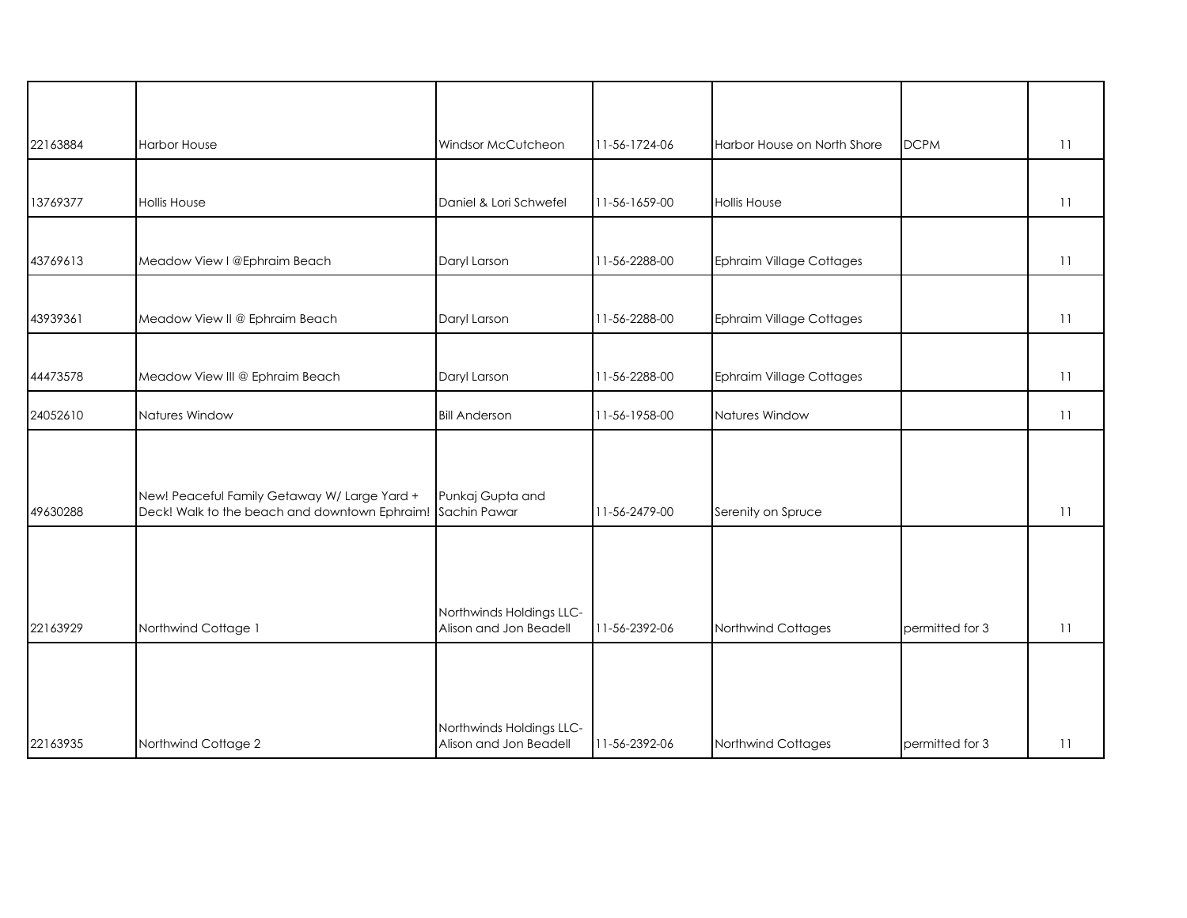| 22163884 | <b>Harbor House</b>                                                                                        | Windsor McCutcheon                                 | 11-56-1724-06 | Harbor House on North Shore     | <b>DCPM</b>     | 11 |
|----------|------------------------------------------------------------------------------------------------------------|----------------------------------------------------|---------------|---------------------------------|-----------------|----|
|          |                                                                                                            |                                                    |               |                                 |                 |    |
| 13769377 | Hollis House                                                                                               | Daniel & Lori Schwefel                             | 11-56-1659-00 | <b>Hollis House</b>             |                 | 11 |
|          |                                                                                                            |                                                    |               |                                 |                 |    |
| 43769613 | Meadow View I @Ephraim Beach                                                                               | Daryl Larson                                       | 11-56-2288-00 | Ephraim Village Cottages        |                 | 11 |
|          |                                                                                                            |                                                    |               |                                 |                 |    |
| 43939361 | Meadow View II @ Ephraim Beach                                                                             | Daryl Larson                                       | 11-56-2288-00 | <b>Ephraim Village Cottages</b> |                 | 11 |
|          |                                                                                                            |                                                    |               |                                 |                 |    |
| 44473578 | Meadow View III @ Ephraim Beach                                                                            | Daryl Larson                                       | 11-56-2288-00 | <b>Ephraim Village Cottages</b> |                 | 11 |
| 24052610 | Natures Window                                                                                             | <b>Bill Anderson</b>                               | 11-56-1958-00 | Natures Window                  |                 | 11 |
|          |                                                                                                            |                                                    |               |                                 |                 |    |
|          |                                                                                                            |                                                    |               |                                 |                 |    |
| 49630288 | New! Peaceful Family Getaway W/ Large Yard +<br>Deck! Walk to the beach and downtown Ephraim! Sachin Pawar | Punkaj Gupta and                                   | 11-56-2479-00 | Serenity on Spruce              |                 | 11 |
|          |                                                                                                            |                                                    |               |                                 |                 |    |
|          |                                                                                                            |                                                    |               |                                 |                 |    |
|          |                                                                                                            |                                                    |               |                                 |                 |    |
|          |                                                                                                            | Northwinds Holdings LLC-                           |               |                                 |                 |    |
| 22163929 | Northwind Cottage 1                                                                                        | Alison and Jon Beadell                             | 11-56-2392-06 | Northwind Cottages              | permitted for 3 | 11 |
|          |                                                                                                            |                                                    |               |                                 |                 |    |
|          |                                                                                                            |                                                    |               |                                 |                 |    |
|          |                                                                                                            |                                                    |               |                                 |                 |    |
| 22163935 | Northwind Cottage 2                                                                                        | Northwinds Holdings LLC-<br>Alison and Jon Beadell | 11-56-2392-06 | Northwind Cottages              | permitted for 3 | 11 |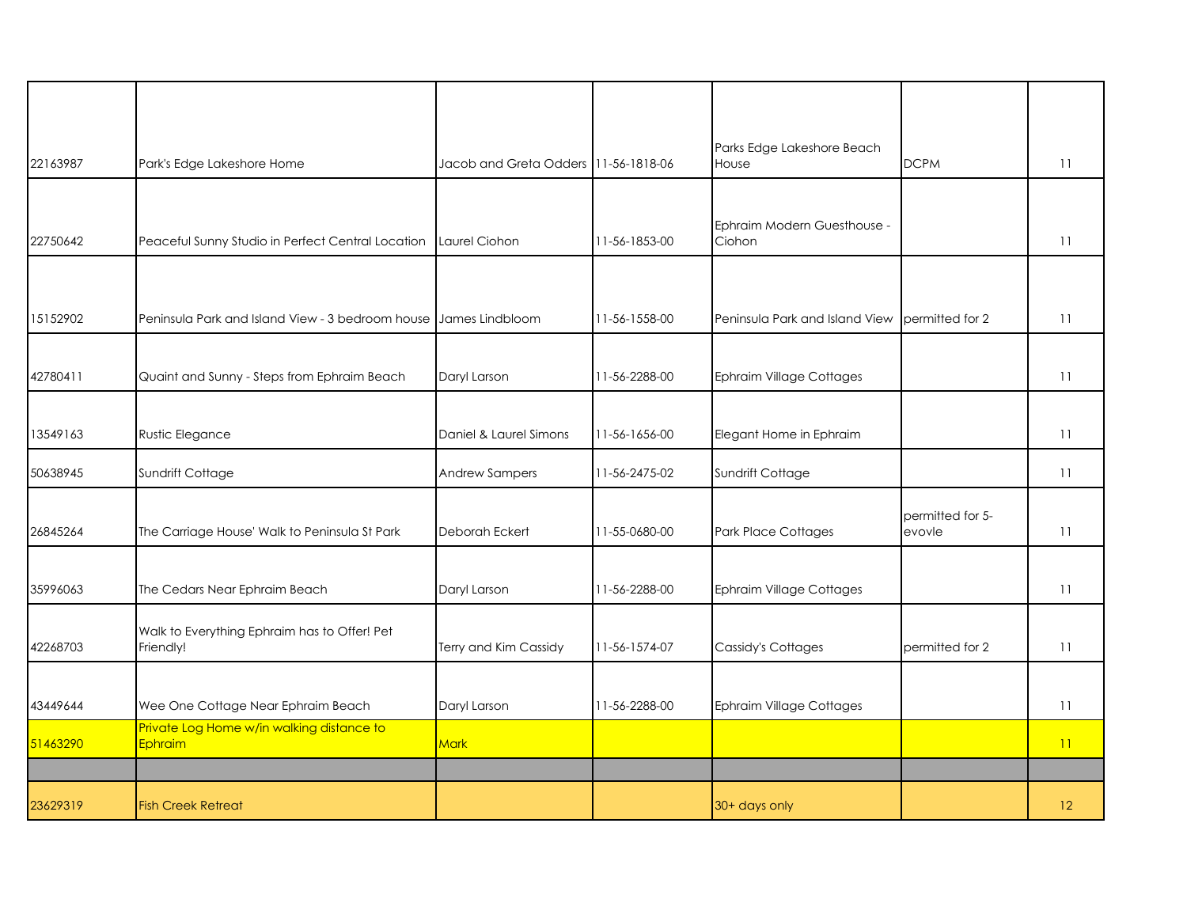| 22163987 | Park's Edge Lakeshore Home                                | Jacob and Greta Odders 11-56-1818-06 |               | Parks Edge Lakeshore Beach<br>House   | <b>DCPM</b>                | 11 |
|----------|-----------------------------------------------------------|--------------------------------------|---------------|---------------------------------------|----------------------------|----|
|          |                                                           |                                      |               |                                       |                            |    |
| 22750642 | Peaceful Sunny Studio in Perfect Central Location         | Laurel Ciohon                        | 11-56-1853-00 | Ephraim Modern Guesthouse -<br>Ciohon |                            | 11 |
|          |                                                           |                                      |               |                                       |                            |    |
| 15152902 | Peninsula Park and Island View - 3 bedroom house          | James Lindbloom                      | 11-56-1558-00 | Peninsula Park and Island View        | permitted for 2            | 11 |
| 42780411 | Quaint and Sunny - Steps from Ephraim Beach               | Daryl Larson                         | 11-56-2288-00 | <b>Ephraim Village Cottages</b>       |                            | 11 |
|          |                                                           |                                      |               |                                       |                            |    |
| 13549163 | Rustic Elegance                                           | Daniel & Laurel Simons               | 11-56-1656-00 | Elegant Home in Ephraim               |                            | 11 |
| 50638945 | Sundrift Cottage                                          | <b>Andrew Sampers</b>                | 11-56-2475-02 | Sundrift Cottage                      |                            | 11 |
| 26845264 | The Carriage House' Walk to Peninsula St Park             | Deborah Eckert                       | 11-55-0680-00 | Park Place Cottages                   | permitted for 5-<br>evovle | 11 |
|          |                                                           |                                      |               |                                       |                            |    |
| 35996063 | The Cedars Near Ephraim Beach                             | Daryl Larson                         | 11-56-2288-00 | Ephraim Village Cottages              |                            | 11 |
| 42268703 | Walk to Everything Ephraim has to Offer! Pet<br>Friendly! | Terry and Kim Cassidy                | 11-56-1574-07 | Cassidy's Cottages                    | permitted for 2            | 11 |
|          |                                                           |                                      |               |                                       |                            |    |
| 43449644 | Wee One Cottage Near Ephraim Beach                        | Daryl Larson                         | 11-56-2288-00 | <b>Ephraim Village Cottages</b>       |                            | 11 |
| 51463290 | Private Log Home w/in walking distance to<br>Ephraim      | Mark                                 |               |                                       |                            | 11 |
|          |                                                           |                                      |               |                                       |                            |    |
| 23629319 | <b>Fish Creek Retreat</b>                                 |                                      |               | 30+ days only                         |                            | 12 |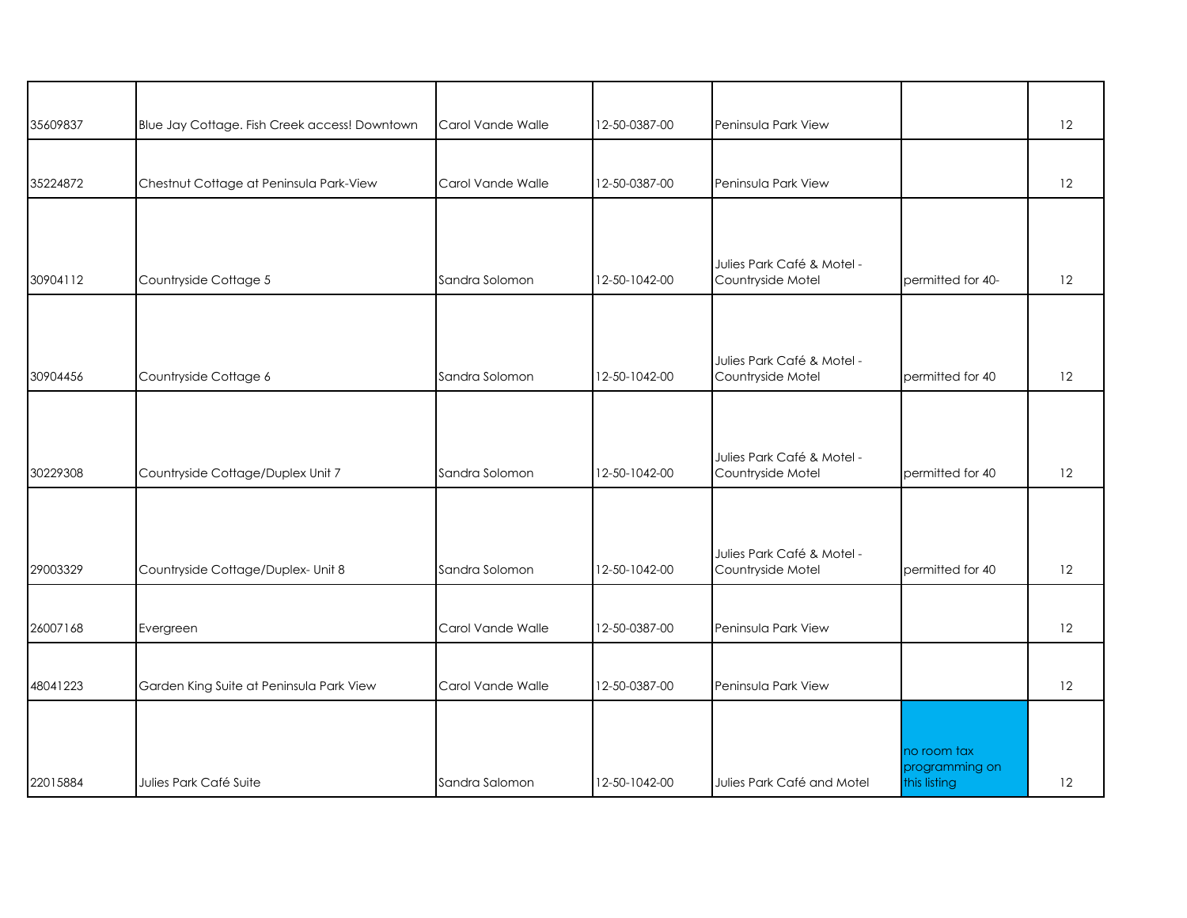| 35609837 | Blue Jay Cottage. Fish Creek access! Downtown | Carol Vande Walle | 12-50-0387-00 | Peninsula Park View                             |                                               | 12 |
|----------|-----------------------------------------------|-------------------|---------------|-------------------------------------------------|-----------------------------------------------|----|
| 35224872 | Chestnut Cottage at Peninsula Park-View       | Carol Vande Walle | 12-50-0387-00 | Peninsula Park View                             |                                               | 12 |
|          |                                               |                   |               |                                                 |                                               |    |
| 30904112 | Countryside Cottage 5                         | Sandra Solomon    | 12-50-1042-00 | Julies Park Café & Motel -<br>Countryside Motel | permitted for 40-                             | 12 |
| 30904456 | Countryside Cottage 6                         | Sandra Solomon    | 12-50-1042-00 | Julies Park Café & Motel -<br>Countryside Motel | permitted for 40                              | 12 |
| 30229308 | Countryside Cottage/Duplex Unit 7             | Sandra Solomon    | 12-50-1042-00 | Julies Park Café & Motel -<br>Countryside Motel | permitted for 40                              | 12 |
| 29003329 | Countryside Cottage/Duplex- Unit 8            | Sandra Solomon    | 12-50-1042-00 | Julies Park Café & Motel -<br>Countryside Motel | permitted for 40                              | 12 |
| 26007168 | Evergreen                                     | Carol Vande Walle | 12-50-0387-00 | Peninsula Park View                             |                                               | 12 |
| 48041223 | Garden King Suite at Peninsula Park View      | Carol Vande Walle | 12-50-0387-00 | Peninsula Park View                             |                                               | 12 |
| 22015884 | Julies Park Café Suite                        | Sandra Salomon    | 12-50-1042-00 | Julies Park Café and Motel                      | no room tax<br>programming on<br>this listing | 12 |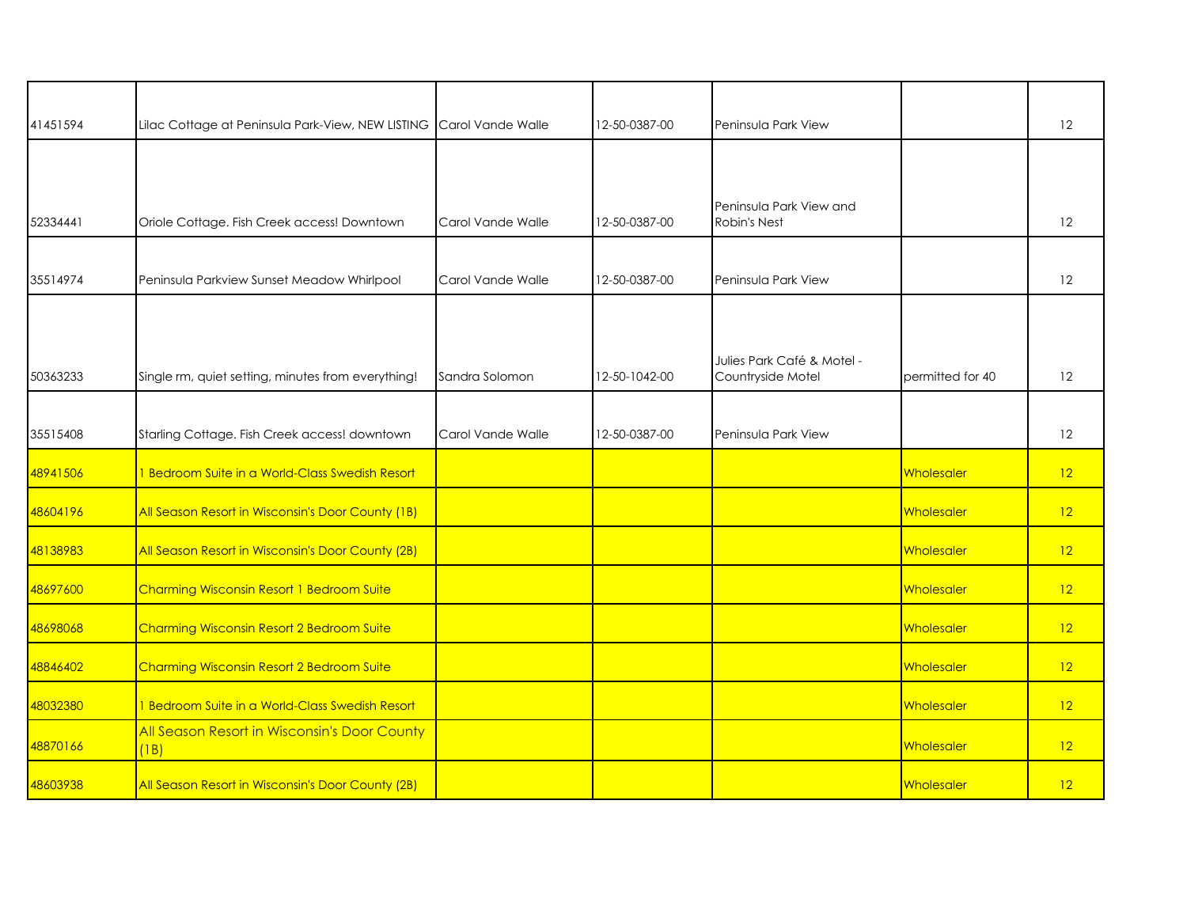| 41451594 | Lilac Cottage at Peninsula Park-View, NEW LISTING Carol Vande Walle |                   | 12-50-0387-00 | Peninsula Park View                             |                   | 12 |
|----------|---------------------------------------------------------------------|-------------------|---------------|-------------------------------------------------|-------------------|----|
|          |                                                                     |                   |               |                                                 |                   |    |
| 52334441 | Oriole Cottage. Fish Creek access! Downtown                         | Carol Vande Walle | 12-50-0387-00 | Peninsula Park View and<br><b>Robin's Nest</b>  |                   | 12 |
| 35514974 | Peninsula Parkview Sunset Meadow Whirlpool                          | Carol Vande Walle | 12-50-0387-00 | Peninsula Park View                             |                   | 12 |
| 50363233 | Single rm, quiet setting, minutes from everything!                  | Sandra Solomon    | 12-50-1042-00 | Julies Park Café & Motel -<br>Countryside Motel | permitted for 40  | 12 |
| 35515408 | Starling Cottage. Fish Creek access! downtown                       | Carol Vande Walle | 12-50-0387-00 | Peninsula Park View                             |                   | 12 |
| 48941506 | 1 Bedroom Suite in a World-Class Swedish Resort                     |                   |               |                                                 | Wholesaler        | 12 |
| 48604196 | All Season Resort in Wisconsin's Door County (1B)                   |                   |               |                                                 | Wholesaler        | 12 |
| 48138983 | All Season Resort in Wisconsin's Door County (2B)                   |                   |               |                                                 | Wholesaler        | 12 |
| 48697600 | Charming Wisconsin Resort 1 Bedroom Suite                           |                   |               |                                                 | Wholesaler        | 12 |
| 48698068 | Charming Wisconsin Resort 2 Bedroom Suite                           |                   |               |                                                 | <b>Wholesaler</b> | 12 |
| 48846402 | Charming Wisconsin Resort 2 Bedroom Suite                           |                   |               |                                                 | Wholesaler        | 12 |
| 48032380 | 1 Bedroom Suite in a World-Class Swedish Resort                     |                   |               |                                                 | Wholesaler        | 12 |
| 48870166 | All Season Resort in Wisconsin's Door County<br>(1B)                |                   |               |                                                 | <b>Wholesaler</b> | 12 |
| 48603938 | All Season Resort in Wisconsin's Door County (2B)                   |                   |               |                                                 | <b>Wholesaler</b> | 12 |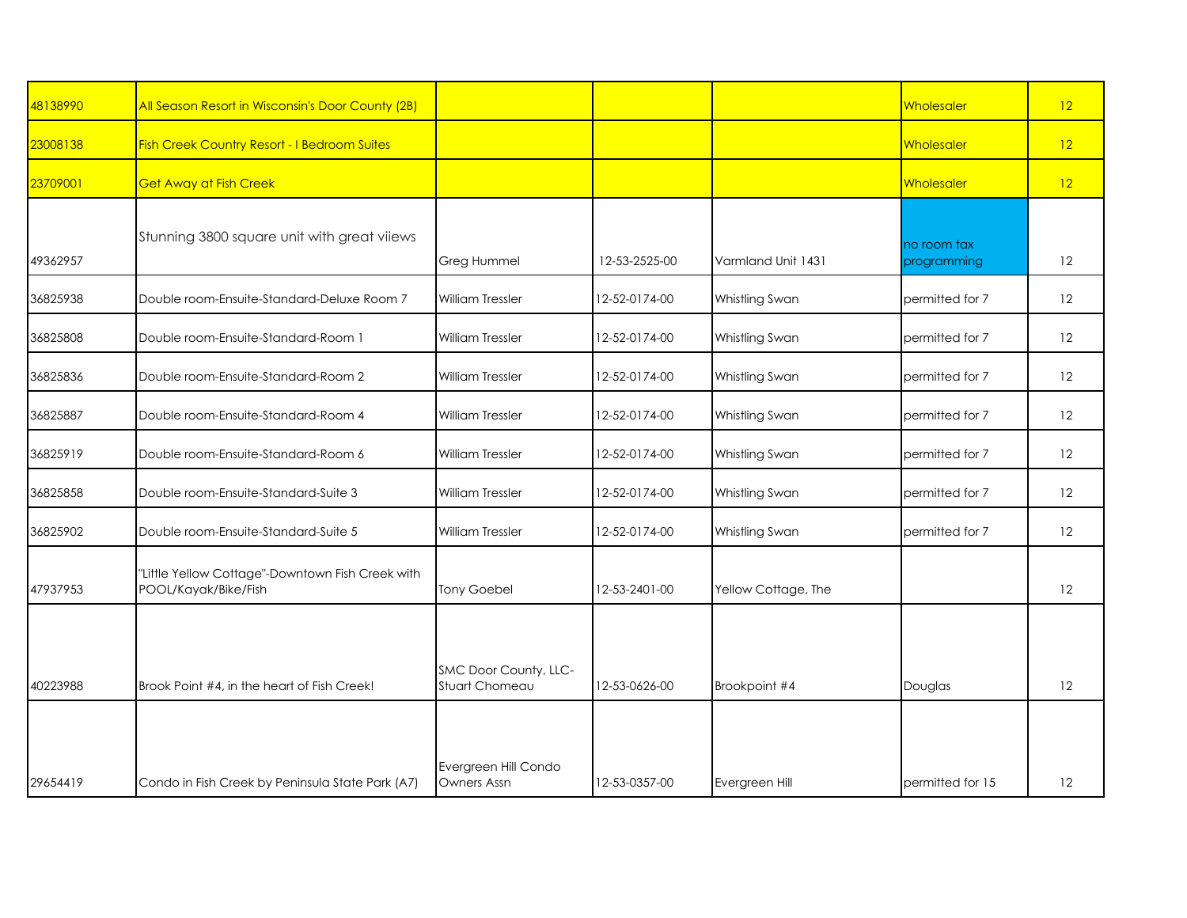| 48138990 | All Season Resort in Wisconsin's Door County (2B)                        |                                         |               |                     | Wholesaler                 | 12 |
|----------|--------------------------------------------------------------------------|-----------------------------------------|---------------|---------------------|----------------------------|----|
| 23008138 | <b>Fish Creek Country Resort - I Bedroom Suites</b>                      |                                         |               |                     | Wholesaler                 | 12 |
| 23709001 | <b>Get Away at Fish Creek</b>                                            |                                         |               |                     | <b>Wholesaler</b>          | 12 |
| 49362957 | Stunning 3800 square unit with great viiews                              | Greg Hummel                             | 12-53-2525-00 | Varmland Unit 1431  | no room tax<br>programming | 12 |
| 36825938 | Double room-Ensuite-Standard-Deluxe Room 7                               | William Tressler                        | 12-52-0174-00 | Whistling Swan      | permitted for 7            | 12 |
| 36825808 | Double room-Ensuite-Standard-Room 1                                      | <b>William Tressler</b>                 | 12-52-0174-00 | Whistling Swan      | permitted for 7            | 12 |
| 36825836 | Double room-Ensuite-Standard-Room 2                                      | <b>William Tressler</b>                 | 12-52-0174-00 | Whistling Swan      | permitted for 7            | 12 |
| 36825887 | Double room-Ensuite-Standard-Room 4                                      | <b>William Tressler</b>                 | 12-52-0174-00 | Whistling Swan      | permitted for 7            | 12 |
| 36825919 | Double room-Ensuite-Standard-Room 6                                      | <b>William Tressler</b>                 | 12-52-0174-00 | Whistling Swan      | permitted for 7            | 12 |
| 36825858 | Double room-Ensuite-Standard-Suite 3                                     | William Tressler                        | 12-52-0174-00 | Whistling Swan      | permitted for 7            | 12 |
| 36825902 | Double room-Ensuite-Standard-Suite 5                                     | <b>William Tressler</b>                 | 12-52-0174-00 | Whistling Swan      | permitted for 7            | 12 |
| 47937953 | "Little Yellow Cottage"-Downtown Fish Creek with<br>POOL/Kayak/Bike/Fish | <b>Tony Goebel</b>                      | 12-53-2401-00 | Yellow Cottage, The |                            | 12 |
| 40223988 | Brook Point #4, in the heart of Fish Creek!                              | SMC Door County, LLC-<br>Stuart Chomeau | 12-53-0626-00 | Brookpoint #4       | Douglas                    | 12 |
| 29654419 | Condo in Fish Creek by Peninsula State Park (A7)                         | Evergreen Hill Condo<br>Owners Assn     | 12-53-0357-00 | Evergreen Hill      | permitted for 15           | 12 |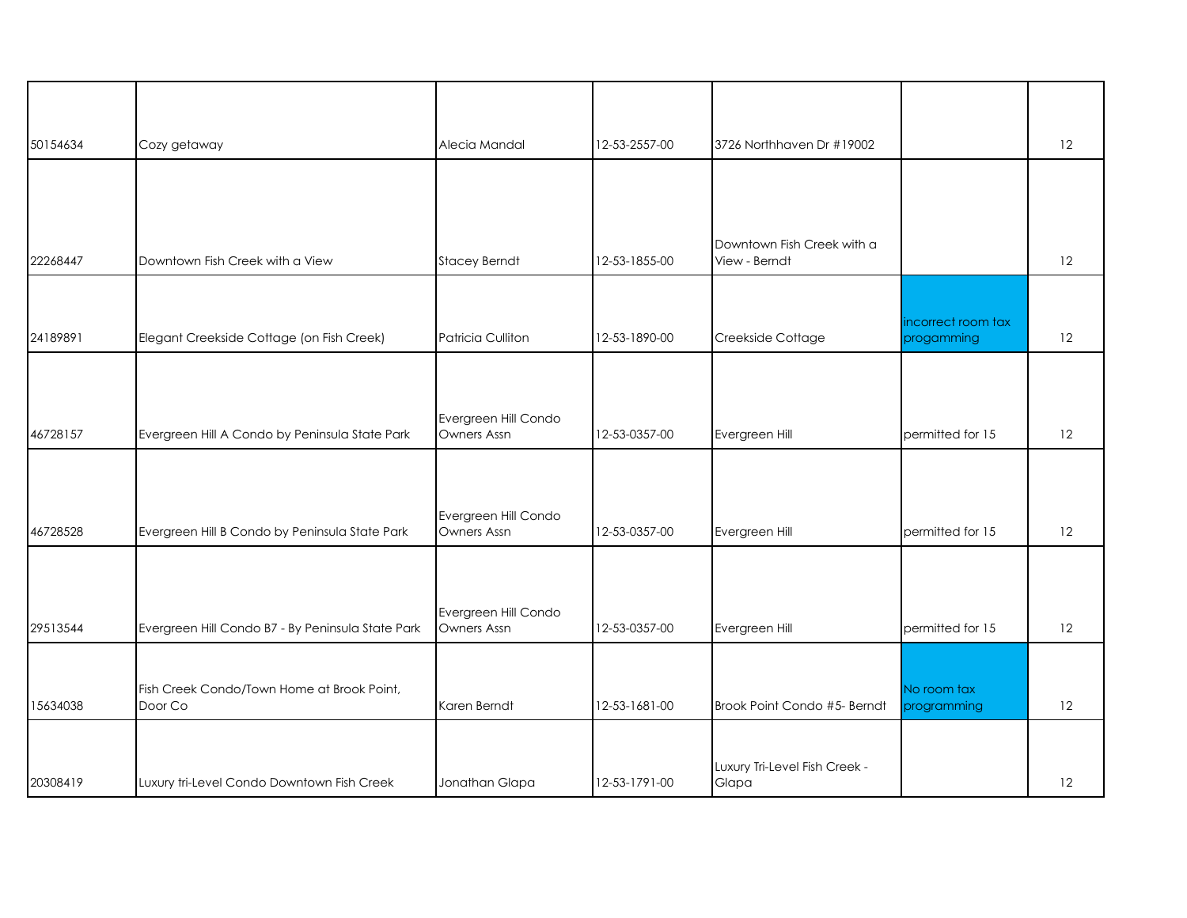| 50154634 | Cozy getaway                                          | Alecia Mandal                       | 12-53-2557-00 | 3726 Northhaven Dr #19002                   |                                  | 12 |
|----------|-------------------------------------------------------|-------------------------------------|---------------|---------------------------------------------|----------------------------------|----|
|          |                                                       |                                     |               |                                             |                                  |    |
|          |                                                       |                                     |               |                                             |                                  |    |
| 22268447 | Downtown Fish Creek with a View                       | <b>Stacey Berndt</b>                | 12-53-1855-00 | Downtown Fish Creek with a<br>View - Berndt |                                  | 12 |
|          |                                                       |                                     |               |                                             |                                  |    |
| 24189891 | Elegant Creekside Cottage (on Fish Creek)             | Patricia Culliton                   | 12-53-1890-00 | Creekside Cottage                           | incorrect room tax<br>progamming | 12 |
|          |                                                       |                                     |               |                                             |                                  |    |
| 46728157 | Evergreen Hill A Condo by Peninsula State Park        | Evergreen Hill Condo<br>Owners Assn | 12-53-0357-00 | Evergreen Hill                              | permitted for 15                 | 12 |
|          |                                                       |                                     |               |                                             |                                  |    |
| 46728528 | Evergreen Hill B Condo by Peninsula State Park        | Evergreen Hill Condo<br>Owners Assn | 12-53-0357-00 | Evergreen Hill                              | permitted for 15                 | 12 |
|          |                                                       |                                     |               |                                             |                                  |    |
| 29513544 | Evergreen Hill Condo B7 - By Peninsula State Park     | Evergreen Hill Condo<br>Owners Assn | 12-53-0357-00 | Evergreen Hill                              | permitted for 15                 | 12 |
|          |                                                       |                                     |               |                                             |                                  |    |
| 15634038 | Fish Creek Condo/Town Home at Brook Point,<br>Door Co | Karen Berndt                        | 12-53-1681-00 | Brook Point Condo #5- Berndt                | No room tax<br>programming       | 12 |
|          |                                                       |                                     |               |                                             |                                  |    |
| 20308419 | Luxury tri-Level Condo Downtown Fish Creek            | Jonathan Glapa                      | 12-53-1791-00 | Luxury Tri-Level Fish Creek -<br>Glapa      |                                  | 12 |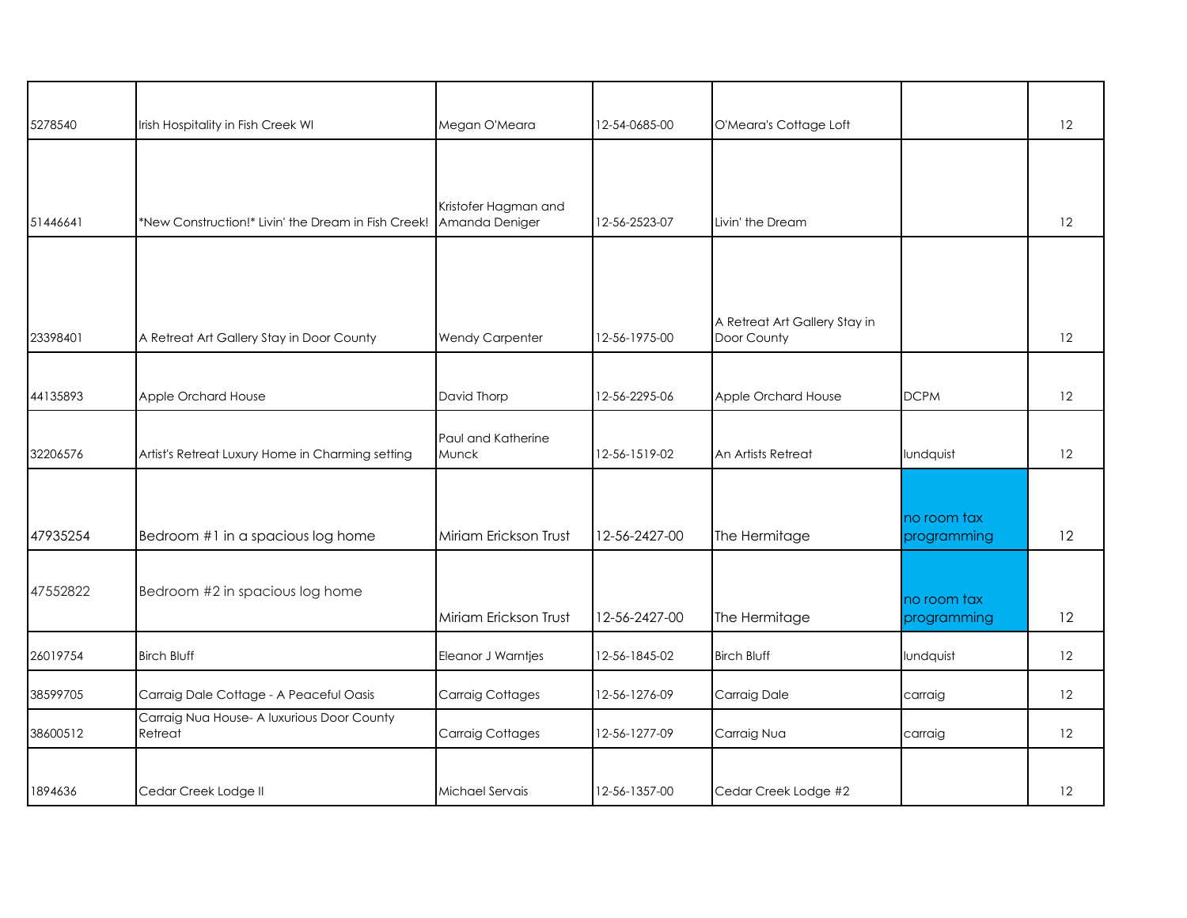| 5278540  | Irish Hospitality in Fish Creek WI                    | Megan O'Meara                          | 12-54-0685-00 | O'Meara's Cottage Loft                       |                            | 12 |
|----------|-------------------------------------------------------|----------------------------------------|---------------|----------------------------------------------|----------------------------|----|
|          |                                                       |                                        |               |                                              |                            |    |
| 51446641 | *New Construction!* Livin' the Dream in Fish Creek!   | Kristofer Hagman and<br>Amanda Deniger | 12-56-2523-07 | Livin' the Dream                             |                            | 12 |
|          |                                                       |                                        |               |                                              |                            |    |
| 23398401 | A Retreat Art Gallery Stay in Door County             | <b>Wendy Carpenter</b>                 | 12-56-1975-00 | A Retreat Art Gallery Stay in<br>Door County |                            | 12 |
| 44135893 | Apple Orchard House                                   | David Thorp                            | 12-56-2295-06 | Apple Orchard House                          | <b>DCPM</b>                | 12 |
| 32206576 | Artist's Retreat Luxury Home in Charming setting      | Paul and Katherine<br>Munck            | 12-56-1519-02 | An Artists Retreat                           | lundquist                  | 12 |
|          |                                                       |                                        |               |                                              |                            |    |
| 47935254 | Bedroom #1 in a spacious log home                     | Miriam Erickson Trust                  | 12-56-2427-00 | The Hermitage                                | no room tax<br>programming | 12 |
| 47552822 | Bedroom #2 in spacious log home                       | Miriam Erickson Trust                  | 12-56-2427-00 | The Hermitage                                | no room tax<br>programming | 12 |
| 26019754 | <b>Birch Bluff</b>                                    | Eleanor J Warntjes                     | 12-56-1845-02 | <b>Birch Bluff</b>                           | lundquist                  | 12 |
| 38599705 | Carraig Dale Cottage - A Peaceful Oasis               | <b>Carraig Cottages</b>                | 12-56-1276-09 | Carraig Dale                                 | carraig                    | 12 |
| 38600512 | Carraig Nua House- A luxurious Door County<br>Retreat | <b>Carraig Cottages</b>                | 12-56-1277-09 | Carraig Nua                                  | carraig                    | 12 |
| 1894636  | Cedar Creek Lodge II                                  | Michael Servais                        | 12-56-1357-00 | Cedar Creek Lodge #2                         |                            | 12 |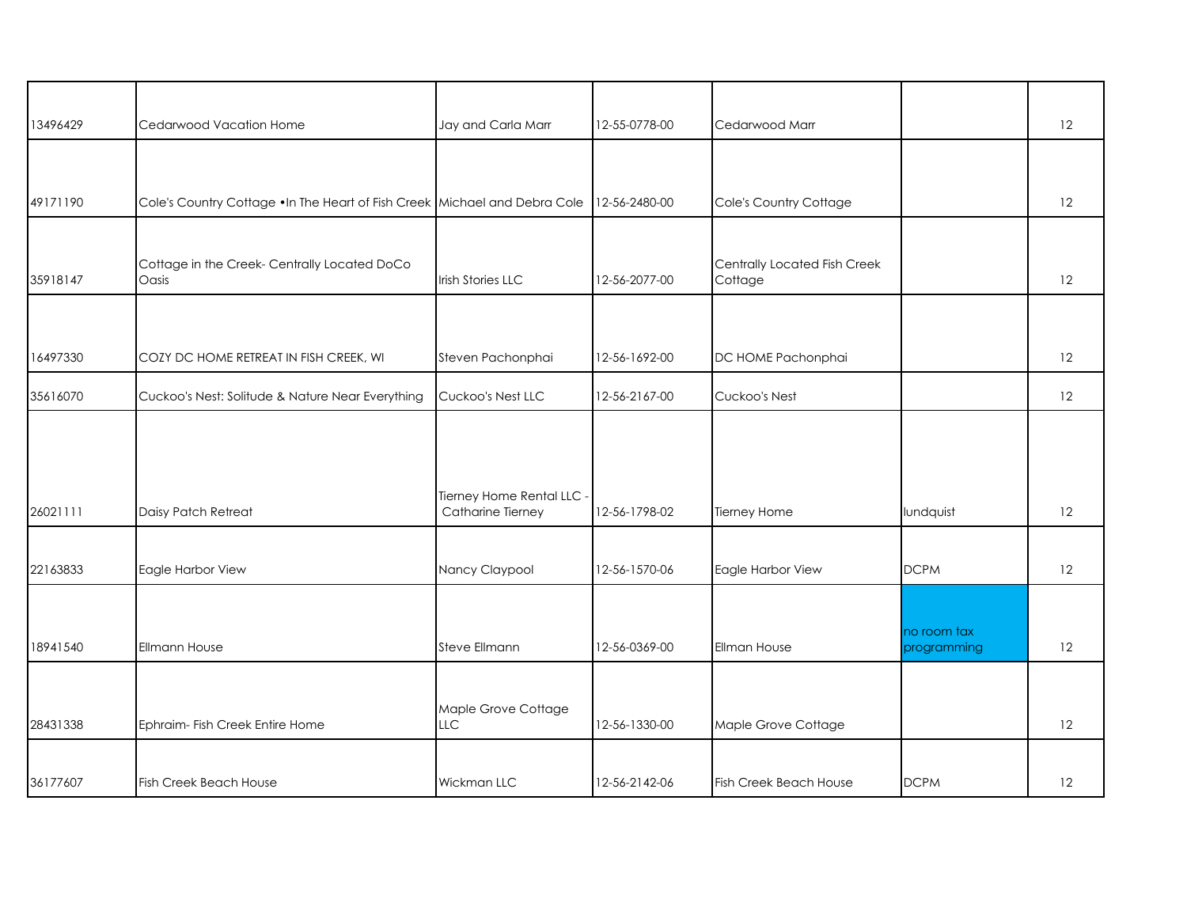|          | Cedarwood Vacation Home                                                    | Jay and Carla Marr         | 12-55-0778-00 | Cedarwood Marr                          |             | 12 |
|----------|----------------------------------------------------------------------------|----------------------------|---------------|-----------------------------------------|-------------|----|
| 13496429 |                                                                            |                            |               |                                         |             |    |
|          |                                                                            |                            |               |                                         |             |    |
| 49171190 | Cole's Country Cottage . In The Heart of Fish Creek Michael and Debra Cole |                            | 12-56-2480-00 | Cole's Country Cottage                  |             | 12 |
|          |                                                                            |                            |               |                                         |             |    |
| 35918147 | Cottage in the Creek-Centrally Located DoCo<br>Oasis                       | <b>Irish Stories LLC</b>   | 12-56-2077-00 | Centrally Located Fish Creek<br>Cottage |             | 12 |
|          |                                                                            |                            |               |                                         |             |    |
| 16497330 | COZY DC HOME RETREAT IN FISH CREEK, WI                                     | Steven Pachonphai          | 12-56-1692-00 | DC HOME Pachonphai                      |             | 12 |
| 35616070 | Cuckoo's Nest: Solitude & Nature Near Everything                           | Cuckoo's Nest LLC          | 12-56-2167-00 | Cuckoo's Nest                           |             | 12 |
|          |                                                                            |                            |               |                                         |             |    |
|          |                                                                            |                            |               |                                         |             |    |
|          |                                                                            | Tierney Home Rental LLC -  |               |                                         |             |    |
| 26021111 | Daisy Patch Retreat                                                        | Catharine Tierney          | 12-56-1798-02 | Tierney Home                            | lundquist   | 12 |
|          |                                                                            |                            |               |                                         |             |    |
| 22163833 | Eagle Harbor View                                                          | Nancy Claypool             | 12-56-1570-06 | Eagle Harbor View                       | <b>DCPM</b> | 12 |
|          |                                                                            |                            |               |                                         |             |    |
|          |                                                                            |                            |               |                                         | no room tax |    |
| 18941540 | <b>Ellmann House</b>                                                       | <b>Steve Ellmann</b>       | 12-56-0369-00 | Ellman House                            | programming | 12 |
|          |                                                                            |                            |               |                                         |             |    |
| 28431338 | Ephraim- Fish Creek Entire Home                                            | Maple Grove Cottage<br>LLC | 12-56-1330-00 | Maple Grove Cottage                     |             | 12 |
|          |                                                                            |                            |               |                                         |             |    |
| 36177607 | <b>Fish Creek Beach House</b>                                              | <b>Wickman LLC</b>         | 12-56-2142-06 | Fish Creek Beach House                  | <b>DCPM</b> | 12 |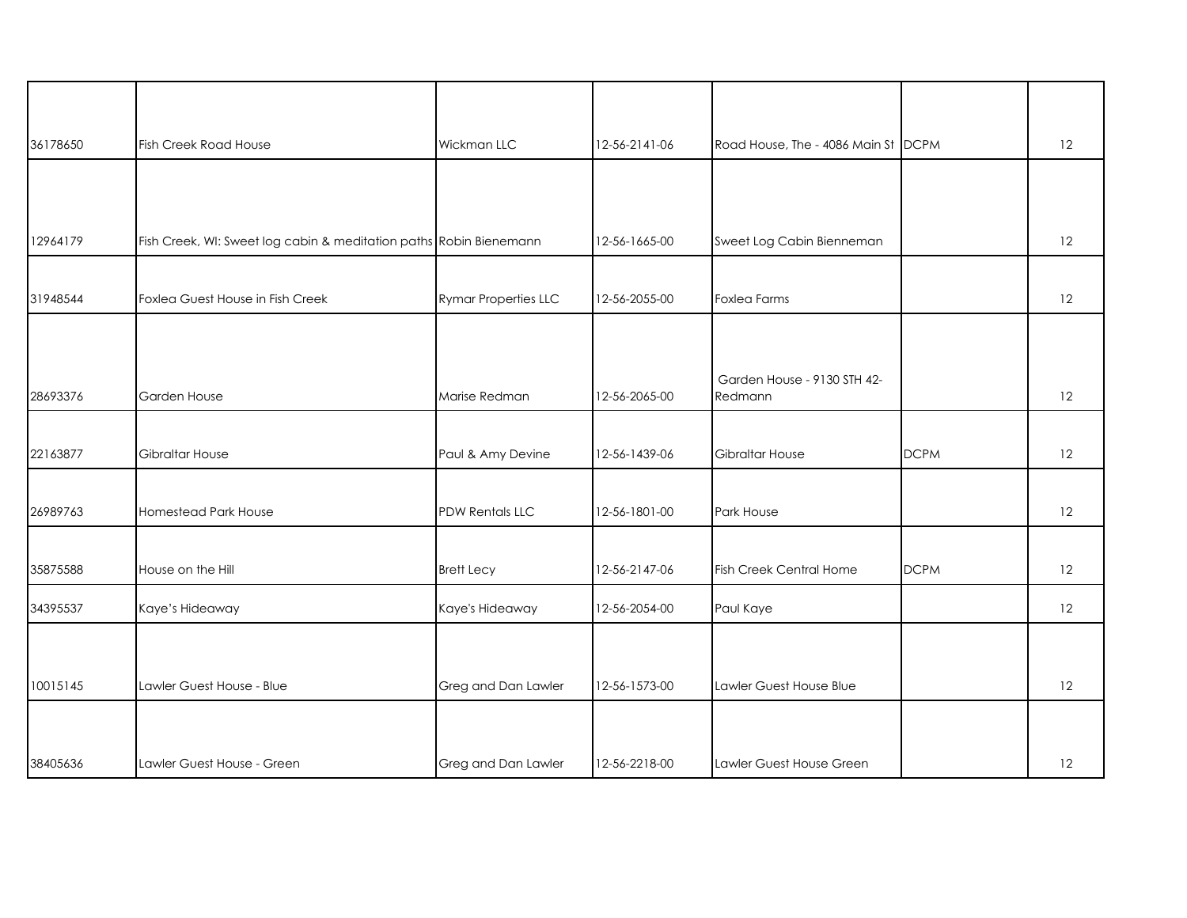| 36178650 | Fish Creek Road House                                              | Wickman LLC                 | 12-56-2141-06 | Road House, The - 4086 Main St DCPM    |             | 12 |
|----------|--------------------------------------------------------------------|-----------------------------|---------------|----------------------------------------|-------------|----|
|          |                                                                    |                             |               |                                        |             |    |
| 12964179 | Fish Creek, WI: Sweet log cabin & meditation paths Robin Bienemann |                             | 12-56-1665-00 | Sweet Log Cabin Bienneman              |             | 12 |
| 31948544 | Foxlea Guest House in Fish Creek                                   | <b>Rymar Properties LLC</b> | 12-56-2055-00 | Foxlea Farms                           |             | 12 |
|          |                                                                    |                             |               |                                        |             |    |
| 28693376 | Garden House                                                       | Marise Redman               | 12-56-2065-00 | Garden House - 9130 STH 42-<br>Redmann |             | 12 |
| 22163877 | Gibraltar House                                                    | Paul & Amy Devine           | 12-56-1439-06 | <b>Gibraltar House</b>                 | <b>DCPM</b> | 12 |
|          |                                                                    |                             |               |                                        |             |    |
| 26989763 | Homestead Park House                                               | <b>PDW Rentals LLC</b>      | 12-56-1801-00 | Park House                             |             | 12 |
| 35875588 | House on the Hill                                                  | <b>Brett Lecy</b>           | 12-56-2147-06 | Fish Creek Central Home                | <b>DCPM</b> | 12 |
| 34395537 | Kaye's Hideaway                                                    | Kaye's Hideaway             | 12-56-2054-00 | Paul Kaye                              |             | 12 |
|          |                                                                    |                             |               |                                        |             |    |
| 10015145 | Lawler Guest House - Blue                                          | Greg and Dan Lawler         | 12-56-1573-00 | Lawler Guest House Blue                |             | 12 |
|          |                                                                    |                             |               |                                        |             |    |
| 38405636 | Lawler Guest House - Green                                         | Greg and Dan Lawler         | 12-56-2218-00 | Lawler Guest House Green               |             | 12 |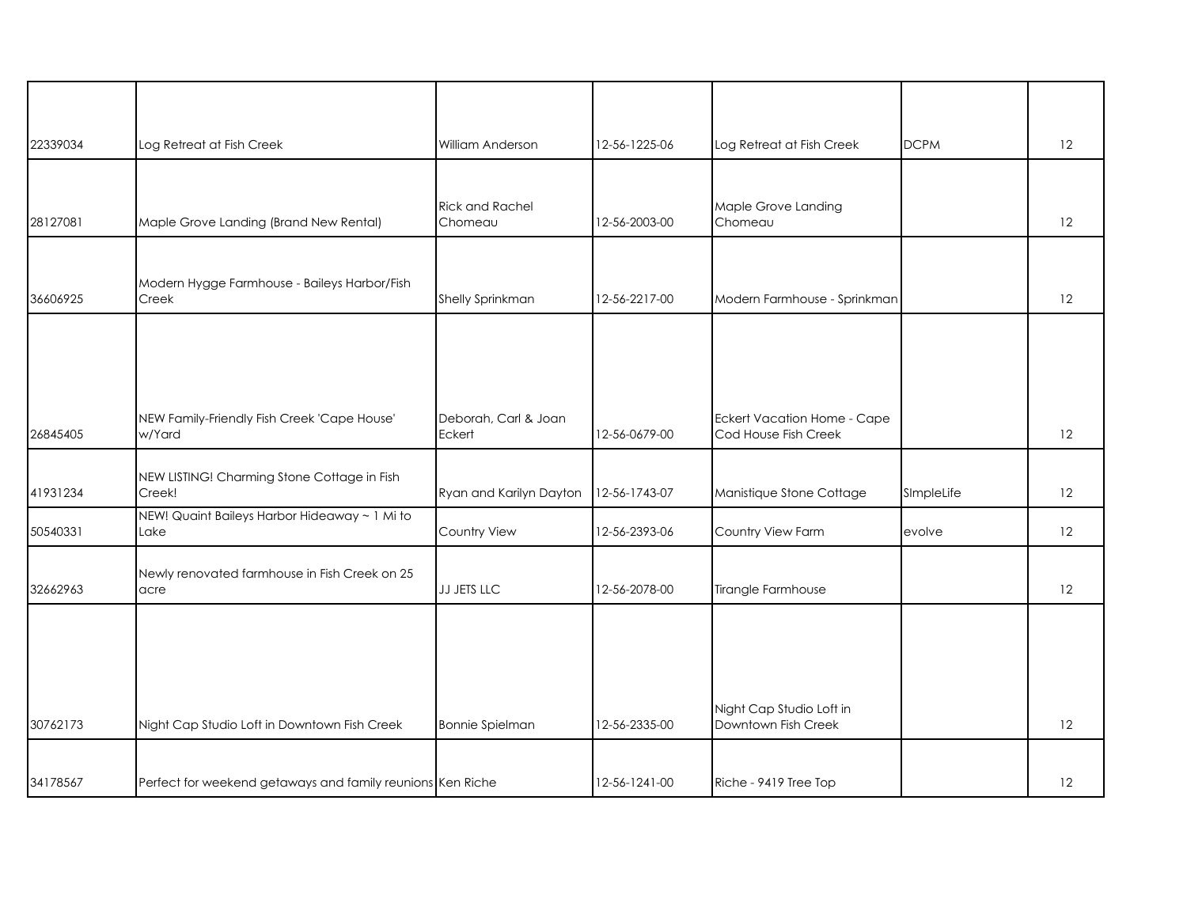| 22339034 | Log Retreat at Fish Creek                                  | William Anderson                  | 12-56-1225-06 | Log Retreat at Fish Creek                           | <b>DCPM</b> | 12 |
|----------|------------------------------------------------------------|-----------------------------------|---------------|-----------------------------------------------------|-------------|----|
|          |                                                            |                                   |               |                                                     |             |    |
| 28127081 | Maple Grove Landing (Brand New Rental)                     | <b>Rick and Rachel</b><br>Chomeau | 12-56-2003-00 | Maple Grove Landing<br>Chomeau                      |             | 12 |
| 36606925 | Modern Hygge Farmhouse - Baileys Harbor/Fish<br>Creek      | Shelly Sprinkman                  | 12-56-2217-00 | Modern Farmhouse - Sprinkman                        |             | 12 |
|          |                                                            |                                   |               |                                                     |             |    |
| 26845405 | NEW Family-Friendly Fish Creek 'Cape House'<br>w/Yard      | Deborah, Carl & Joan<br>Eckert    | 12-56-0679-00 | Eckert Vacation Home - Cape<br>Cod House Fish Creek |             | 12 |
| 41931234 | NEW LISTING! Charming Stone Cottage in Fish<br>Creek!      | Ryan and Karilyn Dayton           | 12-56-1743-07 | Manistique Stone Cottage                            | SImpleLife  | 12 |
| 50540331 | NEW! Quaint Baileys Harbor Hideaway ~ 1 Mi to<br>Lake      | Country View                      | 12-56-2393-06 | Country View Farm                                   | evolve      | 12 |
| 32662963 | Newly renovated farmhouse in Fish Creek on 25<br>acre      | JJ JETS LLC                       | 12-56-2078-00 | Tirangle Farmhouse                                  |             | 12 |
|          |                                                            |                                   |               |                                                     |             |    |
|          |                                                            |                                   |               |                                                     |             |    |
| 30762173 | Night Cap Studio Loft in Downtown Fish Creek               | <b>Bonnie Spielman</b>            | 12-56-2335-00 | Night Cap Studio Loft in<br>Downtown Fish Creek     |             | 12 |
|          |                                                            |                                   |               |                                                     |             |    |
| 34178567 | Perfect for weekend getaways and family reunions Ken Riche |                                   | 12-56-1241-00 | Riche - 9419 Tree Top                               |             | 12 |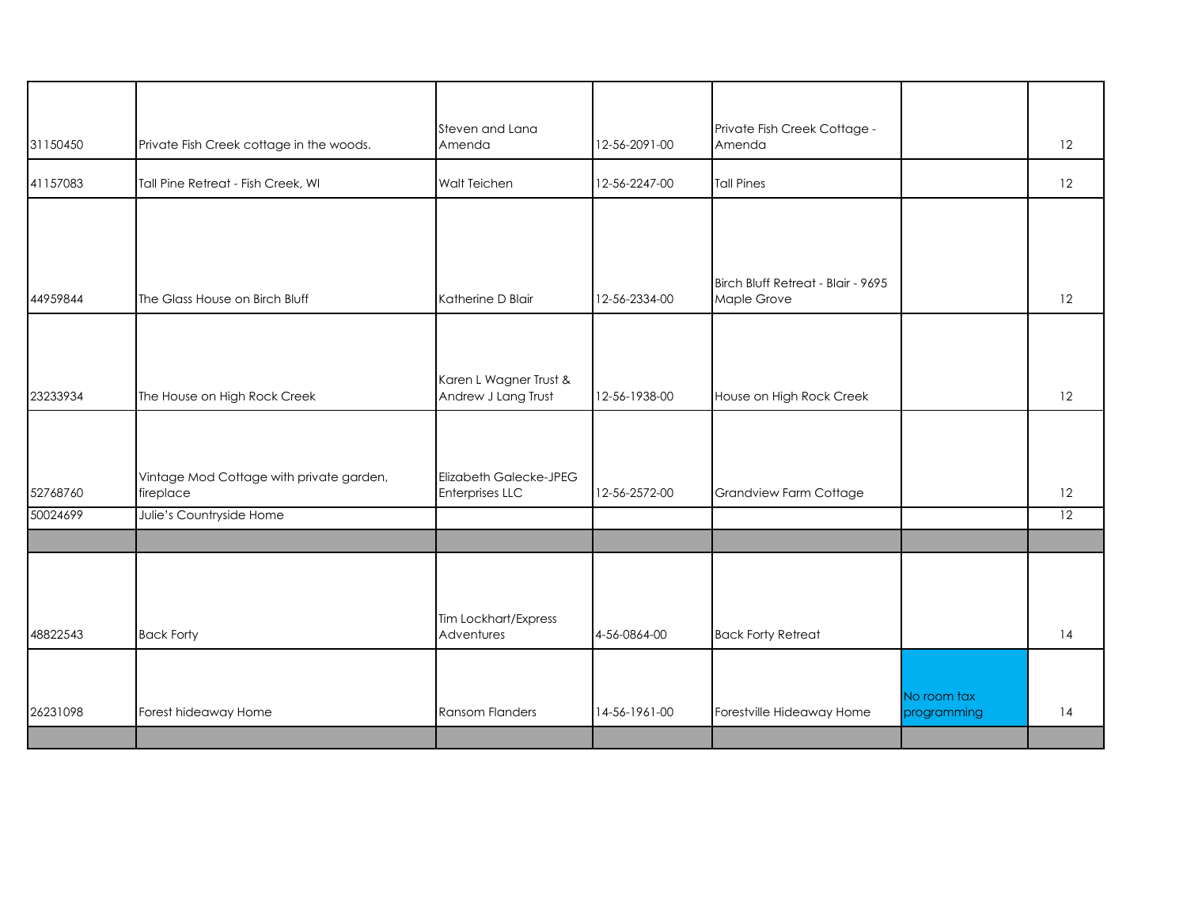|          |                                                       | Steven and Lana                                         |               | Private Fish Creek Cottage -                      |                            |    |
|----------|-------------------------------------------------------|---------------------------------------------------------|---------------|---------------------------------------------------|----------------------------|----|
| 31150450 | Private Fish Creek cottage in the woods.              | Amenda                                                  | 12-56-2091-00 | Amenda                                            |                            | 12 |
| 41157083 | Tall Pine Retreat - Fish Creek, WI                    | Walt Teichen                                            | 12-56-2247-00 | <b>Tall Pines</b>                                 |                            | 12 |
|          |                                                       |                                                         |               |                                                   |                            |    |
|          |                                                       |                                                         |               |                                                   |                            |    |
| 44959844 | The Glass House on Birch Bluff                        | Katherine D Blair                                       | 12-56-2334-00 | Birch Bluff Retreat - Blair - 9695<br>Maple Grove |                            | 12 |
|          |                                                       |                                                         |               |                                                   |                            |    |
|          |                                                       | Karen L Wagner Trust &                                  |               |                                                   |                            |    |
| 23233934 | The House on High Rock Creek                          | Andrew J Lang Trust                                     | 12-56-1938-00 | House on High Rock Creek                          |                            | 12 |
|          |                                                       |                                                         |               |                                                   |                            |    |
| 52768760 | Vintage Mod Cottage with private garden,<br>fireplace | <b>Elizabeth Galecke-JPEG</b><br><b>Enterprises LLC</b> | 12-56-2572-00 | Grandview Farm Cottage                            |                            | 12 |
| 50024699 | Julie's Countryside Home                              |                                                         |               |                                                   |                            | 12 |
|          |                                                       |                                                         |               |                                                   |                            |    |
|          |                                                       |                                                         |               |                                                   |                            |    |
| 48822543 | <b>Back Forty</b>                                     | Tim Lockhart/Express<br>Adventures                      | 4-56-0864-00  | <b>Back Forty Retreat</b>                         |                            | 14 |
|          |                                                       |                                                         |               |                                                   |                            |    |
| 26231098 | Forest hideaway Home                                  | Ransom Flanders                                         | 14-56-1961-00 | Forestville Hideaway Home                         | No room tax<br>programming | 14 |
|          |                                                       |                                                         |               |                                                   |                            |    |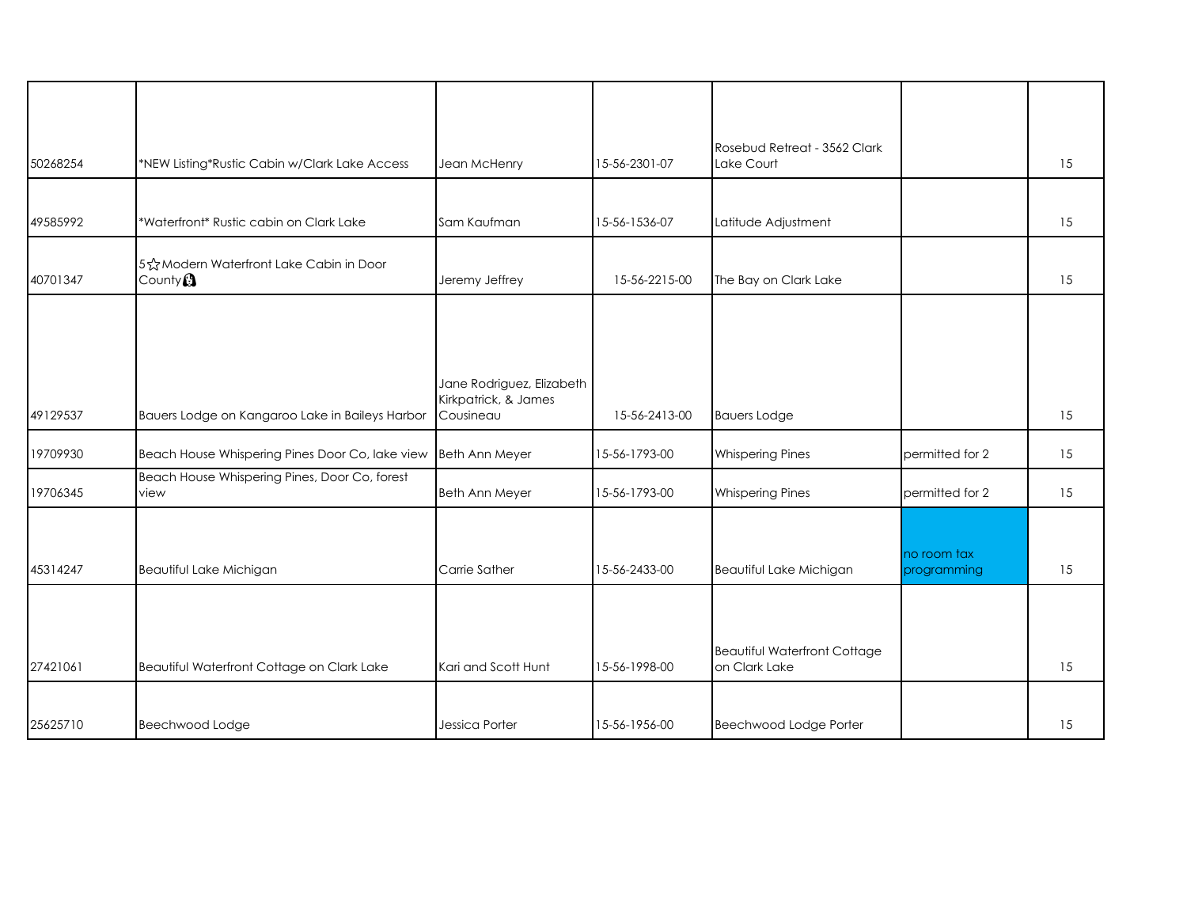| 50268254 | *NEW Listing*Rustic Cabin w/Clark Lake Access                   | Jean McHenry                      | 15-56-2301-07 | Rosebud Retreat - 3562 Clark<br>Lake Court |                            | 15 |
|----------|-----------------------------------------------------------------|-----------------------------------|---------------|--------------------------------------------|----------------------------|----|
|          |                                                                 |                                   |               |                                            |                            |    |
| 49585992 | *Waterfront* Rustic cabin on Clark Lake                         | Sam Kaufman                       | 15-56-1536-07 | Latitude Adjustment                        |                            | 15 |
| 40701347 | 5 & Modern Waterfront Lake Cabin in Door<br>County <sup>2</sup> | Jeremy Jeffrey                    | 15-56-2215-00 | The Bay on Clark Lake                      |                            | 15 |
|          |                                                                 |                                   |               |                                            |                            |    |
|          |                                                                 |                                   |               |                                            |                            |    |
|          |                                                                 | Jane Rodriguez, Elizabeth         |               |                                            |                            |    |
| 49129537 | Bauers Lodge on Kangaroo Lake in Baileys Harbor                 | Kirkpatrick, & James<br>Cousineau | 15-56-2413-00 | <b>Bauers Lodge</b>                        |                            | 15 |
| 19709930 | Beach House Whispering Pines Door Co, lake view                 | Beth Ann Meyer                    | 15-56-1793-00 | <b>Whispering Pines</b>                    | permitted for 2            | 15 |
| 19706345 | Beach House Whispering Pines, Door Co, forest<br>view           | <b>Beth Ann Meyer</b>             | 15-56-1793-00 | <b>Whispering Pines</b>                    | permitted for 2            | 15 |
|          |                                                                 |                                   |               |                                            |                            |    |
| 45314247 | Beautiful Lake Michigan                                         | Carrie Sather                     | 15-56-2433-00 | Beautiful Lake Michigan                    | no room tax<br>programming | 15 |
|          |                                                                 |                                   |               |                                            |                            |    |
|          |                                                                 |                                   |               | <b>Beautiful Waterfront Cottage</b>        |                            |    |
| 27421061 | Beautiful Waterfront Cottage on Clark Lake                      | Kari and Scott Hunt               | 15-56-1998-00 | on Clark Lake                              |                            | 15 |
|          |                                                                 |                                   |               |                                            |                            |    |
| 25625710 | Beechwood Lodge                                                 | Jessica Porter                    | 15-56-1956-00 | Beechwood Lodge Porter                     |                            | 15 |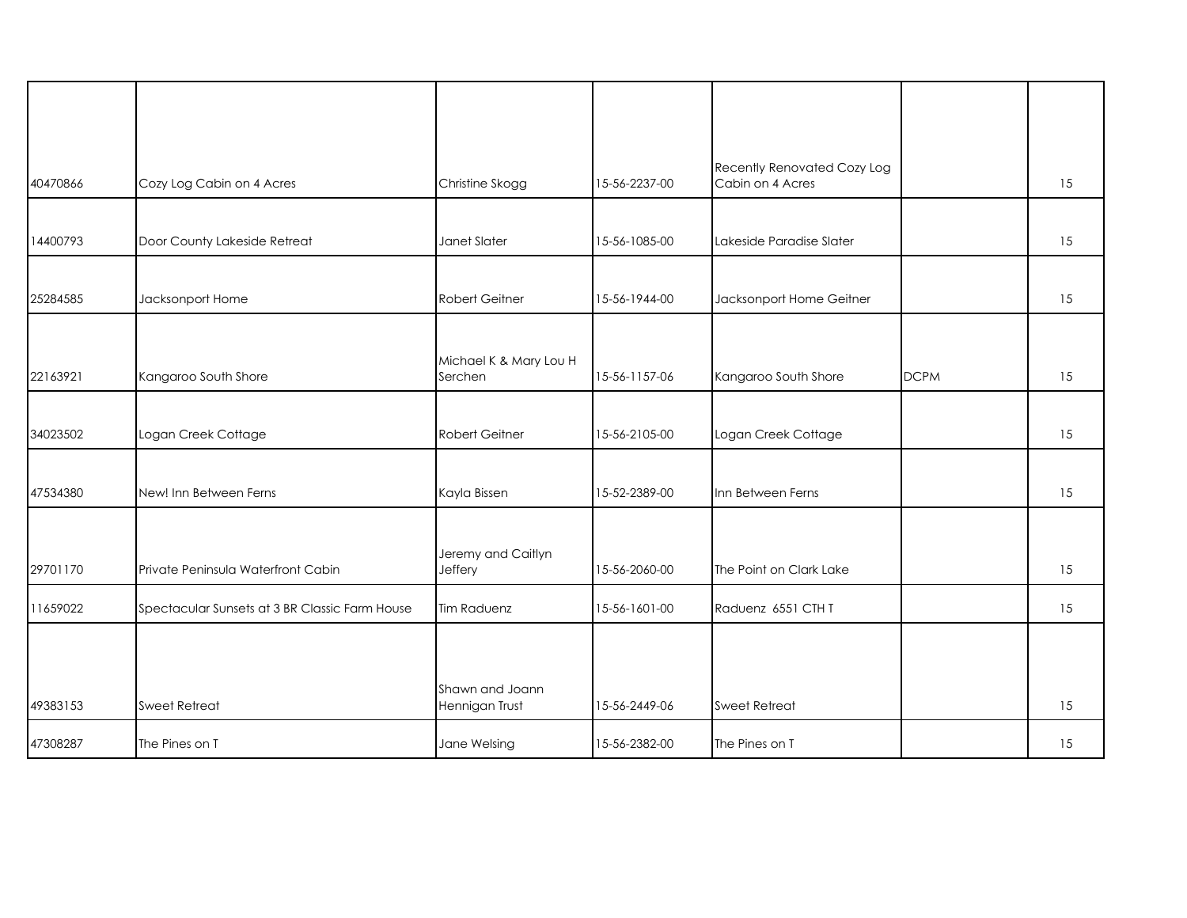| 40470866 | Cozy Log Cabin on 4 Acres                      | Christine Skogg                   | 15-56-2237-00 | Recently Renovated Cozy Log<br>Cabin on 4 Acres |             | 15 |
|----------|------------------------------------------------|-----------------------------------|---------------|-------------------------------------------------|-------------|----|
| 14400793 | Door County Lakeside Retreat                   | Janet Slater                      | 15-56-1085-00 | Lakeside Paradise Slater                        |             | 15 |
| 25284585 | Jacksonport Home                               | <b>Robert Geitner</b>             | 15-56-1944-00 | Jacksonport Home Geitner                        |             | 15 |
| 22163921 | Kangaroo South Shore                           | Michael K & Mary Lou H<br>Serchen | 15-56-1157-06 | Kangaroo South Shore                            | <b>DCPM</b> | 15 |
| 34023502 | Logan Creek Cottage                            | <b>Robert Geitner</b>             | 15-56-2105-00 | Logan Creek Cottage                             |             | 15 |
| 47534380 | New! Inn Between Ferns                         | Kayla Bissen                      | 15-52-2389-00 | Inn Between Ferns                               |             | 15 |
| 29701170 | Private Peninsula Waterfront Cabin             | Jeremy and Caitlyn<br>Jeffery     | 15-56-2060-00 | The Point on Clark Lake                         |             | 15 |
| 11659022 | Spectacular Sunsets at 3 BR Classic Farm House | <b>Tim Raduenz</b>                | 15-56-1601-00 | Raduenz 6551 CTH T                              |             | 15 |
|          |                                                |                                   |               |                                                 |             |    |
| 49383153 | Sweet Retreat                                  | Shawn and Joann<br>Hennigan Trust | 15-56-2449-06 | Sweet Retreat                                   |             | 15 |
| 47308287 | The Pines on T                                 | Jane Welsing                      | 15-56-2382-00 | The Pines on T                                  |             | 15 |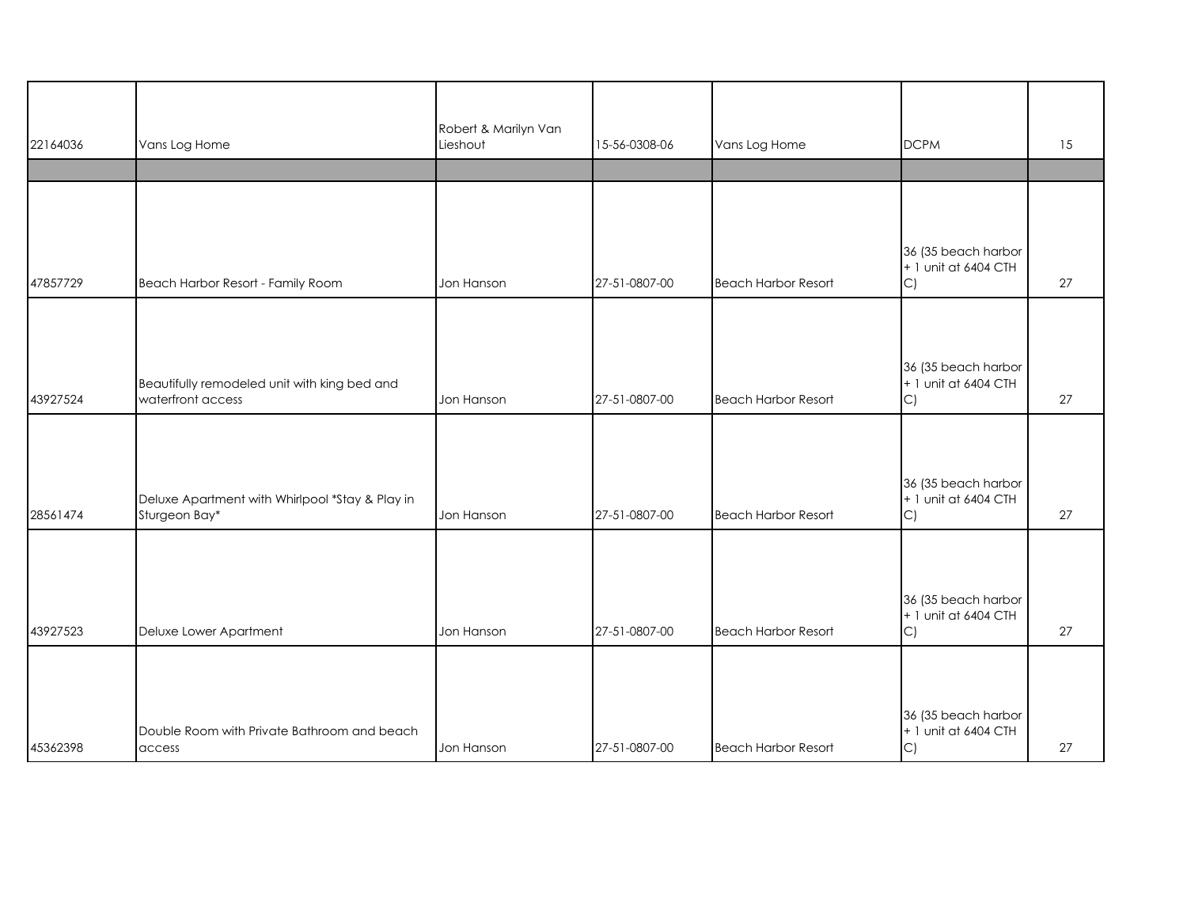| 22164036 | Vans Log Home                                                     | Robert & Marilyn Van<br>Lieshout | 15-56-0308-06 | Vans Log Home              | <b>DCPM</b>                                       | 15 |
|----------|-------------------------------------------------------------------|----------------------------------|---------------|----------------------------|---------------------------------------------------|----|
|          |                                                                   |                                  |               |                            |                                                   |    |
|          |                                                                   |                                  |               |                            |                                                   |    |
| 47857729 | Beach Harbor Resort - Family Room                                 | Jon Hanson                       | 27-51-0807-00 | <b>Beach Harbor Resort</b> | 36 (35 beach harbor<br>+ 1 unit at 6404 CTH<br>C) | 27 |
|          |                                                                   |                                  |               |                            |                                                   |    |
| 43927524 | Beautifully remodeled unit with king bed and<br>waterfront access | Jon Hanson                       | 27-51-0807-00 | <b>Beach Harbor Resort</b> | 36 (35 beach harbor<br>+ 1 unit at 6404 CTH<br>C) | 27 |
|          |                                                                   |                                  |               |                            |                                                   |    |
| 28561474 | Deluxe Apartment with Whirlpool *Stay & Play in<br>Sturgeon Bay*  | Jon Hanson                       | 27-51-0807-00 | <b>Beach Harbor Resort</b> | 36 (35 beach harbor<br>+ 1 unit at 6404 CTH<br>C) | 27 |
|          |                                                                   |                                  |               |                            |                                                   |    |
| 43927523 | Deluxe Lower Apartment                                            | Jon Hanson                       | 27-51-0807-00 | <b>Beach Harbor Resort</b> | 36 (35 beach harbor<br>+ 1 unit at 6404 CTH<br>C) | 27 |
|          |                                                                   |                                  |               |                            |                                                   |    |
| 45362398 | Double Room with Private Bathroom and beach<br>access             | Jon Hanson                       | 27-51-0807-00 | <b>Beach Harbor Resort</b> | 36 (35 beach harbor<br>+ 1 unit at 6404 CTH<br>C) | 27 |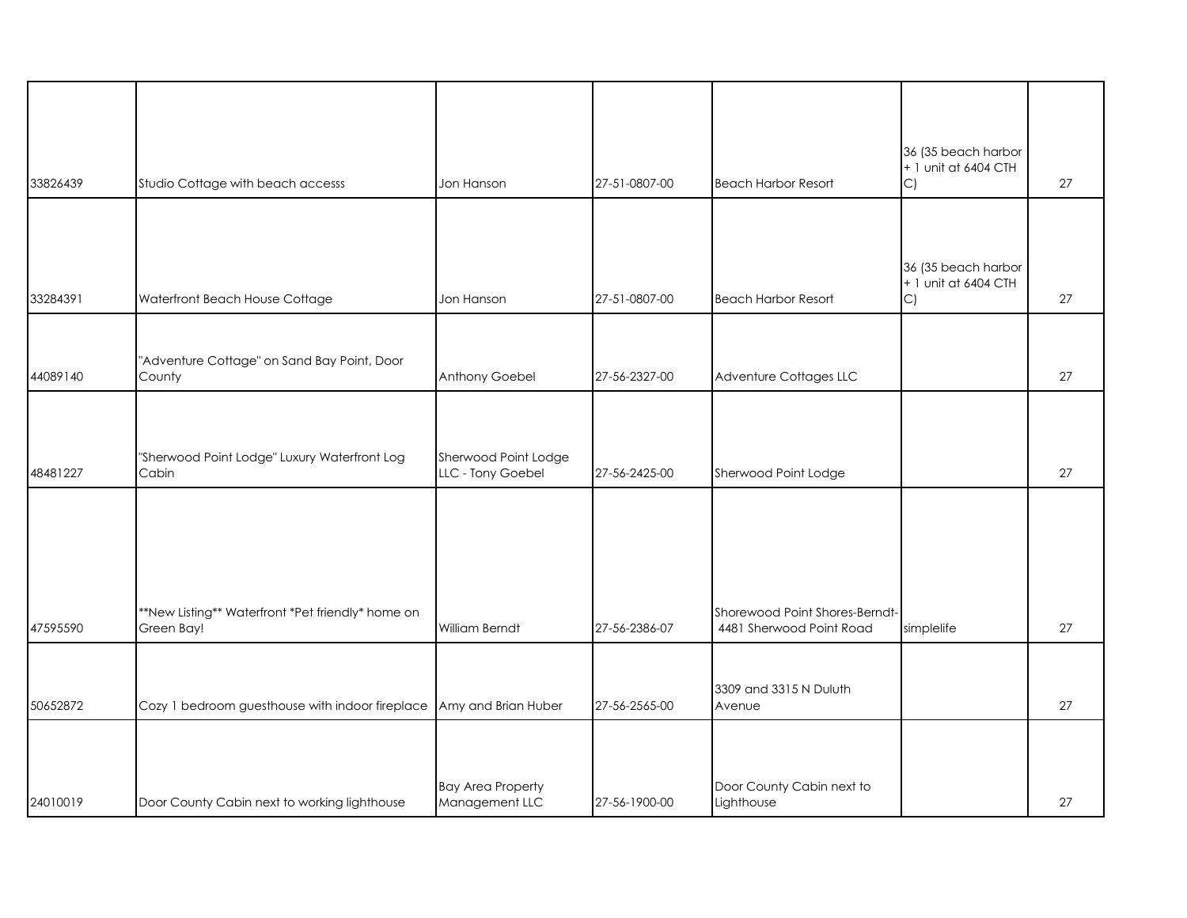| 33826439 | Studio Cottage with beach accesss                                   | Jon Hanson                                 | 27-51-0807-00 | <b>Beach Harbor Resort</b>                                 | 36 (35 beach harbor<br>+ 1 unit at 6404 CTH<br>C)           | 27 |
|----------|---------------------------------------------------------------------|--------------------------------------------|---------------|------------------------------------------------------------|-------------------------------------------------------------|----|
|          |                                                                     |                                            |               |                                                            |                                                             |    |
| 33284391 | Waterfront Beach House Cottage                                      | Jon Hanson                                 | 27-51-0807-00 | <b>Beach Harbor Resort</b>                                 | 36 (35 beach harbor<br>+ 1 unit at 6404 CTH<br>$\mathsf{C}$ | 27 |
|          |                                                                     |                                            |               |                                                            |                                                             |    |
| 44089140 | "Adventure Cottage" on Sand Bay Point, Door<br>County               | Anthony Goebel                             | 27-56-2327-00 | Adventure Cottages LLC                                     |                                                             | 27 |
|          |                                                                     |                                            |               |                                                            |                                                             |    |
| 48481227 | "Sherwood Point Lodge" Luxury Waterfront Log<br>Cabin               | Sherwood Point Lodge<br>LLC - Tony Goebel  | 27-56-2425-00 | Sherwood Point Lodge                                       |                                                             | 27 |
|          |                                                                     |                                            |               |                                                            |                                                             |    |
|          |                                                                     |                                            |               |                                                            |                                                             |    |
| 47595590 | **New Listing** Waterfront *Pet friendly* home on<br>Green Bay!     | <b>William Berndt</b>                      | 27-56-2386-07 | Shorewood Point Shores-Berndt-<br>4481 Sherwood Point Road | simplelife                                                  | 27 |
|          |                                                                     |                                            |               |                                                            |                                                             |    |
| 50652872 | Cozy 1 bedroom guesthouse with indoor fireplace Amy and Brian Huber |                                            | 27-56-2565-00 | 3309 and 3315 N Duluth<br>Avenue                           |                                                             | 27 |
|          |                                                                     |                                            |               |                                                            |                                                             |    |
|          |                                                                     |                                            |               |                                                            |                                                             |    |
| 24010019 | Door County Cabin next to working lighthouse                        | <b>Bay Area Property</b><br>Management LLC | 27-56-1900-00 | Door County Cabin next to<br>Lighthouse                    |                                                             | 27 |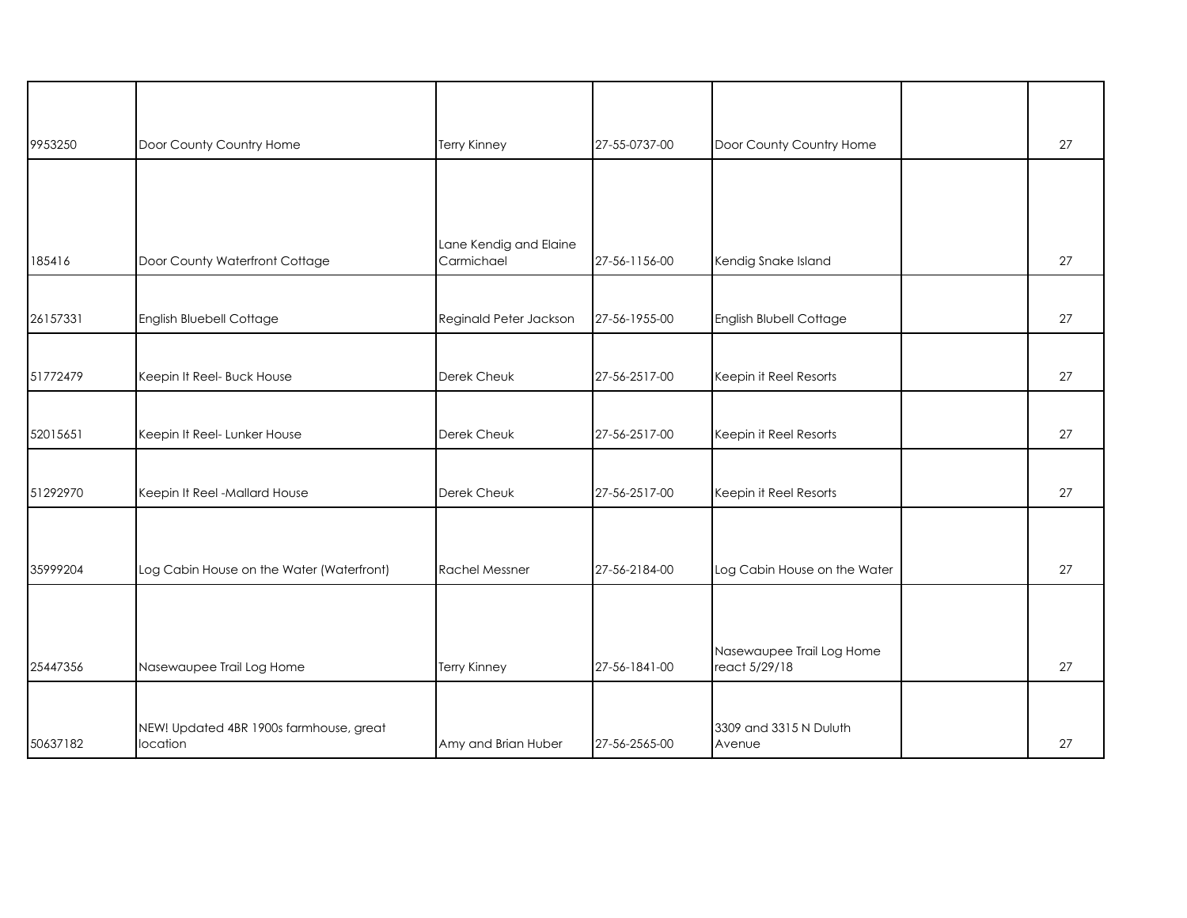| 9953250  | Door County Country Home                  | <b>Terry Kinney</b>    | 27-55-0737-00 | Door County Country Home                   | 27 |
|----------|-------------------------------------------|------------------------|---------------|--------------------------------------------|----|
|          |                                           |                        |               |                                            |    |
|          |                                           |                        |               |                                            |    |
|          |                                           | Lane Kendig and Elaine |               |                                            |    |
| 185416   | Door County Waterfront Cottage            | Carmichael             | 27-56-1156-00 | Kendig Snake Island                        | 27 |
|          |                                           |                        |               |                                            |    |
| 26157331 | English Bluebell Cottage                  | Reginald Peter Jackson | 27-56-1955-00 | English Blubell Cottage                    | 27 |
|          |                                           |                        |               |                                            |    |
| 51772479 | Keepin It Reel- Buck House                | Derek Cheuk            | 27-56-2517-00 | Keepin it Reel Resorts                     | 27 |
|          |                                           |                        |               |                                            |    |
| 52015651 | Keepin It Reel- Lunker House              | Derek Cheuk            | 27-56-2517-00 | Keepin it Reel Resorts                     | 27 |
|          |                                           |                        |               |                                            |    |
| 51292970 | Keepin It Reel -Mallard House             | Derek Cheuk            | 27-56-2517-00 | Keepin it Reel Resorts                     | 27 |
|          |                                           |                        |               |                                            |    |
|          |                                           |                        |               |                                            |    |
| 35999204 | Log Cabin House on the Water (Waterfront) | <b>Rachel Messner</b>  | 27-56-2184-00 | Log Cabin House on the Water               | 27 |
|          |                                           |                        |               |                                            |    |
|          |                                           |                        |               |                                            |    |
| 25447356 | Nasewaupee Trail Log Home                 | <b>Terry Kinney</b>    | 27-56-1841-00 | Nasewaupee Trail Log Home<br>react 5/29/18 | 27 |
|          |                                           |                        |               |                                            |    |
|          | NEW! Updated 4BR 1900s farmhouse, great   |                        |               | 3309 and 3315 N Duluth                     |    |
| 50637182 | location                                  | Amy and Brian Huber    | 27-56-2565-00 | Avenue                                     | 27 |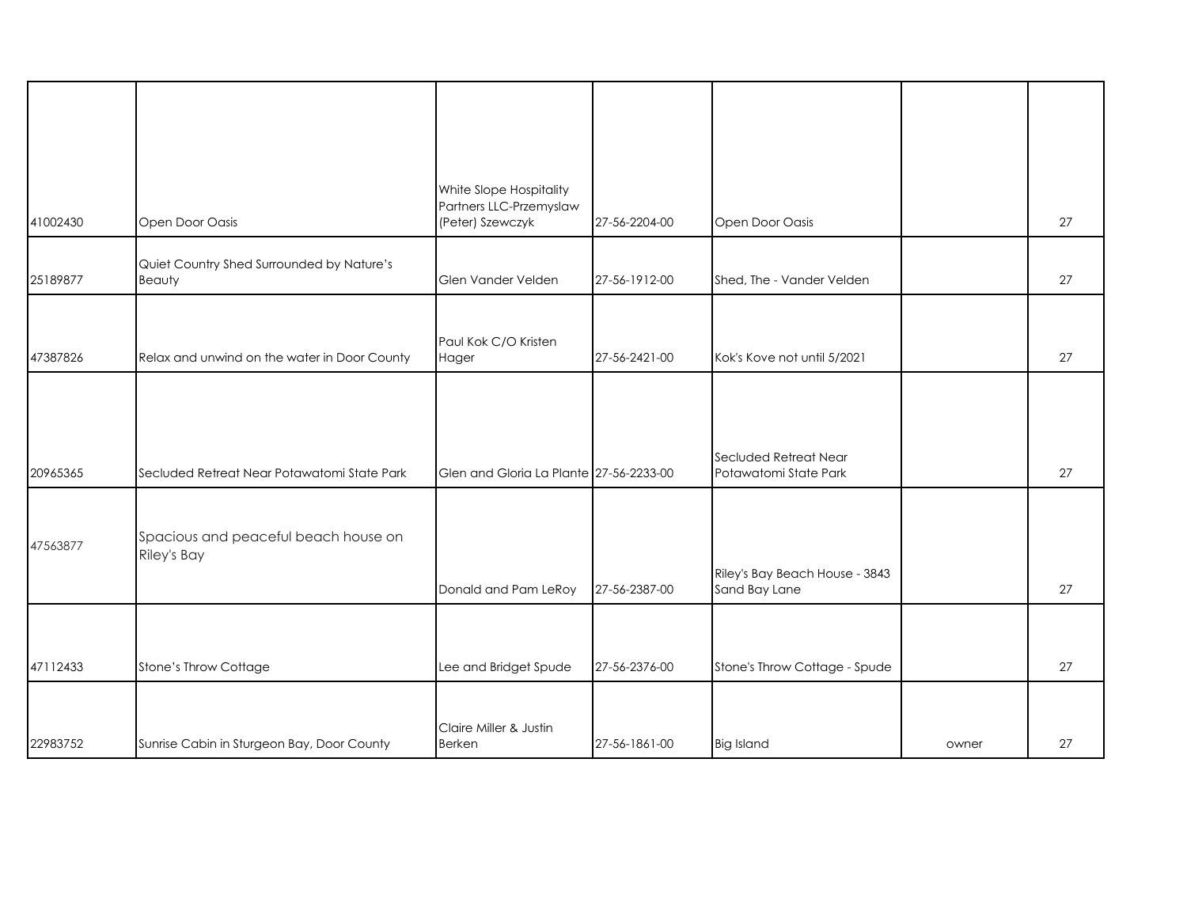| 41002430 | Open Door Oasis                                     | White Slope Hospitality<br>Partners LLC-Przemyslaw<br>(Peter) Szewczyk | 27-56-2204-00 | Open Door Oasis                                 |       | 27 |
|----------|-----------------------------------------------------|------------------------------------------------------------------------|---------------|-------------------------------------------------|-------|----|
| 25189877 | Quiet Country Shed Surrounded by Nature's<br>Beauty | Glen Vander Velden                                                     | 27-56-1912-00 | Shed, The - Vander Velden                       |       | 27 |
| 47387826 | Relax and unwind on the water in Door County        | Paul Kok C/O Kristen<br>Hager                                          | 27-56-2421-00 | Kok's Kove not until 5/2021                     |       | 27 |
|          |                                                     |                                                                        |               |                                                 |       |    |
| 20965365 | Secluded Retreat Near Potawatomi State Park         | Glen and Gloria La Plante 27-56-2233-00                                |               | Secluded Retreat Near<br>Potawatomi State Park  |       | 27 |
| 47563877 | Spacious and peaceful beach house on<br>Riley's Bay | Donald and Pam LeRoy                                                   | 27-56-2387-00 | Riley's Bay Beach House - 3843<br>Sand Bay Lane |       | 27 |
|          |                                                     |                                                                        |               |                                                 |       |    |
| 47112433 | Stone's Throw Cottage                               | Lee and Bridget Spude                                                  | 27-56-2376-00 | Stone's Throw Cottage - Spude                   |       | 27 |
| 22983752 | Sunrise Cabin in Sturgeon Bay, Door County          | Claire Miller & Justin<br><b>Berken</b>                                | 27-56-1861-00 | <b>Big Island</b>                               | owner | 27 |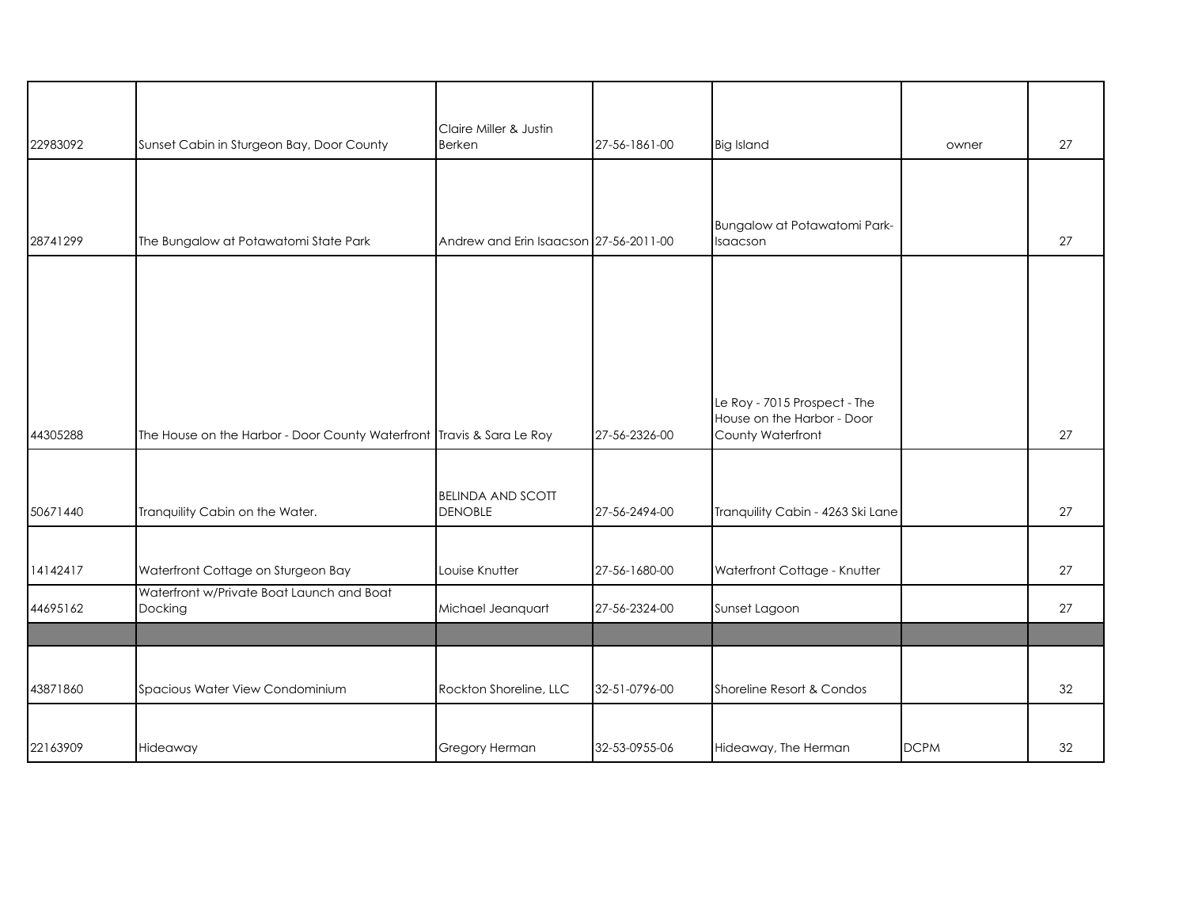| 22983092 | Sunset Cabin in Sturgeon Bay, Door County                             | Claire Miller & Justin<br>Berken           | 27-56-1861-00 | <b>Big Island</b>                               | owner       | 27 |
|----------|-----------------------------------------------------------------------|--------------------------------------------|---------------|-------------------------------------------------|-------------|----|
|          |                                                                       |                                            |               |                                                 |             |    |
|          |                                                                       |                                            |               |                                                 |             |    |
| 28741299 | The Bungalow at Potawatomi State Park                                 | Andrew and Erin Isaacson 27-56-2011-00     |               | Bungalow at Potawatomi Park-<br>Isaacson        |             | 27 |
|          |                                                                       |                                            |               |                                                 |             |    |
|          |                                                                       |                                            |               |                                                 |             |    |
|          |                                                                       |                                            |               |                                                 |             |    |
|          |                                                                       |                                            |               |                                                 |             |    |
|          |                                                                       |                                            |               | Le Roy - 7015 Prospect - The                    |             |    |
| 44305288 | The House on the Harbor - Door County Waterfront Travis & Sara Le Roy |                                            | 27-56-2326-00 | House on the Harbor - Door<br>County Waterfront |             | 27 |
|          |                                                                       |                                            |               |                                                 |             |    |
| 50671440 | Tranquility Cabin on the Water.                                       | <b>BELINDA AND SCOTT</b><br><b>DENOBLE</b> | 27-56-2494-00 | Tranquility Cabin - 4263 Ski Lane               |             | 27 |
|          |                                                                       |                                            |               |                                                 |             |    |
| 14142417 | Waterfront Cottage on Sturgeon Bay                                    | Louise Knutter                             | 27-56-1680-00 | Waterfront Cottage - Knutter                    |             | 27 |
|          | Waterfront w/Private Boat Launch and Boat                             |                                            |               |                                                 |             |    |
| 44695162 | Docking                                                               | Michael Jeanquart                          | 27-56-2324-00 | Sunset Lagoon                                   |             | 27 |
|          |                                                                       |                                            |               |                                                 |             |    |
| 43871860 | Spacious Water View Condominium                                       | Rockton Shoreline, LLC                     | 32-51-0796-00 | Shoreline Resort & Condos                       |             | 32 |
|          |                                                                       |                                            |               |                                                 |             |    |
| 22163909 | Hideaway                                                              | Gregory Herman                             | 32-53-0955-06 | Hideaway, The Herman                            | <b>DCPM</b> | 32 |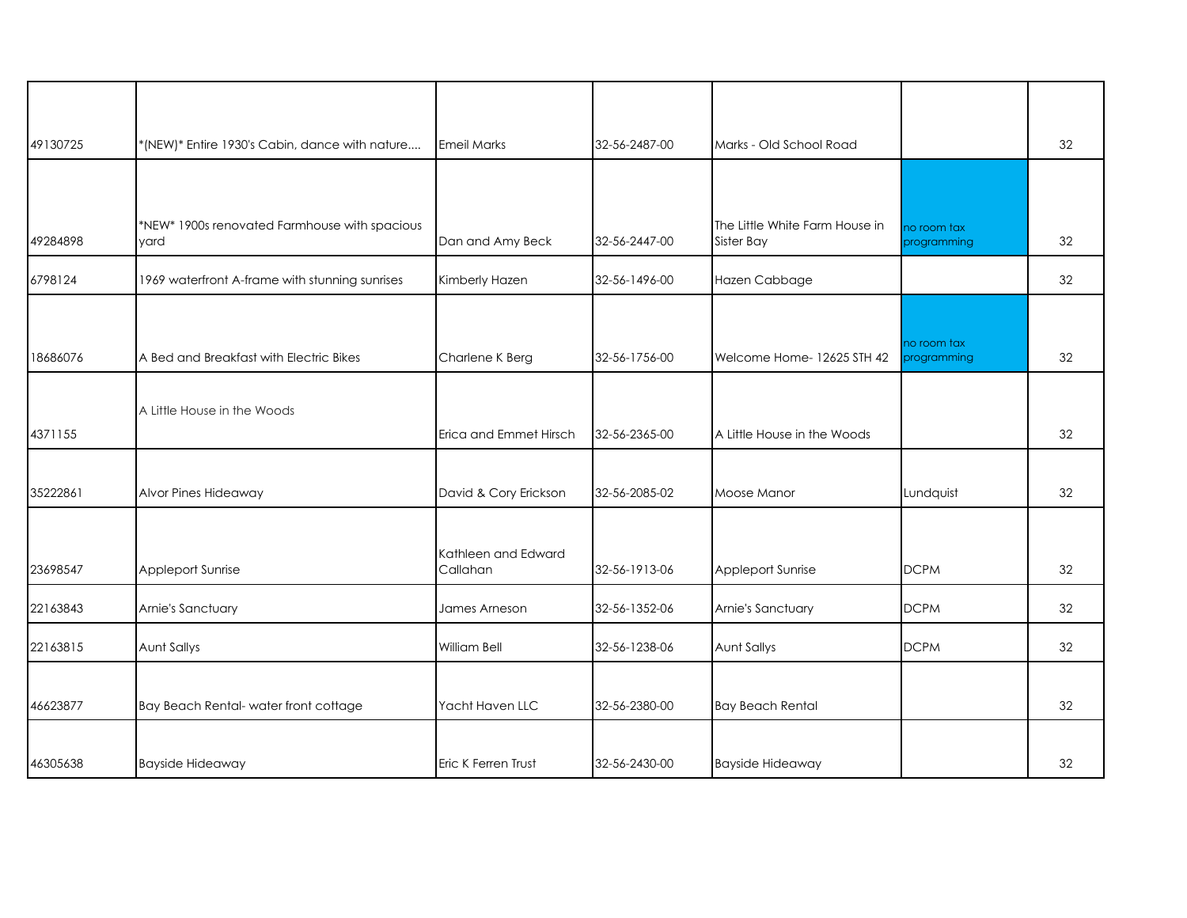| 49130725 | *(NEW)* Entire 1930's Cabin, dance with nature        | <b>Emeil Marks</b>              | 32-56-2487-00 | Marks - Old School Road                      |                            | 32 |
|----------|-------------------------------------------------------|---------------------------------|---------------|----------------------------------------------|----------------------------|----|
|          |                                                       |                                 |               |                                              |                            |    |
| 49284898 | *NEW* 1900s renovated Farmhouse with spacious<br>yard | Dan and Amy Beck                | 32-56-2447-00 | The Little White Farm House in<br>Sister Bay | no room tax<br>programming | 32 |
| 6798124  | 1969 waterfront A-frame with stunning sunrises        | Kimberly Hazen                  | 32-56-1496-00 | Hazen Cabbage                                |                            | 32 |
|          |                                                       |                                 |               |                                              |                            |    |
| 18686076 | A Bed and Breakfast with Electric Bikes               | Charlene K Berg                 | 32-56-1756-00 | Welcome Home- 12625 STH 42                   | no room tax<br>programming | 32 |
|          | A Little House in the Woods                           |                                 |               |                                              |                            |    |
| 4371155  |                                                       | Erica and Emmet Hirsch          | 32-56-2365-00 | A Little House in the Woods                  |                            | 32 |
| 35222861 | Alvor Pines Hideaway                                  | David & Cory Erickson           | 32-56-2085-02 | Moose Manor                                  | Lundquist                  | 32 |
| 23698547 | Appleport Sunrise                                     | Kathleen and Edward<br>Callahan | 32-56-1913-06 | Appleport Sunrise                            | <b>DCPM</b>                | 32 |
| 22163843 | Arnie's Sanctuary                                     | James Arneson                   | 32-56-1352-06 | Arnie's Sanctuary                            | <b>DCPM</b>                | 32 |
| 22163815 | Aunt Sallys                                           | <b>William Bell</b>             | 32-56-1238-06 | Aunt Sallys                                  | <b>DCPM</b>                | 32 |
| 46623877 | Bay Beach Rental-water front cottage                  | Yacht Haven LLC                 | 32-56-2380-00 | <b>Bay Beach Rental</b>                      |                            | 32 |
| 46305638 | <b>Bayside Hideaway</b>                               | Eric K Ferren Trust             | 32-56-2430-00 | <b>Bayside Hideaway</b>                      |                            | 32 |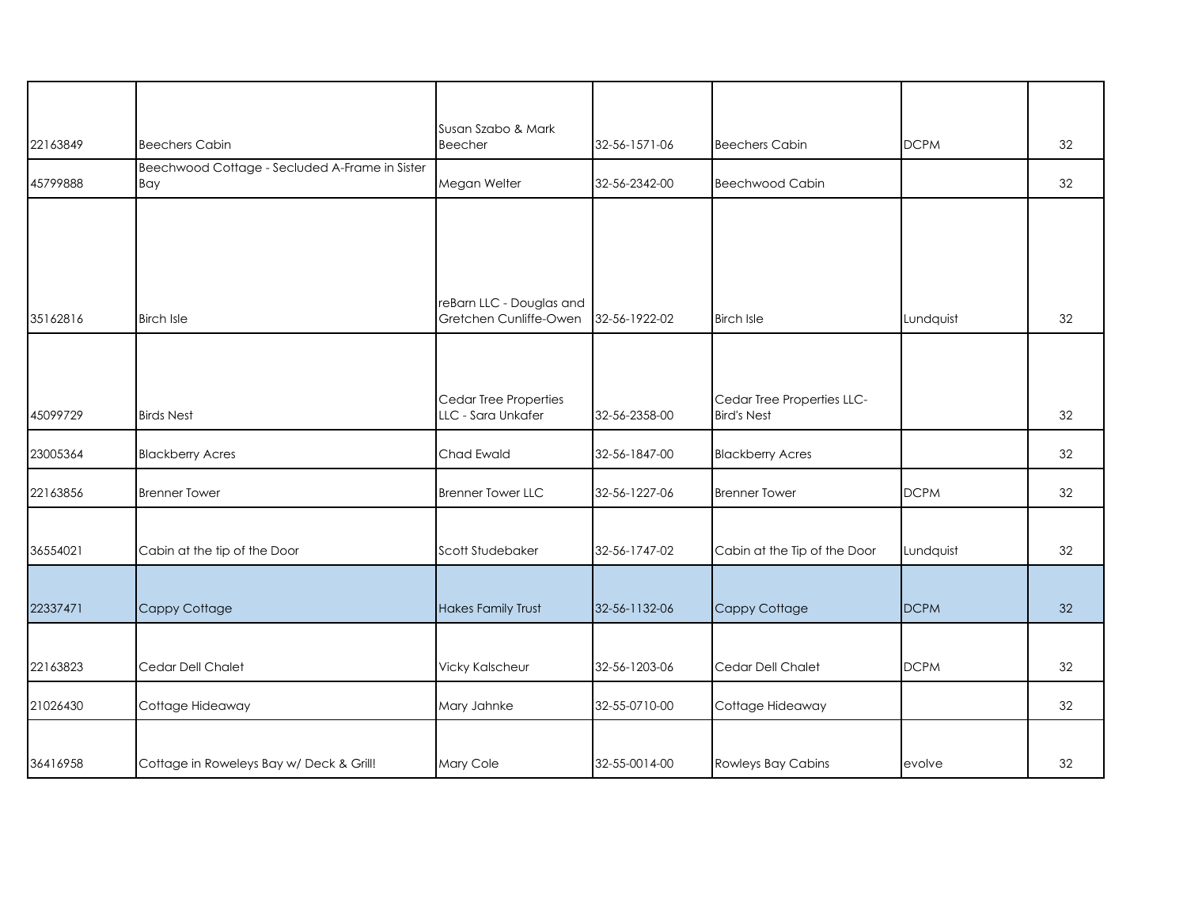| 22163849 | <b>Beechers Cabin</b>                                 | Susan Szabo & Mark<br>Beecher                      | 32-56-1571-06 | <b>Beechers Cabin</b>        | <b>DCPM</b> | 32 |
|----------|-------------------------------------------------------|----------------------------------------------------|---------------|------------------------------|-------------|----|
| 45799888 | Beechwood Cottage - Secluded A-Frame in Sister<br>Bay | Megan Welter                                       | 32-56-2342-00 | <b>Beechwood Cabin</b>       |             | 32 |
|          |                                                       |                                                    |               |                              |             |    |
|          |                                                       |                                                    |               |                              |             |    |
|          |                                                       |                                                    |               |                              |             |    |
| 35162816 | Birch Isle                                            | reBarn LLC - Douglas and<br>Gretchen Cunliffe-Owen | 32-56-1922-02 | <b>Birch Isle</b>            | Lundquist   | 32 |
|          |                                                       |                                                    |               |                              |             |    |
|          |                                                       | Cedar Tree Properties                              |               | Cedar Tree Properties LLC-   |             |    |
| 45099729 | <b>Birds Nest</b>                                     | LLC - Sara Unkafer                                 | 32-56-2358-00 | <b>Bird's Nest</b>           |             | 32 |
| 23005364 | <b>Blackberry Acres</b>                               | Chad Ewald                                         | 32-56-1847-00 | <b>Blackberry Acres</b>      |             | 32 |
| 22163856 | <b>Brenner Tower</b>                                  | <b>Brenner Tower LLC</b>                           | 32-56-1227-06 | <b>Brenner Tower</b>         | <b>DCPM</b> | 32 |
|          |                                                       |                                                    |               |                              |             |    |
| 36554021 | Cabin at the tip of the Door                          | Scott Studebaker                                   | 32-56-1747-02 | Cabin at the Tip of the Door | Lundquist   | 32 |
|          |                                                       |                                                    |               |                              |             |    |
| 22337471 | Cappy Cottage                                         | <b>Hakes Family Trust</b>                          | 32-56-1132-06 | Cappy Cottage                | <b>DCPM</b> | 32 |
|          |                                                       |                                                    |               |                              |             |    |
| 22163823 | Cedar Dell Chalet                                     | <b>Vicky Kalscheur</b>                             | 32-56-1203-06 | Cedar Dell Chalet            | <b>DCPM</b> | 32 |
| 21026430 | Cottage Hideaway                                      | Mary Jahnke                                        | 32-55-0710-00 | Cottage Hideaway             |             | 32 |
|          |                                                       |                                                    |               |                              |             |    |
| 36416958 | Cottage in Roweleys Bay w/ Deck & Grill!              | Mary Cole                                          | 32-55-0014-00 | Rowleys Bay Cabins           | evolve      | 32 |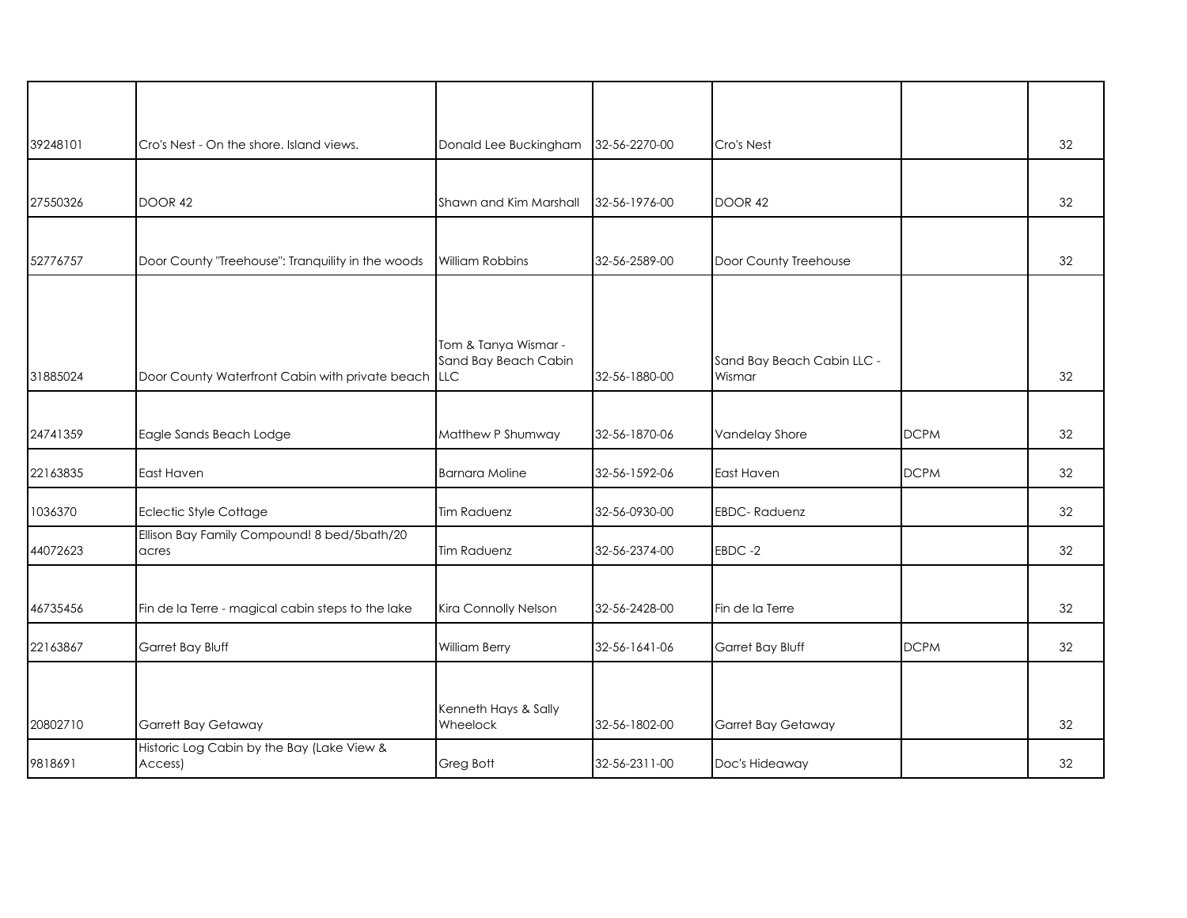| 39248101 | Cro's Nest - On the shore, Island views.              | Donald Lee Buckingham                        | 32-56-2270-00 | Cro's Nest                           |             | 32 |
|----------|-------------------------------------------------------|----------------------------------------------|---------------|--------------------------------------|-------------|----|
|          |                                                       |                                              |               |                                      |             |    |
| 27550326 | DOOR 42                                               | Shawn and Kim Marshall                       | 32-56-1976-00 | DOOR 42                              |             | 32 |
| 52776757 | Door County "Treehouse": Tranquility in the woods     | <b>William Robbins</b>                       | 32-56-2589-00 | Door County Treehouse                |             | 32 |
|          |                                                       |                                              |               |                                      |             |    |
| 31885024 | Door County Waterfront Cabin with private beach LLC   | Tom & Tanya Wismar -<br>Sand Bay Beach Cabin | 32-56-1880-00 | Sand Bay Beach Cabin LLC -<br>Wismar |             | 32 |
|          |                                                       |                                              |               |                                      |             |    |
| 24741359 | Eagle Sands Beach Lodge                               | Matthew P Shumway                            | 32-56-1870-06 | Vandelay Shore                       | <b>DCPM</b> | 32 |
| 22163835 | East Haven                                            | <b>Barnara Moline</b>                        | 32-56-1592-06 | East Haven                           | <b>DCPM</b> | 32 |
| 1036370  | Eclectic Style Cottage                                | <b>Tim Raduenz</b>                           | 32-56-0930-00 | <b>EBDC-Raduenz</b>                  |             | 32 |
| 44072623 | Ellison Bay Family Compound! 8 bed/5bath/20<br>acres  | <b>Tim Raduenz</b>                           | 32-56-2374-00 | EBDC-2                               |             | 32 |
|          |                                                       |                                              |               |                                      |             |    |
| 46735456 | Fin de la Terre - magical cabin steps to the lake     | Kira Connolly Nelson                         | 32-56-2428-00 | Fin de la Terre                      |             | 32 |
| 22163867 | Garret Bay Bluff                                      | William Berry                                | 32-56-1641-06 | Garret Bay Bluff                     | <b>DCPM</b> | 32 |
|          |                                                       |                                              |               |                                      |             |    |
| 20802710 | Garrett Bay Getaway                                   | Kenneth Hays & Sally<br>Wheelock             | 32-56-1802-00 | Garret Bay Getaway                   |             | 32 |
| 9818691  | Historic Log Cabin by the Bay (Lake View &<br>Access) | <b>Greg Bott</b>                             | 32-56-2311-00 | Doc's Hideaway                       |             | 32 |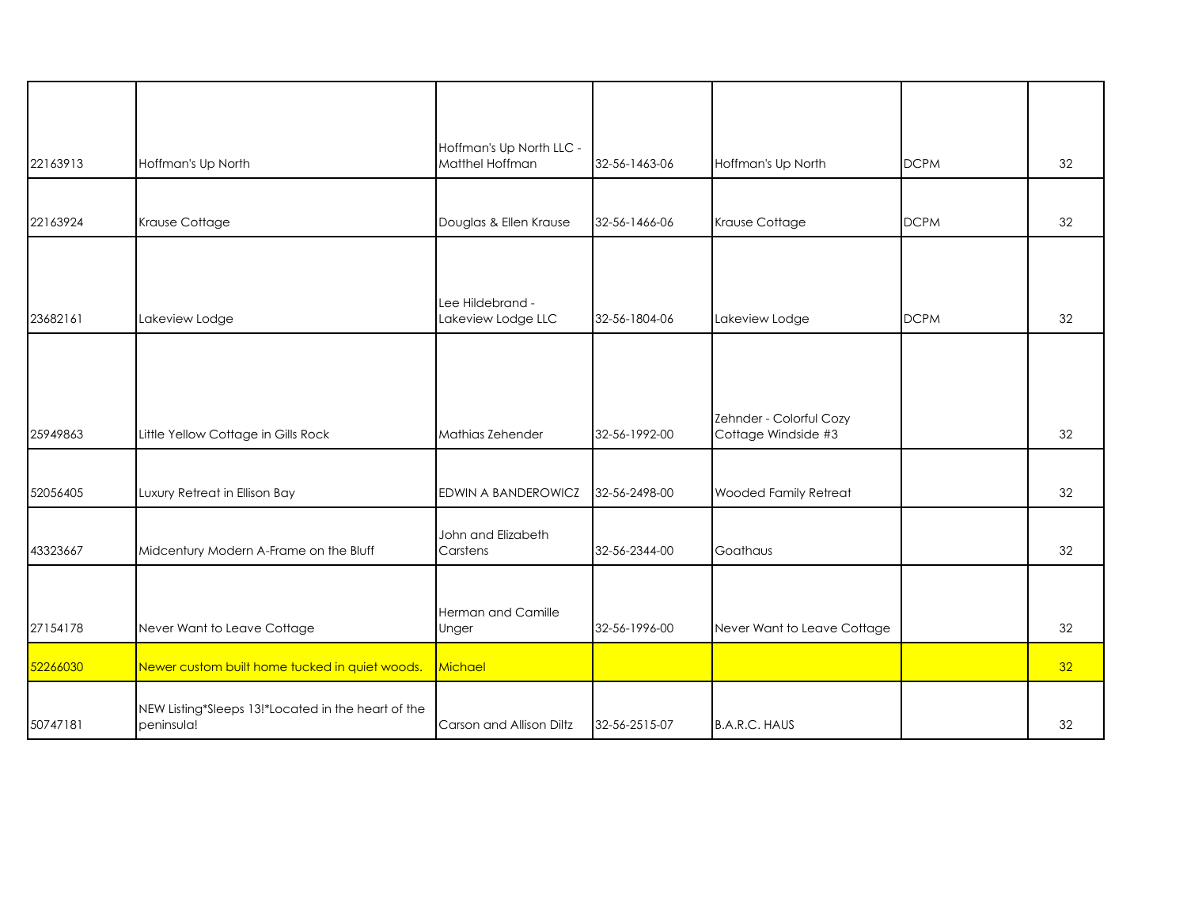| 22163913 | Hoffman's Up North                                               | Hoffman's Up North LLC -<br>Matthel Hoffman | 32-56-1463-06 | Hoffman's Up North                             | <b>DCPM</b> | 32              |
|----------|------------------------------------------------------------------|---------------------------------------------|---------------|------------------------------------------------|-------------|-----------------|
| 22163924 | Krause Cottage                                                   | Douglas & Ellen Krause                      | 32-56-1466-06 | Krause Cottage                                 | <b>DCPM</b> | 32              |
|          |                                                                  |                                             |               |                                                |             |                 |
| 23682161 | Lakeview Lodge                                                   | Lee Hildebrand -<br>Lakeview Lodge LLC      | 32-56-1804-06 | Lakeview Lodge                                 | <b>DCPM</b> | 32              |
|          |                                                                  |                                             |               |                                                |             |                 |
| 25949863 | Little Yellow Cottage in Gills Rock                              | Mathias Zehender                            | 32-56-1992-00 | Zehnder - Colorful Cozy<br>Cottage Windside #3 |             | 32              |
| 52056405 | Luxury Retreat in Ellison Bay                                    | EDWIN A BANDEROWICZ                         | 32-56-2498-00 | Wooded Family Retreat                          |             | 32              |
| 43323667 | Midcentury Modern A-Frame on the Bluff                           | John and Elizabeth<br>Carstens              | 32-56-2344-00 | Goathaus                                       |             | 32              |
|          |                                                                  | Herman and Camille                          |               |                                                |             |                 |
| 27154178 | Never Want to Leave Cottage                                      | Unger                                       | 32-56-1996-00 | Never Want to Leave Cottage                    |             | 32              |
| 52266030 | Newer custom built home tucked in quiet woods.                   | Michael                                     |               |                                                |             | 32 <sup>°</sup> |
| 50747181 | NEW Listing*Sleeps 13!*Located in the heart of the<br>peninsula! | Carson and Allison Diltz                    | 32-56-2515-07 | <b>B.A.R.C. HAUS</b>                           |             | 32              |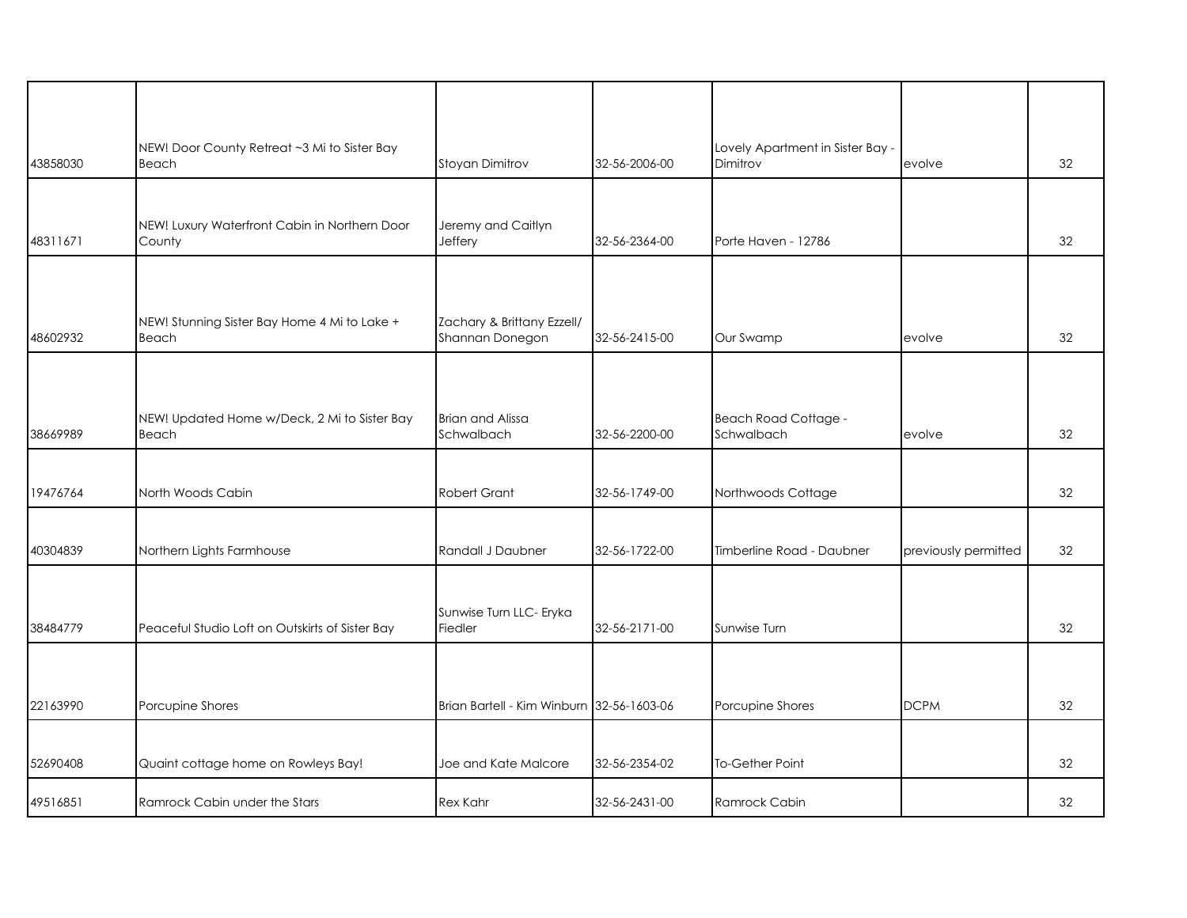| 43858030 | NEW! Door County Retreat ~3 Mi to Sister Bay<br>Beach   | Stoyan Dimitrov                               | 32-56-2006-00 | Lovely Apartment in Sister Bay -<br>Dimitrov | evolve               | 32 |
|----------|---------------------------------------------------------|-----------------------------------------------|---------------|----------------------------------------------|----------------------|----|
|          |                                                         |                                               |               |                                              |                      |    |
| 48311671 | NEW! Luxury Waterfront Cabin in Northern Door<br>County | Jeremy and Caitlyn<br>Jeffery                 | 32-56-2364-00 | Porte Haven - 12786                          |                      | 32 |
| 48602932 | NEW! Stunning Sister Bay Home 4 Mi to Lake +<br>Beach   | Zachary & Brittany Ezzell/<br>Shannan Donegon | 32-56-2415-00 | Our Swamp                                    | evolve               | 32 |
| 38669989 | NEW! Updated Home w/Deck, 2 Mi to Sister Bay<br>Beach   | <b>Brian and Alissa</b><br>Schwalbach         | 32-56-2200-00 | <b>Beach Road Cottage -</b><br>Schwalbach    | evolve               | 32 |
| 19476764 | North Woods Cabin                                       | <b>Robert Grant</b>                           | 32-56-1749-00 | Northwoods Cottage                           |                      | 32 |
| 40304839 | Northern Lights Farmhouse                               | Randall J Daubner                             | 32-56-1722-00 | Timberline Road - Daubner                    | previously permitted | 32 |
| 38484779 | Peaceful Studio Loft on Outskirts of Sister Bay         | Sunwise Turn LLC- Eryka<br>Fiedler            | 32-56-2171-00 | Sunwise Turn                                 |                      | 32 |
| 22163990 | Porcupine Shores                                        | Brian Bartell - Kim Winburn 32-56-1603-06     |               | Porcupine Shores                             | <b>DCPM</b>          | 32 |
| 52690408 | Quaint cottage home on Rowleys Bay!                     | Joe and Kate Malcore                          | 32-56-2354-02 | To-Gether Point                              |                      | 32 |
| 49516851 | Ramrock Cabin under the Stars                           | <b>Rex Kahr</b>                               | 32-56-2431-00 | Ramrock Cabin                                |                      | 32 |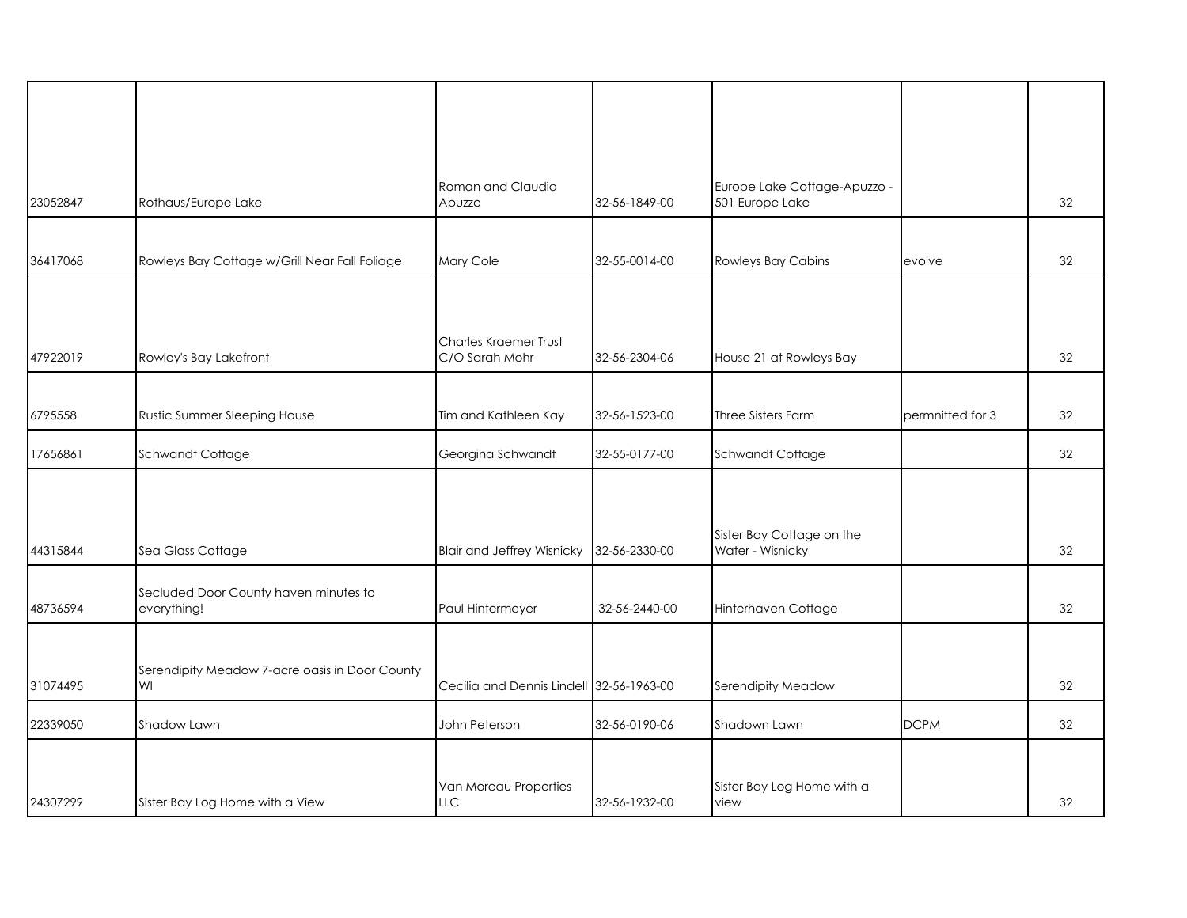| 23052847 | Rothaus/Europe Lake                                  | Roman and Claudia<br>Apuzzo                    | 32-56-1849-00 | Europe Lake Cottage-Apuzzo -<br>501 Europe Lake |                  | 32 |
|----------|------------------------------------------------------|------------------------------------------------|---------------|-------------------------------------------------|------------------|----|
| 36417068 | Rowleys Bay Cottage w/Grill Near Fall Foliage        | Mary Cole                                      | 32-55-0014-00 | <b>Rowleys Bay Cabins</b>                       | evolve           | 32 |
| 47922019 | Rowley's Bay Lakefront                               | <b>Charles Kraemer Trust</b><br>C/O Sarah Mohr | 32-56-2304-06 | House 21 at Rowleys Bay                         |                  | 32 |
| 6795558  | Rustic Summer Sleeping House                         | Tim and Kathleen Kay                           | 32-56-1523-00 | Three Sisters Farm                              | permnitted for 3 | 32 |
| 17656861 | Schwandt Cottage                                     | Georgina Schwandt                              | 32-55-0177-00 | Schwandt Cottage                                |                  | 32 |
| 44315844 | Sea Glass Cottage                                    | <b>Blair and Jeffrey Wisnicky</b>              | 32-56-2330-00 | Sister Bay Cottage on the<br>Water - Wisnicky   |                  | 32 |
| 48736594 | Secluded Door County haven minutes to<br>everything! | Paul Hintermeyer                               | 32-56-2440-00 | Hinterhaven Cottage                             |                  | 32 |
| 31074495 | Serendipity Meadow 7-acre oasis in Door County<br>WI | Cecilia and Dennis Lindell 32-56-1963-00       |               | Serendipity Meadow                              |                  | 32 |
| 22339050 | Shadow Lawn                                          | John Peterson                                  | 32-56-0190-06 | Shadown Lawn                                    | <b>DCPM</b>      | 32 |
| 24307299 | Sister Bay Log Home with a View                      | Van Moreau Properties<br><b>LLC</b>            | 32-56-1932-00 | Sister Bay Log Home with a<br>view              |                  | 32 |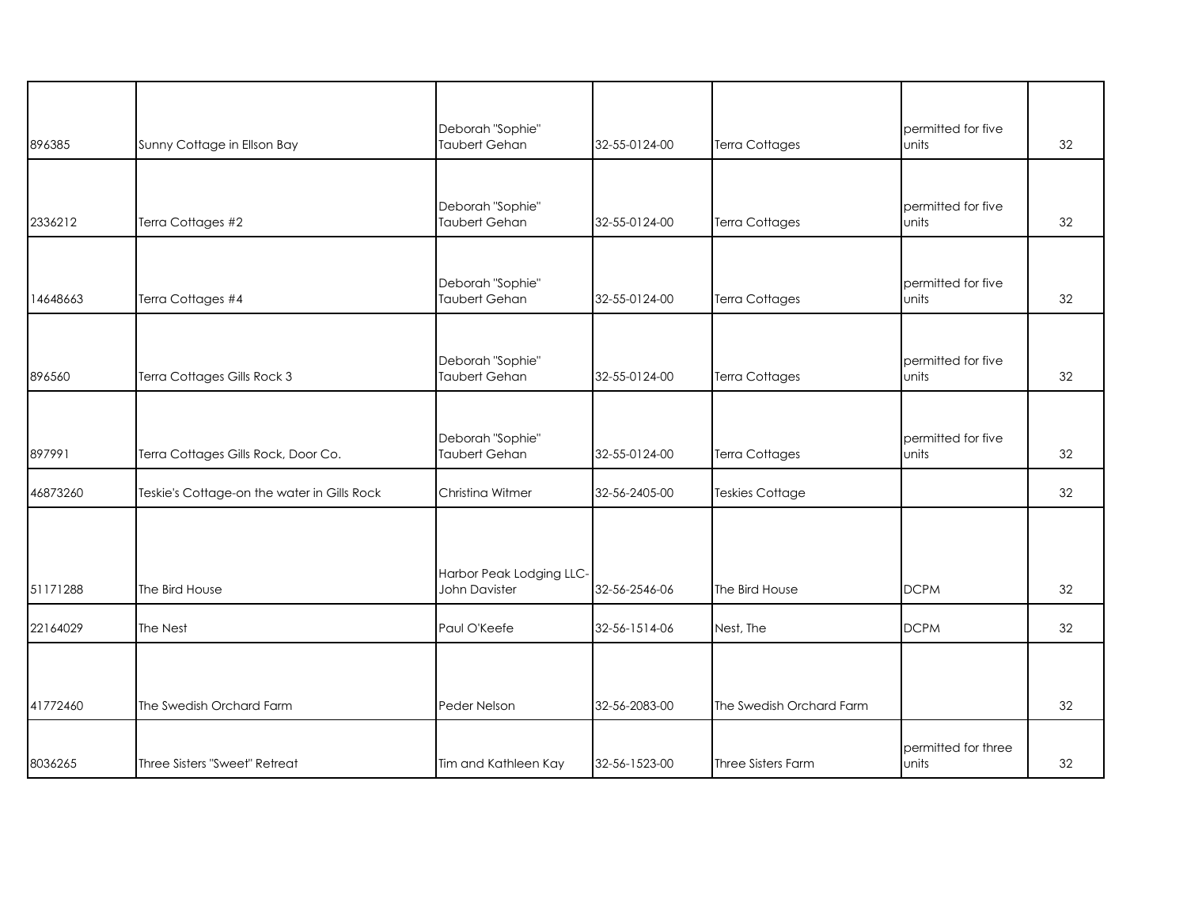| 896385   | Sunny Cottage in Ellson Bay                 | Deborah "Sophie"<br>Taubert Gehan         | 32-55-0124-00 | <b>Terra Cottages</b>    | permitted for five<br>units  | 32 |
|----------|---------------------------------------------|-------------------------------------------|---------------|--------------------------|------------------------------|----|
| 2336212  | Terra Cottages #2                           | Deborah "Sophie"<br>Taubert Gehan         | 32-55-0124-00 | <b>Terra Cottages</b>    | permitted for five<br>units  | 32 |
| 14648663 | Terra Cottages #4                           | Deborah "Sophie"<br>Taubert Gehan         | 32-55-0124-00 | <b>Terra Cottages</b>    | permitted for five<br>units  | 32 |
| 896560   | Terra Cottages Gills Rock 3                 | Deborah "Sophie"<br>Taubert Gehan         | 32-55-0124-00 | <b>Terra Cottages</b>    | permitted for five<br>units  | 32 |
| 897991   | Terra Cottages Gills Rock, Door Co.         | Deborah "Sophie"<br>Taubert Gehan         | 32-55-0124-00 | <b>Terra Cottages</b>    | permitted for five<br>units  | 32 |
| 46873260 | Teskie's Cottage-on the water in Gills Rock | Christina Witmer                          | 32-56-2405-00 | <b>Teskies Cottage</b>   |                              | 32 |
| 51171288 | The Bird House                              | Harbor Peak Lodging LLC-<br>John Davister | 32-56-2546-06 | The Bird House           | <b>DCPM</b>                  | 32 |
| 22164029 | The Nest                                    | Paul O'Keefe                              | 32-56-1514-06 | Nest, The                | <b>DCPM</b>                  | 32 |
| 41772460 | The Swedish Orchard Farm                    | Peder Nelson                              | 32-56-2083-00 | The Swedish Orchard Farm |                              | 32 |
| 8036265  | Three Sisters "Sweet" Retreat               | Tim and Kathleen Kay                      | 32-56-1523-00 | Three Sisters Farm       | permitted for three<br>units | 32 |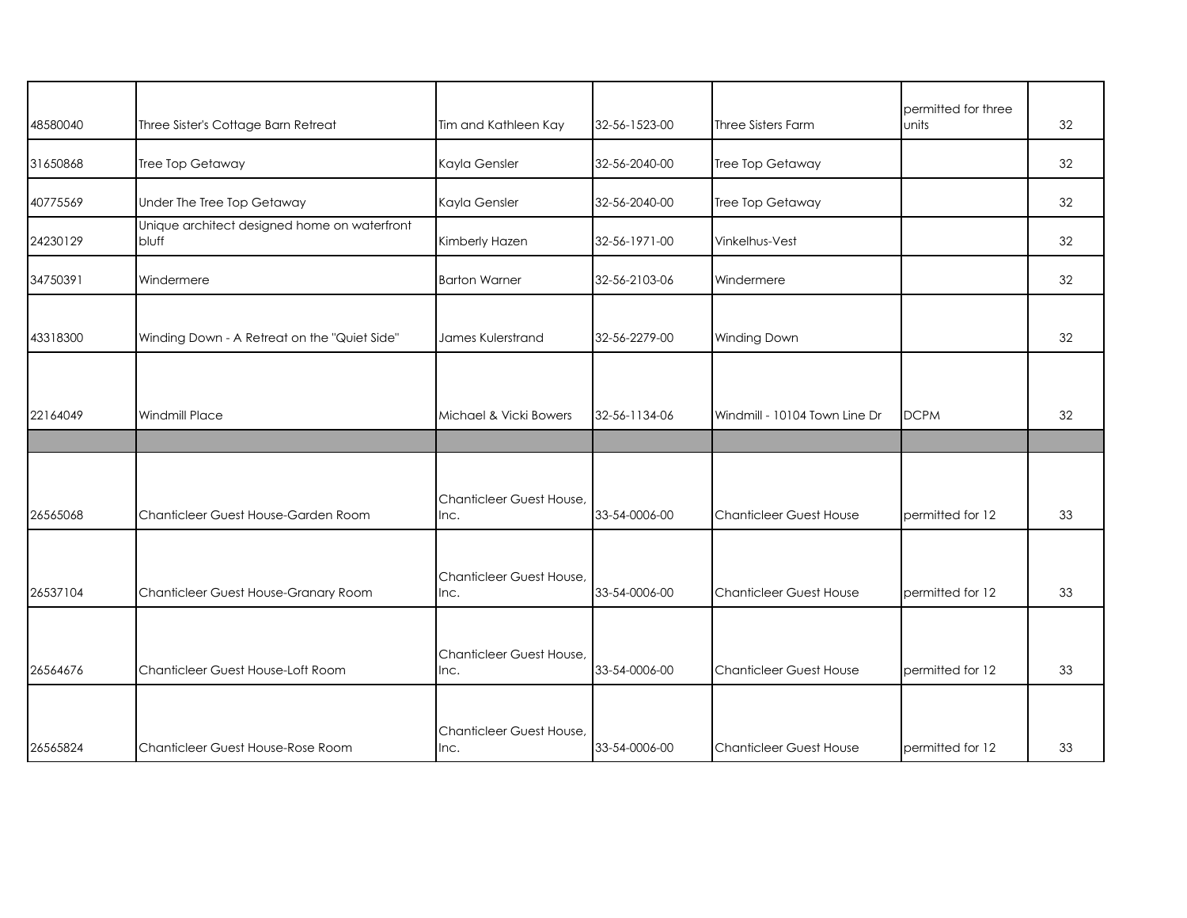| 48580040 | Three Sister's Cottage Barn Retreat                   | Tim and Kathleen Kay             | 32-56-1523-00 | Three Sisters Farm             | permitted for three<br>units | 32 |
|----------|-------------------------------------------------------|----------------------------------|---------------|--------------------------------|------------------------------|----|
| 31650868 | Tree Top Getaway                                      | Kayla Gensler                    | 32-56-2040-00 | Tree Top Getaway               |                              | 32 |
| 40775569 | Under The Tree Top Getaway                            | Kayla Gensler                    | 32-56-2040-00 | Tree Top Getaway               |                              | 32 |
| 24230129 | Unique architect designed home on waterfront<br>bluff | Kimberly Hazen                   | 32-56-1971-00 | Vinkelhus-Vest                 |                              | 32 |
| 34750391 | Windermere                                            | <b>Barton Warner</b>             | 32-56-2103-06 | Windermere                     |                              | 32 |
| 43318300 | Winding Down - A Retreat on the "Quiet Side"          | James Kulerstrand                | 32-56-2279-00 | Winding Down                   |                              | 32 |
|          |                                                       |                                  |               |                                |                              |    |
| 22164049 | <b>Windmill Place</b>                                 | Michael & Vicki Bowers           | 32-56-1134-06 | Windmill - 10104 Town Line Dr  | <b>DCPM</b>                  | 32 |
|          |                                                       |                                  |               |                                |                              |    |
| 26565068 | Chanticleer Guest House-Garden Room                   | Chanticleer Guest House,<br>Inc. | 33-54-0006-00 | <b>Chanticleer Guest House</b> | permitted for 12             | 33 |
| 26537104 | Chanticleer Guest House-Granary Room                  | Chanticleer Guest House,<br>Inc. | 33-54-0006-00 | <b>Chanticleer Guest House</b> | permitted for 12             | 33 |
| 26564676 | Chanticleer Guest House-Loft Room                     | Chanticleer Guest House,<br>Inc. | 33-54-0006-00 | <b>Chanticleer Guest House</b> | permitted for 12             | 33 |
| 26565824 | Chanticleer Guest House-Rose Room                     | Chanticleer Guest House,<br>Inc. | 33-54-0006-00 | Chanticleer Guest House        | permitted for 12             | 33 |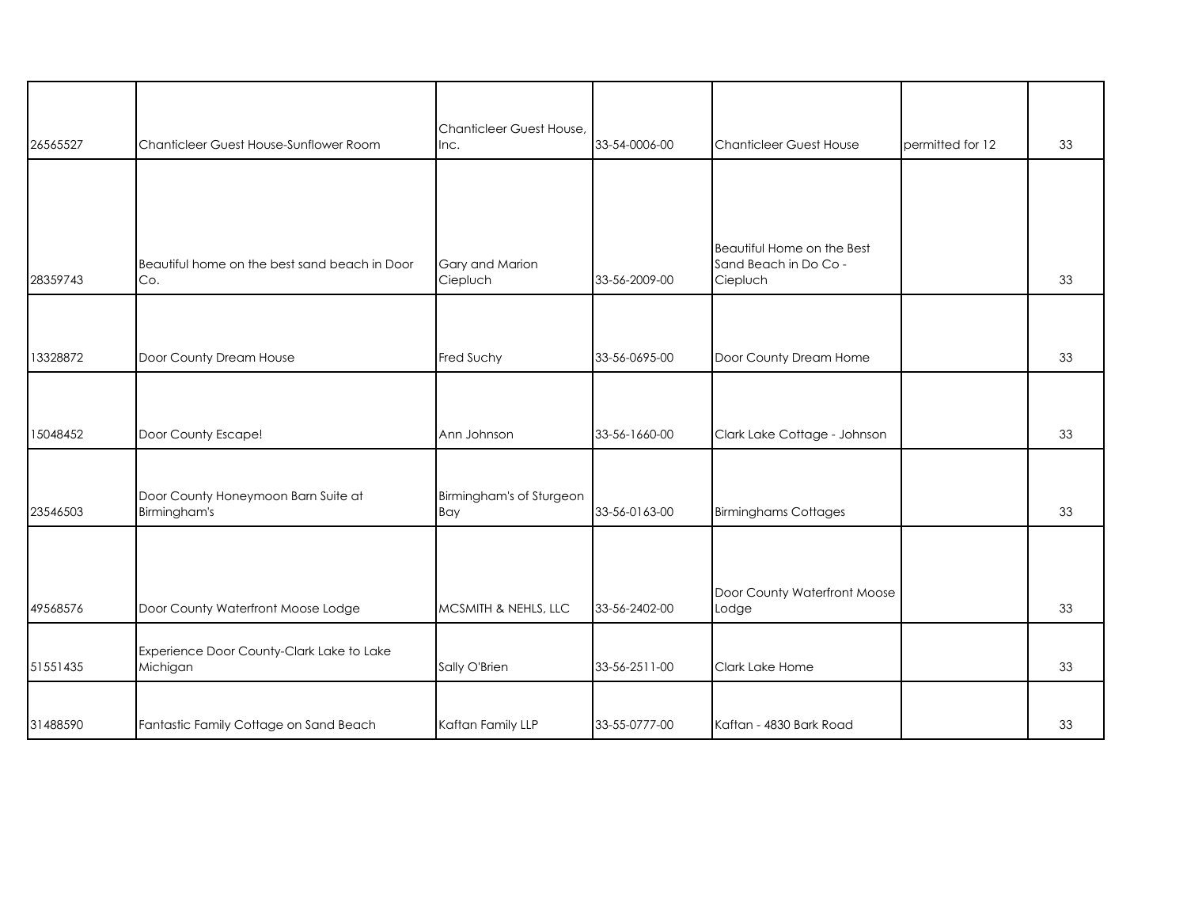| 26565527 | Chanticleer Guest House-Sunflower Room               | Chanticleer Guest House,<br>Inc. | 33-54-0006-00 | <b>Chanticleer Guest House</b>                                  | permitted for 12 | 33 |
|----------|------------------------------------------------------|----------------------------------|---------------|-----------------------------------------------------------------|------------------|----|
|          |                                                      |                                  |               |                                                                 |                  |    |
|          |                                                      |                                  |               |                                                                 |                  |    |
| 28359743 | Beautiful home on the best sand beach in Door<br>Co. | Gary and Marion<br>Ciepluch      | 33-56-2009-00 | Beautiful Home on the Best<br>Sand Beach in Do Co -<br>Ciepluch |                  | 33 |
|          |                                                      |                                  |               |                                                                 |                  |    |
| 13328872 | Door County Dream House                              | Fred Suchy                       | 33-56-0695-00 | Door County Dream Home                                          |                  | 33 |
|          |                                                      |                                  |               |                                                                 |                  |    |
| 15048452 | Door County Escape!                                  | Ann Johnson                      | 33-56-1660-00 | Clark Lake Cottage - Johnson                                    |                  | 33 |
| 23546503 | Door County Honeymoon Barn Suite at<br>Birmingham's  | Birmingham's of Sturgeon<br>Bay  | 33-56-0163-00 | <b>Birminghams Cottages</b>                                     |                  | 33 |
|          |                                                      |                                  |               |                                                                 |                  |    |
| 49568576 | Door County Waterfront Moose Lodge                   | MCSMITH & NEHLS, LLC             | 33-56-2402-00 | Door County Waterfront Moose<br>Lodge                           |                  | 33 |
|          | Experience Door County-Clark Lake to Lake            |                                  |               |                                                                 |                  |    |
| 51551435 | Michigan                                             | Sally O'Brien                    | 33-56-2511-00 | Clark Lake Home                                                 |                  | 33 |
|          |                                                      |                                  |               |                                                                 |                  |    |
| 31488590 | Fantastic Family Cottage on Sand Beach               | Kaftan Family LLP                | 33-55-0777-00 | Kaftan - 4830 Bark Road                                         |                  | 33 |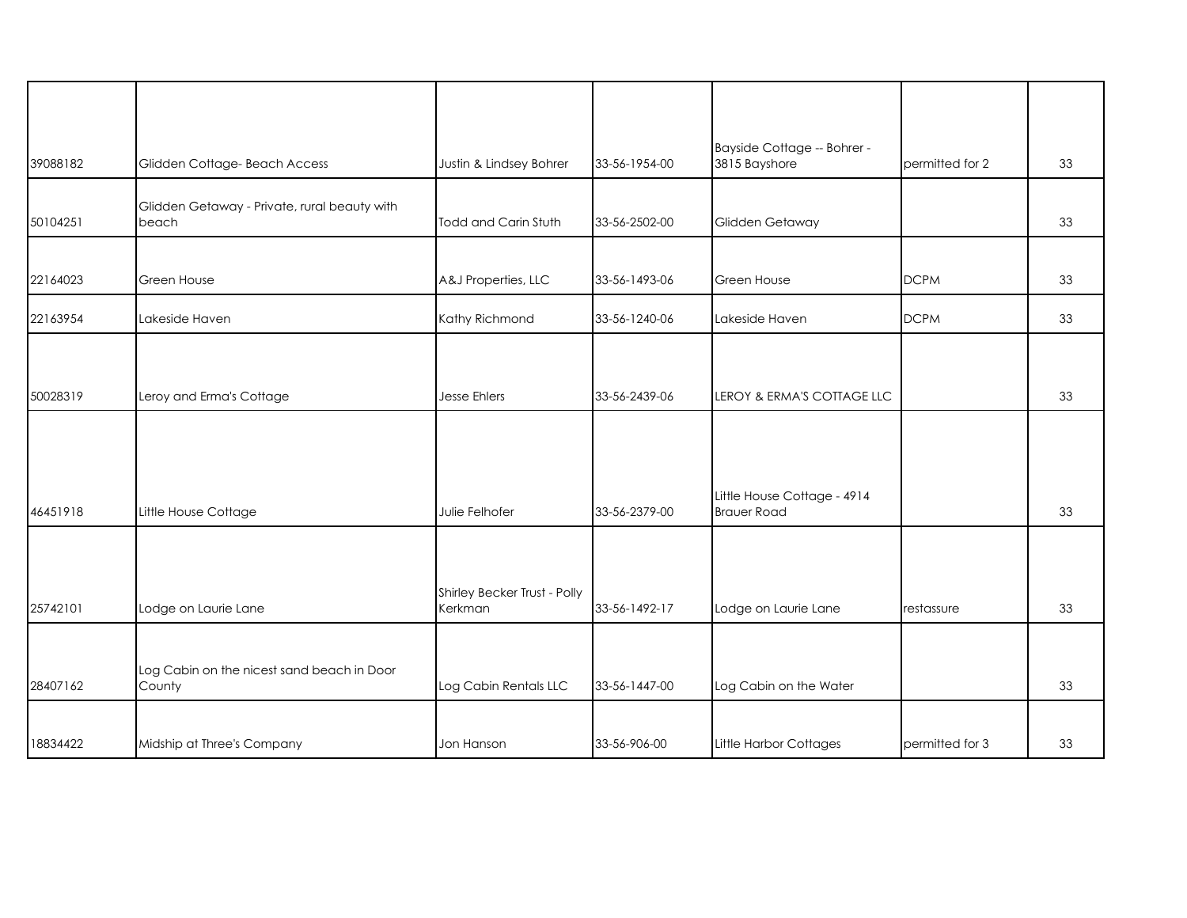|          |                                                       |                                         |               | Bayside Cottage -- Bohrer -                       |                 |    |
|----------|-------------------------------------------------------|-----------------------------------------|---------------|---------------------------------------------------|-----------------|----|
| 39088182 | Glidden Cottage- Beach Access                         | Justin & Lindsey Bohrer                 | 33-56-1954-00 | 3815 Bayshore                                     | permitted for 2 | 33 |
| 50104251 | Glidden Getaway - Private, rural beauty with<br>beach | Todd and Carin Stuth                    | 33-56-2502-00 | Glidden Getaway                                   |                 | 33 |
| 22164023 | Green House                                           | A&J Properties, LLC                     | 33-56-1493-06 | Green House                                       | <b>DCPM</b>     | 33 |
| 22163954 | Lakeside Haven                                        | Kathy Richmond                          | 33-56-1240-06 | Lakeside Haven                                    | <b>DCPM</b>     | 33 |
|          |                                                       |                                         |               |                                                   |                 |    |
| 50028319 | Leroy and Erma's Cottage                              | <b>Jesse Ehlers</b>                     | 33-56-2439-06 | LEROY & ERMA'S COTTAGE LLC                        |                 | 33 |
| 46451918 | Little House Cottage                                  | Julie Felhofer                          | 33-56-2379-00 | Little House Cottage - 4914<br><b>Brauer Road</b> |                 | 33 |
| 25742101 | Lodge on Laurie Lane                                  | Shirley Becker Trust - Polly<br>Kerkman | 33-56-1492-17 | Lodge on Laurie Lane                              | restassure      | 33 |
| 28407162 | Log Cabin on the nicest sand beach in Door<br>County  | Log Cabin Rentals LLC                   | 33-56-1447-00 | Log Cabin on the Water                            |                 | 33 |
| 18834422 | Midship at Three's Company                            | Jon Hanson                              | 33-56-906-00  | Little Harbor Cottages                            | permitted for 3 | 33 |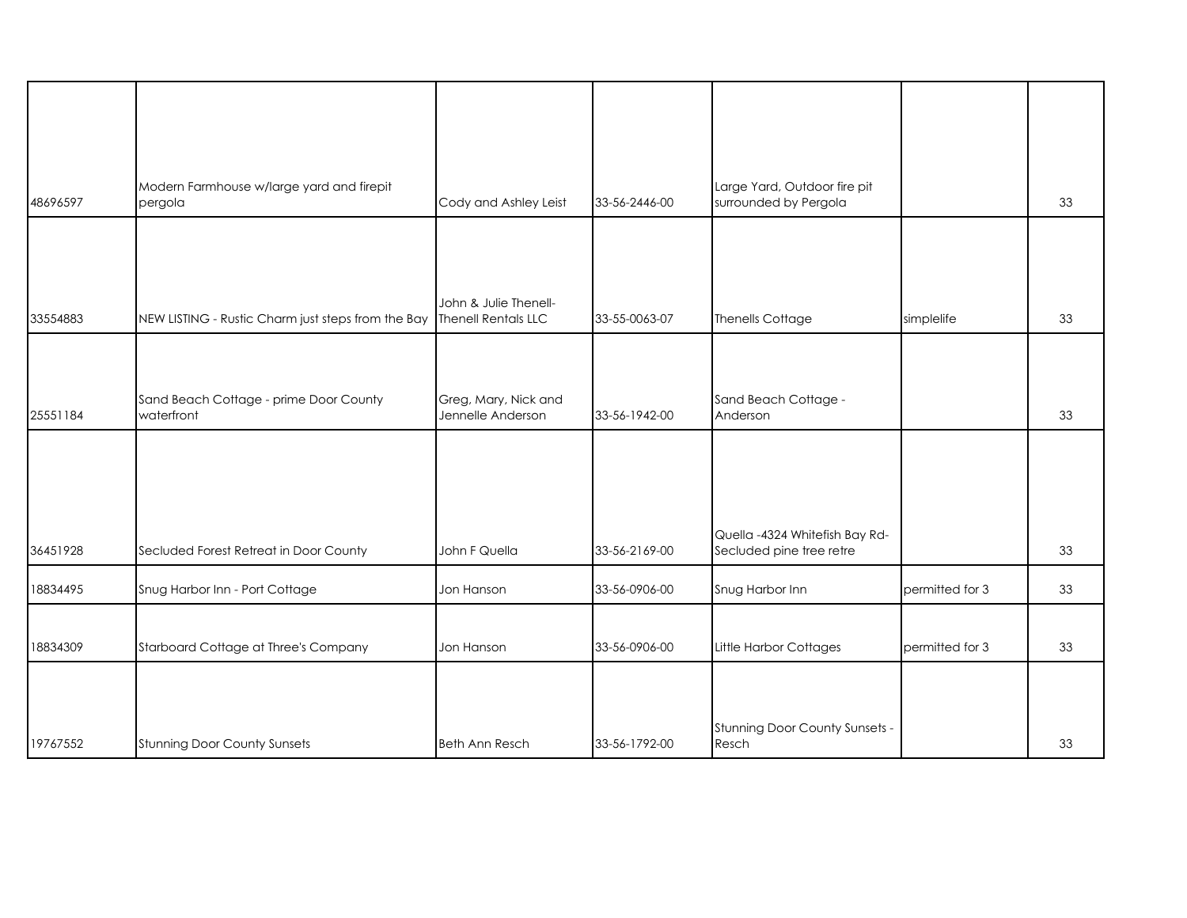| 48696597 | Modern Farmhouse w/large yard and firepit<br>pergola                   | Cody and Ashley Leist                     | 33-56-2446-00 | Large Yard, Outdoor fire pit<br>surrounded by Pergola      |                 | 33 |
|----------|------------------------------------------------------------------------|-------------------------------------------|---------------|------------------------------------------------------------|-----------------|----|
|          |                                                                        |                                           |               |                                                            |                 |    |
| 33554883 | NEW LISTING - Rustic Charm just steps from the Bay Thenell Rentals LLC | John & Julie Thenell-                     | 33-55-0063-07 | Thenells Cottage                                           | simplelife      | 33 |
|          |                                                                        |                                           |               |                                                            |                 |    |
| 25551184 | Sand Beach Cottage - prime Door County<br>waterfront                   | Greg, Mary, Nick and<br>Jennelle Anderson | 33-56-1942-00 | Sand Beach Cottage -<br>Anderson                           |                 | 33 |
|          |                                                                        |                                           |               |                                                            |                 |    |
| 36451928 | Secluded Forest Retreat in Door County                                 | John F Quella                             | 33-56-2169-00 | Quella -4324 Whitefish Bay Rd-<br>Secluded pine tree retre |                 | 33 |
| 18834495 | Snug Harbor Inn - Port Cottage                                         | Jon Hanson                                | 33-56-0906-00 | Snug Harbor Inn                                            | permitted for 3 | 33 |
|          |                                                                        |                                           |               |                                                            |                 |    |
| 18834309 | Starboard Cottage at Three's Company                                   | Jon Hanson                                | 33-56-0906-00 | Little Harbor Cottages                                     | permitted for 3 | 33 |
| 19767552 | <b>Stunning Door County Sunsets</b>                                    | Beth Ann Resch                            | 33-56-1792-00 | Stunning Door County Sunsets -<br>Resch                    |                 | 33 |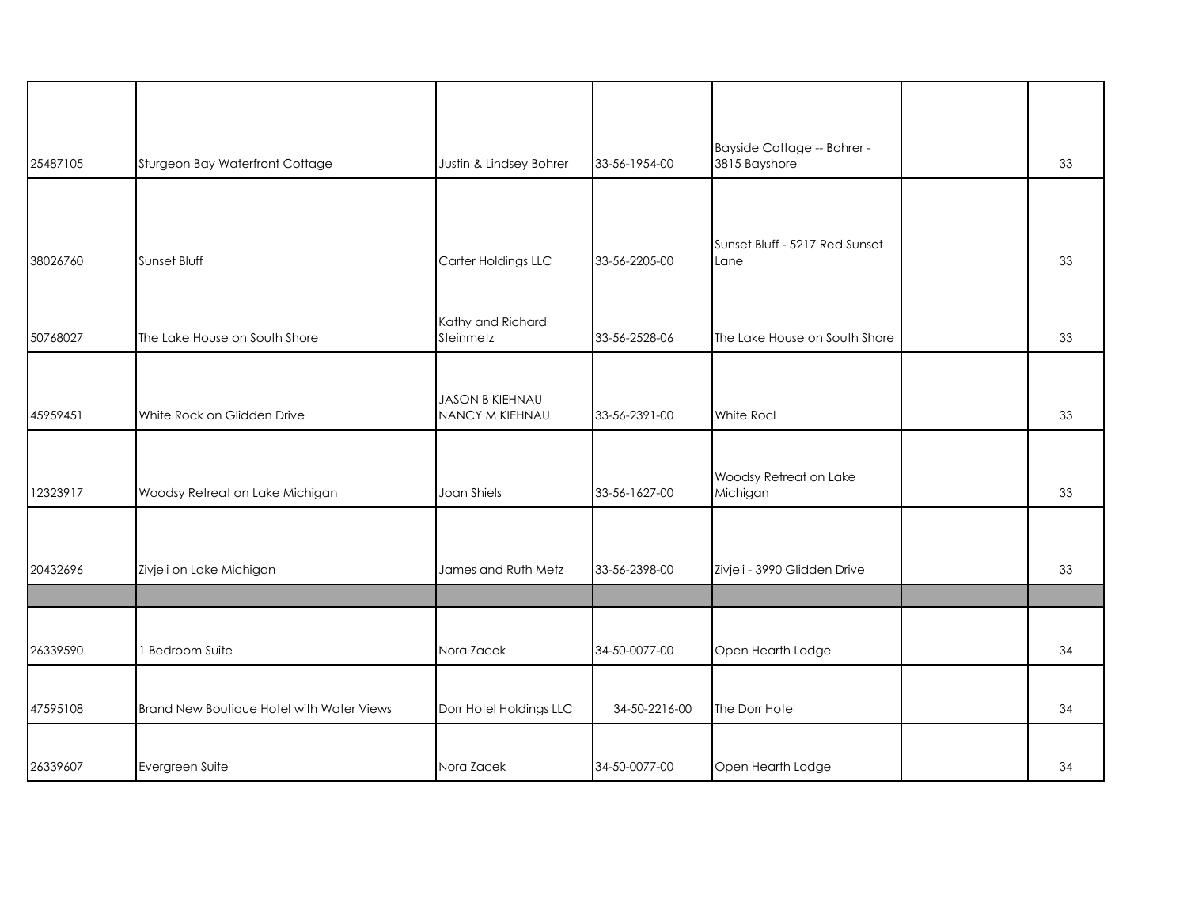| 25487105 | Sturgeon Bay Waterfront Cottage           | Justin & Lindsey Bohrer                   | 33-56-1954-00 | Bayside Cottage -- Bohrer -<br>3815 Bayshore | 33 |
|----------|-------------------------------------------|-------------------------------------------|---------------|----------------------------------------------|----|
|          |                                           |                                           |               |                                              |    |
| 38026760 | Sunset Bluff                              | Carter Holdings LLC                       | 33-56-2205-00 | Sunset Bluff - 5217 Red Sunset<br>Lane       | 33 |
|          |                                           |                                           |               |                                              |    |
| 50768027 | The Lake House on South Shore             | Kathy and Richard<br>Steinmetz            | 33-56-2528-06 | The Lake House on South Shore                | 33 |
|          |                                           |                                           |               |                                              |    |
| 45959451 | White Rock on Glidden Drive               | <b>JASON B KIEHNAU</b><br>NANCY M KIEHNAU | 33-56-2391-00 | White Rocl                                   | 33 |
|          |                                           |                                           |               |                                              |    |
| 12323917 | Woodsy Retreat on Lake Michigan           | Joan Shiels                               | 33-56-1627-00 | Woodsy Retreat on Lake<br>Michigan           | 33 |
|          |                                           |                                           |               |                                              |    |
| 20432696 | Zivjeli on Lake Michigan                  | James and Ruth Metz                       | 33-56-2398-00 | Zivjeli - 3990 Glidden Drive                 | 33 |
|          |                                           |                                           |               |                                              |    |
|          |                                           |                                           |               |                                              |    |
| 26339590 | 1 Bedroom Suite                           | Nora Zacek                                | 34-50-0077-00 | Open Hearth Lodge                            | 34 |
|          |                                           |                                           |               |                                              |    |
| 47595108 | Brand New Boutique Hotel with Water Views | Dorr Hotel Holdings LLC                   | 34-50-2216-00 | The Dorr Hotel                               | 34 |
|          |                                           |                                           |               |                                              |    |
| 26339607 | Evergreen Suite                           | Nora Zacek                                | 34-50-0077-00 | Open Hearth Lodge                            | 34 |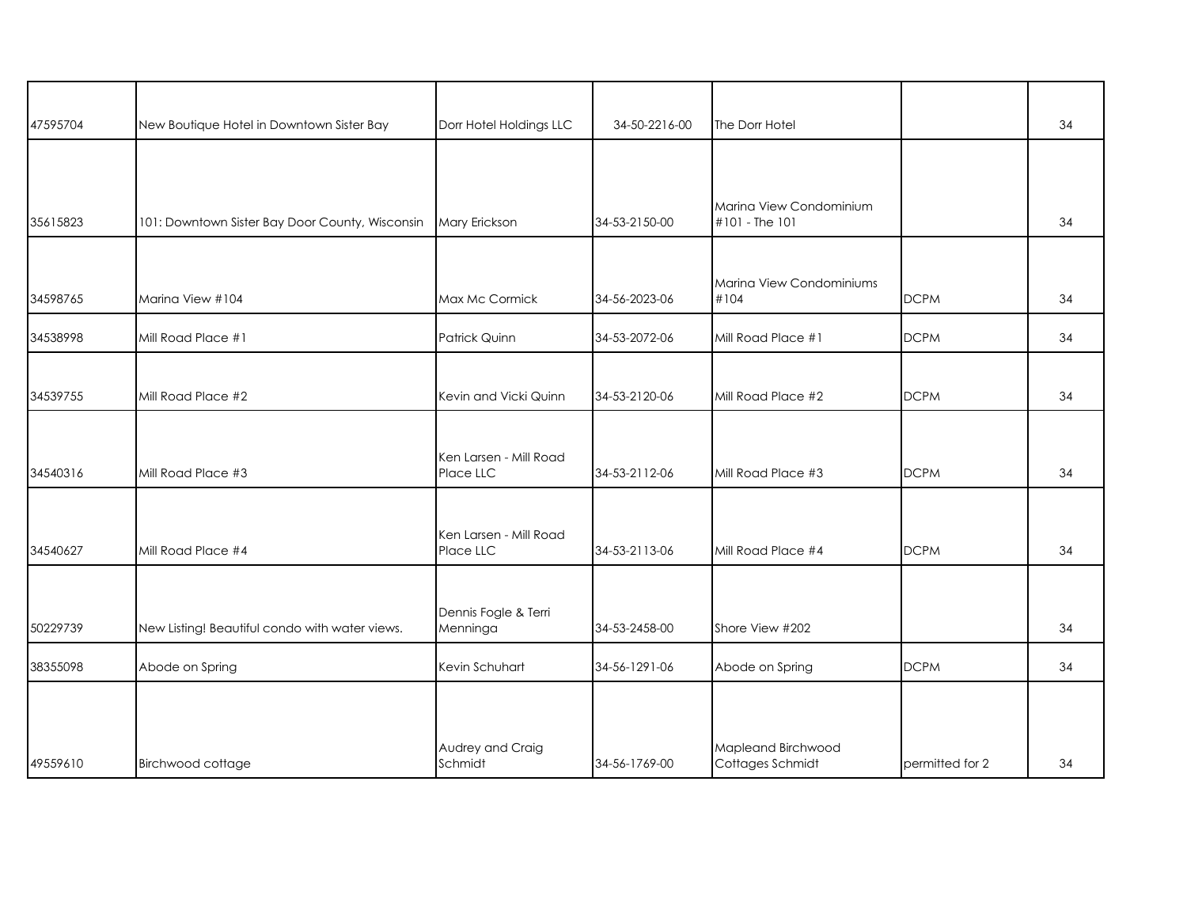| 47595704 | New Boutique Hotel in Downtown Sister Bay       | Dorr Hotel Holdings LLC             | 34-50-2216-00 | The Dorr Hotel                            |                 | 34 |
|----------|-------------------------------------------------|-------------------------------------|---------------|-------------------------------------------|-----------------|----|
|          |                                                 |                                     |               |                                           |                 |    |
| 35615823 | 101: Downtown Sister Bay Door County, Wisconsin | Mary Erickson                       | 34-53-2150-00 | Marina View Condominium<br>#101 - The 101 |                 | 34 |
|          |                                                 |                                     |               |                                           |                 |    |
| 34598765 | Marina View #104                                | Max Mc Cormick                      | 34-56-2023-06 | Marina View Condominiums<br>#104          | <b>DCPM</b>     | 34 |
| 34538998 | Mill Road Place #1                              | Patrick Quinn                       | 34-53-2072-06 | Mill Road Place #1                        | <b>DCPM</b>     | 34 |
| 34539755 | Mill Road Place #2                              | Kevin and Vicki Quinn               | 34-53-2120-06 | Mill Road Place #2                        | <b>DCPM</b>     | 34 |
| 34540316 | Mill Road Place #3                              | Ken Larsen - Mill Road<br>Place LLC | 34-53-2112-06 | Mill Road Place #3                        | <b>DCPM</b>     | 34 |
| 34540627 | Mill Road Place #4                              | Ken Larsen - Mill Road<br>Place LLC | 34-53-2113-06 | Mill Road Place #4                        | <b>DCPM</b>     | 34 |
| 50229739 | New Listing! Beautiful condo with water views.  | Dennis Fogle & Terri<br>Menninga    | 34-53-2458-00 | Shore View #202                           |                 | 34 |
| 38355098 | Abode on Spring                                 | Kevin Schuhart                      | 34-56-1291-06 | Abode on Spring                           | <b>DCPM</b>     | 34 |
|          |                                                 |                                     |               |                                           |                 |    |
| 49559610 | Birchwood cottage                               | Audrey and Craig<br>Schmidt         | 34-56-1769-00 | Mapleand Birchwood<br>Cottages Schmidt    | permitted for 2 | 34 |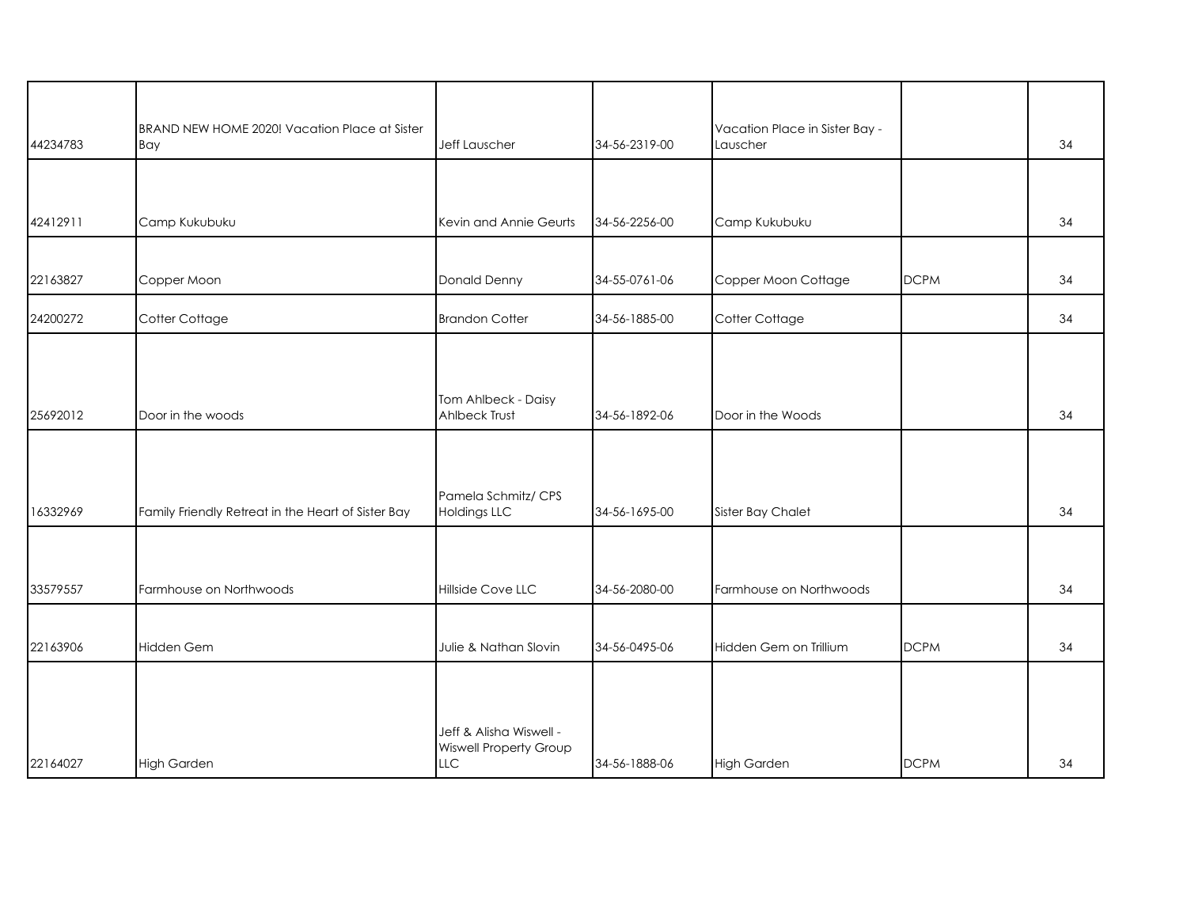| 44234783 | BRAND NEW HOME 2020! Vacation Place at Sister<br>Bay | Jeff Lauscher                                                          | 34-56-2319-00 | Vacation Place in Sister Bay -<br>Lauscher |             | 34 |
|----------|------------------------------------------------------|------------------------------------------------------------------------|---------------|--------------------------------------------|-------------|----|
|          |                                                      |                                                                        |               |                                            |             |    |
| 42412911 | Camp Kukubuku                                        | Kevin and Annie Geurts                                                 | 34-56-2256-00 | Camp Kukubuku                              |             | 34 |
| 22163827 | Copper Moon                                          | Donald Denny                                                           | 34-55-0761-06 | Copper Moon Cottage                        | <b>DCPM</b> | 34 |
| 24200272 | Cotter Cottage                                       | <b>Brandon Cotter</b>                                                  | 34-56-1885-00 | Cotter Cottage                             |             | 34 |
|          |                                                      |                                                                        |               |                                            |             |    |
| 25692012 | Door in the woods                                    | Tom Ahlbeck - Daisy<br>Ahlbeck Trust                                   | 34-56-1892-06 | Door in the Woods                          |             | 34 |
|          |                                                      |                                                                        |               |                                            |             |    |
| 16332969 | Family Friendly Retreat in the Heart of Sister Bay   | Pamela Schmitz/ CPS<br><b>Holdings LLC</b>                             | 34-56-1695-00 | Sister Bay Chalet                          |             | 34 |
|          |                                                      |                                                                        |               |                                            |             |    |
| 33579557 | Farmhouse on Northwoods                              | Hillside Cove LLC                                                      | 34-56-2080-00 | Farmhouse on Northwoods                    |             | 34 |
| 22163906 | Hidden Gem                                           | Julie & Nathan Slovin                                                  | 34-56-0495-06 | Hidden Gem on Trillium                     | <b>DCPM</b> | 34 |
|          |                                                      |                                                                        |               |                                            |             |    |
| 22164027 | <b>High Garden</b>                                   | Jeff & Alisha Wiswell -<br><b>Wiswell Property Group</b><br><b>LLC</b> | 34-56-1888-06 | <b>High Garden</b>                         | <b>DCPM</b> | 34 |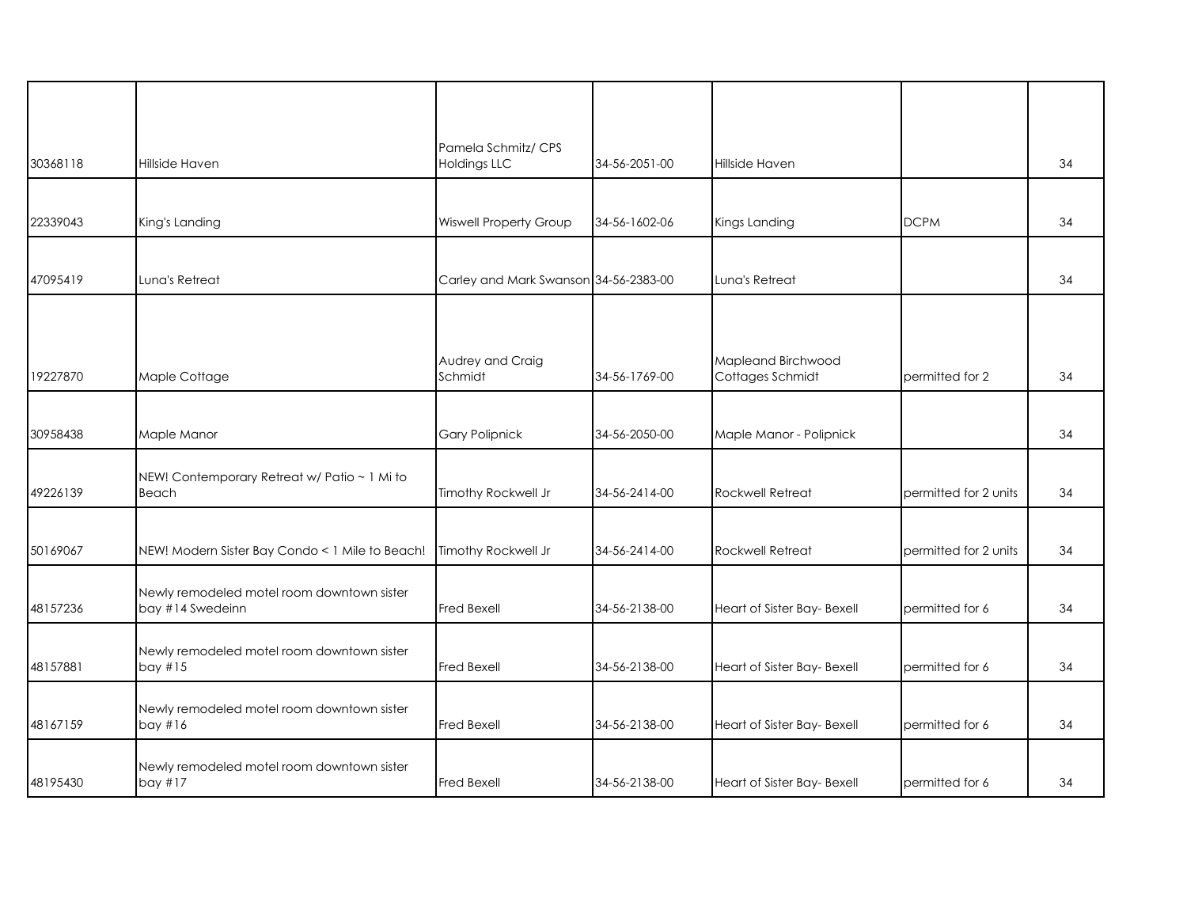| 30368118 | Hillside Haven                                  | Pamela Schmitz/ CPS<br><b>Holdings LLC</b> | 34-56-2051-00 | Hillside Haven              |                       | 34 |
|----------|-------------------------------------------------|--------------------------------------------|---------------|-----------------------------|-----------------------|----|
|          |                                                 |                                            |               |                             |                       |    |
| 22339043 | King's Landing                                  | <b>Wiswell Property Group</b>              | 34-56-1602-06 | Kings Landing               | <b>DCPM</b>           | 34 |
| 47095419 | Luna's Retreat                                  |                                            |               | Luna's Retreat              |                       | 34 |
|          |                                                 | Carley and Mark Swanson 34-56-2383-00      |               |                             |                       |    |
|          |                                                 |                                            |               |                             |                       |    |
|          |                                                 | Audrey and Craig                           |               | Mapleand Birchwood          |                       |    |
| 19227870 | Maple Cottage                                   | Schmidt                                    | 34-56-1769-00 | Cottages Schmidt            | permitted for 2       | 34 |
|          |                                                 |                                            |               |                             |                       |    |
| 30958438 | Maple Manor                                     | <b>Gary Polipnick</b>                      | 34-56-2050-00 | Maple Manor - Polipnick     |                       | 34 |
|          | NEW! Contemporary Retreat w/ Patio ~ 1 Mi to    |                                            |               |                             |                       |    |
| 49226139 | Beach                                           | Timothy Rockwell Jr                        | 34-56-2414-00 | <b>Rockwell Retreat</b>     | permitted for 2 units | 34 |
|          |                                                 |                                            |               |                             |                       |    |
| 50169067 | NEW! Modern Sister Bay Condo < 1 Mile to Beach! | Timothy Rockwell Jr                        | 34-56-2414-00 | Rockwell Retreat            | permitted for 2 units | 34 |
|          | Newly remodeled motel room downtown sister      |                                            |               |                             |                       |    |
| 48157236 | bay #14 Swedeinn                                | Fred Bexell                                | 34-56-2138-00 | Heart of Sister Bay- Bexell | permitted for 6       | 34 |
|          | Newly remodeled motel room downtown sister      |                                            |               |                             |                       |    |
| 48157881 | bay #15                                         | Fred Bexell                                | 34-56-2138-00 | Heart of Sister Bay- Bexell | permitted for 6       | 34 |
|          | Newly remodeled motel room downtown sister      |                                            |               |                             |                       |    |
| 48167159 | bay #16                                         | Fred Bexell                                | 34-56-2138-00 | Heart of Sister Bay- Bexell | permitted for 6       | 34 |
|          | Newly remodeled motel room downtown sister      |                                            |               |                             |                       |    |
| 48195430 | bay #17                                         | Fred Bexell                                | 34-56-2138-00 | Heart of Sister Bay- Bexell | permitted for 6       | 34 |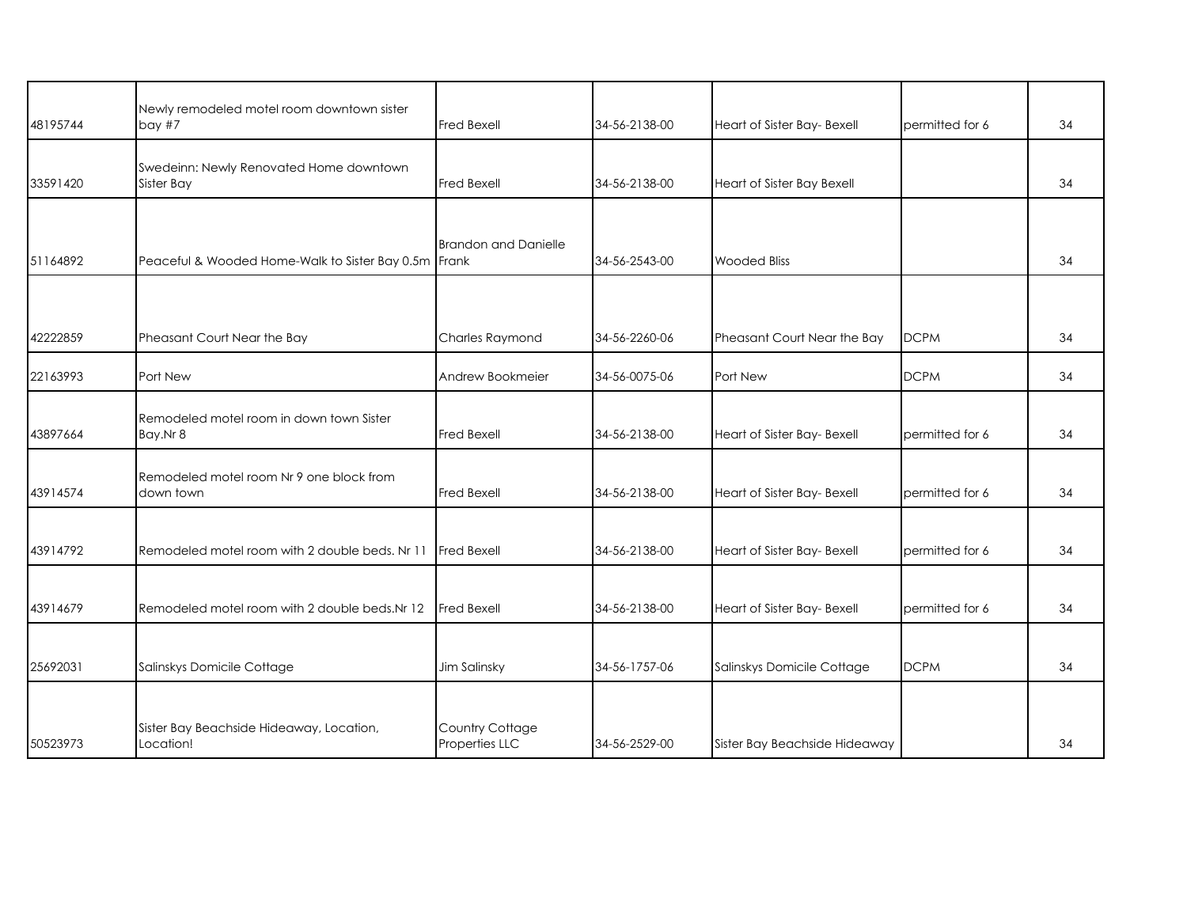| 48195744 | Newly remodeled motel room downtown sister<br>bay#7   | <b>Fred Bexell</b>                | 34-56-2138-00 | Heart of Sister Bay- Bexell   | permitted for 6 | 34 |
|----------|-------------------------------------------------------|-----------------------------------|---------------|-------------------------------|-----------------|----|
| 33591420 | Swedeinn: Newly Renovated Home downtown<br>Sister Bay | <b>Fred Bexell</b>                | 34-56-2138-00 | Heart of Sister Bay Bexell    |                 | 34 |
|          |                                                       | <b>Brandon and Danielle</b>       |               |                               |                 |    |
| 51164892 | Peaceful & Wooded Home-Walk to Sister Bay 0.5m Frank  |                                   | 34-56-2543-00 | <b>Wooded Bliss</b>           |                 | 34 |
|          |                                                       |                                   |               |                               |                 |    |
| 42222859 | Pheasant Court Near the Bay                           | Charles Raymond                   | 34-56-2260-06 | Pheasant Court Near the Bay   | <b>DCPM</b>     | 34 |
| 22163993 | Port New                                              | Andrew Bookmeier                  | 34-56-0075-06 | Port New                      | <b>DCPM</b>     | 34 |
| 43897664 | Remodeled motel room in down town Sister<br>Bay.Nr 8  | <b>Fred Bexell</b>                | 34-56-2138-00 | Heart of Sister Bay- Bexell   | permitted for 6 | 34 |
| 43914574 | Remodeled motel room Nr 9 one block from<br>down town | <b>Fred Bexell</b>                | 34-56-2138-00 | Heart of Sister Bay- Bexell   | bermitted for 6 | 34 |
| 43914792 | Remodeled motel room with 2 double beds. Nr 11        | <b>Fred Bexell</b>                | 34-56-2138-00 | Heart of Sister Bay- Bexell   | permitted for 6 | 34 |
| 43914679 | Remodeled motel room with 2 double beds.Nr 12         | <b>Fred Bexell</b>                | 34-56-2138-00 | Heart of Sister Bay- Bexell   | permitted for 6 | 34 |
| 25692031 | Salinskys Domicile Cottage                            | Jim Salinsky                      | 34-56-1757-06 | Salinskys Domicile Cottage    | <b>DCPM</b>     | 34 |
| 50523973 | Sister Bay Beachside Hideaway, Location,<br>Location! | Country Cottage<br>Properties LLC | 34-56-2529-00 | Sister Bay Beachside Hideaway |                 | 34 |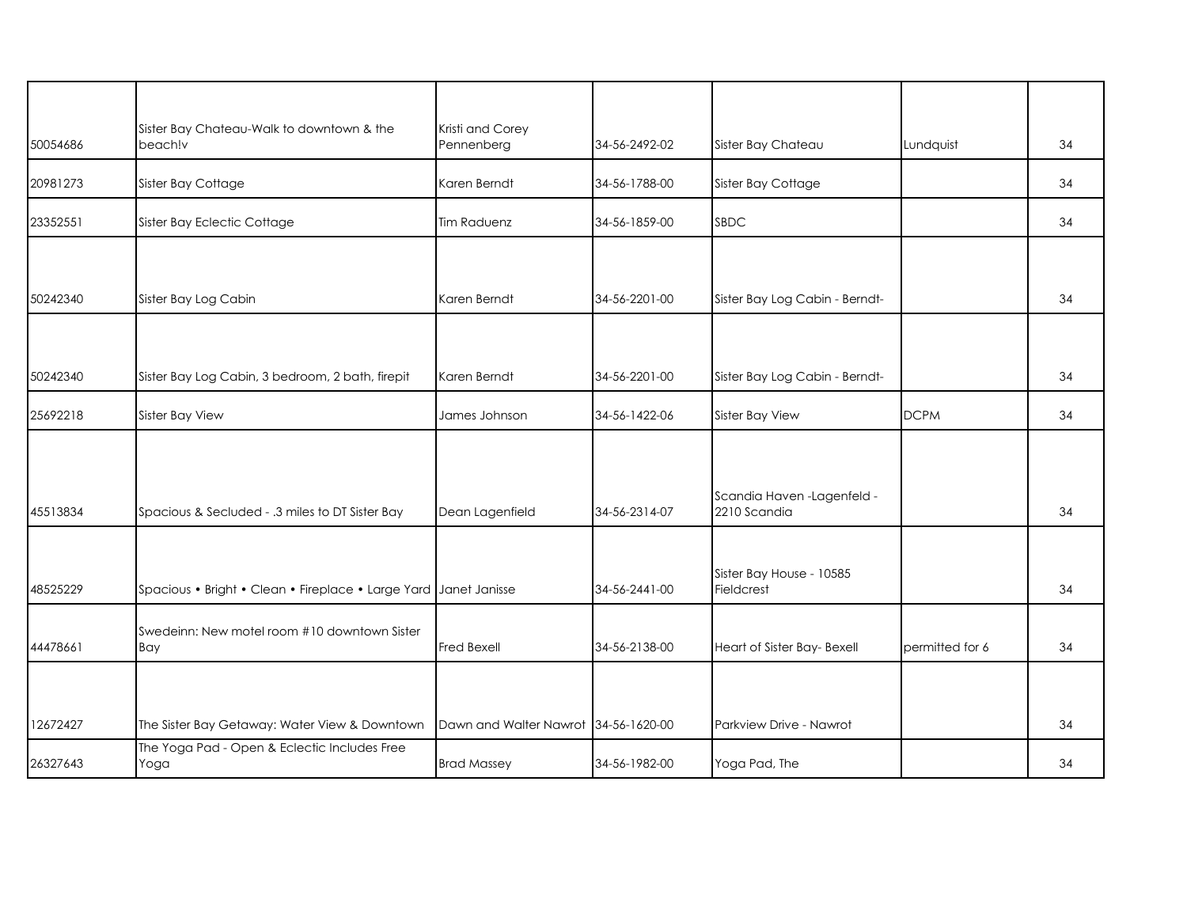| 50054686 | Sister Bay Chateau-Walk to downtown & the<br>beach!v             | Kristi and Corey<br>Pennenberg       | 34-56-2492-02 | Sister Bay Chateau                          | Lundquist       | 34 |
|----------|------------------------------------------------------------------|--------------------------------------|---------------|---------------------------------------------|-----------------|----|
| 20981273 | Sister Bay Cottage                                               | Karen Berndt                         | 34-56-1788-00 | Sister Bay Cottage                          |                 | 34 |
| 23352551 | Sister Bay Eclectic Cottage                                      | <b>Tim Raduenz</b>                   | 34-56-1859-00 | SBDC                                        |                 | 34 |
|          |                                                                  |                                      |               |                                             |                 |    |
| 50242340 | Sister Bay Log Cabin                                             | Karen Berndt                         | 34-56-2201-00 | Sister Bay Log Cabin - Berndt-              |                 | 34 |
|          |                                                                  |                                      |               |                                             |                 |    |
| 50242340 | Sister Bay Log Cabin, 3 bedroom, 2 bath, firepit                 | Karen Berndt                         | 34-56-2201-00 | Sister Bay Log Cabin - Berndt-              |                 | 34 |
| 25692218 | Sister Bay View                                                  | James Johnson                        | 34-56-1422-06 | Sister Bay View                             | <b>DCPM</b>     | 34 |
|          |                                                                  |                                      |               |                                             |                 |    |
| 45513834 | Spacious & Secluded - .3 miles to DT Sister Bay                  | Dean Lagenfield                      | 34-56-2314-07 | Scandia Haven - Lagenfeld -<br>2210 Scandia |                 | 34 |
|          |                                                                  |                                      |               |                                             |                 |    |
| 48525229 | Spacious • Bright • Clean • Fireplace • Large Yard Janet Janisse |                                      | 34-56-2441-00 | Sister Bay House - 10585<br>Fieldcrest      |                 | 34 |
| 44478661 | Swedeinn: New motel room #10 downtown Sister<br>Bay              | <b>Fred Bexell</b>                   | 34-56-2138-00 | Heart of Sister Bay- Bexell                 | permitted for 6 | 34 |
|          |                                                                  |                                      |               |                                             |                 |    |
| 12672427 | The Sister Bay Getaway: Water View & Downtown                    | Dawn and Walter Nawrot 34-56-1620-00 |               | Parkview Drive - Nawrot                     |                 | 34 |
| 26327643 | The Yoga Pad - Open & Eclectic Includes Free<br>Yoga             | <b>Brad Massey</b>                   | 34-56-1982-00 | Yoga Pad, The                               |                 | 34 |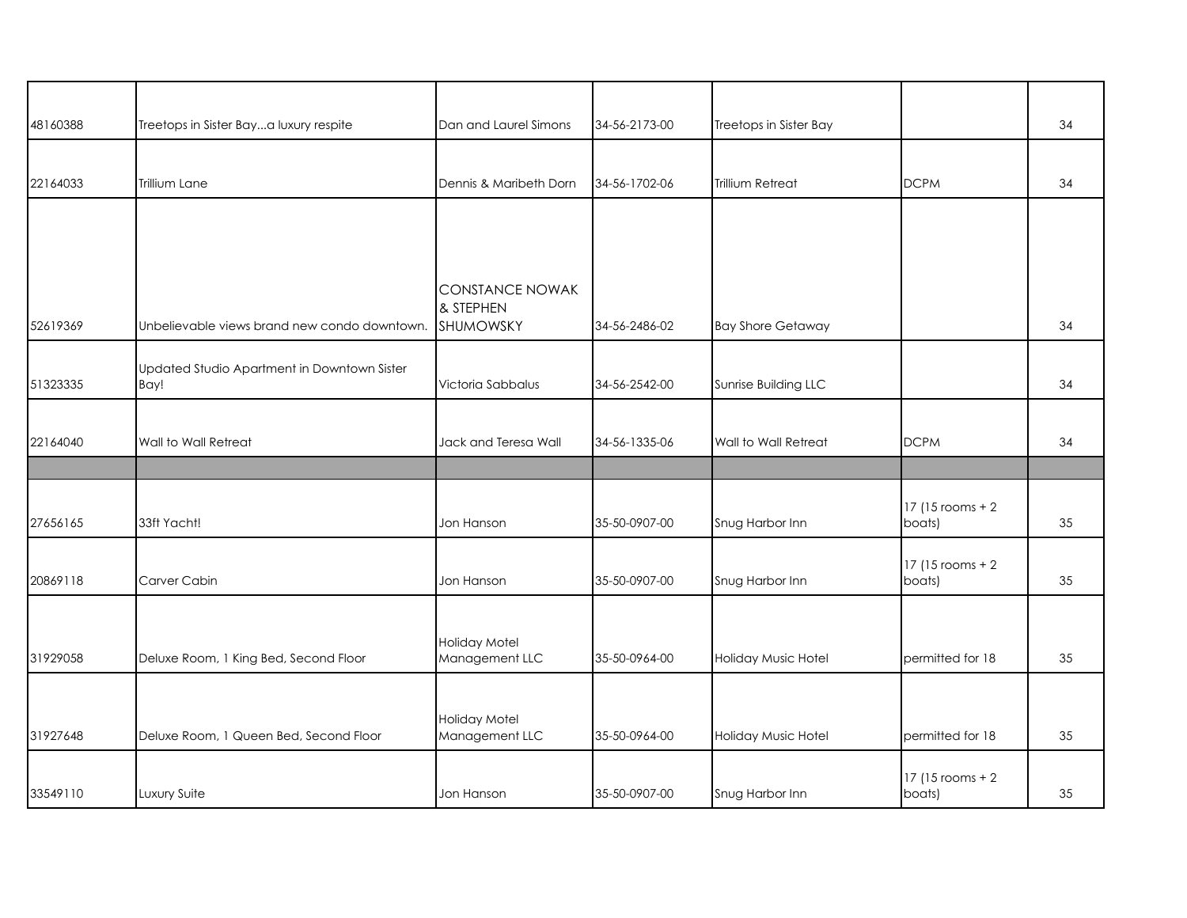| 48160388 | Treetops in Sister Baya luxury respite       | Dan and Laurel Simons           | 34-56-2173-00 | Treetops in Sister Bay   |                   | 34 |
|----------|----------------------------------------------|---------------------------------|---------------|--------------------------|-------------------|----|
|          |                                              |                                 |               |                          |                   |    |
| 22164033 | Trillium Lane                                | Dennis & Maribeth Dorn          | 34-56-1702-06 | Trillium Retreat         | <b>DCPM</b>       | 34 |
|          |                                              |                                 |               |                          |                   |    |
|          |                                              |                                 |               |                          |                   |    |
|          |                                              | <b>CONSTANCE NOWAK</b>          |               |                          |                   |    |
| 52619369 | Unbelievable views brand new condo downtown. | & STEPHEN<br>SHUMOWSKY          | 34-56-2486-02 | <b>Bay Shore Getaway</b> |                   | 34 |
|          | Updated Studio Apartment in Downtown Sister  |                                 |               |                          |                   |    |
| 51323335 | Bay!                                         | Victoria Sabbalus               | 34-56-2542-00 | Sunrise Building LLC     |                   | 34 |
|          |                                              |                                 |               |                          |                   |    |
| 22164040 | Wall to Wall Retreat                         | Jack and Teresa Wall            | 34-56-1335-06 | Wall to Wall Retreat     | <b>DCPM</b>       | 34 |
|          |                                              |                                 |               |                          |                   |    |
|          |                                              |                                 |               |                          | 17 (15 rooms + 2) |    |
| 27656165 | 33ft Yacht!                                  | Jon Hanson                      | 35-50-0907-00 | Snug Harbor Inn          | boats)            | 35 |
|          |                                              |                                 |               |                          | 17 (15 rooms + 2) |    |
| 20869118 | Carver Cabin                                 | Jon Hanson                      | 35-50-0907-00 | Snug Harbor Inn          | boats)            | 35 |
|          |                                              |                                 |               |                          |                   |    |
| 31929058 | Deluxe Room, 1 King Bed, Second Floor        | Holiday Motel<br>Management LLC | 35-50-0964-00 | Holiday Music Hotel      | permitted for 18  | 35 |
|          |                                              |                                 |               |                          |                   |    |
|          |                                              |                                 |               |                          |                   |    |
| 31927648 | Deluxe Room, 1 Queen Bed, Second Floor       | Holiday Motel<br>Management LLC | 35-50-0964-00 | Holiday Music Hotel      | permitted for 18  | 35 |
|          |                                              |                                 |               |                          | 17 (15 rooms + 2) |    |
| 33549110 | Luxury Suite                                 | Jon Hanson                      | 35-50-0907-00 | Snug Harbor Inn          | boats)            | 35 |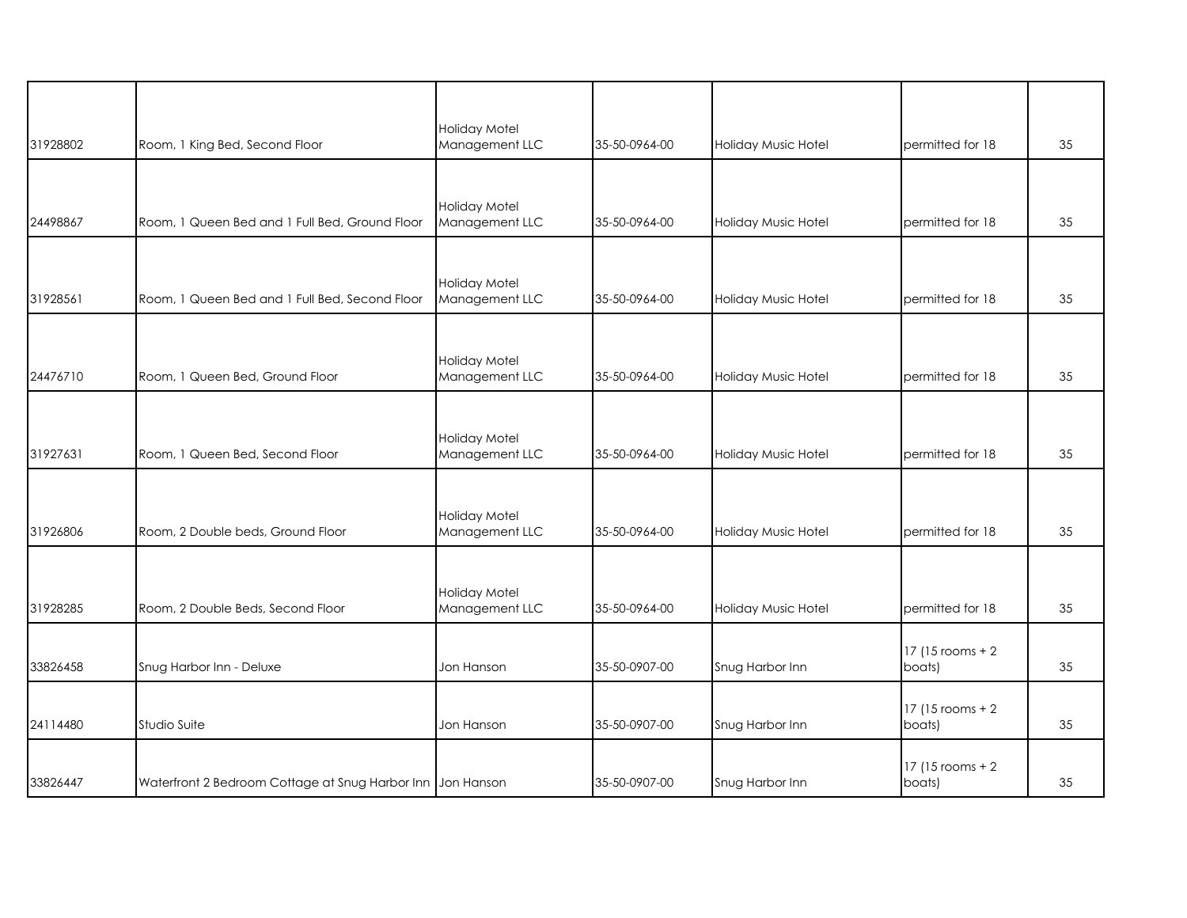| 31928802 | Room, 1 King Bed, Second Floor                             | Holiday Motel<br>Management LLC | 35-50-0964-00 | Holiday Music Hotel | permitted for 18            | 35 |
|----------|------------------------------------------------------------|---------------------------------|---------------|---------------------|-----------------------------|----|
|          |                                                            |                                 |               |                     |                             |    |
| 24498867 | Room, 1 Queen Bed and 1 Full Bed, Ground Floor             | Holiday Motel<br>Management LLC | 35-50-0964-00 | Holiday Music Hotel | permitted for 18            | 35 |
|          |                                                            | Holiday Motel                   |               |                     |                             |    |
| 31928561 | Room, 1 Queen Bed and 1 Full Bed, Second Floor             | Management LLC                  | 35-50-0964-00 | Holiday Music Hotel | permitted for 18            | 35 |
| 24476710 | Room, 1 Queen Bed, Ground Floor                            | Holiday Motel<br>Management LLC | 35-50-0964-00 | Holiday Music Hotel | permitted for 18            | 35 |
|          |                                                            |                                 |               |                     |                             |    |
| 31927631 | Room, 1 Queen Bed, Second Floor                            | Holiday Motel<br>Management LLC | 35-50-0964-00 | Holiday Music Hotel | permitted for 18            | 35 |
|          |                                                            |                                 |               |                     |                             |    |
| 31926806 | Room, 2 Double beds, Ground Floor                          | Holiday Motel<br>Management LLC | 35-50-0964-00 | Holiday Music Hotel | permitted for 18            | 35 |
|          |                                                            |                                 |               |                     |                             |    |
| 31928285 | Room, 2 Double Beds, Second Floor                          | Holiday Motel<br>Management LLC | 35-50-0964-00 | Holiday Music Hotel | permitted for 18            | 35 |
| 33826458 | Snug Harbor Inn - Deluxe                                   | Jon Hanson                      | 35-50-0907-00 | Snug Harbor Inn     | 17 (15 rooms + 2)<br>boats) | 35 |
|          |                                                            |                                 |               |                     |                             |    |
| 24114480 | Studio Suite                                               | Jon Hanson                      | 35-50-0907-00 | Snug Harbor Inn     | 17 (15 rooms + 2)<br>boats) | 35 |
| 33826447 | Waterfront 2 Bedroom Cottage at Snug Harbor Inn Jon Hanson |                                 | 35-50-0907-00 | Snug Harbor Inn     | 17 (15 rooms + 2)<br>boats) | 35 |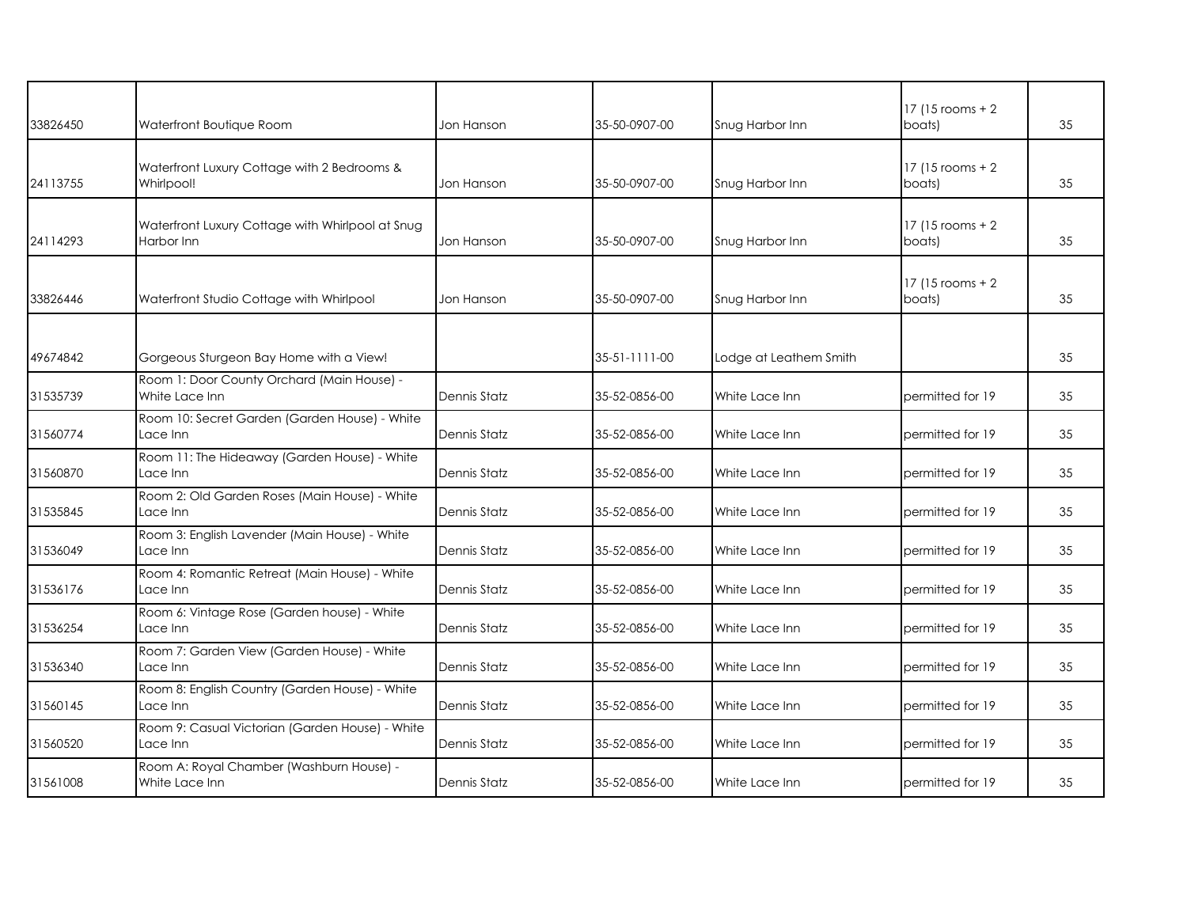| 33826450 | Waterfront Boutique Room                                       | Jon Hanson   | 35-50-0907-00 | Snug Harbor Inn        | 17 (15 rooms + 2)<br>boats)   | 35 |
|----------|----------------------------------------------------------------|--------------|---------------|------------------------|-------------------------------|----|
| 24113755 | Waterfront Luxury Cottage with 2 Bedrooms &<br>Whirlpool!      | Jon Hanson   | 35-50-0907-00 | Snug Harbor Inn        | $17$ (15 rooms + 2)<br>boats) | 35 |
| 24114293 | Waterfront Luxury Cottage with Whirlpool at Snug<br>Harbor Inn | Jon Hanson   | 35-50-0907-00 | Snug Harbor Inn        | $17$ (15 rooms + 2)<br>boats) | 35 |
| 33826446 | Waterfront Studio Cottage with Whirlpool                       | Jon Hanson   | 35-50-0907-00 | Snug Harbor Inn        | 17 (15 rooms + 2)<br>boats)   | 35 |
| 49674842 | Gorgeous Sturgeon Bay Home with a View!                        |              | 35-51-1111-00 | Lodge at Leathem Smith |                               | 35 |
| 31535739 | Room 1: Door County Orchard (Main House) -<br>White Lace Inn   | Dennis Statz | 35-52-0856-00 | White Lace Inn         | permitted for 19              | 35 |
| 31560774 | Room 10: Secret Garden (Garden House) - White<br>Lace Inn      | Dennis Statz | 35-52-0856-00 | White Lace Inn         | permitted for 19              | 35 |
| 31560870 | Room 11: The Hideaway (Garden House) - White<br>Lace Inn       | Dennis Statz | 35-52-0856-00 | White Lace Inn         | permitted for 19              | 35 |
| 31535845 | Room 2: Old Garden Roses (Main House) - White<br>Lace Inn      | Dennis Statz | 35-52-0856-00 | White Lace Inn         | permitted for 19              | 35 |
| 31536049 | Room 3: English Lavender (Main House) - White<br>Lace Inn      | Dennis Statz | 35-52-0856-00 | White Lace Inn         | permitted for 19              | 35 |
| 31536176 | Room 4: Romantic Retreat (Main House) - White<br>Lace Inn      | Dennis Statz | 35-52-0856-00 | White Lace Inn         | permitted for 19              | 35 |
| 31536254 | Room 6: Vintage Rose (Garden house) - White<br>Lace Inn        | Dennis Statz | 35-52-0856-00 | White Lace Inn         | permitted for 19              | 35 |
| 31536340 | Room 7: Garden View (Garden House) - White<br>Lace Inn         | Dennis Statz | 35-52-0856-00 | White Lace Inn         | permitted for 19              | 35 |
| 31560145 | Room 8: English Country (Garden House) - White<br>Lace Inn     | Dennis Statz | 35-52-0856-00 | White Lace Inn         | permitted for 19              | 35 |
| 31560520 | Room 9: Casual Victorian (Garden House) - White<br>Lace Inn    | Dennis Statz | 35-52-0856-00 | White Lace Inn         | permitted for 19              | 35 |
| 31561008 | Room A: Royal Chamber (Washburn House) -<br>White Lace Inn     | Dennis Statz | 35-52-0856-00 | White Lace Inn         | permitted for 19              | 35 |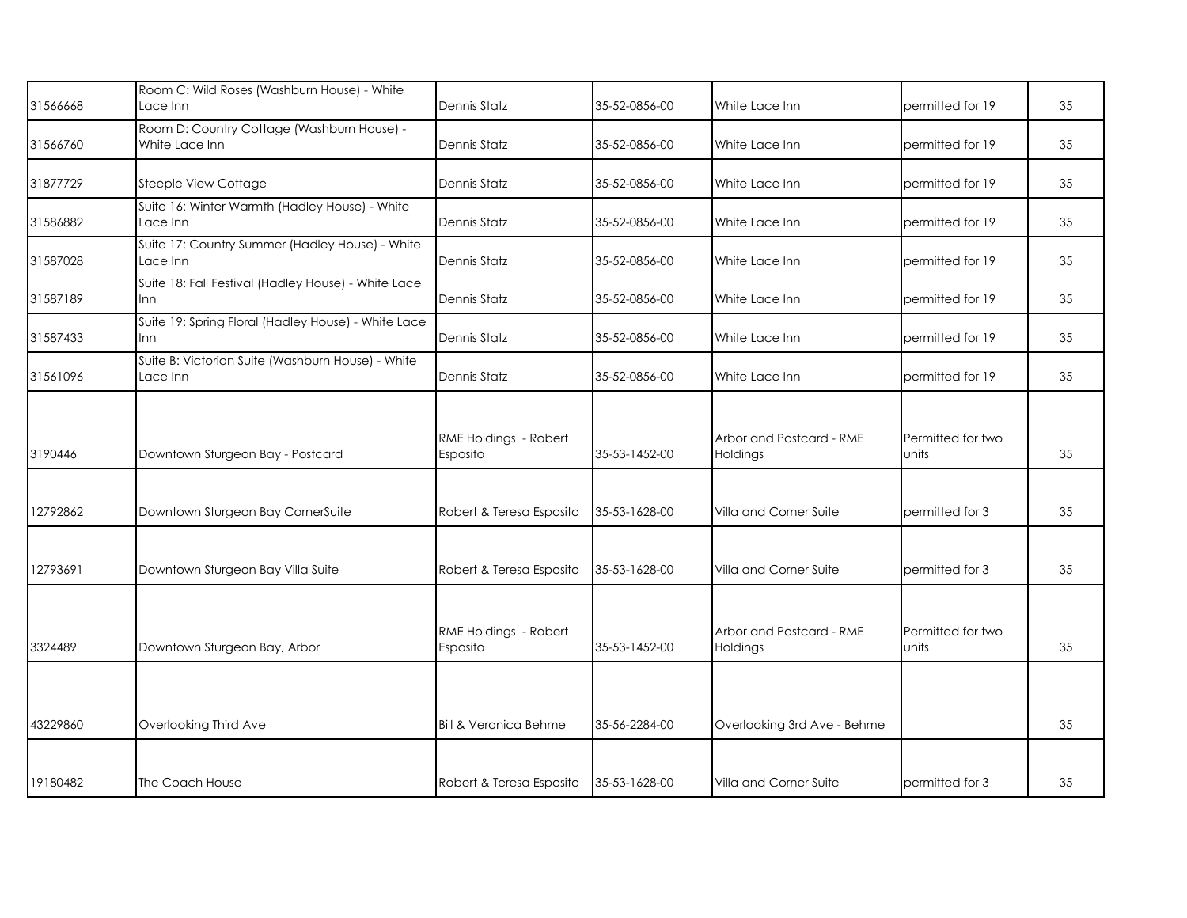| 31566668 | Room C: Wild Roses (Washburn House) - White<br>Lace Inn       | Dennis Statz                      | 35-52-0856-00 | White Lace Inn                       | permitted for 19           | 35 |
|----------|---------------------------------------------------------------|-----------------------------------|---------------|--------------------------------------|----------------------------|----|
| 31566760 | Room D: Country Cottage (Washburn House) -<br>White Lace Inn  | Dennis Statz                      | 35-52-0856-00 | White Lace Inn                       | permitted for 19           | 35 |
| 31877729 | Steeple View Cottage                                          | Dennis Statz                      | 35-52-0856-00 | White Lace Inn                       | permitted for 19           | 35 |
| 31586882 | Suite 16: Winter Warmth (Hadley House) - White<br>Lace Inn    | Dennis Statz                      | 35-52-0856-00 | White Lace Inn                       | permitted for 19           | 35 |
| 31587028 | Suite 17: Country Summer (Hadley House) - White<br>Lace Inn   | Dennis Statz                      | 35-52-0856-00 | White Lace Inn                       | permitted for 19           | 35 |
| 31587189 | Suite 18: Fall Festival (Hadley House) - White Lace<br>Inn    | Dennis Statz                      | 35-52-0856-00 | White Lace Inn                       | permitted for 19           | 35 |
| 31587433 | Suite 19: Spring Floral (Hadley House) - White Lace<br>Inn    | Dennis Statz                      | 35-52-0856-00 | White Lace Inn                       | permitted for 19           | 35 |
| 31561096 | Suite B: Victorian Suite (Washburn House) - White<br>Lace Inn | Dennis Statz                      | 35-52-0856-00 | White Lace Inn                       | permitted for 19           | 35 |
| 3190446  | Downtown Sturgeon Bay - Postcard                              | RME Holdings - Robert<br>Esposito | 35-53-1452-00 | Arbor and Postcard - RME<br>Holdings | Permitted for two<br>units | 35 |
| 12792862 | Downtown Sturgeon Bay CornerSuite                             | Robert & Teresa Esposito          | 35-53-1628-00 | Villa and Corner Suite               | permitted for 3            | 35 |
| 12793691 | Downtown Sturgeon Bay Villa Suite                             | Robert & Teresa Esposito          | 35-53-1628-00 | Villa and Corner Suite               | permitted for 3            | 35 |
| 3324489  | Downtown Sturgeon Bay, Arbor                                  | RME Holdings - Robert<br>Esposito | 35-53-1452-00 | Arbor and Postcard - RME<br>Holdings | Permitted for two<br>units | 35 |
|          |                                                               |                                   |               |                                      |                            |    |
| 43229860 | Overlooking Third Ave                                         | <b>Bill &amp; Veronica Behme</b>  | 35-56-2284-00 | Overlooking 3rd Ave - Behme          |                            | 35 |
| 19180482 | The Coach House                                               | Robert & Teresa Esposito          | 35-53-1628-00 | Villa and Corner Suite               | permitted for 3            | 35 |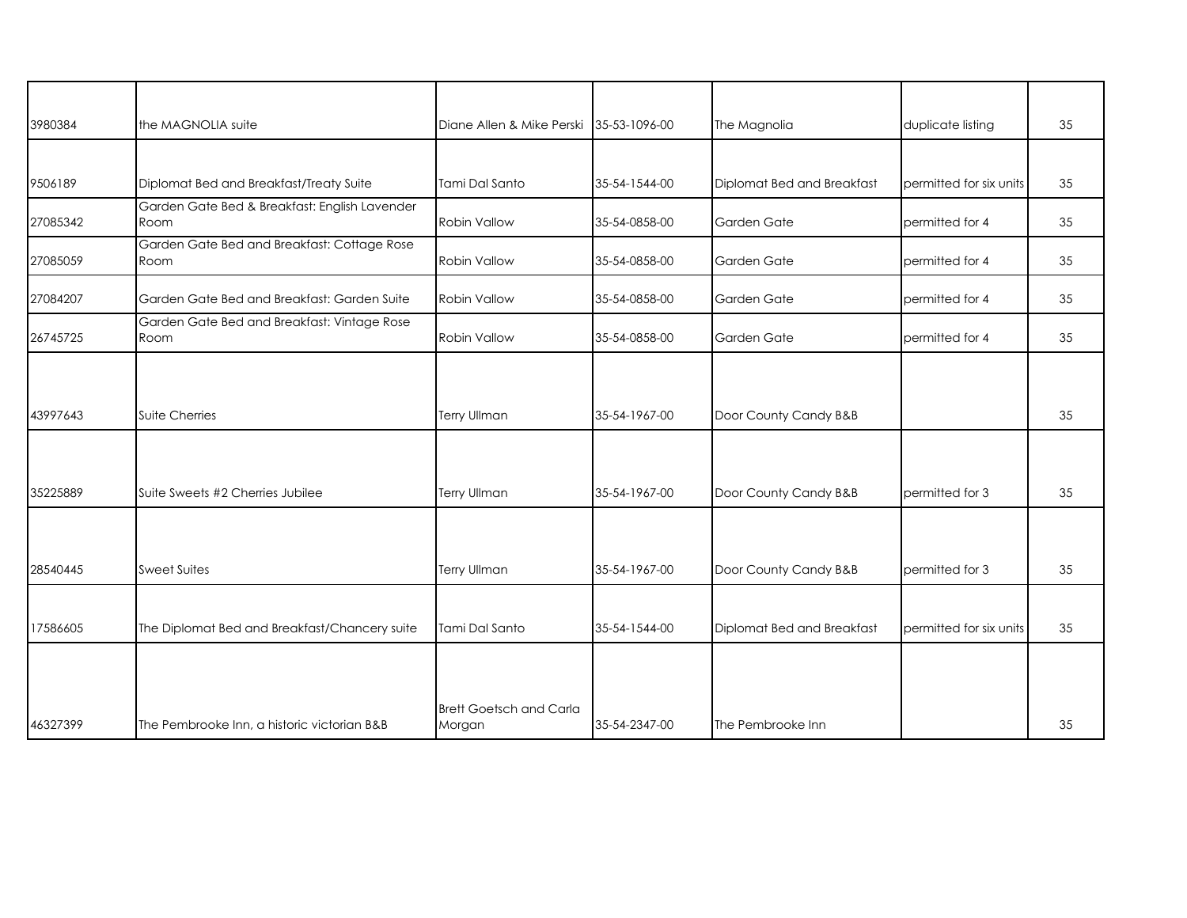| 3980384  | the MAGNOLIA suite                                    | Diane Allen & Mike Perski 35-53-1096-00 |               | The Magnolia               | duplicate listing       | 35 |
|----------|-------------------------------------------------------|-----------------------------------------|---------------|----------------------------|-------------------------|----|
|          |                                                       |                                         |               |                            |                         |    |
| 9506189  | Diplomat Bed and Breakfast/Treaty Suite               | Tami Dal Santo                          | 35-54-1544-00 | Diplomat Bed and Breakfast | permitted for six units | 35 |
| 27085342 | Garden Gate Bed & Breakfast: English Lavender<br>Room | <b>Robin Vallow</b>                     | 35-54-0858-00 | Garden Gate                | bermitted for 4         | 35 |
| 27085059 | Garden Gate Bed and Breakfast: Cottage Rose<br>Room   | Robin Vallow                            | 35-54-0858-00 | Garden Gate                | permitted for 4         | 35 |
| 27084207 | Garden Gate Bed and Breakfast: Garden Suite           | Robin Vallow                            | 35-54-0858-00 | Garden Gate                | permitted for 4         | 35 |
| 26745725 | Garden Gate Bed and Breakfast: Vintage Rose<br>Room   | <b>Robin Vallow</b>                     | 35-54-0858-00 | Garden Gate                | permitted for 4         | 35 |
|          |                                                       |                                         |               |                            |                         |    |
| 43997643 | <b>Suite Cherries</b>                                 | Terry Ullman                            | 35-54-1967-00 | Door County Candy B&B      |                         | 35 |
|          |                                                       |                                         |               |                            |                         |    |
| 35225889 | Suite Sweets #2 Cherries Jubilee                      | <b>Terry Ullman</b>                     | 35-54-1967-00 | Door County Candy B&B      | permitted for 3         | 35 |
|          |                                                       |                                         |               |                            |                         |    |
| 28540445 | <b>Sweet Suites</b>                                   | <b>Terry Ullman</b>                     | 35-54-1967-00 | Door County Candy B&B      | permitted for 3         | 35 |
|          |                                                       |                                         |               |                            |                         |    |
| 17586605 | The Diplomat Bed and Breakfast/Chancery suite         | Tami Dal Santo                          | 35-54-1544-00 | Diplomat Bed and Breakfast | permitted for six units | 35 |
|          |                                                       |                                         |               |                            |                         |    |
|          |                                                       | <b>Brett Goetsch and Carla</b>          |               |                            |                         |    |
| 46327399 | The Pembrooke Inn, a historic victorian B&B           | Morgan                                  | 35-54-2347-00 | The Pembrooke Inn          |                         | 35 |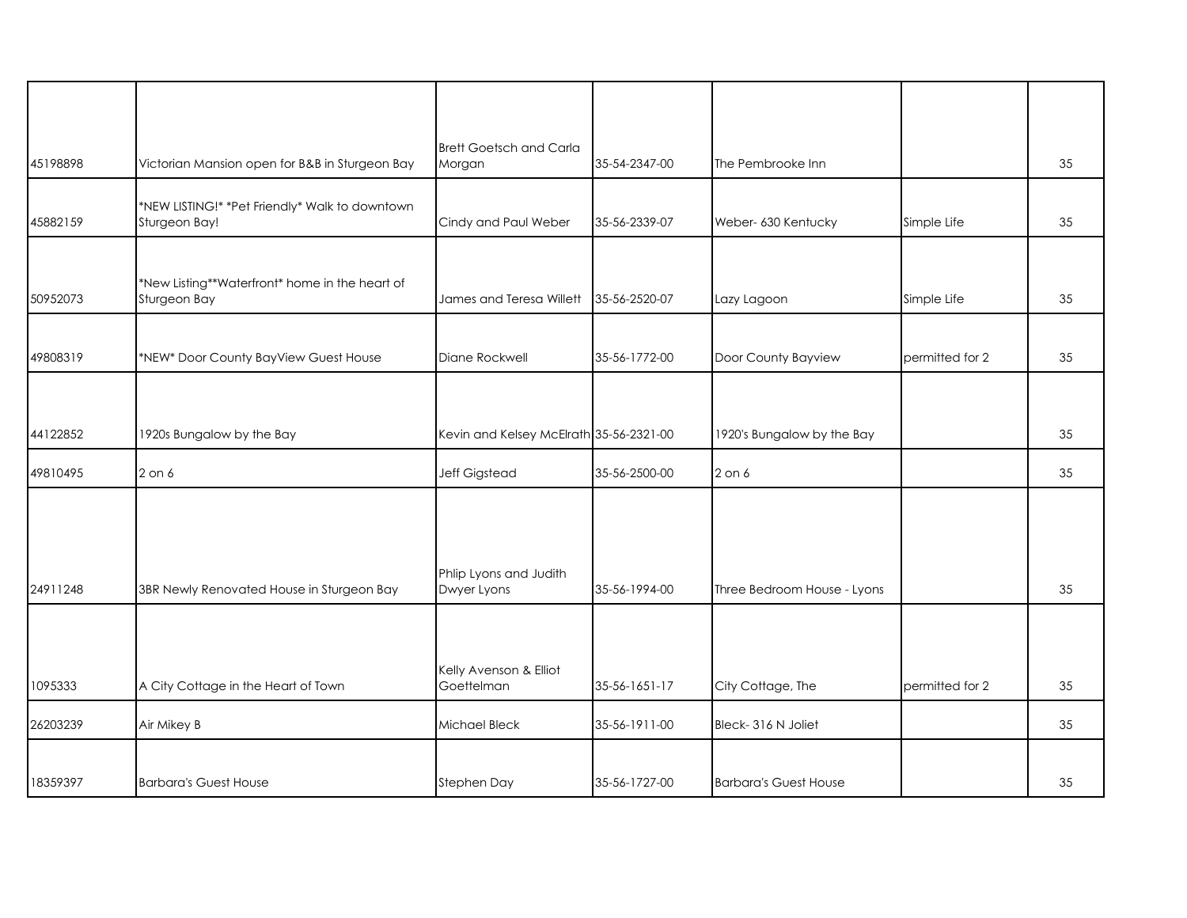| 45198898 | Victorian Mansion open for B&B in Sturgeon Bay                  | <b>Brett Goetsch and Carla</b><br>Morgan | 35-54-2347-00 | The Pembrooke Inn            |                 | 35 |
|----------|-----------------------------------------------------------------|------------------------------------------|---------------|------------------------------|-----------------|----|
|          |                                                                 |                                          |               |                              |                 |    |
| 45882159 | *NEW LISTING!* *Pet Friendly* Walk to downtown<br>Sturgeon Bay! | Cindy and Paul Weber                     | 35-56-2339-07 | Weber- 630 Kentucky          | Simple Life     | 35 |
| 50952073 | *New Listing**Waterfront* home in the heart of<br>Sturgeon Bay  | James and Teresa Willett                 | 35-56-2520-07 | Lazy Lagoon                  | Simple Life     | 35 |
| 49808319 | *NEW* Door County BayView Guest House                           | Diane Rockwell                           | 35-56-1772-00 | Door County Bayview          | permitted for 2 | 35 |
|          |                                                                 |                                          |               |                              |                 |    |
| 44122852 | 1920s Bungalow by the Bay                                       | Kevin and Kelsey McElrath 35-56-2321-00  |               | 1920's Bungalow by the Bay   |                 | 35 |
| 49810495 | $2$ on $6$                                                      | Jeff Gigstead                            | 35-56-2500-00 | 2 on 6                       |                 | 35 |
| 24911248 | 3BR Newly Renovated House in Sturgeon Bay                       | Phlip Lyons and Judith<br>Dwyer Lyons    | 35-56-1994-00 | Three Bedroom House - Lyons  |                 | 35 |
| 1095333  | A City Cottage in the Heart of Town                             | Kelly Avenson & Elliot<br>Goettelman     | 35-56-1651-17 | City Cottage, The            | permitted for 2 | 35 |
|          |                                                                 |                                          |               |                              |                 |    |
| 26203239 | Air Mikey B                                                     | Michael Bleck                            | 35-56-1911-00 | Bleck-316 N Joliet           |                 | 35 |
|          |                                                                 |                                          |               |                              |                 |    |
| 18359397 | <b>Barbara's Guest House</b>                                    | Stephen Day                              | 35-56-1727-00 | <b>Barbara's Guest House</b> |                 | 35 |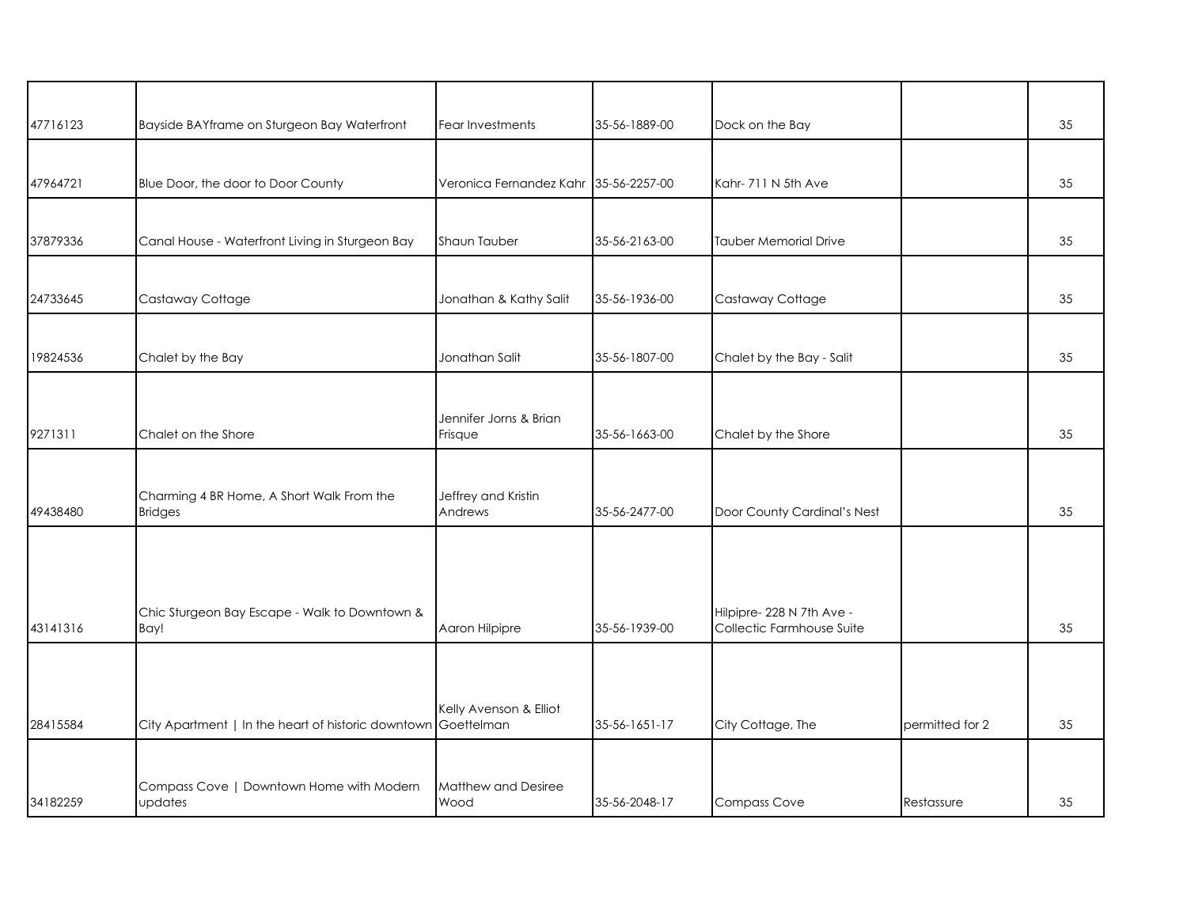| 47716123 | Bayside BAYframe on Sturgeon Bay Waterfront                   | Fear Investments                  | 35-56-1889-00 | Dock on the Bay              |                 | 35 |
|----------|---------------------------------------------------------------|-----------------------------------|---------------|------------------------------|-----------------|----|
|          |                                                               |                                   |               |                              |                 |    |
| 47964721 | Blue Door, the door to Door County                            | Veronica Fernandez Kahr           | 35-56-2257-00 | Kahr-711 N 5th Ave           |                 | 35 |
| 37879336 | Canal House - Waterfront Living in Sturgeon Bay               | Shaun Tauber                      | 35-56-2163-00 | <b>Tauber Memorial Drive</b> |                 | 35 |
| 24733645 | Castaway Cottage                                              | Jonathan & Kathy Salit            | 35-56-1936-00 | Castaway Cottage             |                 | 35 |
| 19824536 | Chalet by the Bay                                             | Jonathan Salit                    | 35-56-1807-00 | Chalet by the Bay - Salit    |                 | 35 |
| 9271311  | Chalet on the Shore                                           | Jennifer Jorns & Brian<br>Frisque | 35-56-1663-00 | Chalet by the Shore          |                 | 35 |
| 49438480 | Charming 4 BR Home, A Short Walk From the<br><b>Bridges</b>   | Jeffrey and Kristin<br>Andrews    | 35-56-2477-00 | Door County Cardinal's Nest  |                 | 35 |
|          | Chic Sturgeon Bay Escape - Walk to Downtown &                 |                                   |               | Hilpipre-228 N 7th Ave -     |                 |    |
| 43141316 | Bay!                                                          | Aaron Hilpipre                    | 35-56-1939-00 | Collectic Farmhouse Suite    |                 | 35 |
| 28415584 | City Apartment   In the heart of historic downtown Goettelman | Kelly Avenson & Elliot            | 35-56-1651-17 | City Cottage, The            | permitted for 2 | 35 |
| 34182259 | Compass Cove   Downtown Home with Modern<br>updates           | Matthew and Desiree<br>Wood       | 35-56-2048-17 | <b>Compass Cove</b>          | Restassure      | 35 |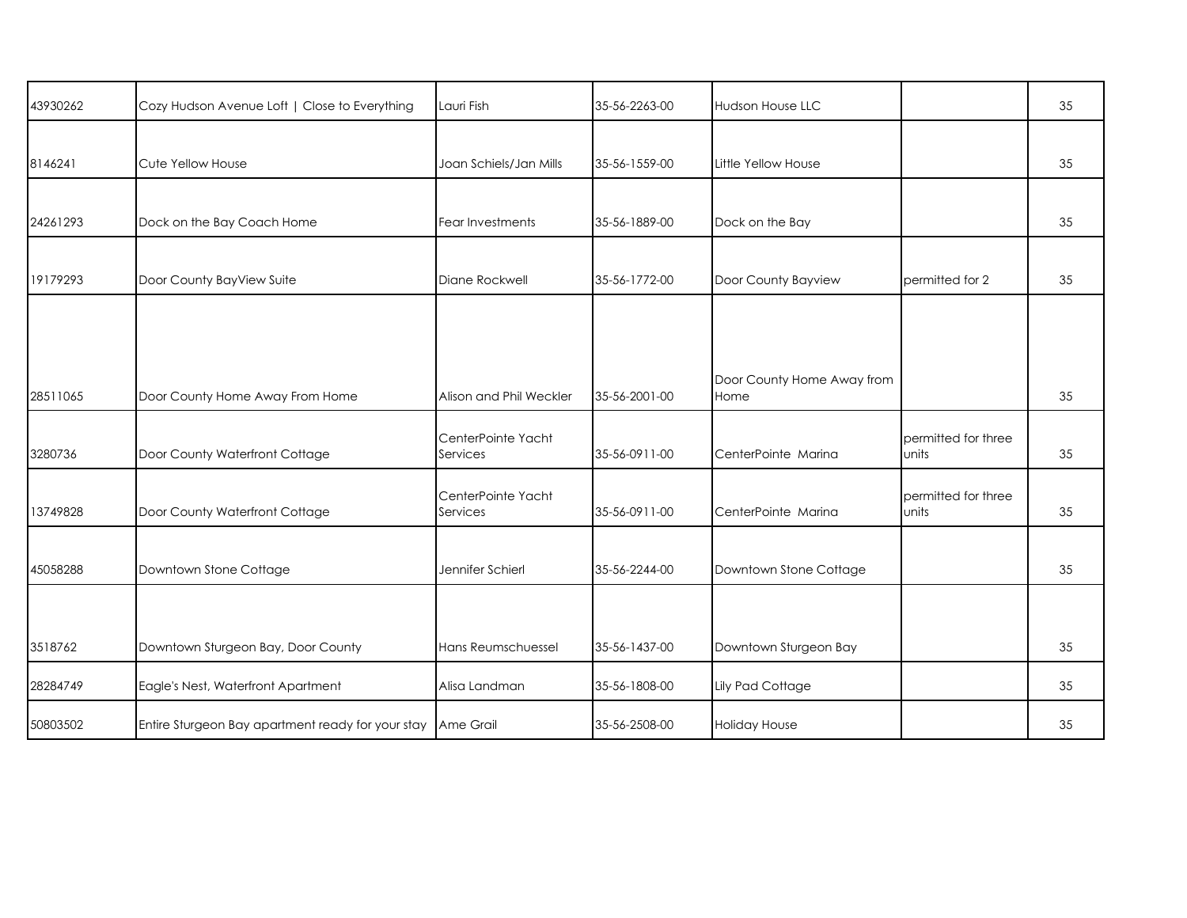| 43930262 | Cozy Hudson Avenue Loft   Close to Everything               | Lauri Fish                     | 35-56-2263-00 | <b>Hudson House LLC</b>            |                              | 35 |
|----------|-------------------------------------------------------------|--------------------------------|---------------|------------------------------------|------------------------------|----|
| 8146241  | Cute Yellow House                                           | Joan Schiels/Jan Mills         | 35-56-1559-00 | Little Yellow House                |                              | 35 |
| 24261293 | Dock on the Bay Coach Home                                  | Fear Investments               | 35-56-1889-00 | Dock on the Bay                    |                              | 35 |
| 19179293 | Door County BayView Suite                                   | Diane Rockwell                 | 35-56-1772-00 | Door County Bayview                | permitted for 2              | 35 |
|          |                                                             |                                |               |                                    |                              |    |
| 28511065 | Door County Home Away From Home                             | Alison and Phil Weckler        | 35-56-2001-00 | Door County Home Away from<br>Home |                              | 35 |
| 3280736  | Door County Waterfront Cottage                              | CenterPointe Yacht<br>Services | 35-56-0911-00 | CenterPointe Marina                | permitted for three<br>units | 35 |
| 13749828 | Door County Waterfront Cottage                              | CenterPointe Yacht<br>Services | 35-56-0911-00 | CenterPointe Marina                | permitted for three<br>units | 35 |
| 45058288 | Downtown Stone Cottage                                      | Jennifer Schierl               | 35-56-2244-00 | Downtown Stone Cottage             |                              | 35 |
| 3518762  | Downtown Sturgeon Bay, Door County                          | Hans Reumschuessel             | 35-56-1437-00 | Downtown Sturgeon Bay              |                              | 35 |
| 28284749 | Eagle's Nest, Waterfront Apartment                          | Alisa Landman                  | 35-56-1808-00 | <b>Lily Pad Cottage</b>            |                              | 35 |
| 50803502 | Entire Sturgeon Bay apartment ready for your stay Ame Grail |                                | 35-56-2508-00 | <b>Holiday House</b>               |                              | 35 |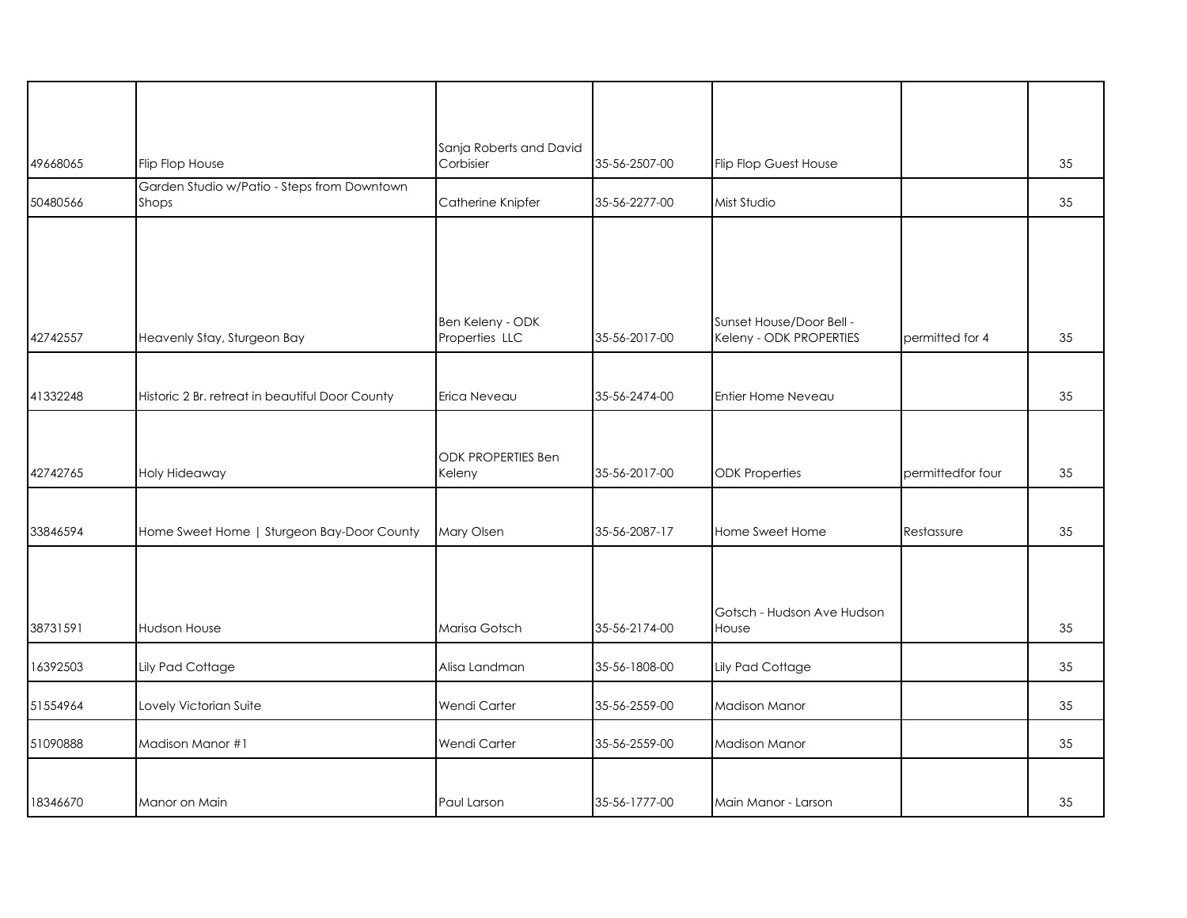| 49668065 | Flip Flop House                                      | Sanja Roberts and David<br>Corbisier | 35-56-2507-00 | <b>Flip Flop Guest House</b>                        |                   | 35 |
|----------|------------------------------------------------------|--------------------------------------|---------------|-----------------------------------------------------|-------------------|----|
| 50480566 | Garden Studio w/Patio - Steps from Downtown<br>Shops | Catherine Knipfer                    | 35-56-2277-00 | Mist Studio                                         |                   | 35 |
|          |                                                      |                                      |               |                                                     |                   |    |
| 42742557 | Heavenly Stay, Sturgeon Bay                          | Ben Keleny - ODK<br>Properties LLC   | 35-56-2017-00 | Sunset House/Door Bell -<br>Keleny - ODK PROPERTIES | permitted for 4   | 35 |
| 41332248 | Historic 2 Br. retreat in beautiful Door County      | Erica Neveau                         | 35-56-2474-00 | Entier Home Neveau                                  |                   | 35 |
| 42742765 | Holy Hideaway                                        | ODK PROPERTIES Ben<br>Keleny         | 35-56-2017-00 | <b>ODK</b> Properties                               | permittedfor four | 35 |
| 33846594 | Home Sweet Home   Sturgeon Bay-Door County           | Mary Olsen                           | 35-56-2087-17 | Home Sweet Home                                     | Restassure        | 35 |
| 38731591 | <b>Hudson House</b>                                  | Marisa Gotsch                        | 35-56-2174-00 | Gotsch - Hudson Ave Hudson<br>House                 |                   | 35 |
| 16392503 | Lily Pad Cottage                                     | Alisa Landman                        | 35-56-1808-00 | Lily Pad Cottage                                    |                   | 35 |
| 51554964 | Lovely Victorian Suite                               | Wendi Carter                         | 35-56-2559-00 | <b>Madison Manor</b>                                |                   | 35 |
| 51090888 | Madison Manor #1                                     | Wendi Carter                         | 35-56-2559-00 | <b>Madison Manor</b>                                |                   | 35 |
| 18346670 | Manor on Main                                        | Paul Larson                          | 35-56-1777-00 | Main Manor - Larson                                 |                   | 35 |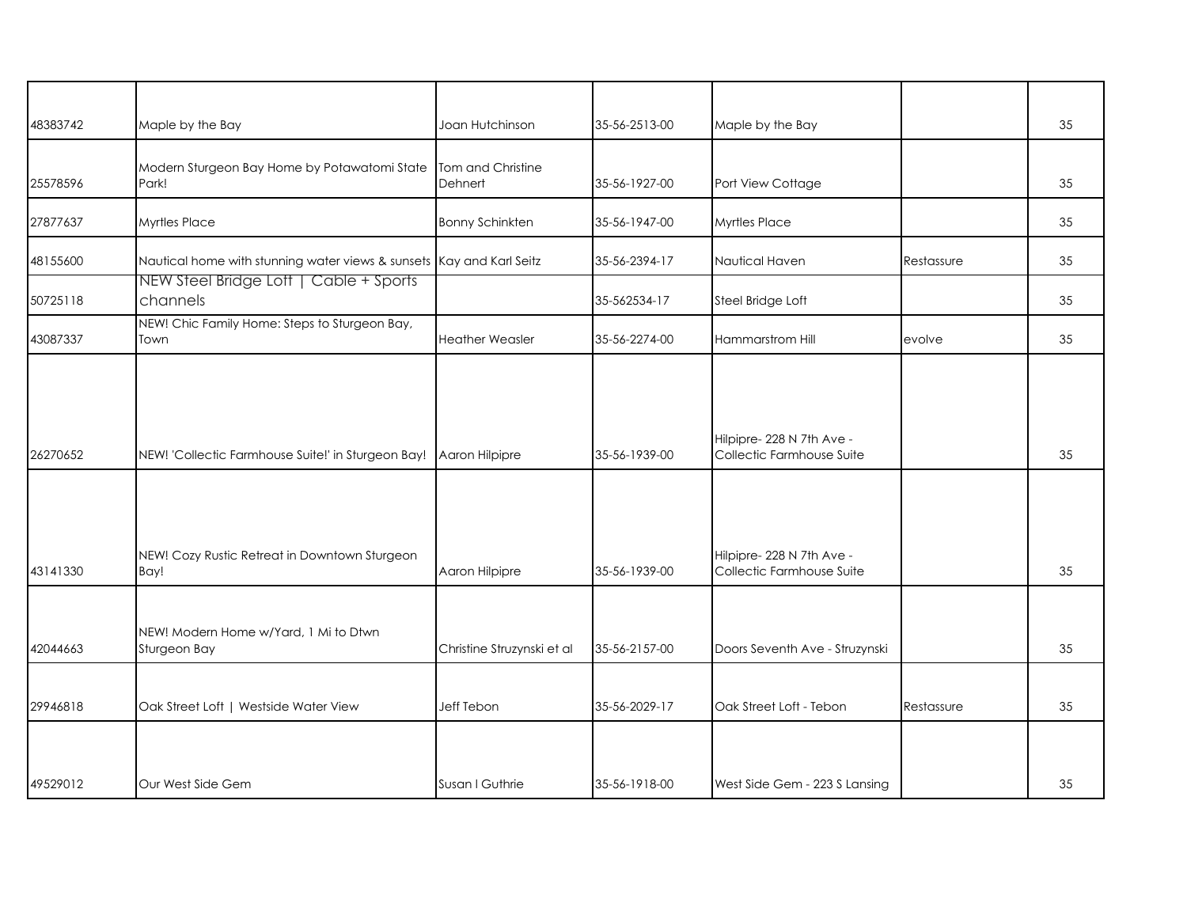| 48383742 | Maple by the Bay                                                     | Joan Hutchinson              | 35-56-2513-00 | Maple by the Bay                                       |            | 35 |
|----------|----------------------------------------------------------------------|------------------------------|---------------|--------------------------------------------------------|------------|----|
| 25578596 | Modern Sturgeon Bay Home by Potawatomi State<br>Park!                | Tom and Christine<br>Dehnert | 35-56-1927-00 | Port View Cottage                                      |            | 35 |
| 27877637 | <b>Myrtles Place</b>                                                 | <b>Bonny Schinkten</b>       | 35-56-1947-00 | <b>Myrtles Place</b>                                   |            | 35 |
| 48155600 | Nautical home with stunning water views & sunsets Kay and Karl Seitz |                              | 35-56-2394-17 | Nautical Haven                                         | Restassure | 35 |
| 50725118 | NEW Steel Bridge Lott   Cable + Sports<br>channels                   |                              | 35-562534-17  | Steel Bridge Loft                                      |            | 35 |
| 43087337 | NEW! Chic Family Home: Steps to Sturgeon Bay,<br>Town                | <b>Heather Weasler</b>       | 35-56-2274-00 | Hammarstrom Hill                                       | evolve     | 35 |
| 26270652 | NEW! 'Collectic Farmhouse Suite!' in Sturgeon Bay!   Aaron Hilpipre  |                              | 35-56-1939-00 | Hilpipre- 228 N 7th Ave -<br>Collectic Farmhouse Suite |            | 35 |
| 43141330 | NEW! Cozy Rustic Retreat in Downtown Sturgeon<br>Bay!                | Aaron Hilpipre               | 35-56-1939-00 | Hilpipre-228 N 7th Ave -<br>Collectic Farmhouse Suite  |            | 35 |
| 42044663 | NEW! Modern Home w/Yard, 1 Mi to Dtwn<br>Sturgeon Bay                | Christine Struzynski et al   | 35-56-2157-00 | Doors Seventh Ave - Struzynski                         |            | 35 |
| 29946818 | Oak Street Loft   Westside Water View                                | Jeff Tebon                   | 35-56-2029-17 | Oak Street Loft - Tebon                                | Restassure | 35 |
| 49529012 | Our West Side Gem                                                    | Susan I Guthrie              | 35-56-1918-00 | West Side Gem - 223 S Lansing                          |            | 35 |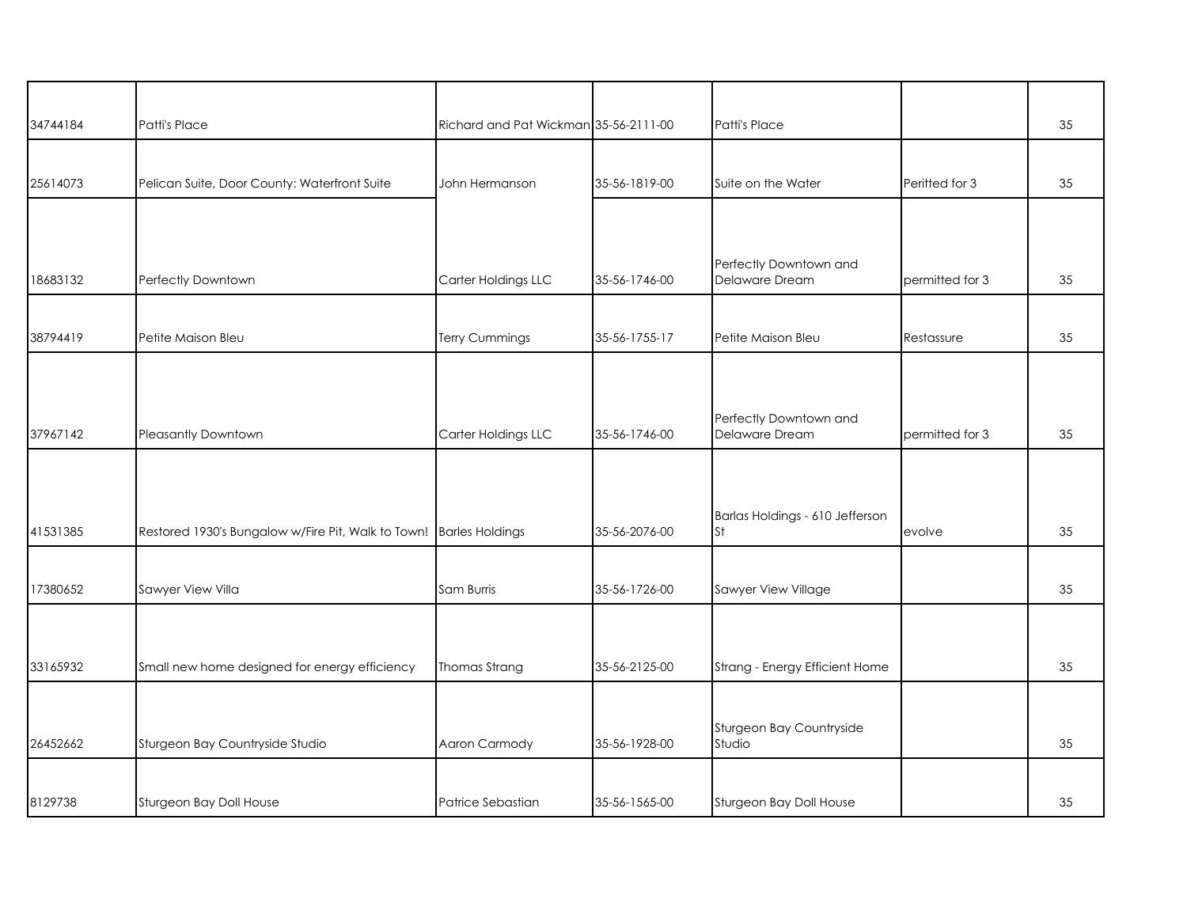| 34744184 | Patti's Place                                                      | Richard and Pat Wickman 35-56-2111-00 |               | Patti's Place                            |                 | 35 |
|----------|--------------------------------------------------------------------|---------------------------------------|---------------|------------------------------------------|-----------------|----|
|          |                                                                    |                                       |               |                                          |                 |    |
| 25614073 | Pelican Suite, Door County: Waterfront Suite                       | John Hermanson                        | 35-56-1819-00 | Suite on the Water                       | Peritted for 3  | 35 |
|          |                                                                    |                                       |               |                                          |                 |    |
| 18683132 | Perfectly Downtown                                                 | Carter Holdings LLC                   | 35-56-1746-00 | Perfectly Downtown and<br>Delaware Dream | permitted for 3 | 35 |
|          |                                                                    |                                       |               |                                          |                 |    |
| 38794419 | Petite Maison Bleu                                                 | Terry Cummings                        | 35-56-1755-17 | Petite Maison Bleu                       | Restassure      | 35 |
| 37967142 | <b>Pleasantly Downtown</b>                                         | Carter Holdings LLC                   | 35-56-1746-00 | Perfectly Downtown and<br>Delaware Dream | permitted for 3 | 35 |
|          |                                                                    |                                       |               |                                          |                 |    |
| 41531385 | Restored 1930's Bungalow w/Fire Pit, Walk to Town! Barles Holdings |                                       | 35-56-2076-00 | Barlas Holdings - 610 Jefferson<br>St    | evolve          | 35 |
|          |                                                                    |                                       |               |                                          |                 |    |
| 17380652 | Sawyer View Villa                                                  | Sam Burris                            | 35-56-1726-00 | Sawyer View Village                      |                 | 35 |
|          |                                                                    |                                       |               |                                          |                 |    |
| 33165932 | Small new home designed for energy efficiency                      | Thomas Strang                         | 35-56-2125-00 | Strang - Energy Efficient Home           |                 | 35 |
|          |                                                                    |                                       |               |                                          |                 |    |
| 26452662 | Sturgeon Bay Countryside Studio                                    | Aaron Carmody                         | 35-56-1928-00 | Sturgeon Bay Countryside<br>Studio       |                 | 35 |
|          |                                                                    |                                       |               |                                          |                 |    |
| 8129738  | Sturgeon Bay Doll House                                            | Patrice Sebastian                     | 35-56-1565-00 | Sturgeon Bay Doll House                  |                 | 35 |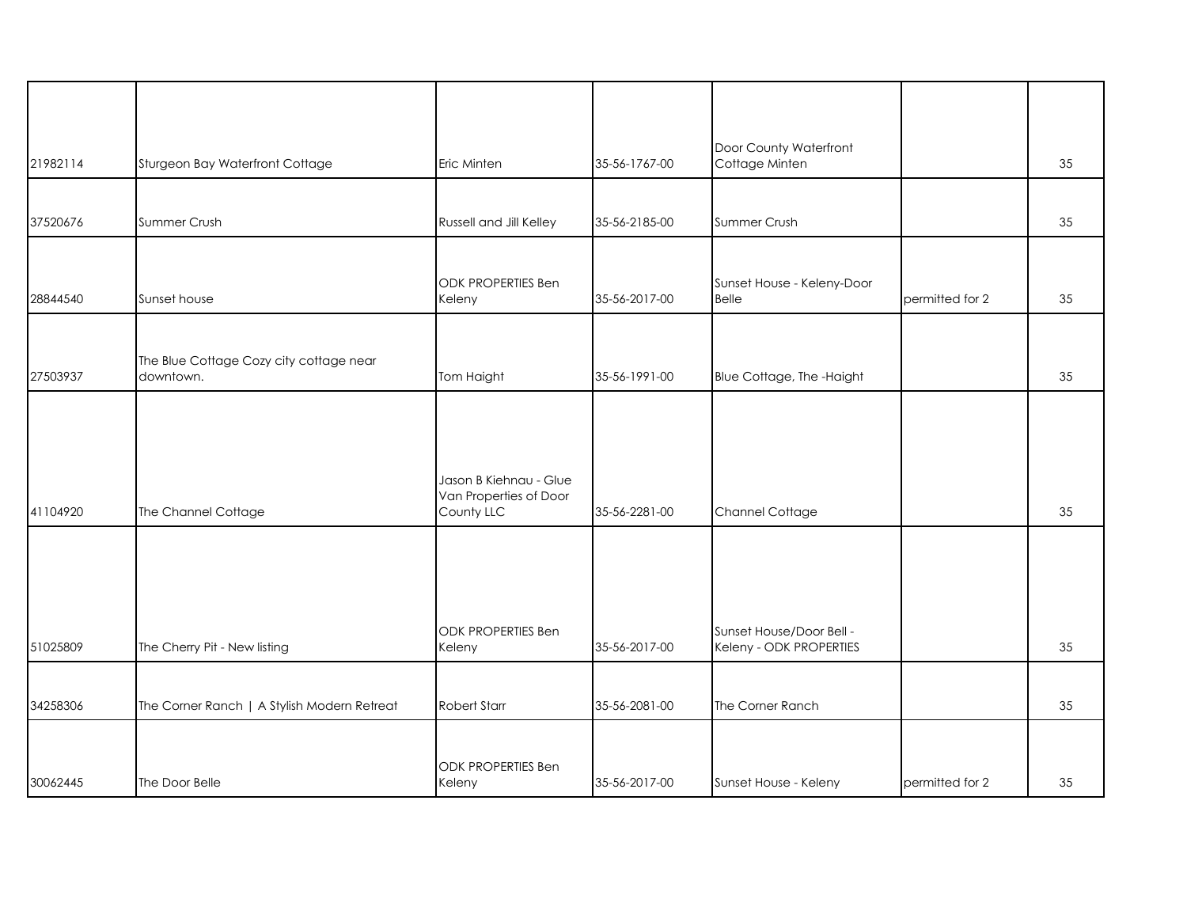| 21982114 | Sturgeon Bay Waterfront Cottage                      | Eric Minten                                                    | 35-56-1767-00 | Door County Waterfront<br>Cottage Minten            |                 | 35 |
|----------|------------------------------------------------------|----------------------------------------------------------------|---------------|-----------------------------------------------------|-----------------|----|
|          |                                                      |                                                                |               |                                                     |                 |    |
| 37520676 | Summer Crush                                         | Russell and Jill Kelley                                        | 35-56-2185-00 | Summer Crush                                        |                 | 35 |
| 28844540 | Sunset house                                         | <b>ODK PROPERTIES Ben</b><br>Keleny                            | 35-56-2017-00 | Sunset House - Keleny-Door<br><b>Belle</b>          | permitted for 2 | 35 |
| 27503937 | The Blue Cottage Cozy city cottage near<br>downtown. | Tom Haight                                                     | 35-56-1991-00 | Blue Cottage, The -Haight                           |                 | 35 |
| 41104920 | The Channel Cottage                                  | Jason B Kiehnau - Glue<br>Van Properties of Door<br>County LLC | 35-56-2281-00 | Channel Cottage                                     |                 | 35 |
| 51025809 | The Cherry Pit - New listing                         | <b>ODK PROPERTIES Ben</b><br>Keleny                            | 35-56-2017-00 | Sunset House/Door Bell -<br>Keleny - ODK PROPERTIES |                 | 35 |
| 34258306 | The Corner Ranch   A Stylish Modern Retreat          | <b>Robert Starr</b>                                            | 35-56-2081-00 | The Corner Ranch                                    |                 | 35 |
| 30062445 | The Door Belle                                       | <b>ODK PROPERTIES Ben</b><br>Keleny                            | 35-56-2017-00 | Sunset House - Keleny                               | permitted for 2 | 35 |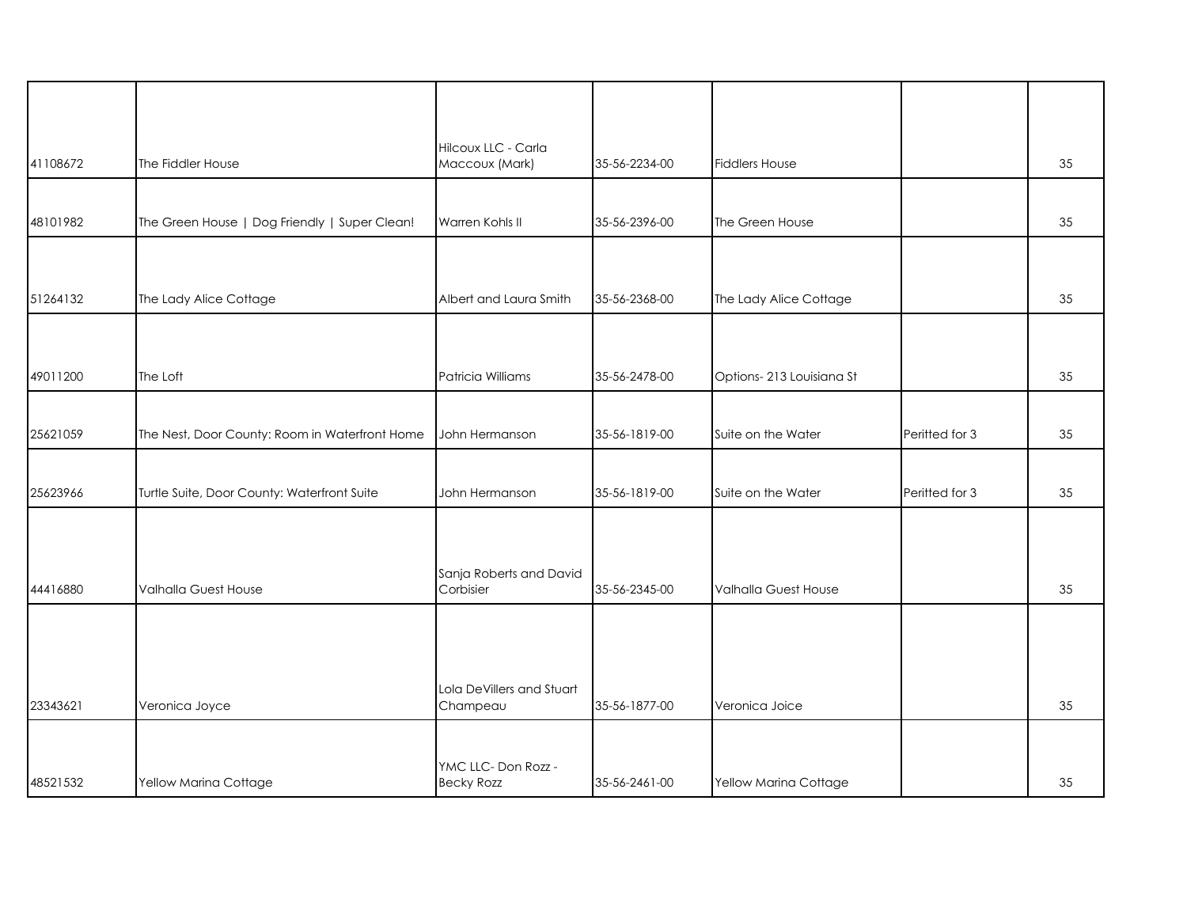| 41108672 | The Fiddler House                              | Hilcoux LLC - Carla<br>Maccoux (Mark)    | 35-56-2234-00 | <b>Fiddlers House</b>    |                | 35 |
|----------|------------------------------------------------|------------------------------------------|---------------|--------------------------|----------------|----|
|          |                                                |                                          |               |                          |                |    |
| 48101982 | The Green House   Dog Friendly   Super Clean!  | Warren Kohls II                          | 35-56-2396-00 | The Green House          |                | 35 |
|          |                                                |                                          |               |                          |                |    |
| 51264132 | The Lady Alice Cottage                         | Albert and Laura Smith                   | 35-56-2368-00 | The Lady Alice Cottage   |                | 35 |
|          |                                                |                                          |               |                          |                |    |
| 49011200 | The Loft                                       | Patricia Williams                        | 35-56-2478-00 | Options-213 Louisiana St |                | 35 |
| 25621059 | The Nest, Door County: Room in Waterfront Home | John Hermanson                           | 35-56-1819-00 | Suite on the Water       | Peritted for 3 | 35 |
|          |                                                |                                          |               |                          |                |    |
| 25623966 | Turtle Suite, Door County: Waterfront Suite    | John Hermanson                           | 35-56-1819-00 | Suite on the Water       | Peritted for 3 | 35 |
|          |                                                |                                          |               |                          |                |    |
| 44416880 | Valhalla Guest House                           | Sanja Roberts and David<br>Corbisier     | 35-56-2345-00 | Valhalla Guest House     |                | 35 |
|          |                                                |                                          |               |                          |                |    |
|          |                                                |                                          |               |                          |                |    |
| 23343621 | Veronica Joyce                                 | Lola DeVillers and Stuart<br>Champeau    | 35-56-1877-00 | Veronica Joice           |                | 35 |
|          |                                                |                                          |               |                          |                |    |
| 48521532 | Yellow Marina Cottage                          | YMC LLC- Don Rozz -<br><b>Becky Rozz</b> | 35-56-2461-00 | Yellow Marina Cottage    |                | 35 |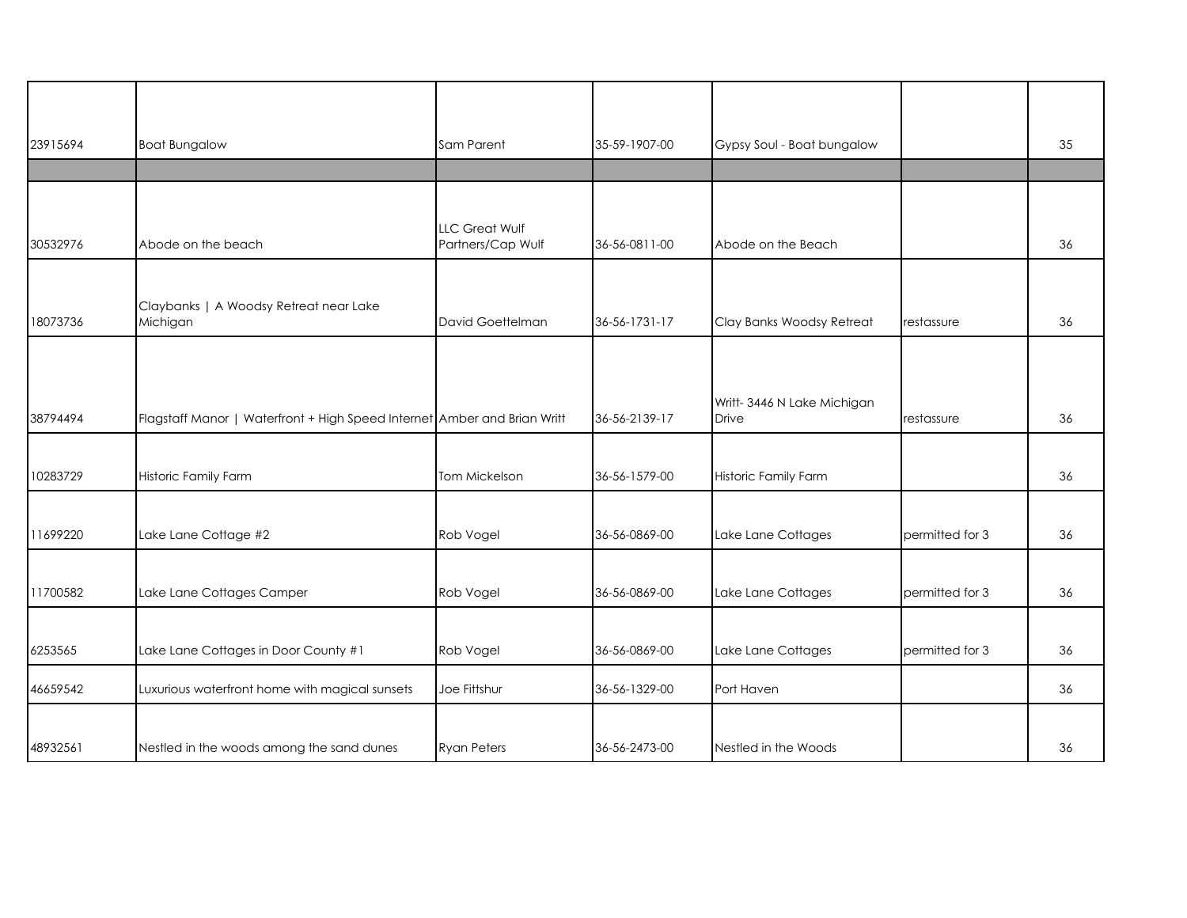| 23915694 | <b>Boat Bungalow</b>                                                     | Sam Parent                                 | 35-59-1907-00 | Gypsy Soul - Boat bungalow          |                 | 35 |
|----------|--------------------------------------------------------------------------|--------------------------------------------|---------------|-------------------------------------|-----------------|----|
|          |                                                                          |                                            |               |                                     |                 |    |
|          |                                                                          |                                            |               |                                     |                 |    |
| 30532976 | Abode on the beach                                                       | <b>LLC Great Wulf</b><br>Partners/Cap Wulf | 36-56-0811-00 | Abode on the Beach                  |                 | 36 |
|          |                                                                          |                                            |               |                                     |                 |    |
| 18073736 | Claybanks   A Woodsy Retreat near Lake<br>Michigan                       | David Goettelman                           | 36-56-1731-17 | Clay Banks Woodsy Retreat           | restassure      | 36 |
|          |                                                                          |                                            |               |                                     |                 |    |
| 38794494 | Flagstaff Manor   Waterfront + High Speed Internet Amber and Brian Writt |                                            | 36-56-2139-17 | Writt-3446 N Lake Michigan<br>Drive | restassure      | 36 |
|          |                                                                          |                                            |               |                                     |                 |    |
| 10283729 | Historic Family Farm                                                     | Tom Mickelson                              | 36-56-1579-00 | Historic Family Farm                |                 | 36 |
|          |                                                                          |                                            |               |                                     |                 |    |
| 11699220 | Lake Lane Cottage #2                                                     | Rob Vogel                                  | 36-56-0869-00 | Lake Lane Cottages                  | permitted for 3 | 36 |
|          |                                                                          |                                            |               |                                     |                 |    |
| 11700582 | Lake Lane Cottages Camper                                                | Rob Vogel                                  | 36-56-0869-00 | Lake Lane Cottages                  | permitted for 3 | 36 |
|          |                                                                          |                                            |               |                                     |                 |    |
| 6253565  | Lake Lane Cottages in Door County #1                                     | Rob Vogel                                  | 36-56-0869-00 | Lake Lane Cottages                  | permitted for 3 | 36 |
| 46659542 | Luxurious waterfront home with magical sunsets                           | Joe Fittshur                               | 36-56-1329-00 | Port Haven                          |                 | 36 |
|          |                                                                          |                                            |               |                                     |                 |    |
| 48932561 | Nestled in the woods among the sand dunes                                | <b>Ryan Peters</b>                         | 36-56-2473-00 | Nestled in the Woods                |                 | 36 |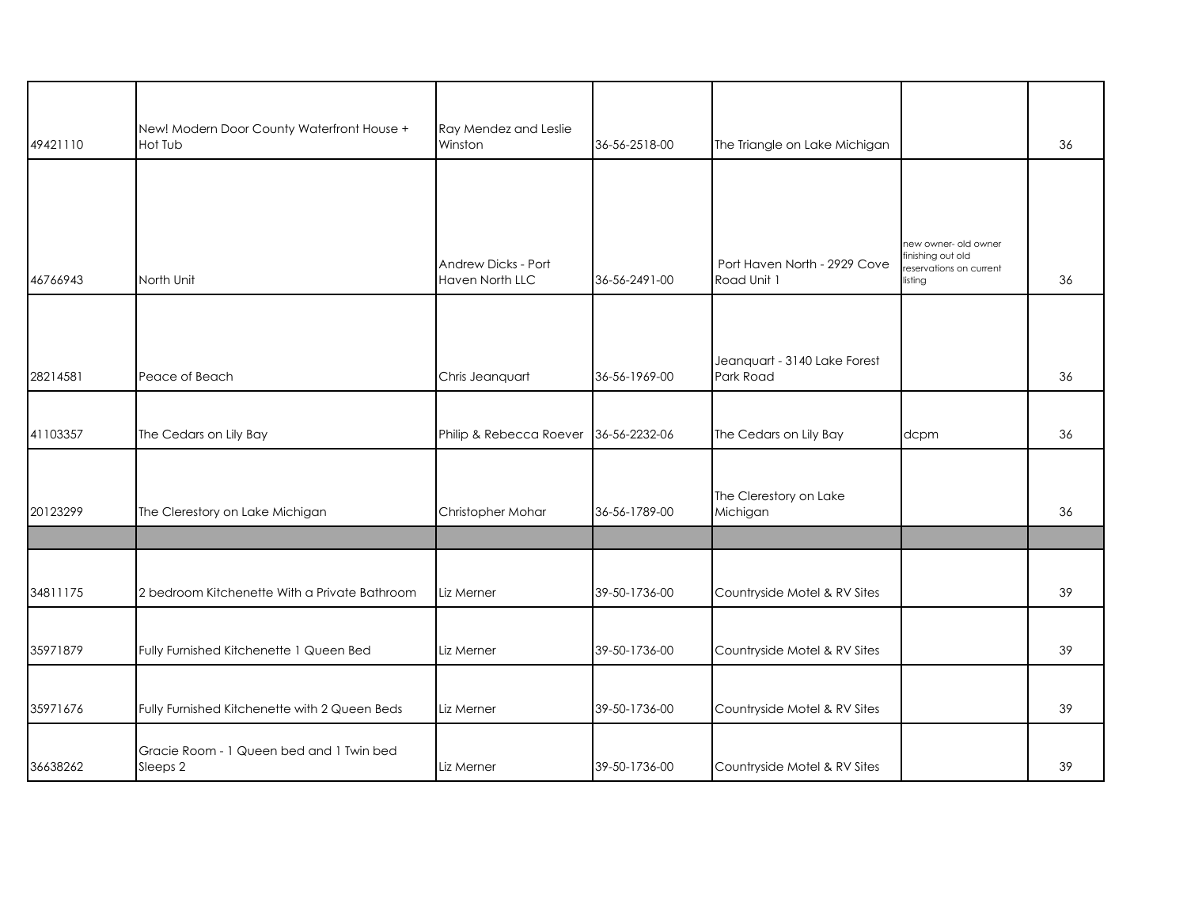| 49421110 | New! Modern Door County Waterfront House +<br>Hot Tub | Ray Mendez and Leslie<br>Winston       | 36-56-2518-00 | The Triangle on Lake Michigan               |                                                         | 36 |
|----------|-------------------------------------------------------|----------------------------------------|---------------|---------------------------------------------|---------------------------------------------------------|----|
|          |                                                       |                                        |               |                                             |                                                         |    |
|          |                                                       |                                        |               |                                             |                                                         |    |
|          |                                                       |                                        |               |                                             | new owner- old owner                                    |    |
| 46766943 | North Unit                                            | Andrew Dicks - Port<br>Haven North LLC | 36-56-2491-00 | Port Haven North - 2929 Cove<br>Road Unit 1 | finishing out old<br>reservations on current<br>listing | 36 |
|          |                                                       |                                        |               |                                             |                                                         |    |
|          |                                                       |                                        |               |                                             |                                                         |    |
| 28214581 | Peace of Beach                                        | Chris Jeanquart                        | 36-56-1969-00 | Jeanquart - 3140 Lake Forest<br>Park Road   |                                                         | 36 |
|          |                                                       |                                        |               |                                             |                                                         |    |
| 41103357 | The Cedars on Lily Bay                                | Philip & Rebecca Roever                | 36-56-2232-06 | The Cedars on Lily Bay                      | dcpm                                                    | 36 |
|          |                                                       |                                        |               |                                             |                                                         |    |
| 20123299 | The Clerestory on Lake Michigan                       | Christopher Mohar                      | 36-56-1789-00 | The Clerestory on Lake<br>Michigan          |                                                         | 36 |
|          |                                                       |                                        |               |                                             |                                                         |    |
|          |                                                       |                                        |               |                                             |                                                         |    |
| 34811175 | 2 bedroom Kitchenette With a Private Bathroom         | Liz Merner                             | 39-50-1736-00 | Countryside Motel & RV Sites                |                                                         | 39 |
|          |                                                       |                                        |               |                                             |                                                         |    |
| 35971879 | Fully Furnished Kitchenette 1 Queen Bed               | Liz Merner                             | 39-50-1736-00 | Countryside Motel & RV Sites                |                                                         | 39 |
| 35971676 | Fully Furnished Kitchenette with 2 Queen Beds         | Liz Merner                             | 39-50-1736-00 | Countryside Motel & RV Sites                |                                                         | 39 |
|          |                                                       |                                        |               |                                             |                                                         |    |
| 36638262 | Gracie Room - 1 Queen bed and 1 Twin bed<br>Sleeps 2  | Liz Merner                             | 39-50-1736-00 | Countryside Motel & RV Sites                |                                                         | 39 |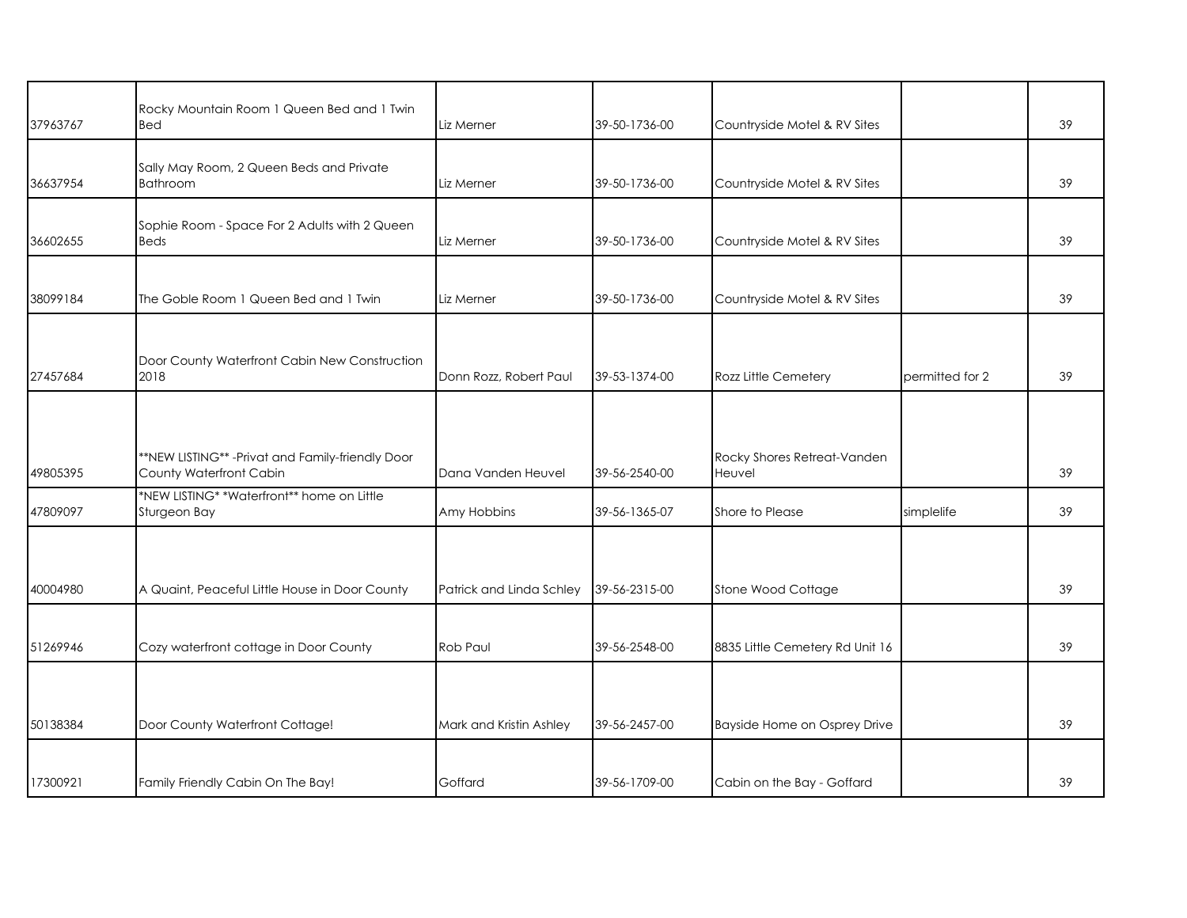| 37963767 | Rocky Mountain Room 1 Queen Bed and 1 Twin<br>Bed                            | Liz Merner               | 39-50-1736-00 | Countryside Motel & RV Sites          |                 | 39 |
|----------|------------------------------------------------------------------------------|--------------------------|---------------|---------------------------------------|-----------------|----|
| 36637954 | Sally May Room, 2 Queen Beds and Private<br><b>Bathroom</b>                  | Liz Merner               | 39-50-1736-00 | Countryside Motel & RV Sites          |                 | 39 |
| 36602655 | Sophie Room - Space For 2 Adults with 2 Queen<br><b>Beds</b>                 | Liz Merner               | 39-50-1736-00 | Countryside Motel & RV Sites          |                 | 39 |
| 38099184 | The Goble Room 1 Queen Bed and 1 Twin                                        | Liz Merner               | 39-50-1736-00 | Countryside Motel & RV Sites          |                 | 39 |
| 27457684 | Door County Waterfront Cabin New Construction<br>2018                        | Donn Rozz, Robert Paul   | 39-53-1374-00 | Rozz Little Cemetery                  | permitted for 2 | 39 |
| 49805395 | **NEW LISTING** - Privat and Family-friendly Door<br>County Waterfront Cabin | Dana Vanden Heuvel       | 39-56-2540-00 | Rocky Shores Retreat-Vanden<br>Heuvel |                 | 39 |
| 47809097 | *NEW LISTING* *Waterfront** home on Little<br>Sturgeon Bay                   | Amy Hobbins              | 39-56-1365-07 | Shore to Please                       | simplelife      | 39 |
| 40004980 | A Quaint, Peaceful Little House in Door County                               | Patrick and Linda Schley | 39-56-2315-00 | Stone Wood Cottage                    |                 | 39 |
| 51269946 | Cozy waterfront cottage in Door County                                       | Rob Paul                 | 39-56-2548-00 | 8835 Little Cemetery Rd Unit 16       |                 | 39 |
| 50138384 | Door County Waterfront Cottage!                                              | Mark and Kristin Ashley  | 39-56-2457-00 | Bayside Home on Osprey Drive          |                 | 39 |
| 17300921 | Family Friendly Cabin On The Bay!                                            | Goffard                  | 39-56-1709-00 | Cabin on the Bay - Goffard            |                 | 39 |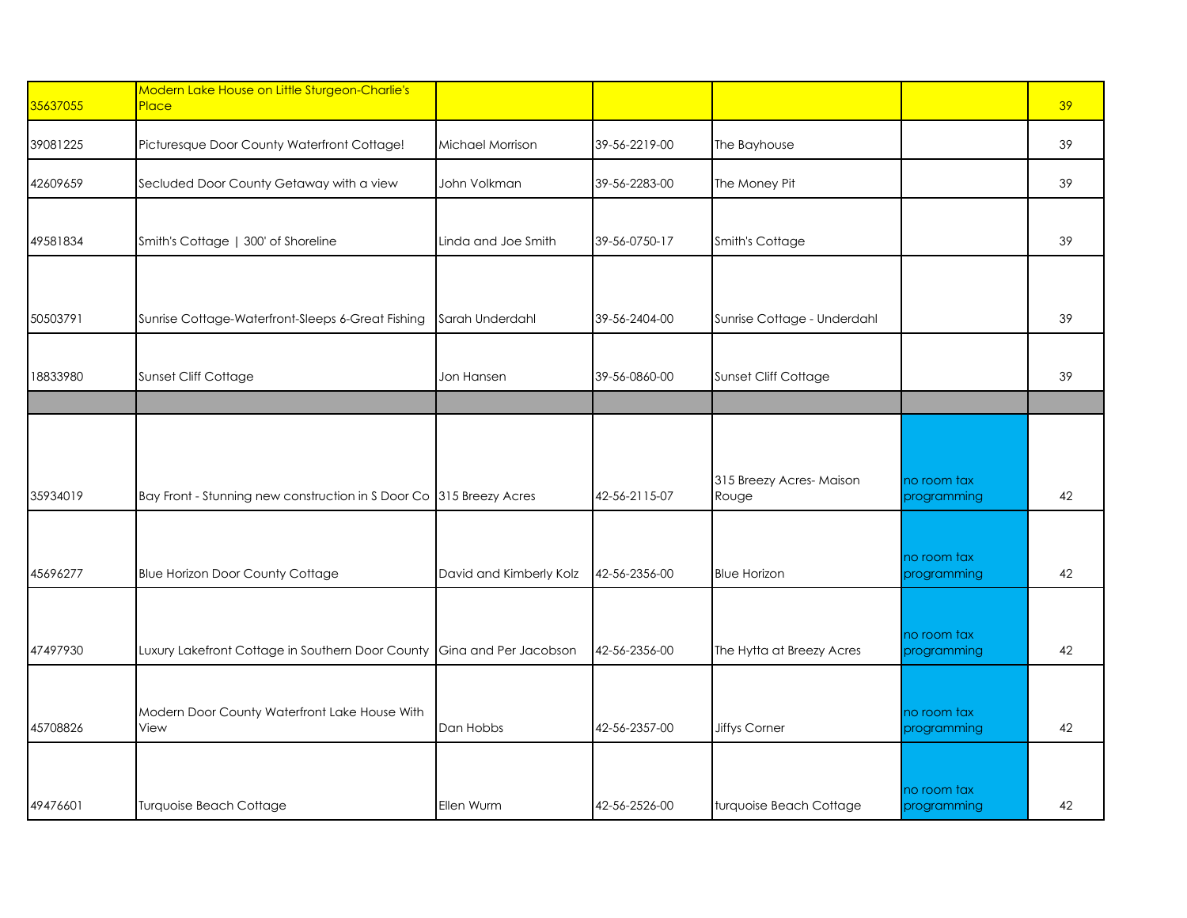| 35637055 | Modern Lake House on Little Sturgeon-Charlie's<br>Place                |                         |               |                                  |                            | 39 |
|----------|------------------------------------------------------------------------|-------------------------|---------------|----------------------------------|----------------------------|----|
| 39081225 | Picturesque Door County Waterfront Cottage!                            | Michael Morrison        | 39-56-2219-00 | The Bayhouse                     |                            | 39 |
| 42609659 | Secluded Door County Getaway with a view                               | John Volkman            | 39-56-2283-00 | The Money Pit                    |                            | 39 |
| 49581834 | Smith's Cottage   300' of Shoreline                                    | Linda and Joe Smith     | 39-56-0750-17 | Smith's Cottage                  |                            | 39 |
| 50503791 | Sunrise Cottage-Waterfront-Sleeps 6-Great Fishing                      | Sarah Underdahl         | 39-56-2404-00 | Sunrise Cottage - Underdahl      |                            | 39 |
| 18833980 | Sunset Cliff Cottage                                                   | Jon Hansen              | 39-56-0860-00 | Sunset Cliff Cottage             |                            | 39 |
|          |                                                                        |                         |               |                                  |                            |    |
| 35934019 | Bay Front - Stunning new construction in S Door Co 315 Breezy Acres    |                         | 42-56-2115-07 | 315 Breezy Acres-Maison<br>Rouge | no room tax<br>programming | 42 |
| 45696277 | <b>Blue Horizon Door County Cottage</b>                                | David and Kimberly Kolz | 42-56-2356-00 | <b>Blue Horizon</b>              | no room tax<br>programming | 42 |
| 47497930 | Luxury Lakefront Cottage in Southern Door County Gina and Per Jacobson |                         | 42-56-2356-00 | The Hytta at Breezy Acres        | no room tax<br>programming | 42 |
|          |                                                                        |                         |               |                                  |                            |    |
| 45708826 | Modern Door County Waterfront Lake House With<br>View                  | Dan Hobbs               | 42-56-2357-00 | <b>Jiffys Corner</b>             | no room tax<br>programming | 42 |
| 49476601 | Turquoise Beach Cottage                                                | Ellen Wurm              | 42-56-2526-00 | turquoise Beach Cottage          | no room tax<br>programming | 42 |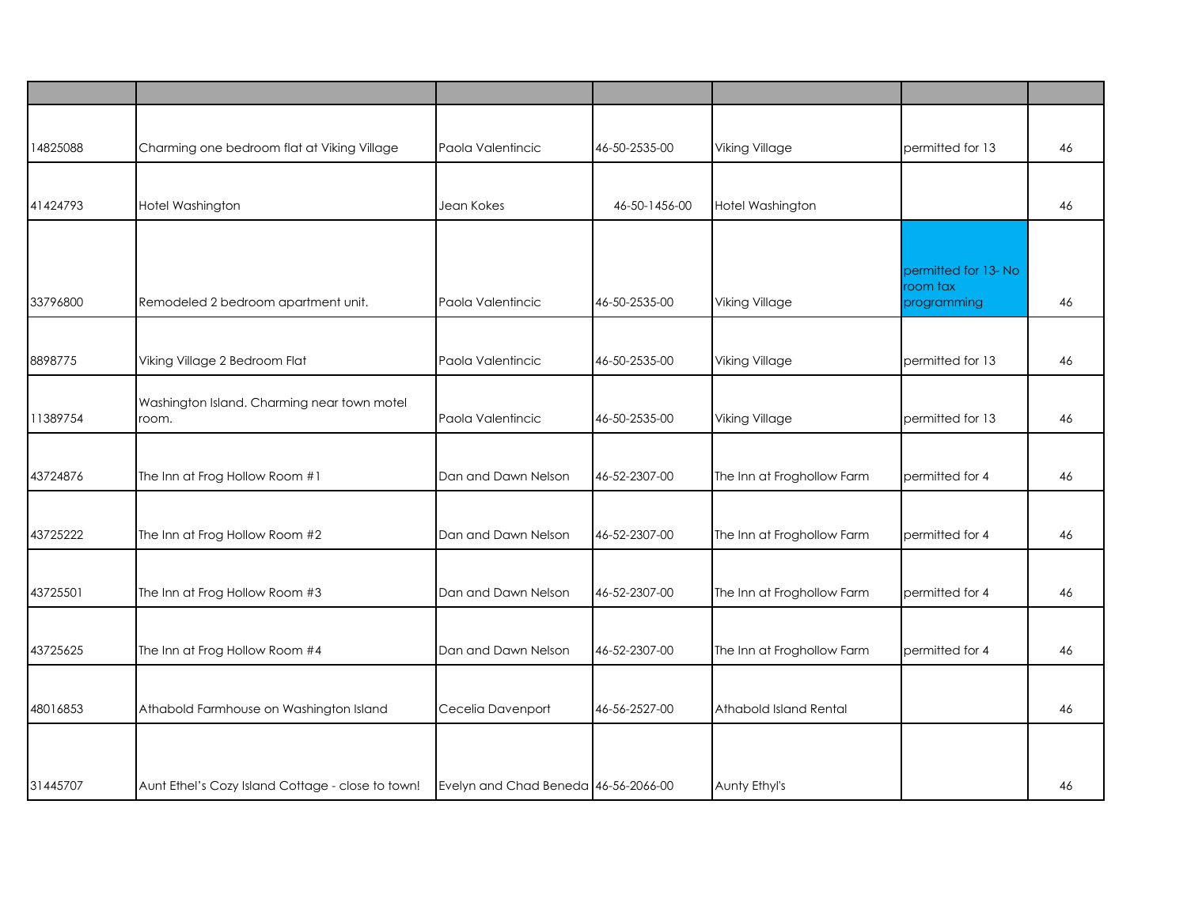| 14825088 | Charming one bedroom flat at Viking Village       | Paola Valentincic                    | 46-50-2535-00 | <b>Viking Village</b>      | permitted for 13        | 46 |
|----------|---------------------------------------------------|--------------------------------------|---------------|----------------------------|-------------------------|----|
|          |                                                   |                                      |               |                            |                         |    |
| 41424793 | Hotel Washington                                  | Jean Kokes                           | 46-50-1456-00 | Hotel Washington           |                         | 46 |
|          |                                                   |                                      |               |                            |                         |    |
|          |                                                   |                                      |               |                            | permitted for 13-No     |    |
| 33796800 | Remodeled 2 bedroom apartment unit.               | Paola Valentincic                    | 46-50-2535-00 | <b>Viking Village</b>      | room tax<br>programming | 46 |
|          |                                                   |                                      |               |                            |                         |    |
| 8898775  | Viking Village 2 Bedroom Flat                     | Paola Valentincic                    | 46-50-2535-00 | Viking Village             | permitted for 13        | 46 |
|          | Washington Island. Charming near town motel       |                                      |               |                            |                         |    |
| 11389754 | room.                                             | Paola Valentincic                    | 46-50-2535-00 | <b>Viking Village</b>      | permitted for 13        | 46 |
|          |                                                   |                                      |               |                            |                         |    |
| 43724876 | The Inn at Frog Hollow Room #1                    | Dan and Dawn Nelson                  | 46-52-2307-00 | The Inn at Froghollow Farm | permitted for 4         | 46 |
|          |                                                   |                                      |               |                            |                         |    |
| 43725222 | The Inn at Frog Hollow Room #2                    | Dan and Dawn Nelson                  | 46-52-2307-00 | The Inn at Froghollow Farm | permitted for 4         | 46 |
|          |                                                   |                                      |               |                            |                         |    |
| 43725501 | The Inn at Frog Hollow Room #3                    | Dan and Dawn Nelson                  | 46-52-2307-00 | The Inn at Froghollow Farm | permitted for 4         | 46 |
|          |                                                   |                                      |               |                            |                         |    |
| 43725625 | The Inn at Frog Hollow Room #4                    | Dan and Dawn Nelson                  | 46-52-2307-00 | The Inn at Froghollow Farm | permitted for 4         | 46 |
|          |                                                   |                                      |               |                            |                         |    |
| 48016853 | Athabold Farmhouse on Washington Island           | Cecelia Davenport                    | 46-56-2527-00 | Athabold Island Rental     |                         | 46 |
|          |                                                   |                                      |               |                            |                         |    |
| 31445707 | Aunt Ethel's Cozy Island Cottage - close to town! | Evelyn and Chad Beneda 46-56-2066-00 |               | Aunty Ethyl's              |                         | 46 |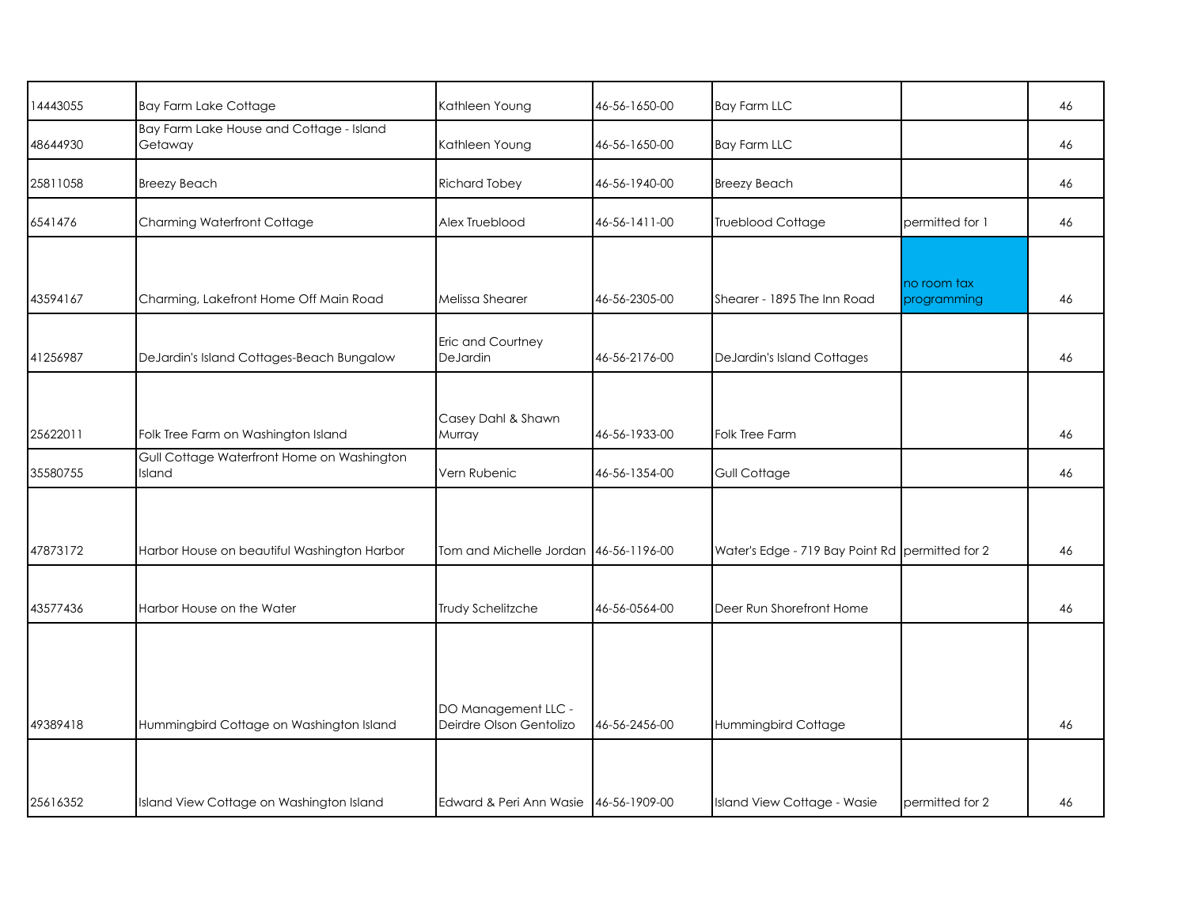| 14443055 | <b>Bay Farm Lake Cottage</b>                         | Kathleen Young                                 | 46-56-1650-00 | <b>Bay Farm LLC</b>                             |                            | 46 |
|----------|------------------------------------------------------|------------------------------------------------|---------------|-------------------------------------------------|----------------------------|----|
| 48644930 | Bay Farm Lake House and Cottage - Island<br>Getaway  | Kathleen Young                                 | 46-56-1650-00 | <b>Bay Farm LLC</b>                             |                            | 46 |
| 25811058 | <b>Breezy Beach</b>                                  | <b>Richard Tobey</b>                           | 46-56-1940-00 | <b>Breezy Beach</b>                             |                            | 46 |
| 6541476  | Charming Waterfront Cottage                          | Alex Trueblood                                 | 46-56-1411-00 | Trueblood Cottage                               | permitted for 1            | 46 |
|          |                                                      |                                                |               |                                                 |                            |    |
| 43594167 | Charming, Lakefront Home Off Main Road               | Melissa Shearer                                | 46-56-2305-00 | Shearer - 1895 The Inn Road                     | no room tax<br>programming | 46 |
| 41256987 | DeJardin's Island Cottages-Beach Bungalow            | Eric and Courtney<br>DeJardin                  | 46-56-2176-00 | <b>DeJardin's Island Cottages</b>               |                            | 46 |
|          |                                                      |                                                |               |                                                 |                            |    |
| 25622011 | Folk Tree Farm on Washington Island                  | Casey Dahl & Shawn<br>Murray                   | 46-56-1933-00 | Folk Tree Farm                                  |                            | 46 |
| 35580755 | Gull Cottage Waterfront Home on Washington<br>Island | Vern Rubenic                                   | 46-56-1354-00 | Gull Cottage                                    |                            | 46 |
|          |                                                      |                                                |               |                                                 |                            |    |
| 47873172 | Harbor House on beautiful Washington Harbor          | Tom and Michelle Jordan 46-56-1196-00          |               | Water's Edge - 719 Bay Point Rd permitted for 2 |                            | 46 |
| 43577436 | Harbor House on the Water                            | Trudy Schelitzche                              | 46-56-0564-00 | Deer Run Shorefront Home                        |                            | 46 |
|          |                                                      |                                                |               |                                                 |                            |    |
|          |                                                      |                                                |               |                                                 |                            |    |
| 49389418 | Hummingbird Cottage on Washington Island             | DO Management LLC -<br>Deirdre Olson Gentolizo | 46-56-2456-00 | Hummingbird Cottage                             |                            | 46 |
|          |                                                      |                                                |               |                                                 |                            |    |
| 25616352 | Island View Cottage on Washington Island             | Edward & Peri Ann Wasie 46-56-1909-00          |               | Island View Cottage - Wasie                     | permitted for 2            | 46 |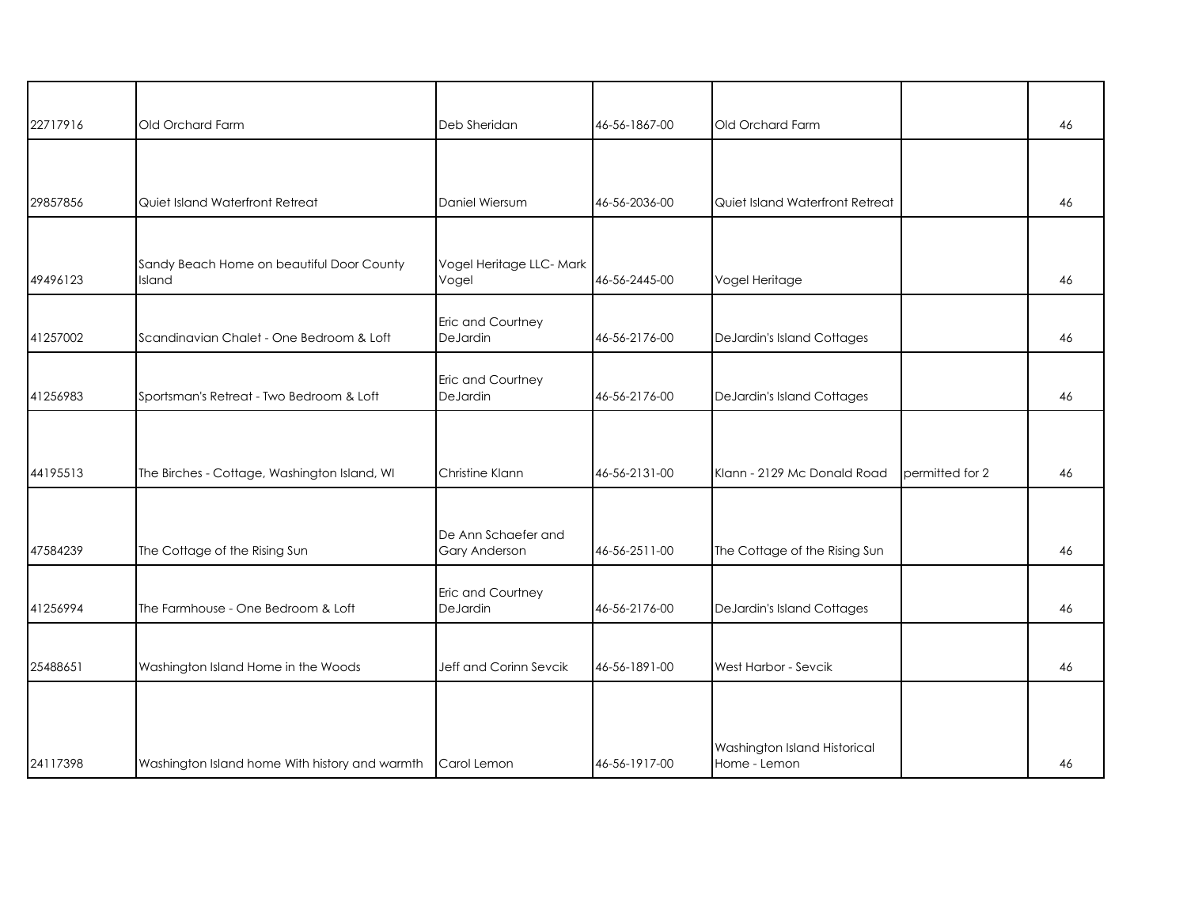| 22717916 | Old Orchard Farm                                    | Deb Sheridan                         | 46-56-1867-00 | Old Orchard Farm                             |                 | 46 |
|----------|-----------------------------------------------------|--------------------------------------|---------------|----------------------------------------------|-----------------|----|
|          |                                                     |                                      |               |                                              |                 |    |
| 29857856 | Quiet Island Waterfront Retreat                     | Daniel Wiersum                       | 46-56-2036-00 | Quiet Island Waterfront Retreat              |                 | 46 |
| 49496123 | Sandy Beach Home on beautiful Door County<br>Island | Vogel Heritage LLC- Mark<br>Vogel    | 46-56-2445-00 | Vogel Heritage                               |                 | 46 |
| 41257002 | Scandinavian Chalet - One Bedroom & Loft            | Eric and Courtney<br>DeJardin        | 46-56-2176-00 | DeJardin's Island Cottages                   |                 | 46 |
| 41256983 | Sportsman's Retreat - Two Bedroom & Loft            | Eric and Courtney<br>DeJardin        | 46-56-2176-00 | DeJardin's Island Cottages                   |                 | 46 |
| 44195513 | The Birches - Cottage, Washington Island, WI        | Christine Klann                      | 46-56-2131-00 | Klann - 2129 Mc Donald Road                  | permitted for 2 | 46 |
| 47584239 | The Cottage of the Rising Sun                       | De Ann Schaefer and<br>Gary Anderson | 46-56-2511-00 | The Cottage of the Rising Sun                |                 | 46 |
| 41256994 | The Farmhouse - One Bedroom & Loft                  | Eric and Courtney<br>DeJardin        | 46-56-2176-00 | DeJardin's Island Cottages                   |                 | 46 |
| 25488651 | Washington Island Home in the Woods                 | Jeff and Corinn Sevcik               | 46-56-1891-00 | West Harbor - Sevcik                         |                 | 46 |
| 24117398 | Washington Island home With history and warmth      | Carol Lemon                          | 46-56-1917-00 | Washington Island Historical<br>Home - Lemon |                 | 46 |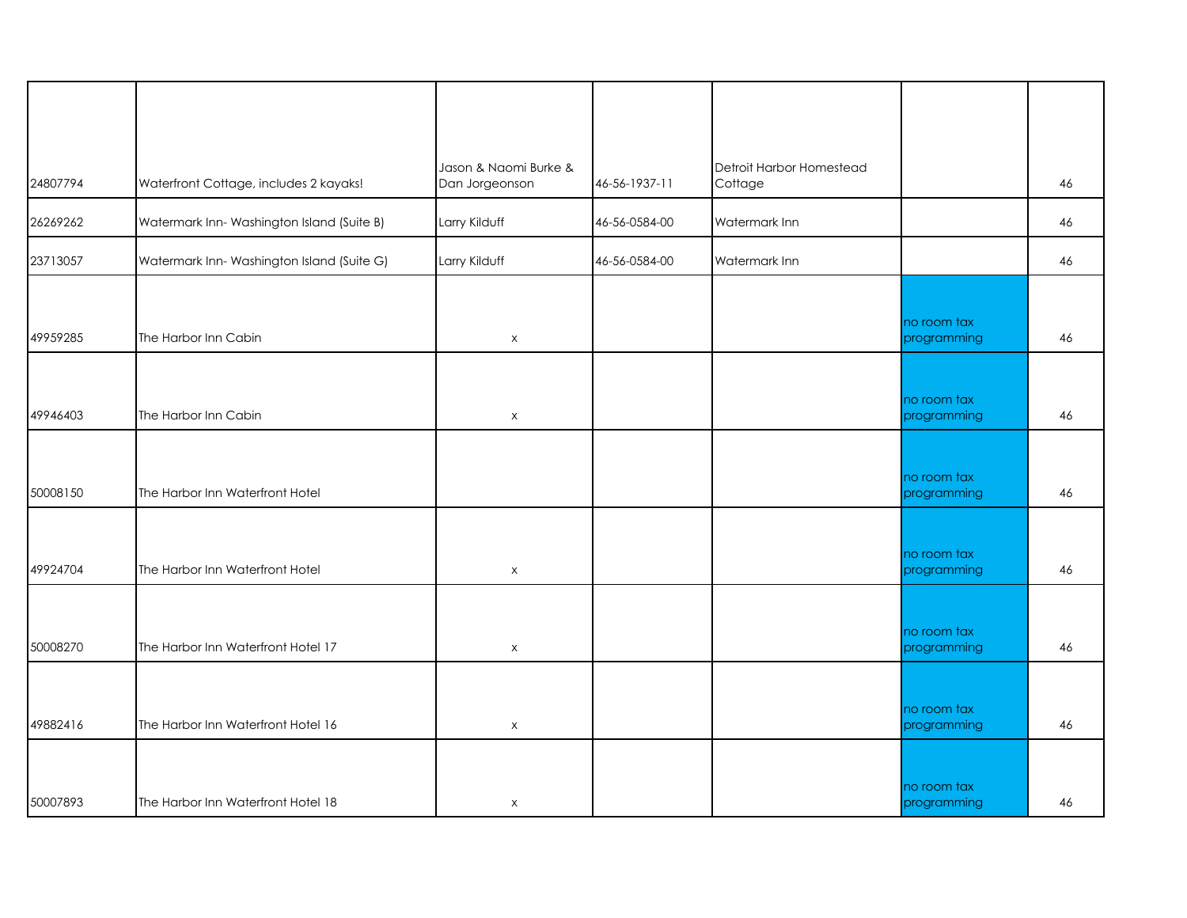|          |                                           | Jason & Naomi Burke &     |               | Detroit Harbor Homestead |                            |    |
|----------|-------------------------------------------|---------------------------|---------------|--------------------------|----------------------------|----|
| 24807794 | Waterfront Cottage, includes 2 kayaks!    | Dan Jorgeonson            | 46-56-1937-11 | Cottage                  |                            | 46 |
| 26269262 | Watermark Inn-Washington Island (Suite B) | Larry Kilduff             | 46-56-0584-00 | Watermark Inn            |                            | 46 |
| 23713057 | Watermark Inn-Washington Island (Suite G) | Larry Kilduff             | 46-56-0584-00 | Watermark Inn            |                            | 46 |
|          |                                           |                           |               |                          |                            |    |
|          |                                           |                           |               |                          | no room tax                |    |
| 49959285 | The Harbor Inn Cabin                      | $\pmb{\times}$            |               |                          | programming                | 46 |
|          |                                           |                           |               |                          |                            |    |
|          |                                           |                           |               |                          |                            |    |
| 49946403 | The Harbor Inn Cabin                      | $\pmb{\times}$            |               |                          | no room tax<br>programming | 46 |
|          |                                           |                           |               |                          |                            |    |
|          |                                           |                           |               |                          |                            |    |
|          |                                           |                           |               |                          | no room tax                |    |
| 50008150 | The Harbor Inn Waterfront Hotel           |                           |               |                          | programming                | 46 |
|          |                                           |                           |               |                          |                            |    |
|          |                                           |                           |               |                          | no room tax                |    |
| 49924704 | The Harbor Inn Waterfront Hotel           | $\mathsf X$               |               |                          | programming                | 46 |
|          |                                           |                           |               |                          |                            |    |
|          |                                           |                           |               |                          | no room tax                |    |
| 50008270 | The Harbor Inn Waterfront Hotel 17        | $\mathsf X$               |               |                          | programming                | 46 |
|          |                                           |                           |               |                          |                            |    |
|          |                                           |                           |               |                          |                            |    |
| 49882416 | The Harbor Inn Waterfront Hotel 16        | $\mathsf X$               |               |                          | no room tax<br>programming | 46 |
|          |                                           |                           |               |                          |                            |    |
|          |                                           |                           |               |                          |                            |    |
| 50007893 | The Harbor Inn Waterfront Hotel 18        | $\boldsymbol{\mathsf{X}}$ |               |                          | no room tax<br>programming | 46 |
|          |                                           |                           |               |                          |                            |    |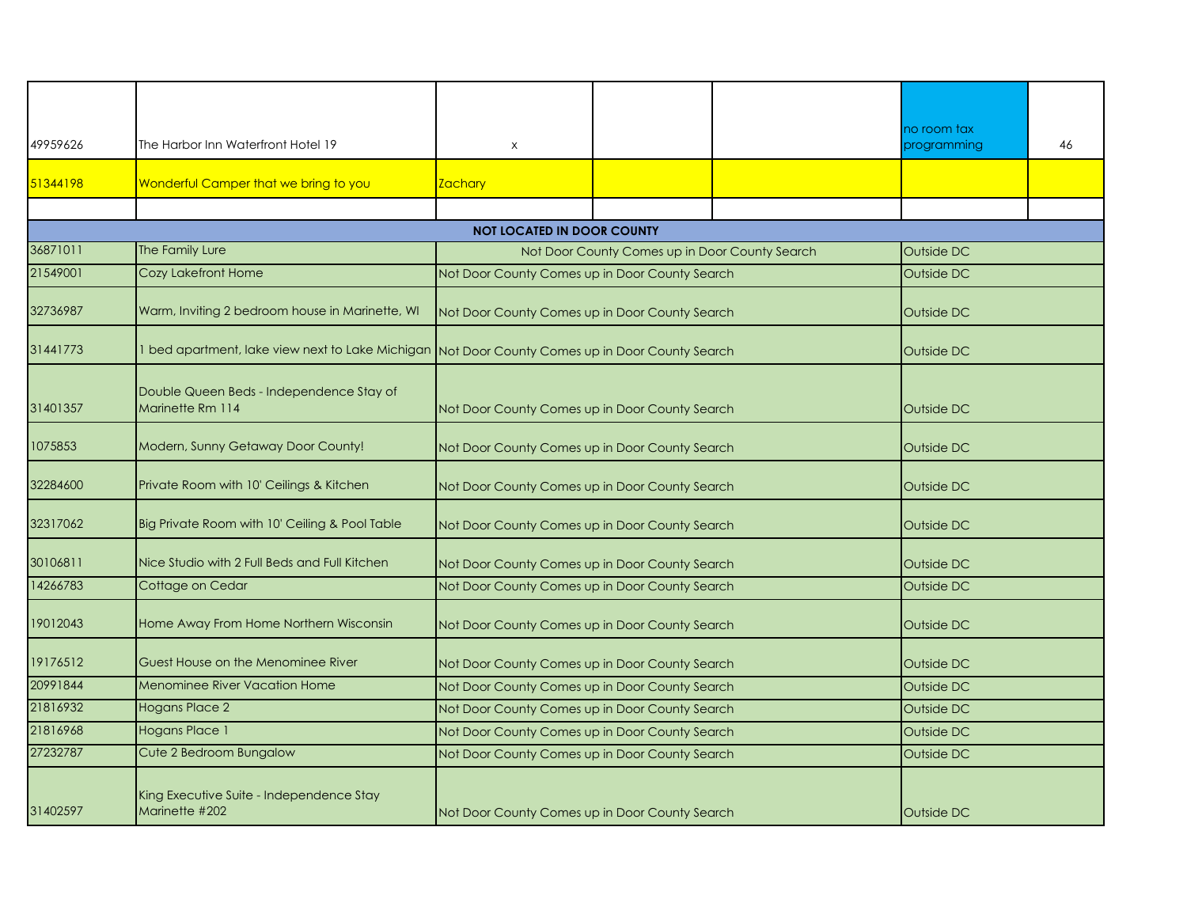| 49959626 | The Harbor Inn Waterfront Hotel 19                           | $\times$                                                                                        |  |  | no room tax<br>programming | 46 |  |
|----------|--------------------------------------------------------------|-------------------------------------------------------------------------------------------------|--|--|----------------------------|----|--|
|          |                                                              |                                                                                                 |  |  |                            |    |  |
| 51344198 | Wonderful Camper that we bring to you                        | <b>Zachary</b>                                                                                  |  |  |                            |    |  |
|          |                                                              |                                                                                                 |  |  |                            |    |  |
|          | <b>NOT LOCATED IN DOOR COUNTY</b>                            |                                                                                                 |  |  |                            |    |  |
| 36871011 | The Family Lure                                              | Not Door County Comes up in Door County Search                                                  |  |  | Outside DC                 |    |  |
| 21549001 | Cozy Lakefront Home                                          | Not Door County Comes up in Door County Search                                                  |  |  | Outside DC                 |    |  |
| 32736987 | Warm, Inviting 2 bedroom house in Marinette, WI              | Not Door County Comes up in Door County Search                                                  |  |  | Outside DC                 |    |  |
| 31441773 |                                                              | 1 bed apartment, lake view next to Lake Michigan Not Door County Comes up in Door County Search |  |  | Outside DC                 |    |  |
| 31401357 | Double Queen Beds - Independence Stay of<br>Marinette Rm 114 | Not Door County Comes up in Door County Search                                                  |  |  | Outside DC                 |    |  |
| 1075853  | Modern, Sunny Getaway Door County!                           | Not Door County Comes up in Door County Search                                                  |  |  | Outside DC                 |    |  |
| 32284600 | Private Room with 10' Ceilings & Kitchen                     | Not Door County Comes up in Door County Search                                                  |  |  | Outside DC                 |    |  |
| 32317062 | Big Private Room with 10' Ceiling & Pool Table               | Not Door County Comes up in Door County Search                                                  |  |  | Outside DC                 |    |  |
| 30106811 | Nice Studio with 2 Full Beds and Full Kitchen                | Not Door County Comes up in Door County Search                                                  |  |  | Outside DC                 |    |  |
| 14266783 | Cottage on Cedar                                             | Not Door County Comes up in Door County Search                                                  |  |  | Outside DC                 |    |  |
| 19012043 | Home Away From Home Northern Wisconsin                       | Not Door County Comes up in Door County Search                                                  |  |  | Outside DC                 |    |  |
| 19176512 | Guest House on the Menominee River                           | Not Door County Comes up in Door County Search                                                  |  |  | <b>Outside DC</b>          |    |  |
| 20991844 | Menominee River Vacation Home                                | Not Door County Comes up in Door County Search                                                  |  |  | Outside DC                 |    |  |
| 21816932 | <b>Hogans Place 2</b>                                        | Not Door County Comes up in Door County Search                                                  |  |  | Outside DC                 |    |  |
| 21816968 | <b>Hogans Place 1</b>                                        | Not Door County Comes up in Door County Search                                                  |  |  | Outside DC                 |    |  |
| 27232787 | Cute 2 Bedroom Bungalow                                      | Not Door County Comes up in Door County Search                                                  |  |  | Outside DC                 |    |  |
| 31402597 | King Executive Suite - Independence Stay<br>Marinette #202   | Not Door County Comes up in Door County Search                                                  |  |  | <b>Outside DC</b>          |    |  |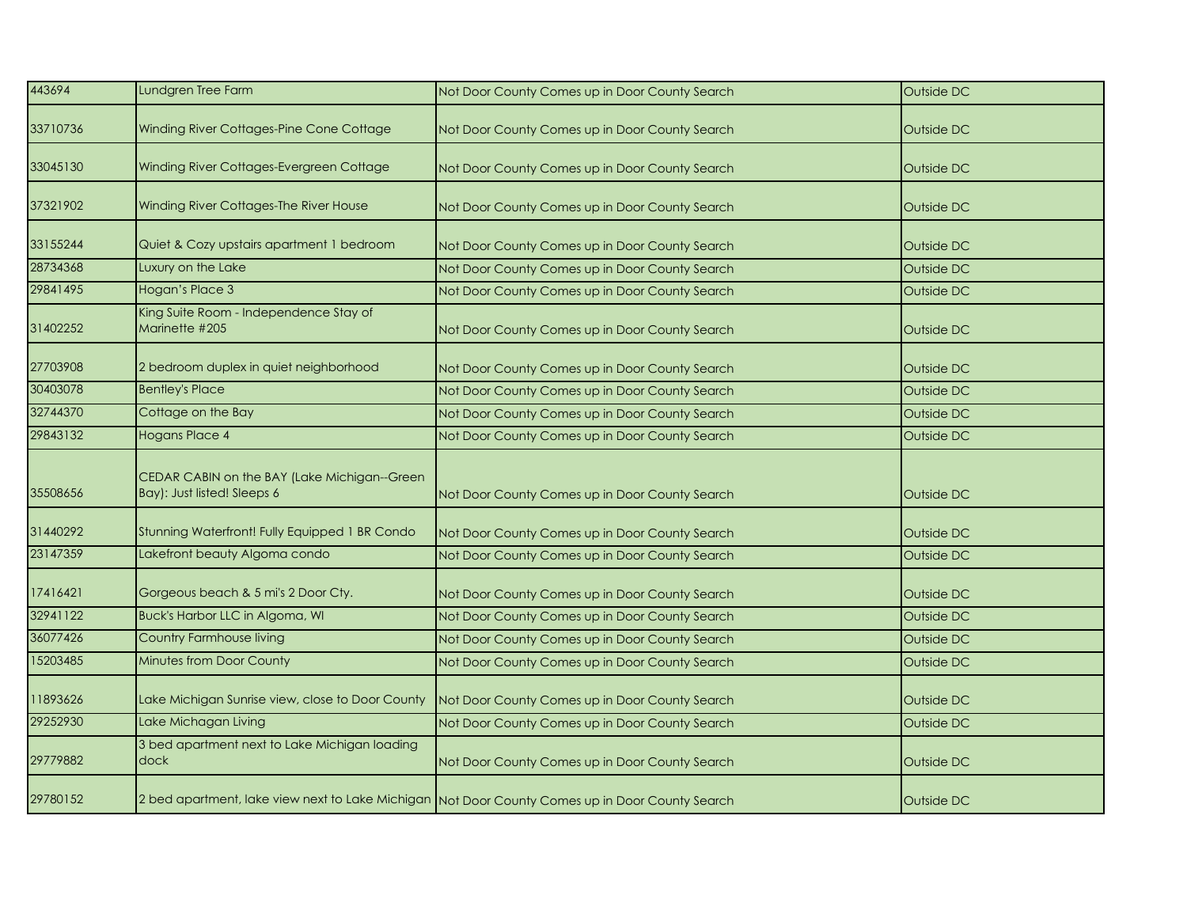| 443694   | Lundgren Tree Farm                                                          | Not Door County Comes up in Door County Search                                                  | Outside DC |
|----------|-----------------------------------------------------------------------------|-------------------------------------------------------------------------------------------------|------------|
| 33710736 | Winding River Cottages-Pine Cone Cottage                                    | Not Door County Comes up in Door County Search                                                  | Outside DC |
| 33045130 | Winding River Cottages-Evergreen Cottage                                    | Not Door County Comes up in Door County Search                                                  | Outside DC |
| 37321902 | Winding River Cottages-The River House                                      | Not Door County Comes up in Door County Search                                                  | Outside DC |
| 33155244 | Quiet & Cozy upstairs apartment 1 bedroom                                   | Not Door County Comes up in Door County Search                                                  | Outside DC |
| 28734368 | Luxury on the Lake                                                          | Not Door County Comes up in Door County Search                                                  | Outside DC |
| 29841495 | Hogan's Place 3                                                             | Not Door County Comes up in Door County Search                                                  | Outside DC |
| 31402252 | King Suite Room - Independence Stay of<br>Marinette #205                    | Not Door County Comes up in Door County Search                                                  | Outside DC |
| 27703908 | 2 bedroom duplex in quiet neighborhood                                      | Not Door County Comes up in Door County Search                                                  | Outside DC |
| 30403078 | <b>Bentley's Place</b>                                                      | Not Door County Comes up in Door County Search                                                  | Outside DC |
| 32744370 | Cottage on the Bay                                                          | Not Door County Comes up in Door County Search                                                  | Outside DC |
| 29843132 | <b>Hogans Place 4</b>                                                       | Not Door County Comes up in Door County Search                                                  | Outside DC |
| 35508656 | CEDAR CABIN on the BAY (Lake Michigan--Green<br>Bay): Just listed! Sleeps 6 | Not Door County Comes up in Door County Search                                                  | Outside DC |
| 31440292 | Stunning Waterfront! Fully Equipped 1 BR Condo                              | Not Door County Comes up in Door County Search                                                  | Outside DC |
| 23147359 | Lakefront beauty Algoma condo                                               | Not Door County Comes up in Door County Search                                                  | Outside DC |
| 17416421 | Gorgeous beach & 5 mi's 2 Door Cty.                                         | Not Door County Comes up in Door County Search                                                  | Outside DC |
| 32941122 | <b>Buck's Harbor LLC in Algoma, WI</b>                                      | Not Door County Comes up in Door County Search                                                  | Outside DC |
| 36077426 | Country Farmhouse living                                                    | Not Door County Comes up in Door County Search                                                  | Outside DC |
| 15203485 | Minutes from Door County                                                    | Not Door County Comes up in Door County Search                                                  | Outside DC |
| 11893626 | Lake Michigan Sunrise view, close to Door County                            | Not Door County Comes up in Door County Search                                                  | Outside DC |
| 29252930 | Lake Michagan Living                                                        | Not Door County Comes up in Door County Search                                                  | Outside DC |
| 29779882 | 3 bed apartment next to Lake Michigan loading<br>dock                       | Not Door County Comes up in Door County Search                                                  | Outside DC |
| 29780152 |                                                                             | 2 bed apartment, lake view next to Lake Michigan Not Door County Comes up in Door County Search | Outside DC |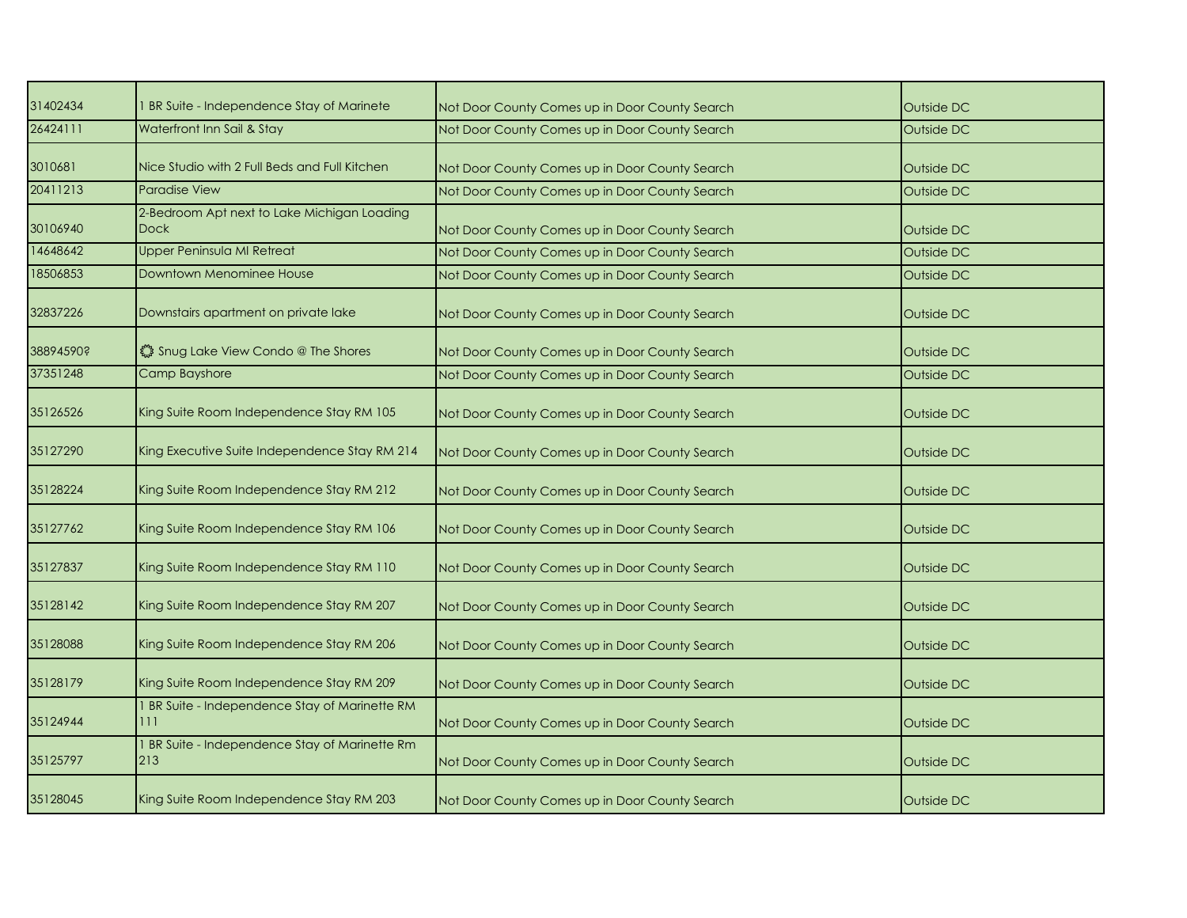| 31402434  | I BR Suite - Independence Stay of Marinete                 | Not Door County Comes up in Door County Search | Outside DC |
|-----------|------------------------------------------------------------|------------------------------------------------|------------|
| 26424111  | Waterfront Inn Sail & Stay                                 | Not Door County Comes up in Door County Search | Outside DC |
| 3010681   | Nice Studio with 2 Full Beds and Full Kitchen              | Not Door County Comes up in Door County Search | Outside DC |
| 20411213  | <b>Paradise View</b>                                       | Not Door County Comes up in Door County Search | Outside DC |
| 30106940  | 2-Bedroom Apt next to Lake Michigan Loading<br><b>Dock</b> | Not Door County Comes up in Door County Search | Outside DC |
| 14648642  | <b>Upper Peninsula MI Retreat</b>                          | Not Door County Comes up in Door County Search | Outside DC |
| 18506853  | <b>Downtown Menominee House</b>                            | Not Door County Comes up in Door County Search | Outside DC |
| 32837226  | Downstairs apartment on private lake                       | Not Door County Comes up in Door County Search | Outside DC |
| 38894590? | Shug Lake View Condo @ The Shores                          | Not Door County Comes up in Door County Search | Outside DC |
| 37351248  | Camp Bayshore                                              | Not Door County Comes up in Door County Search | Outside DC |
| 35126526  | King Suite Room Independence Stay RM 105                   | Not Door County Comes up in Door County Search | Outside DC |
| 35127290  | King Executive Suite Independence Stay RM 214              | Not Door County Comes up in Door County Search | Outside DC |
| 35128224  | King Suite Room Independence Stay RM 212                   | Not Door County Comes up in Door County Search | Outside DC |
| 35127762  | King Suite Room Independence Stay RM 106                   | Not Door County Comes up in Door County Search | Outside DC |
| 35127837  | King Suite Room Independence Stay RM 110                   | Not Door County Comes up in Door County Search | Outside DC |
| 35128142  | King Suite Room Independence Stay RM 207                   | Not Door County Comes up in Door County Search | Outside DC |
| 35128088  | King Suite Room Independence Stay RM 206                   | Not Door County Comes up in Door County Search | Outside DC |
| 35128179  | King Suite Room Independence Stay RM 209                   | Not Door County Comes up in Door County Search | Outside DC |
| 35124944  | 1 BR Suite - Independence Stay of Marinette RM<br>111      | Not Door County Comes up in Door County Search | Outside DC |
| 35125797  | 1 BR Suite - Independence Stay of Marinette Rm<br>213      | Not Door County Comes up in Door County Search | Outside DC |
| 35128045  | King Suite Room Independence Stay RM 203                   | Not Door County Comes up in Door County Search | Outside DC |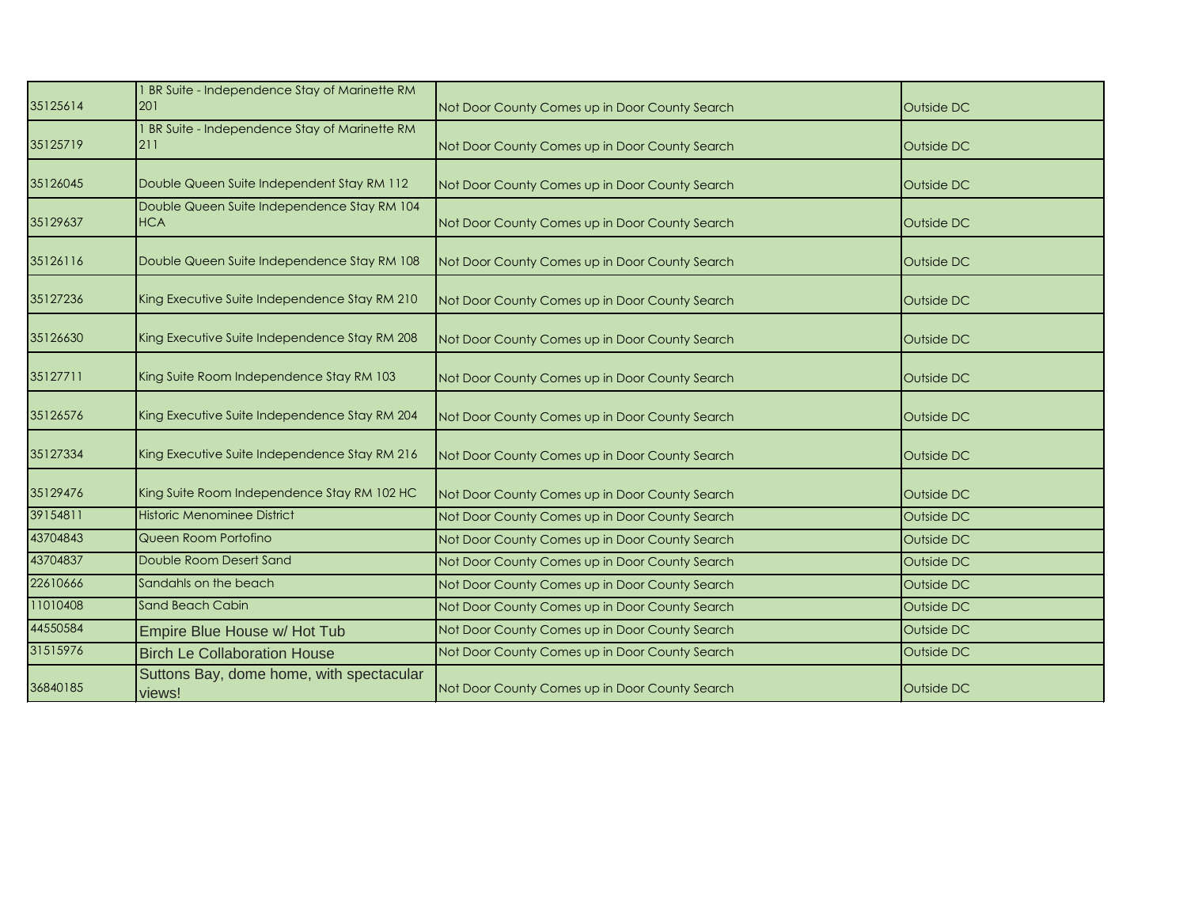| 35125614 | 1 BR Suite - Independence Stay of Marinette RM<br>201     | Not Door County Comes up in Door County Search | Outside DC |
|----------|-----------------------------------------------------------|------------------------------------------------|------------|
| 35125719 | 1 BR Suite - Independence Stay of Marinette RM<br>211     | Not Door County Comes up in Door County Search | Outside DC |
| 35126045 | Double Queen Suite Independent Stay RM 112                | Not Door County Comes up in Door County Search | Outside DC |
| 35129637 | Double Queen Suite Independence Stay RM 104<br><b>HCA</b> | Not Door County Comes up in Door County Search | Outside DC |
| 35126116 | Double Queen Suite Independence Stay RM 108               | Not Door County Comes up in Door County Search | Outside DC |
| 35127236 | King Executive Suite Independence Stay RM 210             | Not Door County Comes up in Door County Search | Outside DC |
| 35126630 | King Executive Suite Independence Stay RM 208             | Not Door County Comes up in Door County Search | Outside DC |
| 35127711 | King Suite Room Independence Stay RM 103                  | Not Door County Comes up in Door County Search | Outside DC |
| 35126576 | King Executive Suite Independence Stay RM 204             | Not Door County Comes up in Door County Search | Outside DC |
| 35127334 | King Executive Suite Independence Stay RM 216             | Not Door County Comes up in Door County Search | Outside DC |
| 35129476 | King Suite Room Independence Stay RM 102 HC               | Not Door County Comes up in Door County Search | Outside DC |
| 39154811 | <b>Historic Menominee District</b>                        | Not Door County Comes up in Door County Search | Outside DC |
| 43704843 | Queen Room Portofino                                      | Not Door County Comes up in Door County Search | Outside DC |
| 43704837 | Double Room Desert Sand                                   | Not Door County Comes up in Door County Search | Outside DC |
| 22610666 | Sandahls on the beach                                     | Not Door County Comes up in Door County Search | Outside DC |
| 11010408 | <b>Sand Beach Cabin</b>                                   | Not Door County Comes up in Door County Search | Outside DC |
| 44550584 | Empire Blue House w/ Hot Tub                              | Not Door County Comes up in Door County Search | Outside DC |
| 31515976 | <b>Birch Le Collaboration House</b>                       | Not Door County Comes up in Door County Search | Outside DC |
| 36840185 | Suttons Bay, dome home, with spectacular<br>views!        | Not Door County Comes up in Door County Search | Outside DC |